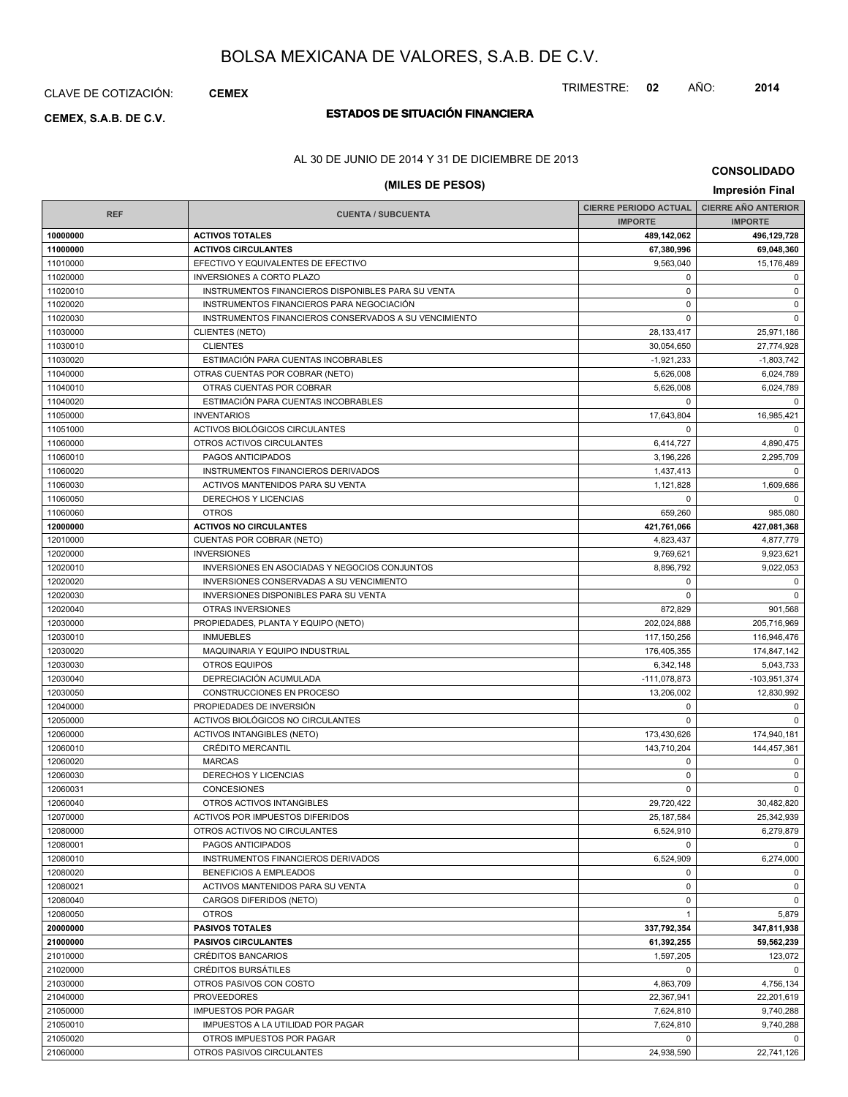### CLAVE DE COTIZACIÓN: **CEMEX**

# **ESTADOS DE SITUACIÓN FINANCIERA CEMEX, S.A.B. DE C.V.**

### AL 30 DE JUNIO DE 2014 Y 31 DE DICIEMBRE DE 2013

### **(MILES DE PESOS) Impresión Final**

**CONSOLIDADO**

|            |                                                       | <b>CIERRE PERIODO ACTUAL</b> | <b>CIERRE AÑO ANTERIOR</b> |
|------------|-------------------------------------------------------|------------------------------|----------------------------|
| <b>REF</b> | <b>CUENTA / SUBCUENTA</b>                             | <b>IMPORTE</b>               | <b>IMPORTE</b>             |
| 10000000   | <b>ACTIVOS TOTALES</b>                                | 489,142,062                  | 496,129,728                |
| 11000000   | <b>ACTIVOS CIRCULANTES</b>                            | 67,380,996                   | 69,048,360                 |
| 11010000   | EFECTIVO Y EQUIVALENTES DE EFECTIVO                   | 9,563,040                    | 15,176,489                 |
| 11020000   | <b>INVERSIONES A CORTO PLAZO</b>                      | 0                            | $\mathbf 0$                |
| 11020010   | INSTRUMENTOS FINANCIEROS DISPONIBLES PARA SU VENTA    | 0                            | 0                          |
| 11020020   | INSTRUMENTOS FINANCIEROS PARA NEGOCIACIÓN             | $\Omega$                     | $\mathbf 0$                |
| 11020030   | INSTRUMENTOS FINANCIEROS CONSERVADOS A SU VENCIMIENTO | $\mathbf 0$                  | $\mathbf 0$                |
| 11030000   | <b>CLIENTES (NETO)</b>                                | 28, 133, 417                 | 25,971,186                 |
| 11030010   | <b>CLIENTES</b>                                       | 30,054,650                   | 27.774.928                 |
| 11030020   | ESTIMACIÓN PARA CUENTAS INCOBRABLES                   | $-1,921,233$                 | $-1,803,742$               |
| 11040000   | OTRAS CUENTAS POR COBRAR (NETO)                       | 5,626,008                    | 6,024,789                  |
| 11040010   | OTRAS CUENTAS POR COBRAR                              | 5.626.008                    | 6,024,789                  |
| 11040020   | ESTIMACIÓN PARA CUENTAS INCOBRABLES                   | $\Omega$                     | 0                          |
| 11050000   | <b>INVENTARIOS</b>                                    | 17,643,804                   | 16,985,421                 |
| 11051000   | ACTIVOS BIOLÓGICOS CIRCULANTES                        | $\mathbf 0$                  | $\mathbf 0$                |
| 11060000   | OTROS ACTIVOS CIRCULANTES                             | 6,414,727                    | 4,890,475                  |
| 11060010   | PAGOS ANTICIPADOS                                     | 3,196,226                    | 2,295,709                  |
| 11060020   | INSTRUMENTOS FINANCIEROS DERIVADOS                    | 1,437,413                    | $\mathbf 0$                |
| 11060030   | ACTIVOS MANTENIDOS PARA SU VENTA                      | 1,121,828                    | 1,609,686                  |
| 11060050   | DERECHOS Y LICENCIAS                                  | $\Omega$                     | $\mathbf 0$                |
| 11060060   | <b>OTROS</b>                                          | 659,260                      | 985,080                    |
| 12000000   | <b>ACTIVOS NO CIRCULANTES</b>                         | 421,761,066                  | 427,081,368                |
| 12010000   | CUENTAS POR COBRAR (NETO)                             | 4,823,437                    | 4,877,779                  |
| 12020000   | <b>INVERSIONES</b>                                    | 9,769,621                    | 9,923,621                  |
| 12020010   | INVERSIONES EN ASOCIADAS Y NEGOCIOS CONJUNTOS         | 8,896,792                    | 9,022,053                  |
| 12020020   | INVERSIONES CONSERVADAS A SU VENCIMIENTO              | 0                            | 0                          |
| 12020030   | INVERSIONES DISPONIBLES PARA SU VENTA                 | $\Omega$                     | $\mathbf 0$                |
| 12020040   | OTRAS INVERSIONES                                     | 872,829                      | 901,568                    |
| 12030000   | PROPIEDADES, PLANTA Y EQUIPO (NETO)                   | 202,024,888                  | 205,716,969                |
| 12030010   | <b>INMUEBLES</b>                                      | 117,150,256                  | 116,946,476                |
| 12030020   | MAQUINARIA Y EQUIPO INDUSTRIAL                        | 176,405,355                  | 174,847,142                |
| 12030030   | <b>OTROS EQUIPOS</b>                                  | 6,342,148                    | 5,043,733                  |
| 12030040   | DEPRECIACIÓN ACUMULADA                                | $-111,078,873$               | -103,951,374               |
| 12030050   | CONSTRUCCIONES EN PROCESO                             | 13,206,002                   | 12,830,992                 |
| 12040000   | PROPIEDADES DE INVERSIÓN                              | 0                            | 0                          |
| 12050000   | ACTIVOS BIOLÓGICOS NO CIRCULANTES                     | $\Omega$                     | $\mathbf 0$                |
| 12060000   | <b>ACTIVOS INTANGIBLES (NETO)</b>                     | 173,430,626                  | 174,940,181                |
| 12060010   | <b>CRÉDITO MERCANTIL</b>                              | 143,710,204                  | 144,457,361                |
| 12060020   | <b>MARCAS</b>                                         | $\mathbf 0$                  | 0                          |
| 12060030   | DERECHOS Y LICENCIAS                                  | $\mathbf 0$                  | 0                          |
| 12060031   | <b>CONCESIONES</b>                                    | $\Omega$                     | $\mathbf 0$                |
| 12060040   | OTROS ACTIVOS INTANGIBLES                             | 29,720,422                   | 30,482,820                 |
| 12070000   | ACTIVOS POR IMPUESTOS DIFERIDOS                       | 25, 187, 584                 | 25,342,939                 |
| 12080000   | OTROS ACTIVOS NO CIRCULANTES                          | 6,524,910                    | 6,279,879                  |
| 12080001   | PAGOS ANTICIPADOS                                     | $\Omega$                     | $\mathbf 0$                |
| 12080010   | INSTRUMENTOS FINANCIEROS DERIVADOS                    | 6,524,909                    | 6,274,000                  |
| 12080020   | BENEFICIOS A EMPLEADOS                                | 0                            | 0                          |
| 12080021   | ACTIVOS MANTENIDOS PARA SU VENTA                      | $\mathbf 0$                  | 0                          |
| 12080040   | CARGOS DIFERIDOS (NETO)                               | 0                            | 0                          |
| 12080050   | <b>OTROS</b>                                          | $\mathbf{1}$                 | 5,879                      |
| 20000000   | <b>PASIVOS TOTALES</b>                                | 337,792,354                  | 347,811,938                |
| 21000000   | <b>PASIVOS CIRCULANTES</b>                            | 61,392,255                   | 59,562,239                 |
| 21010000   | <b>CRÉDITOS BANCARIOS</b>                             | 1,597,205                    | 123,072                    |
| 21020000   | <b>CRÉDITOS BURSÁTILES</b>                            | $\mathbf 0$                  | $\mathbf 0$                |
| 21030000   | OTROS PASIVOS CON COSTO                               | 4,863,709                    | 4,756,134                  |
| 21040000   | <b>PROVEEDORES</b>                                    | 22,367,941                   | 22,201,619                 |
| 21050000   | <b>IMPUESTOS POR PAGAR</b>                            | 7,624,810                    | 9,740,288                  |
| 21050010   | IMPUESTOS A LA UTILIDAD POR PAGAR                     | 7,624,810                    | 9,740,288                  |
| 21050020   | OTROS IMPUESTOS POR PAGAR                             | 0                            | 0                          |
| 21060000   | OTROS PASIVOS CIRCULANTES                             | 24,938,590                   | 22,741,126                 |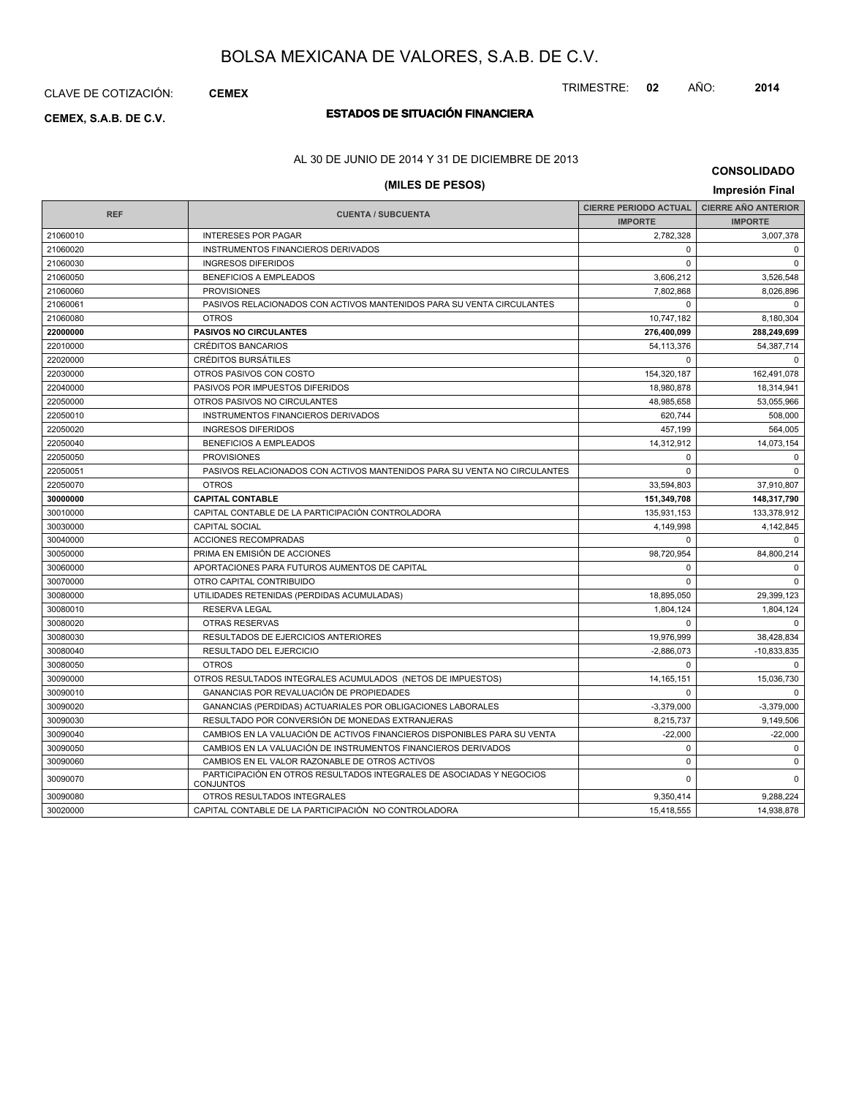CLAVE DE COTIZACIÓN: **CEMEX**

## **ESTADOS DE SITUACIÓN FINANCIERA CEMEX, S.A.B. DE C.V.**

### AL 30 DE JUNIO DE 2014 Y 31 DE DICIEMBRE DE 2013

| <b>CONSOLIDADO</b> |  |
|--------------------|--|
|--------------------|--|

| (MILES DE PESOS)<br>Impresión Final |                                                                                          |                              |                            |  |  |
|-------------------------------------|------------------------------------------------------------------------------------------|------------------------------|----------------------------|--|--|
|                                     |                                                                                          | <b>CIERRE PERIODO ACTUAL</b> | <b>CIERRE AÑO ANTERIOR</b> |  |  |
| <b>REF</b>                          | <b>CUENTA / SUBCUENTA</b>                                                                | <b>IMPORTE</b>               | <b>IMPORTE</b>             |  |  |
| 21060010                            | <b>INTERESES POR PAGAR</b>                                                               | 2,782,328                    | 3,007,378                  |  |  |
| 21060020                            | <b>INSTRUMENTOS FINANCIEROS DERIVADOS</b>                                                | $\Omega$                     | 0                          |  |  |
| 21060030                            | <b>INGRESOS DIFERIDOS</b>                                                                | $\mathbf 0$                  | $\mathbf 0$                |  |  |
| 21060050                            | <b>BENEFICIOS A EMPLEADOS</b>                                                            | 3,606,212                    | 3,526,548                  |  |  |
| 21060060                            | <b>PROVISIONES</b>                                                                       | 7,802,868                    | 8,026,896                  |  |  |
| 21060061                            | PASIVOS RELACIONADOS CON ACTIVOS MANTENIDOS PARA SU VENTA CIRCULANTES                    | $\Omega$                     | $\Omega$                   |  |  |
| 21060080                            | <b>OTROS</b>                                                                             | 10,747,182                   | 8,180,304                  |  |  |
| 22000000                            | <b>PASIVOS NO CIRCULANTES</b>                                                            | 276,400,099                  | 288,249,699                |  |  |
| 22010000                            | <b>CRÉDITOS BANCARIOS</b>                                                                | 54,113,376                   | 54,387,714                 |  |  |
| 22020000                            | <b>CRÉDITOS BURSÁTILES</b>                                                               | $\mathbf 0$                  | $\mathbf 0$                |  |  |
| 22030000                            | OTROS PASIVOS CON COSTO                                                                  | 154,320,187                  | 162,491,078                |  |  |
| 22040000                            | PASIVOS POR IMPUESTOS DIFERIDOS                                                          | 18,980,878                   | 18,314,941                 |  |  |
| 22050000                            | OTROS PASIVOS NO CIRCULANTES                                                             | 48,985,658                   | 53,055,966                 |  |  |
| 22050010                            | INSTRUMENTOS FINANCIEROS DERIVADOS                                                       | 620,744                      | 508,000                    |  |  |
| 22050020                            | <b>INGRESOS DIFERIDOS</b>                                                                | 457,199                      | 564,005                    |  |  |
| 22050040                            | <b>BENEFICIOS A EMPLEADOS</b>                                                            | 14,312,912                   | 14,073,154                 |  |  |
| 22050050                            | <b>PROVISIONES</b>                                                                       | $\mathbf 0$                  | $\Omega$                   |  |  |
| 22050051                            | PASIVOS RELACIONADOS CON ACTIVOS MANTENIDOS PARA SU VENTA NO CIRCULANTES                 | $\mathbf 0$                  | $\mathbf 0$                |  |  |
| 22050070                            | <b>OTROS</b>                                                                             | 33,594,803                   | 37,910,807                 |  |  |
| 30000000                            | <b>CAPITAL CONTABLE</b>                                                                  | 151,349,708                  | 148,317,790                |  |  |
| 30010000                            | CAPITAL CONTABLE DE LA PARTICIPACIÓN CONTROLADORA                                        | 135,931,153                  | 133,378,912                |  |  |
| 30030000                            | <b>CAPITAL SOCIAL</b>                                                                    | 4,149,998                    | 4,142,845                  |  |  |
| 30040000                            | <b>ACCIONES RECOMPRADAS</b>                                                              | $\Omega$                     | $\mathbf 0$                |  |  |
| 30050000                            | PRIMA EN EMISIÓN DE ACCIONES                                                             | 98,720,954                   | 84,800,214                 |  |  |
| 30060000                            | APORTACIONES PARA FUTUROS AUMENTOS DE CAPITAL                                            | $\mathbf 0$                  | $\mathbf 0$                |  |  |
| 30070000                            | OTRO CAPITAL CONTRIBUIDO                                                                 | $\mathbf 0$                  | $\Omega$                   |  |  |
| 30080000                            | UTILIDADES RETENIDAS (PERDIDAS ACUMULADAS)                                               | 18,895,050                   | 29,399,123                 |  |  |
| 30080010                            | <b>RESERVA LEGAL</b>                                                                     | 1.804.124                    | 1.804.124                  |  |  |
| 30080020                            | <b>OTRAS RESERVAS</b>                                                                    | $\Omega$                     | $\Omega$                   |  |  |
| 30080030                            | <b>RESULTADOS DE EJERCICIOS ANTERIORES</b>                                               | 19,976,999                   | 38,428,834                 |  |  |
| 30080040                            | RESULTADO DEL EJERCICIO                                                                  | $-2,886,073$                 | $-10,833,835$              |  |  |
| 30080050                            | <b>OTROS</b>                                                                             | $\Omega$                     | $\mathbf 0$                |  |  |
| 30090000                            | OTROS RESULTADOS INTEGRALES ACUMULADOS (NETOS DE IMPUESTOS)                              | 14, 165, 151                 | 15,036,730                 |  |  |
| 30090010                            | GANANCIAS POR REVALUACIÓN DE PROPIEDADES                                                 | $\Omega$                     | $\Omega$                   |  |  |
| 30090020                            | GANANCIAS (PERDIDAS) ACTUARIALES POR OBLIGACIONES LABORALES                              | $-3,379,000$                 | $-3,379,000$               |  |  |
| 30090030                            | RESULTADO POR CONVERSIÓN DE MONEDAS EXTRANJERAS                                          | 8,215,737                    | 9,149,506                  |  |  |
| 30090040                            | CAMBIOS EN LA VALUACIÓN DE ACTIVOS FINANCIEROS DISPONIBLES PARA SU VENTA                 | $-22,000$                    | $-22,000$                  |  |  |
| 30090050                            | CAMBIOS EN LA VALUACIÓN DE INSTRUMENTOS FINANCIEROS DERIVADOS                            | $\Omega$                     | $\Omega$                   |  |  |
| 30090060                            | CAMBIOS EN EL VALOR RAZONABLE DE OTROS ACTIVOS                                           | $\Omega$                     | $\Omega$                   |  |  |
| 30090070                            | PARTICIPACIÓN EN OTROS RESULTADOS INTEGRALES DE ASOCIADAS Y NEGOCIOS<br><b>CONJUNTOS</b> | $\Omega$                     | $\Omega$                   |  |  |
| 30090080                            | OTROS RESULTADOS INTEGRALES                                                              | 9,350,414                    | 9,288,224                  |  |  |
| 30020000                            | CAPITAL CONTABLE DE LA PARTICIPACIÓN NO CONTROLADORA                                     | 15,418,555                   | 14,938,878                 |  |  |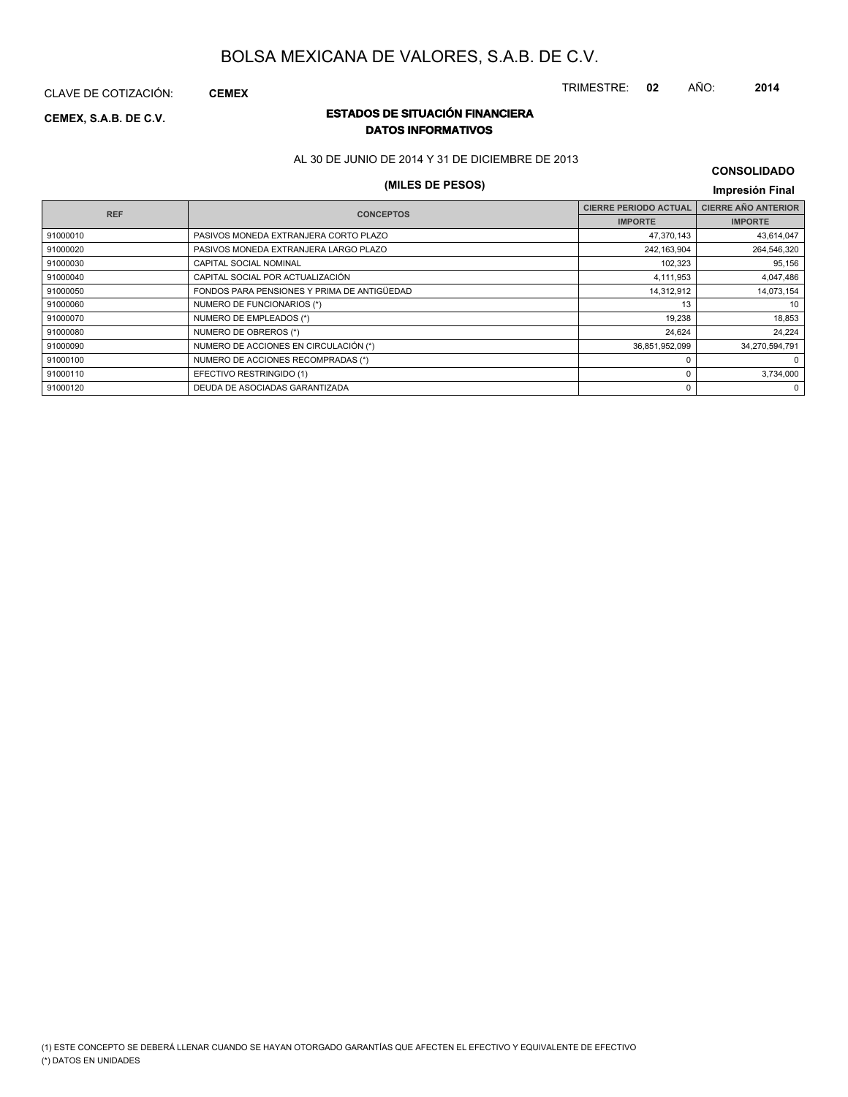CLAVE DE COTIZACIÓN: **CEMEX**

### **ESTADOS DE SITUACIÓN FINANCIERA CEMEX, S.A.B. DE C.V. DATOS INFORMATIVOS**

AL 30 DE JUNIO DE 2014 Y 31 DE DICIEMBRE DE 2013

### **(MILES DE PESOS) Impresión Final**

| <b>CONSOLIDADO</b> |  |
|--------------------|--|
|--------------------|--|

| <b>REF</b> | <b>CONCEPTOS</b>                            | <b>CIERRE PERIODO ACTUAL</b> | <b>CIERRE AÑO ANTERIOR</b> |
|------------|---------------------------------------------|------------------------------|----------------------------|
|            |                                             | <b>IMPORTE</b>               | <b>IMPORTE</b>             |
| 91000010   | PASIVOS MONEDA EXTRANJERA CORTO PLAZO       | 47,370,143                   | 43,614,047                 |
| 91000020   | PASIVOS MONEDA EXTRANJERA LARGO PLAZO       | 242,163,904                  | 264,546,320                |
| 91000030   | CAPITAL SOCIAL NOMINAL                      | 102,323                      | 95,156                     |
| 91000040   | CAPITAL SOCIAL POR ACTUALIZACIÓN            | 4,111,953                    | 4,047,486                  |
| 91000050   | FONDOS PARA PENSIONES Y PRIMA DE ANTIGÜEDAD | 14,312,912                   | 14,073,154                 |
| 91000060   | NUMERO DE FUNCIONARIOS (*)                  | 13                           | 10                         |
| 91000070   | NUMERO DE EMPLEADOS (*)                     | 19,238                       | 18,853                     |
| 91000080   | NUMERO DE OBREROS (*)                       | 24,624                       | 24,224                     |
| 91000090   | NUMERO DE ACCIONES EN CIRCULACIÓN (*)       | 36,851,952,099               | 34,270,594,791             |
| 91000100   | NUMERO DE ACCIONES RECOMPRADAS (*)          |                              | $^{\circ}$                 |
| 91000110   | EFECTIVO RESTRINGIDO (1)                    | $\Omega$                     | 3,734,000                  |
| 91000120   | DEUDA DE ASOCIADAS GARANTIZADA              | 0                            | $\Omega$                   |
|            |                                             |                              |                            |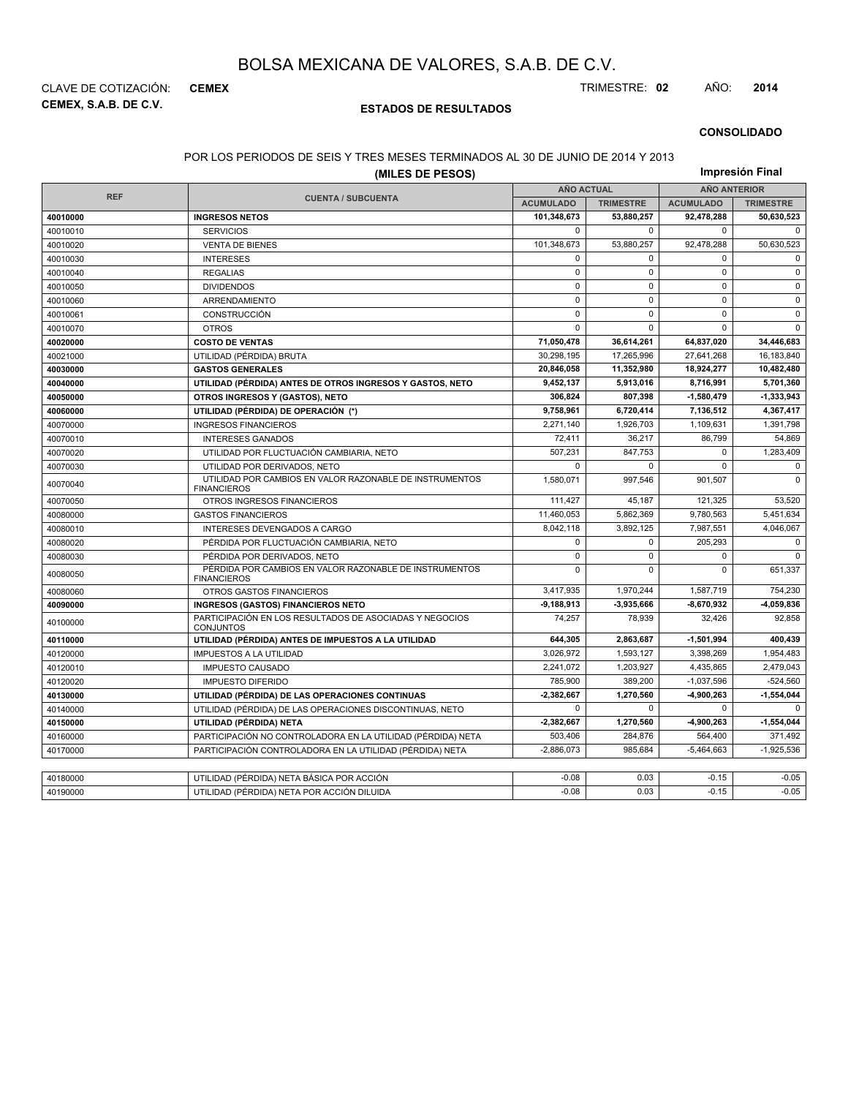**CEMEX, S.A.B. DE C.V.** CLAVE DE COTIZACIÓN: **CEMEX** TRIMESTRE: **02** AÑO: **2014**

#### **ESTADOS DE RESULTADOS**

#### **CONSOLIDADO**

#### POR LOS PERIODOS DE SEIS Y TRES MESES TERMINADOS AL 30 DE JUNIO DE 2014 Y 2013

|            | (MILES DE PESOS)                                                              |                   |                  |                     | Impresión Final  |
|------------|-------------------------------------------------------------------------------|-------------------|------------------|---------------------|------------------|
|            |                                                                               | <b>AÑO ACTUAL</b> |                  | <b>AÑO ANTERIOR</b> |                  |
| <b>REF</b> | <b>CUENTA / SUBCUENTA</b>                                                     | <b>ACUMULADO</b>  | <b>TRIMESTRE</b> | <b>ACUMULADO</b>    | <b>TRIMESTRE</b> |
| 40010000   | <b>INGRESOS NETOS</b>                                                         | 101,348,673       | 53,880,257       | 92,478,288          | 50,630,523       |
| 40010010   | <b>SERVICIOS</b>                                                              | $\mathbf{0}$      | 0                | $\mathbf 0$         | $\Omega$         |
| 40010020   | <b>VENTA DE BIENES</b>                                                        | 101,348,673       | 53,880,257       | 92,478,288          | 50,630,523       |
| 40010030   | <b>INTERESES</b>                                                              | $\mathbf 0$       | 0                | $\mathbf 0$         | $\mathbf 0$      |
| 40010040   | <b>REGALIAS</b>                                                               | $\mathbf 0$       | $\pmb{0}$        | $\mathbf 0$         | $\mathsf 0$      |
| 40010050   | <b>DIVIDENDOS</b>                                                             | $\mathbf 0$       | $\mathbf 0$      | 0                   | $\mathbf 0$      |
| 40010060   | ARRENDAMIENTO                                                                 | $\mathbf 0$       | $\mathbf 0$      | $\mathbf 0$         | $\mathbf 0$      |
| 40010061   | <b>CONSTRUCCIÓN</b>                                                           | $\mathbf 0$       | $\mathbf 0$      | $\Omega$            | $\mathbf 0$      |
| 40010070   | <b>OTROS</b>                                                                  | $\mathbf 0$       | 0                | $\mathbf 0$         | $\Omega$         |
| 40020000   | <b>COSTO DE VENTAS</b>                                                        | 71,050,478        | 36,614,261       | 64,837,020          | 34,446,683       |
| 40021000   | UTILIDAD (PÉRDIDA) BRUTA                                                      | 30.298.195        | 17,265,996       | 27,641,268          | 16,183,840       |
| 40030000   | <b>GASTOS GENERALES</b>                                                       | 20,846,058        | 11,352,980       | 18,924,277          | 10,482,480       |
| 40040000   | UTILIDAD (PÉRDIDA) ANTES DE OTROS INGRESOS Y GASTOS, NETO                     | 9,452,137         | 5,913,016        | 8,716,991           | 5,701,360        |
| 40050000   | OTROS INGRESOS Y (GASTOS), NETO                                               | 306,824           | 807,398          | $-1,580,479$        | -1,333,943       |
| 40060000   | UTILIDAD (PÉRDIDA) DE OPERACIÓN (*)                                           | 9,758,961         | 6,720,414        | 7,136,512           | 4,367,417        |
| 40070000   | <b>INGRESOS FINANCIEROS</b>                                                   | 2,271,140         | 1,926,703        | 1,109,631           | 1,391,798        |
| 40070010   | <b>INTERESES GANADOS</b>                                                      | 72,411            | 36,217           | 86,799              | 54,869           |
| 40070020   | UTILIDAD POR FLUCTUACIÓN CAMBIARIA, NETO                                      | 507,231           | 847,753          | 0                   | 1,283,409        |
| 40070030   | UTILIDAD POR DERIVADOS, NETO                                                  | $\Omega$          | $\Omega$         | $\mathbf 0$         | 0                |
| 40070040   | UTILIDAD POR CAMBIOS EN VALOR RAZONABLE DE INSTRUMENTOS<br><b>FINANCIEROS</b> | 1,580,071         | 997,546          | 901,507             | $\Omega$         |
| 40070050   | OTROS INGRESOS FINANCIEROS                                                    | 111,427           | 45,187           | 121,325             | 53,520           |
| 40080000   | <b>GASTOS FINANCIEROS</b>                                                     | 11,460,053        | 5,862,369        | 9,780,563           | 5,451,634        |
| 40080010   | INTERESES DEVENGADOS A CARGO                                                  | 8,042,118         | 3,892,125        | 7,987,551           | 4,046,067        |
| 40080020   | PÉRDIDA POR FLUCTUACIÓN CAMBIARIA, NETO                                       | $\mathbf 0$       | 0                | 205,293             | $\mathbf 0$      |
| 40080030   | PÉRDIDA POR DERIVADOS, NETO                                                   | $\mathbf 0$       | $\mathbf 0$      | $\mathbf 0$         | $\Omega$         |
| 40080050   | PÉRDIDA POR CAMBIOS EN VALOR RAZONABLE DE INSTRUMENTOS<br><b>FINANCIEROS</b>  | $\mathbf 0$       | $\mathbf 0$      | 0                   | 651,337          |
| 40080060   | OTROS GASTOS FINANCIEROS                                                      | 3,417,935         | 1,970,244        | 1,587,719           | 754,230          |
| 40090000   | <b>INGRESOS (GASTOS) FINANCIEROS NETO</b>                                     | $-9,188,913$      | -3,935,666       | $-8,670,932$        | -4,059,836       |
| 40100000   | PARTICIPACIÓN EN LOS RESULTADOS DE ASOCIADAS Y NEGOCIOS<br><b>CONJUNTOS</b>   | 74,257            | 78,939           | 32,426              | 92,858           |
| 40110000   | UTILIDAD (PÉRDIDA) ANTES DE IMPUESTOS A LA UTILIDAD                           | 644,305           | 2,863,687        | $-1,501,994$        | 400,439          |
| 40120000   | <b>IMPUESTOS A LA UTILIDAD</b>                                                | 3,026,972         | 1,593,127        | 3,398,269           | 1,954,483        |
| 40120010   | <b>IMPUESTO CAUSADO</b>                                                       | 2,241,072         | 1,203,927        | 4,435,865           | 2,479,043        |
| 40120020   | <b>IMPUESTO DIFERIDO</b>                                                      | 785,900           | 389,200          | $-1,037,596$        | $-524,560$       |
| 40130000   | UTILIDAD (PÉRDIDA) DE LAS OPERACIONES CONTINUAS                               | $-2,382,667$      | 1,270,560        | 4,900,263           | 1,554,044        |
| 40140000   | UTILIDAD (PÉRDIDA) DE LAS OPERACIONES DISCONTINUAS, NETO                      | $\mathbf 0$       | 0                | $\mathbf 0$         | $\Omega$         |
| 40150000   | UTILIDAD (PÉRDIDA) NETA                                                       | $-2,382,667$      | 1,270,560        | 4,900,263           | $-1,554,044$     |
| 40160000   | PARTICIPACIÓN NO CONTROLADORA EN LA UTILIDAD (PÉRDIDA) NETA                   | 503,406           | 284,876          | 564,400             | 371,492          |
| 40170000   | PARTICIPACIÓN CONTROLADORA EN LA UTILIDAD (PÉRDIDA) NETA                      | $-2,886,073$      | 985,684          | $-5,464,663$        | $-1,925,536$     |
|            |                                                                               |                   |                  |                     |                  |
| 40180000   | UTILIDAD (PÉRDIDA) NETA BÁSICA POR ACCIÓN                                     | $-0.08$           | 0.03             | $-0.15$             | $-0.05$          |
| 40190000   | UTILIDAD (PÉRDIDA) NETA POR ACCIÓN DILUIDA                                    | $-0.08$           | 0.03             | $-0.15$             | $-0.05$          |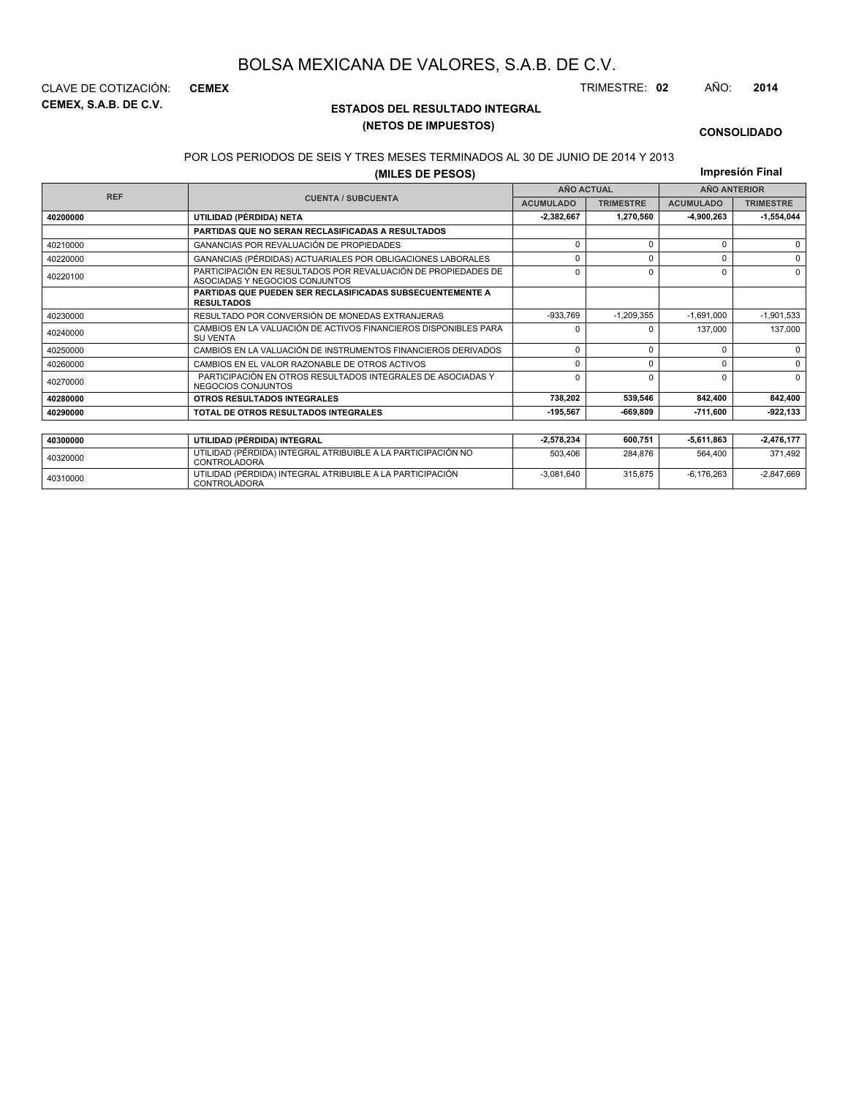**CEMEX, S.A.B. DE C.V.** CLAVE DE COTIZACIÓN: **CEMEX** TRIMESTRE: **02** AÑO: **2014**

### **ESTADOS DEL RESULTADO INTEGRAL (NETOS DE IMPUESTOS)**

-3,081,640 315,875 -6,176,263 -2,847,669

#### **CONSOLIDADO**

#### POR LOS PERIODOS DE SEIS Y TRES MESES TERMINADOS AL 30 DE JUNIO DE 2014 Y 2013

**(MILES DE PESOS)**

**Impresión Final**

|            |                                                                                                 |                   | <b>1111101031011 1 11101</b> |                  |                     |
|------------|-------------------------------------------------------------------------------------------------|-------------------|------------------------------|------------------|---------------------|
| <b>REF</b> |                                                                                                 | <b>AÑO ACTUAL</b> |                              |                  | <b>AÑO ANTERIOR</b> |
|            | <b>CUENTA / SUBCUENTA</b>                                                                       | <b>ACUMULADO</b>  | <b>TRIMESTRE</b>             | <b>ACUMULADO</b> | <b>TRIMESTRE</b>    |
| 40200000   | UTILIDAD (PÉRDIDA) NETA                                                                         | $-2,382,667$      | 1,270,560                    | -4,900,263       | $-1,554,044$        |
|            | PARTIDAS QUE NO SERAN RECLASIFICADAS A RESULTADOS                                               |                   |                              |                  |                     |
| 40210000   | <b>GANANCIAS POR REVALUACIÓN DE PROPIEDADES</b>                                                 | $\Omega$          | $\Omega$                     | $\Omega$         | $\Omega$            |
| 40220000   | GANANCIAS (PÉRDIDAS) ACTUARIALES POR OBLIGACIONES LABORALES                                     | n                 | $\Omega$                     | 0                | $\Omega$            |
| 40220100   | PARTICIPACIÓN EN RESULTADOS POR REVALUACIÓN DE PROPIEDADES DE<br>ASOCIADAS Y NEGOCIOS CONJUNTOS | $\Omega$          | $\Omega$                     | $\Omega$         | $\Omega$            |
|            | <b>PARTIDAS QUE PUEDEN SER RECLASIFICADAS SUBSECUENTEMENTE A</b><br><b>RESULTADOS</b>           |                   |                              |                  |                     |
| 40230000   | RESULTADO POR CONVERSIÓN DE MONEDAS EXTRANJERAS                                                 | $-933,769$        | $-1,209,355$                 | $-1,691,000$     | $-1,901,533$        |
| 40240000   | CAMBIOS EN LA VALUACIÓN DE ACTIVOS FINANCIEROS DISPONIBLES PARA<br><b>SU VENTA</b>              | n                 |                              | 137.000          | 137,000             |
| 40250000   | CAMBIOS EN LA VALUACIÓN DE INSTRUMENTOS FINANCIEROS DERIVADOS                                   | $\mathbf 0$       | $\Omega$                     | 0                | $\Omega$            |
| 40260000   | CAMBIOS EN EL VALOR RAZONABLE DE OTROS ACTIVOS                                                  | $\Omega$          | $\Omega$                     | $\Omega$         | $\Omega$            |
| 40270000   | PARTICIPACIÓN EN OTROS RESULTADOS INTEGRALES DE ASOCIADAS Y<br>NEGOCIOS CONJUNTOS               | $\Omega$          | $\Omega$                     | $\Omega$         | $\Omega$            |
| 40280000   | <b>OTROS RESULTADOS INTEGRALES</b>                                                              | 738,202           | 539,546                      | 842,400          | 842,400             |
| 40290000   | TOTAL DE OTROS RESULTADOS INTEGRALES                                                            | $-195,567$        | $-669.809$                   | $-711,600$       | $-922, 133$         |
|            |                                                                                                 |                   |                              |                  |                     |
| 40300000   | UTILIDAD (PÉRDIDA) INTEGRAL                                                                     | $-2,578,234$      | 600,751                      | 5,611,863        | $-2,476,177$        |
| 40320000   | UTILIDAD (PÉRDIDA) INTEGRAL ATRIBUIBLE A LA PARTICIPACIÓN NO<br>CONTROLADORA                    | 503,406           | 284,876                      | 564,400          | 371,492             |

<sup>40310000</sup> UTILIDAD (PÉRDIDA) INTEGRAL ATRIBUIBLE A LA PARTICIPACIÓN CONTROLADORA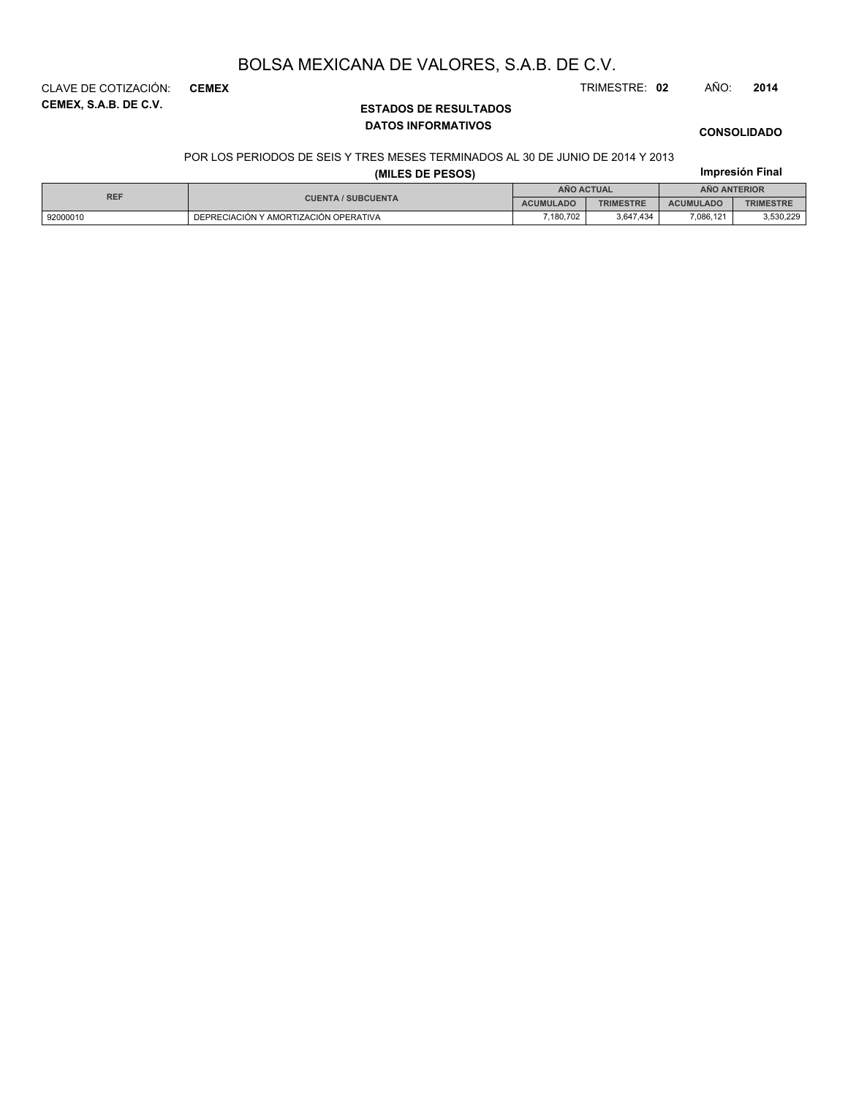**CEMEX, S.A.B. DE C.V.** CLAVE DE COTIZACIÓN: **CEMEX** TRIMESTRE: **02** AÑO: **2014**

### **ESTADOS DE RESULTADOS DATOS INFORMATIVOS**

### **CONSOLIDADO**

#### POR LOS PERIODOS DE SEIS Y TRES MESES TERMINADOS AL 30 DE JUNIO DE 2014 Y 2013

|            |                                       | Impresión Final  |                  |                  |                  |
|------------|---------------------------------------|------------------|------------------|------------------|------------------|
| <b>REF</b> |                                       | AÑO ACTUAL       |                  | AÑO ANTERIOR     |                  |
|            | <b>CUENTA / SUBCUENTA</b>             | <b>ACUMULADO</b> | <b>TRIMESTRE</b> | <b>ACUMULADO</b> | <b>TRIMESTRE</b> |
| 92000010   | DEPRECIACIÓN Y AMORTIZACIÓN OPERATIVA | 7.180.702        | 3.647.434        | 7.086.121        | 3,530,229        |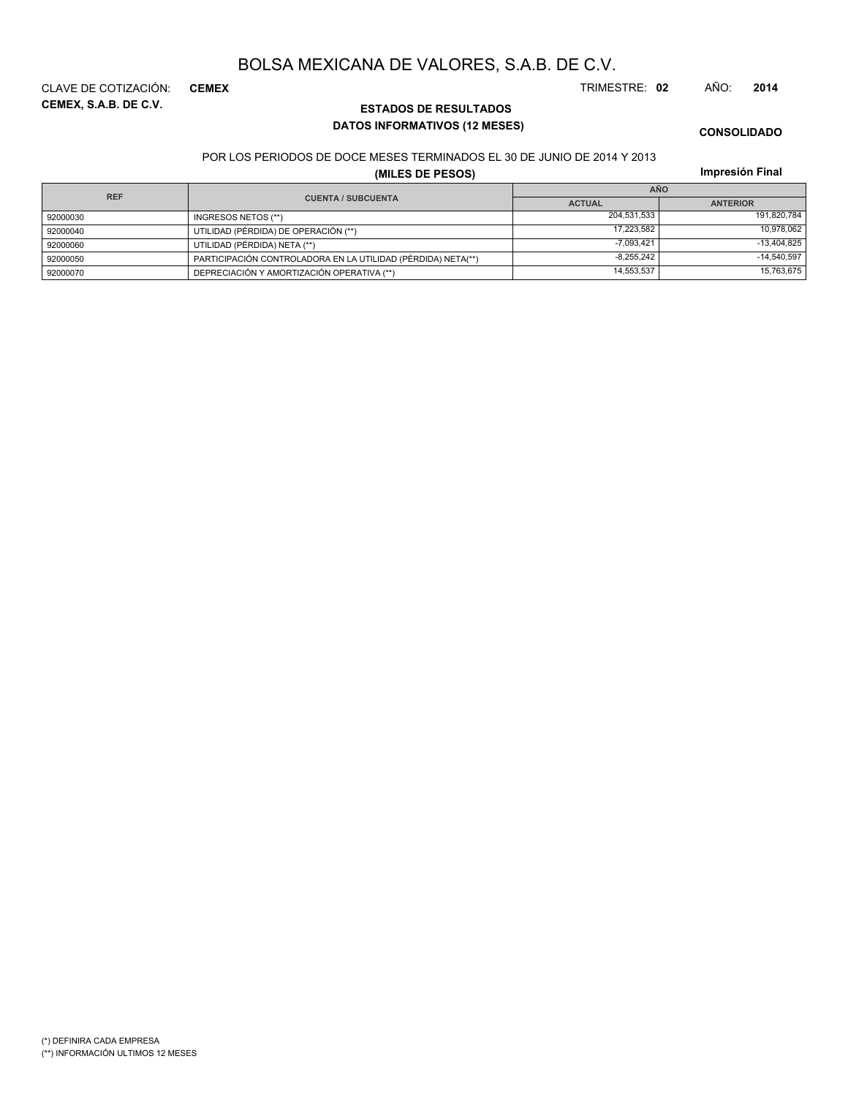**CEMEX, S.A.B. DE C.V.** CLAVE DE COTIZACIÓN: **CEMEX** TRIMESTRE: **02** AÑO: **2014**

**ESTADOS DE RESULTADOS DATOS INFORMATIVOS (12 MESES)**

**CONSOLIDADO**

#### POR LOS PERIODOS DE DOCE MESES TERMINADOS EL 30 DE JUNIO DE 2014 Y 2013

**(MILES DE PESOS)**

| <b>REF</b> |                                                              | <b>AÑO</b>    |                 |  |  |
|------------|--------------------------------------------------------------|---------------|-----------------|--|--|
|            | <b>CUENTA / SUBCUENTA</b>                                    | <b>ACTUAL</b> | <b>ANTERIOR</b> |  |  |
| 92000030   | INGRESOS NETOS (**)                                          | 204.531.533   | 191,820,784     |  |  |
| 92000040   | UTILIDAD (PÉRDIDA) DE OPERACIÓN (**)                         | 17.223.582    | 10,978,062      |  |  |
| 92000060   | UTILIDAD (PÉRDIDA) NETA (**)                                 | $-7,093,421$  | $-13,404,825$   |  |  |
| 92000050   | PARTICIPACIÓN CONTROLADORA EN LA UTILIDAD (PÉRDIDA) NETA(**) | $-8,255,242$  | $-14,540,597$   |  |  |
| 92000070   | DEPRECIACIÓN Y AMORTIZACIÓN OPERATIVA (**)                   | 14.553.537    | 15,763,675      |  |  |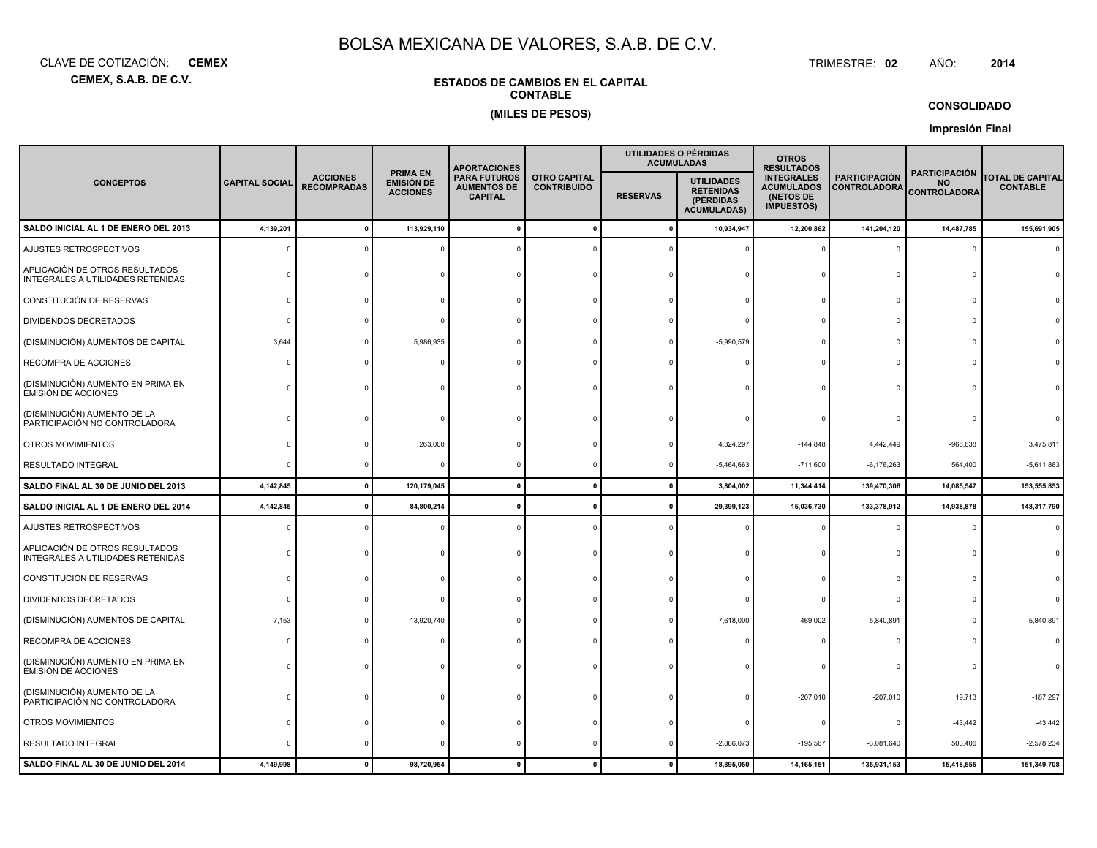**CEMEX, S.A.B. DE C.V.**CLAVE DE COTIZACIÓN:**CEMEX**: **CEMEX** TRIMESTRE:

### **ESTADOS DE CAMBIOS EN EL CAPITALCONTABLE**

#### **(MILES DE PESOS)**

**CONSOLIDADO**

AÑO: **<sup>2014</sup>**

TRIMESTRE: 02

|                                                                     |                       |                                       |                                                         |                                                             |                                                              | <b>APORTACIONES</b> |                                                                          |                                                                                                                         | UTILIDADES O PÉRDIDAS<br><b>ACUMULADAS</b> | <b>OTROS</b><br><b>RESULTADOS</b>                        |                                            |  |  |
|---------------------------------------------------------------------|-----------------------|---------------------------------------|---------------------------------------------------------|-------------------------------------------------------------|--------------------------------------------------------------|---------------------|--------------------------------------------------------------------------|-------------------------------------------------------------------------------------------------------------------------|--------------------------------------------|----------------------------------------------------------|--------------------------------------------|--|--|
| <b>CONCEPTOS</b>                                                    | <b>CAPITAL SOCIAL</b> | <b>ACCIONES</b><br><b>RECOMPRADAS</b> | <b>PRIMA EN</b><br><b>EMISIÓN DE</b><br><b>ACCIONES</b> | <b>PARA FUTUROS</b><br><b>AUMENTOS DE</b><br><b>CAPITAL</b> | <b>OTRO CAPITAL</b><br><b>CONTRIBUIDO</b><br><b>RESERVAS</b> |                     | <b>UTILIDADES</b><br><b>RETENIDAS</b><br>(PÉRDIDAS<br><b>ACUMULADAS)</b> | <b>INTEGRALES</b><br><b>PARTICIPACIÓN</b><br><b>ACUMULADOS</b><br><b>CONTROLADORA</b><br>(NETOS DE<br><b>IMPUESTOS)</b> |                                            | <b>PARTICIPACIÓN</b><br><b>NO</b><br><b>CONTROLADORA</b> | <b>TOTAL DE CAPITAL</b><br><b>CONTABLE</b> |  |  |
| SALDO INICIAL AL 1 DE ENERO DEL 2013                                | 4,139,201             | $\mathbf{0}$                          | 113,929,110                                             |                                                             | $\mathbf 0$                                                  | 0                   | 10,934,947                                                               | 12,200,862                                                                                                              | 141,204,120                                | 14,487,785                                               | 155,691,905                                |  |  |
| AJUSTES RETROSPECTIVOS                                              |                       |                                       |                                                         |                                                             |                                                              |                     |                                                                          |                                                                                                                         | $\mathbf 0$                                | 0                                                        |                                            |  |  |
| APLICACIÓN DE OTROS RESULTADOS<br>INTEGRALES A UTILIDADES RETENIDAS |                       |                                       |                                                         |                                                             |                                                              |                     |                                                                          |                                                                                                                         | $\Omega$                                   |                                                          |                                            |  |  |
| CONSTITUCIÓN DE RESERVAS                                            |                       |                                       |                                                         |                                                             |                                                              |                     |                                                                          |                                                                                                                         | $\Omega$                                   |                                                          |                                            |  |  |
| <b>DIVIDENDOS DECRETADOS</b>                                        |                       |                                       |                                                         |                                                             |                                                              |                     |                                                                          |                                                                                                                         | $\Omega$                                   |                                                          |                                            |  |  |
| (DISMINUCIÓN) AUMENTOS DE CAPITAL                                   | 3,644                 |                                       | 5,986,935                                               |                                                             |                                                              |                     | $-5,990,579$                                                             |                                                                                                                         | 0                                          |                                                          |                                            |  |  |
| RECOMPRA DE ACCIONES                                                |                       |                                       |                                                         |                                                             |                                                              |                     |                                                                          |                                                                                                                         | $\mathbf 0$                                |                                                          |                                            |  |  |
| (DISMINUCIÓN) AUMENTO EN PRIMA EN<br><b>EMISIÓN DE ACCIONES</b>     |                       |                                       |                                                         |                                                             |                                                              |                     |                                                                          |                                                                                                                         | $\mathbf 0$                                |                                                          |                                            |  |  |
| (DISMINUCIÓN) AUMENTO DE LA<br>PARTICIPACIÓN NO CONTROLADORA        |                       |                                       |                                                         |                                                             |                                                              |                     |                                                                          |                                                                                                                         |                                            |                                                          |                                            |  |  |
| OTROS MOVIMIENTOS                                                   |                       |                                       | 263,000                                                 |                                                             |                                                              |                     | 4,324,297                                                                | $-144,848$                                                                                                              | 4,442,449                                  | -966,638                                                 | 3,475,811                                  |  |  |
| RESULTADO INTEGRAL                                                  |                       |                                       | $\Omega$                                                |                                                             |                                                              |                     | $-5,464,663$                                                             | $-711,600$                                                                                                              | $-6,176,263$                               | 564,400                                                  | $-5,611,863$                               |  |  |
| SALDO FINAL AL 30 DE JUNIO DEL 2013                                 | 4,142,845             | $\mathbf{0}$                          | 120,179,045                                             |                                                             | $\mathbf{0}$                                                 | 0                   | 3,804,002                                                                | 11,344,414                                                                                                              | 139,470,306                                | 14,085,547                                               | 153,555,853                                |  |  |
| SALDO INICIAL AL 1 DE ENERO DEL 2014                                | 4,142,845             | 0                                     | 84,800,214                                              |                                                             |                                                              |                     | 29,399,123                                                               | 15,036,730                                                                                                              | 133,378,912                                | 14,938,878                                               | 148,317,790                                |  |  |
| AJUSTES RETROSPECTIVOS                                              |                       |                                       |                                                         |                                                             |                                                              |                     |                                                                          |                                                                                                                         | $\Omega$                                   | $\sqrt{2}$                                               |                                            |  |  |
| APLICACIÓN DE OTROS RESULTADOS<br>INTEGRALES A UTILIDADES RETENIDAS |                       |                                       |                                                         |                                                             |                                                              |                     |                                                                          |                                                                                                                         | $\Omega$                                   | $\Omega$                                                 |                                            |  |  |
| CONSTITUCIÓN DE RESERVAS                                            |                       |                                       |                                                         |                                                             |                                                              |                     |                                                                          |                                                                                                                         | $\Omega$                                   | $\Omega$                                                 |                                            |  |  |
| DIVIDENDOS DECRETADOS                                               |                       |                                       |                                                         |                                                             |                                                              |                     |                                                                          |                                                                                                                         | 0                                          |                                                          |                                            |  |  |
| (DISMINUCIÓN) AUMENTOS DE CAPITAL                                   | 7,153                 |                                       | 13,920,740                                              |                                                             |                                                              |                     | $-7,618,000$                                                             | -469,002                                                                                                                | 5,840,891                                  | $\Omega$                                                 | 5,840,891                                  |  |  |
| RECOMPRA DE ACCIONES                                                |                       |                                       |                                                         |                                                             |                                                              |                     |                                                                          |                                                                                                                         | $\Omega$                                   |                                                          |                                            |  |  |
| (DISMINUCIÓN) AUMENTO EN PRIMA EN<br><b>EMISIÓN DE ACCIONES</b>     |                       |                                       |                                                         |                                                             |                                                              |                     |                                                                          |                                                                                                                         | $\Omega$                                   | C                                                        |                                            |  |  |
| (DISMINUCIÓN) AUMENTO DE LA<br>PARTICIPACIÓN NO CONTROLADORA        |                       |                                       |                                                         |                                                             |                                                              |                     |                                                                          | $-207,010$                                                                                                              | $-207,010$                                 | 19,713                                                   | $-187,297$                                 |  |  |
| OTROS MOVIMIENTOS                                                   |                       |                                       |                                                         |                                                             |                                                              |                     |                                                                          | $\Omega$                                                                                                                | $\circ$                                    | $-43,442$                                                | $-43,442$                                  |  |  |
| RESULTADO INTEGRAL                                                  |                       |                                       |                                                         |                                                             |                                                              |                     | $-2,886,073$                                                             | $-195,567$                                                                                                              | $-3,081,640$                               | 503,406                                                  | $-2,578,234$                               |  |  |
| SALDO FINAL AL 30 DE JUNIO DEL 2014                                 | 4,149,998             | $\Omega$                              | 98,720,954                                              |                                                             |                                                              |                     | 18,895,050                                                               | 14,165,151                                                                                                              | 135,931,153                                | 15,418,555                                               | 151,349,708                                |  |  |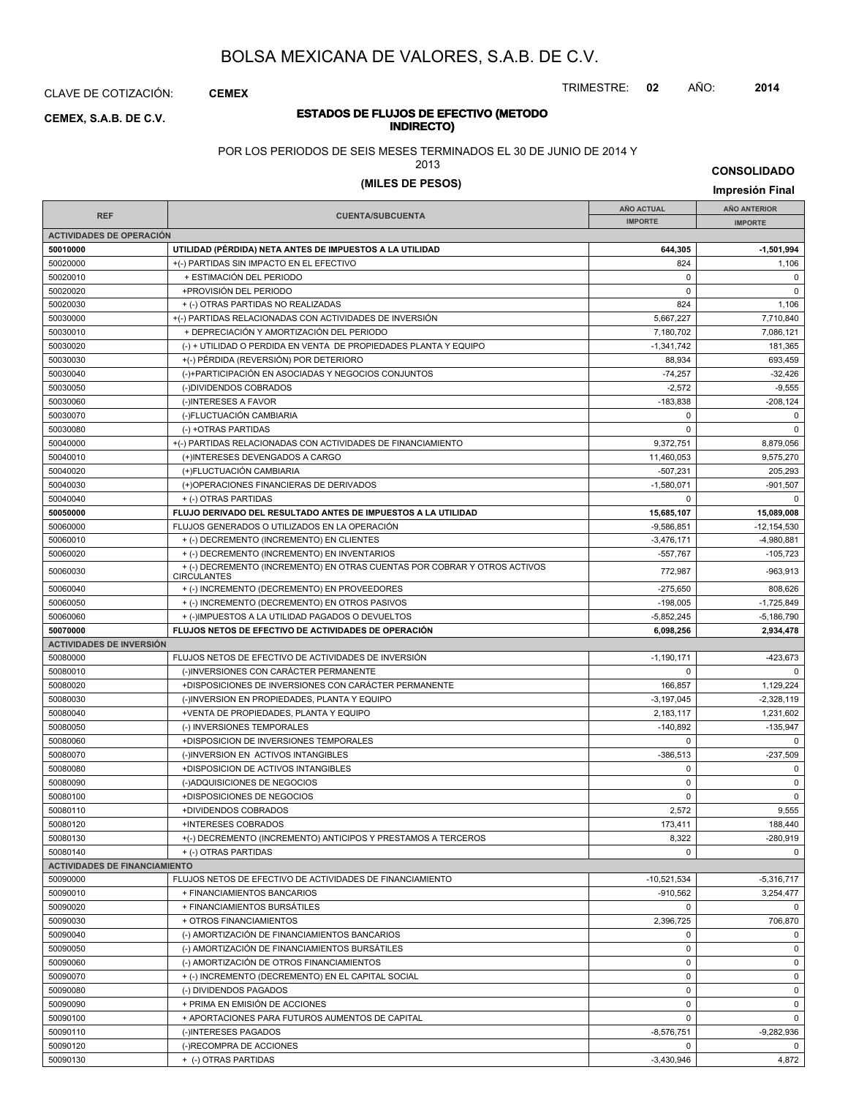CLAVE DE COTIZACIÓN: **CEMEX**

### **INDIRECTO) CEMEX, S.A.B. DE C.V.**

### TRIMESTRE: **02** AÑO: **2014**

# **ESTADOS DE FLUJOS DE EFECTIVO (METODO**

POR LOS PERIODOS DE SEIS MESES TERMINADOS EL 30 DE JUNIO DE 2014 Y

2013

**CONSOLIDADO**

| (MILES DE PESOS) | Impresión Final |
|------------------|-----------------|
|                  |                 |

|                                      |                                                                                                 | <b>AÑO ACTUAL</b> | AÑO ANTERIOR    |
|--------------------------------------|-------------------------------------------------------------------------------------------------|-------------------|-----------------|
| <b>REF</b>                           | <b>CUENTA/SUBCUENTA</b>                                                                         | <b>IMPORTE</b>    | <b>IMPORTE</b>  |
| <b>ACTIVIDADES DE OPERACIÓN</b>      |                                                                                                 |                   |                 |
| 50010000                             | UTILIDAD (PÉRDIDA) NETA ANTES DE IMPUESTOS A LA UTILIDAD                                        | 644,305           | $-1,501,994$    |
| 50020000                             | +(-) PARTIDAS SIN IMPACTO EN EL EFECTIVO                                                        | 824               | 1,106           |
| 50020010                             | + ESTIMACIÓN DEL PERIODO                                                                        | $\mathbf 0$       | $\mathbf 0$     |
| 50020020                             | +PROVISIÓN DEL PERIODO                                                                          | $\mathbf 0$       | $\mathbf 0$     |
|                                      |                                                                                                 |                   |                 |
| 50020030                             | + (-) OTRAS PARTIDAS NO REALIZADAS                                                              | 824               | 1,106           |
| 50030000                             | +(-) PARTIDAS RELACIONADAS CON ACTIVIDADES DE INVERSIÓN                                         | 5,667,227         | 7,710,840       |
| 50030010                             | + DEPRECIACIÓN Y AMORTIZACIÓN DEL PERIODO                                                       | 7,180,702         | 7,086,121       |
| 50030020                             | (-) + UTILIDAD O PERDIDA EN VENTA DE PROPIEDADES PLANTA Y EQUIPO                                | $-1.341.742$      | 181,365         |
| 50030030                             | +(-) PÉRDIDA (REVERSIÓN) POR DETERIORO                                                          | 88,934            | 693,459         |
| 50030040                             | (-)+PARTICIPACIÓN EN ASOCIADAS Y NEGOCIOS CONJUNTOS                                             | $-74,257$         | $-32,426$       |
| 50030050                             | (-)DIVIDENDOS COBRADOS                                                                          | $-2,572$          | $-9,555$        |
| 50030060                             | (-)INTERESES A FAVOR                                                                            | $-183,838$        | $-208,124$      |
| 50030070                             | (-)FLUCTUACIÓN CAMBIARIA                                                                        | $\mathbf 0$       | $\mathbf 0$     |
| 50030080                             | (-) +OTRAS PARTIDAS                                                                             | $\pmb{0}$         | 0               |
| 50040000                             | +(-) PARTIDAS RELACIONADAS CON ACTIVIDADES DE FINANCIAMIENTO                                    | 9,372,751         | 8,879,056       |
| 50040010                             | (+)INTERESES DEVENGADOS A CARGO                                                                 | 11,460,053        | 9,575,270       |
| 50040020                             | (+)FLUCTUACIÓN CAMBIARIA                                                                        | $-507,231$        | 205,293         |
| 50040030                             | (+)OPERACIONES FINANCIERAS DE DERIVADOS                                                         | $-1,580,071$      | -901,507        |
| 50040040                             | + (-) OTRAS PARTIDAS                                                                            | 0                 | $\mathbf 0$     |
|                                      |                                                                                                 |                   |                 |
| 50050000                             | FLUJO DERIVADO DEL RESULTADO ANTES DE IMPUESTOS A LA UTILIDAD                                   | 15,685,107        | 15,089,008      |
| 50060000                             | FLUJOS GENERADOS O UTILIZADOS EN LA OPERACIÓN                                                   | $-9,586,851$      | $-12, 154, 530$ |
| 50060010                             | + (-) DECREMENTO (INCREMENTO) EN CLIENTES                                                       | $-3,476,171$      | $-4.980.881$    |
| 50060020                             | + (-) DECREMENTO (INCREMENTO) EN INVENTARIOS                                                    | $-557,767$        | $-105,723$      |
| 50060030                             | + (-) DECREMENTO (INCREMENTO) EN OTRAS CUENTAS POR COBRAR Y OTROS ACTIVOS<br><b>CIRCULANTES</b> | 772.987           | -963,913        |
| 50060040                             | + (-) INCREMENTO (DECREMENTO) EN PROVEEDORES                                                    | $-275,650$        | 808,626         |
| 50060050                             | + (-) INCREMENTO (DECREMENTO) EN OTROS PASIVOS                                                  | $-198,005$        | $-1,725,849$    |
| 50060060                             | + (-)IMPUESTOS A LA UTILIDAD PAGADOS O DEVUELTOS                                                | $-5,852,245$      | $-5,186,790$    |
| 50070000                             | FLUJOS NETOS DE EFECTIVO DE ACTIVIDADES DE OPERACIÓN                                            | 6,098,256         | 2,934,478       |
| <b>ACTIVIDADES DE INVERSIÓN</b>      |                                                                                                 |                   |                 |
| 50080000                             | FLUJOS NETOS DE EFECTIVO DE ACTIVIDADES DE INVERSIÓN                                            | $-1,190,171$      | $-423,673$      |
| 50080010                             | (-)INVERSIONES CON CARÁCTER PERMANENTE                                                          | $\mathbf 0$       | 0               |
| 50080020                             | +DISPOSICIONES DE INVERSIONES CON CARÁCTER PERMANENTE                                           | 166,857           | 1,129,224       |
| 50080030                             | (-)INVERSION EN PROPIEDADES, PLANTA Y EQUIPO                                                    | $-3, 197, 045$    | $-2,328,119$    |
| 50080040                             | +VENTA DE PROPIEDADES, PLANTA Y EQUIPO                                                          | 2,183,117         | 1,231,602       |
|                                      |                                                                                                 |                   |                 |
| 50080050                             | (-) INVERSIONES TEMPORALES                                                                      | $-140,892$        | $-135,947$      |
| 50080060                             | +DISPOSICION DE INVERSIONES TEMPORALES                                                          | 0                 | $\mathbf 0$     |
| 50080070                             | (-)INVERSION EN ACTIVOS INTANGIBLES                                                             | $-386,513$        | $-237,509$      |
| 50080080                             | +DISPOSICION DE ACTIVOS INTANGIBLES                                                             | $\mathbf 0$       | $\mathbf 0$     |
| 50080090                             | (-)ADQUISICIONES DE NEGOCIOS                                                                    | $\pmb{0}$         | $\mathbf 0$     |
| 50080100                             | +DISPOSICIONES DE NEGOCIOS                                                                      | $\mathbf 0$       | $\pmb{0}$       |
| 50080110                             | +DIVIDENDOS COBRADOS                                                                            | 2,572             | 9,555           |
| 50080120                             | +INTERESES COBRADOS                                                                             | 173,411           | 188,440         |
| 50080130                             | +(-) DECREMENTO (INCREMENTO) ANTICIPOS Y PRESTAMOS A TERCEROS                                   | 8,322             | $-280.919$      |
| 50080140                             | + (-) OTRAS PARTIDAS                                                                            | 0                 | $\mathbf{0}$    |
| <b>ACTIVIDADES DE FINANCIAMIENTO</b> |                                                                                                 |                   |                 |
| 50090000                             | FLUJOS NETOS DE EFECTIVO DE ACTIVIDADES DE FINANCIAMIENTO                                       | $-10,521,534$     | $-5,316,717$    |
| 50090010                             | + FINANCIAMIENTOS BANCARIOS                                                                     | $-910,562$        | 3,254,477       |
| 50090020                             | + FINANCIAMIENTOS BURSÁTILES                                                                    | $\mathbf 0$       | $\mathbf 0$     |
| 50090030                             | + OTROS FINANCIAMIENTOS                                                                         | 2,396,725         | 706,870         |
| 50090040                             | (-) AMORTIZACIÓN DE FINANCIAMIENTOS BANCARIOS                                                   | 0                 | 0               |
|                                      |                                                                                                 |                   |                 |
| 50090050                             | (-) AMORTIZACIÓN DE FINANCIAMIENTOS BURSÁTILES                                                  | 0                 | $\mathbf 0$     |
| 50090060                             | (-) AMORTIZACIÓN DE OTROS FINANCIAMIENTOS                                                       | 0                 | $\mathbf 0$     |
| 50090070                             | + (-) INCREMENTO (DECREMENTO) EN EL CAPITAL SOCIAL                                              | $\mathbf 0$       | 0               |
| 50090080                             | (-) DIVIDENDOS PAGADOS                                                                          | 0                 | 0               |
| 50090090                             | + PRIMA EN EMISIÓN DE ACCIONES                                                                  | $\mathbf 0$       | $\mathbf 0$     |
| 50090100                             | + APORTACIONES PARA FUTUROS AUMENTOS DE CAPITAL                                                 | $\mathbf 0$       | $\mathbf 0$     |
| 50090110                             | (-)INTERESES PAGADOS                                                                            | $-8,576,751$      | $-9,282,936$    |
| 50090120                             | (-)RECOMPRA DE ACCIONES                                                                         | $\mathbf 0$       | $\mathbf{0}$    |
| 50090130                             | + (-) OTRAS PARTIDAS                                                                            | $-3,430,946$      | 4,872           |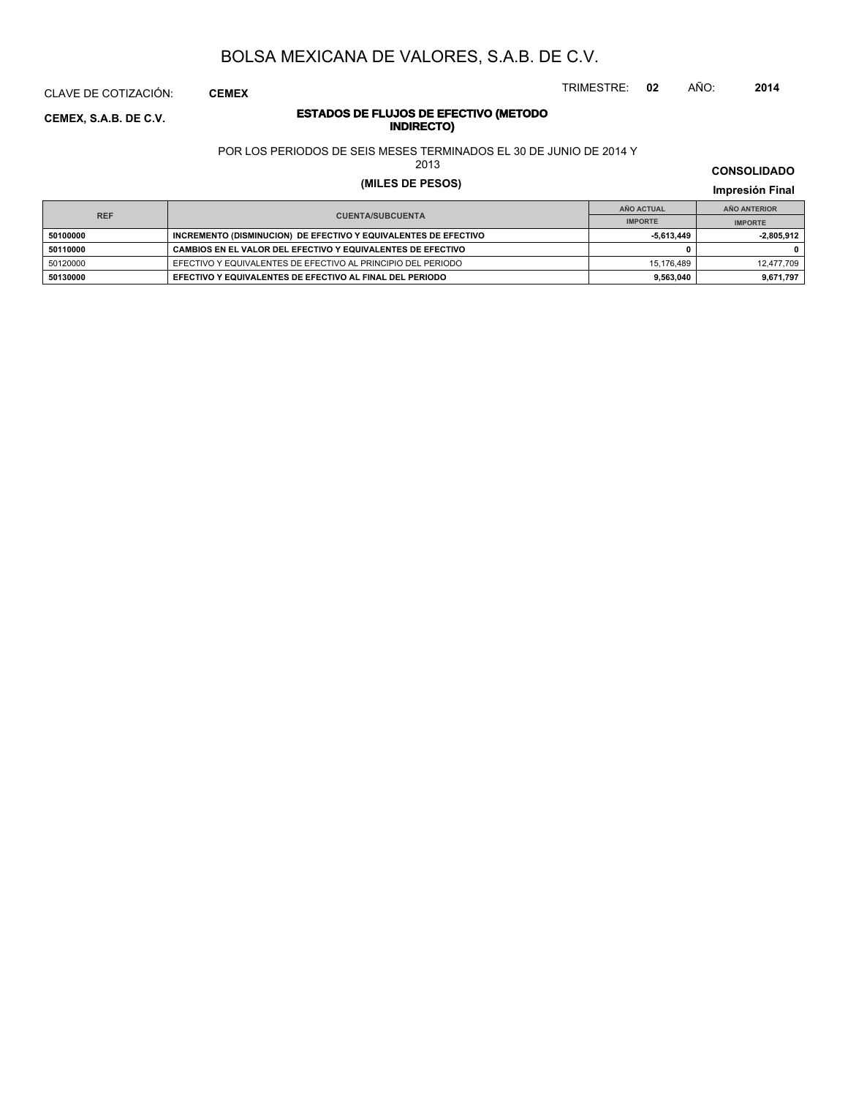CLAVE DE COTIZACIÓN: **CEMEX**

**INDIRECTO) CEMEX, S.A.B. DE C.V.**

# **ESTADOS DE FLUJOS DE EFECTIVO (METODO**

POR LOS PERIODOS DE SEIS MESES TERMINADOS EL 30 DE JUNIO DE 2014 Y

2013

### **(MILES DE PESOS) Impresión Final**

**IMPRESIÓN FINAL EN EN ENCLORED EN EL ENCLORED EN EL ENCLORED EN EL ENCLORED EN EL ENCLORED EN EL ENCLORED EN EL ENCLORED EN EL ENCLORED EN EL ENCLORED EN EL ENCLORED EN EL ENCLORED EN EL ENCLORED EN EL ENCLORED EN EL ENCL AÑO ACTUAL IMPORTE IMPORTE REF AÑO ANTERIOR IMPORTE 50100000 INCREMENTO (DISMINUCION) DE EFECTIVO Y EQUIVALENTES DE EFECTIVO -5,613,449** - -2,805,912 **50110000 CAMBIOS EN EL VALOR DEL EFECTIVO Y EQUIVALENTES DE EFECTIVO 0 0** 50120000 EFECTIVO Y EQUIVALENTES DE EFECTIVO AL PRINCIPIO DEL PERIODO 15,176,489 15,176,489 12,477,709 12,477,709 **50130000 EFECTIVO Y EQUIVALENTES DE EFECTIVO AL FINAL DEL PERIODO 9,563,040 9,671,797**

#### **CONSOLIDADO**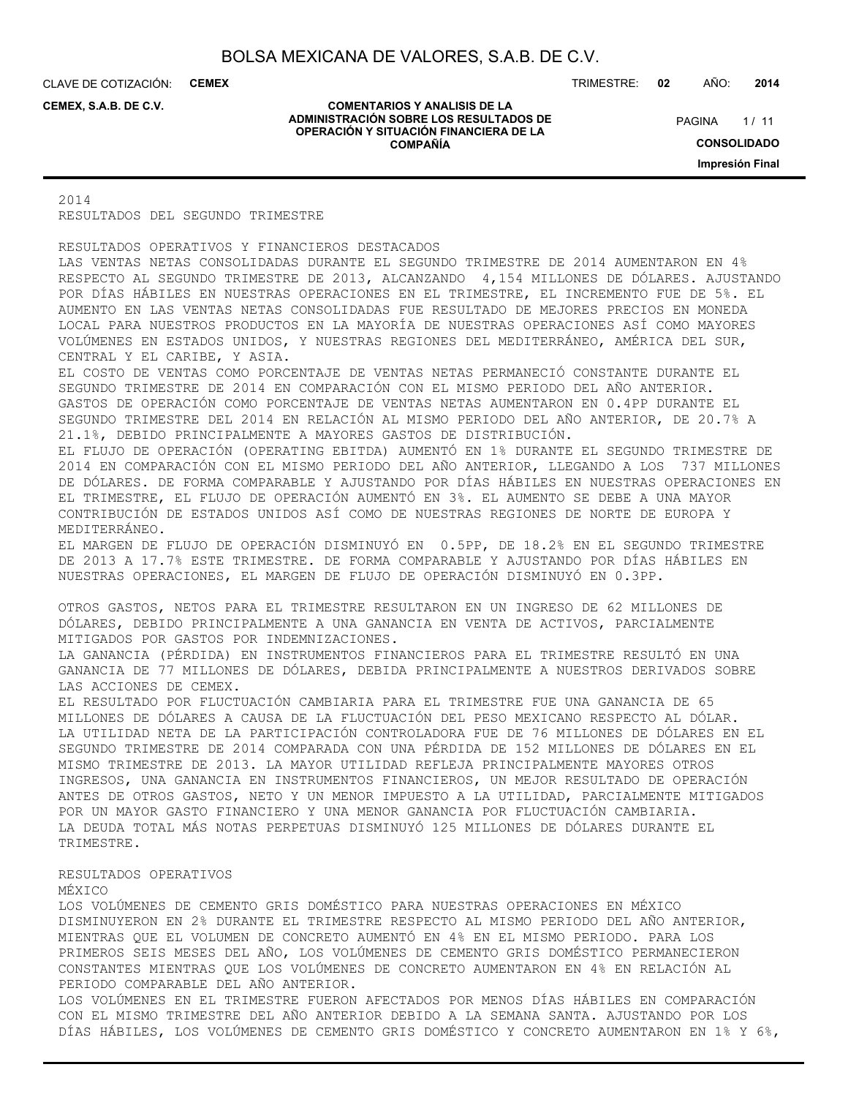CLAVE DE COTIZACIÓN: **CEMEX**

**CEMEX, S.A.B. DE C.V.**

#### **COMENTARIOS Y ANALISIS DE LA ADMINISTRACIÓN SOBRE LOS RESULTADOS DE OPERACIÓN Y SITUACIÓN FINANCIERA DE LA COMPAÑÍA**

TRIMESTRE: **02** AÑO: **2014**

 $1/11$ **CONSOLIDADO Impresión Final PAGINA** 

2014 RESULTADOS DEL SEGUNDO TRIMESTRE

RESULTADOS OPERATIVOS Y FINANCIEROS DESTACADOS LAS VENTAS NETAS CONSOLIDADAS DURANTE EL SEGUNDO TRIMESTRE DE 2014 AUMENTARON EN 4% RESPECTO AL SEGUNDO TRIMESTRE DE 2013, ALCANZANDO 4,154 MILLONES DE DÓLARES. AJUSTANDO POR DÍAS HÁBILES EN NUESTRAS OPERACIONES EN EL TRIMESTRE, EL INCREMENTO FUE DE 5%. EL AUMENTO EN LAS VENTAS NETAS CONSOLIDADAS FUE RESULTADO DE MEJORES PRECIOS EN MONEDA LOCAL PARA NUESTROS PRODUCTOS EN LA MAYORÍA DE NUESTRAS OPERACIONES ASÍ COMO MAYORES VOLÚMENES EN ESTADOS UNIDOS, Y NUESTRAS REGIONES DEL MEDITERRÁNEO, AMÉRICA DEL SUR, CENTRAL Y EL CARIBE, Y ASIA. EL COSTO DE VENTAS COMO PORCENTAJE DE VENTAS NETAS PERMANECIÓ CONSTANTE DURANTE EL SEGUNDO TRIMESTRE DE 2014 EN COMPARACIÓN CON EL MISMO PERIODO DEL AÑO ANTERIOR. GASTOS DE OPERACIÓN COMO PORCENTAJE DE VENTAS NETAS AUMENTARON EN 0.4PP DURANTE EL SEGUNDO TRIMESTRE DEL 2014 EN RELACIÓN AL MISMO PERIODO DEL AÑO ANTERIOR, DE 20.7% A 21.1%, DEBIDO PRINCIPALMENTE A MAYORES GASTOS DE DISTRIBUCIÓN. EL FLUJO DE OPERACIÓN (OPERATING EBITDA) AUMENTÓ EN 1% DURANTE EL SEGUNDO TRIMESTRE DE 2014 EN COMPARACIÓN CON EL MISMO PERIODO DEL AÑO ANTERIOR, LLEGANDO A LOS 737 MILLONES DE DÓLARES. DE FORMA COMPARABLE Y AJUSTANDO POR DÍAS HÁBILES EN NUESTRAS OPERACIONES EN EL TRIMESTRE, EL FLUJO DE OPERACIÓN AUMENTÓ EN 3%. EL AUMENTO SE DEBE A UNA MAYOR CONTRIBUCIÓN DE ESTADOS UNIDOS ASÍ COMO DE NUESTRAS REGIONES DE NORTE DE EUROPA Y MEDITERRÁNEO. EL MARGEN DE FLUJO DE OPERACIÓN DISMINUYÓ EN 0.5PP, DE 18.2% EN EL SEGUNDO TRIMESTRE DE 2013 A 17.7% ESTE TRIMESTRE. DE FORMA COMPARABLE Y AJUSTANDO POR DÍAS HÁBILES EN NUESTRAS OPERACIONES, EL MARGEN DE FLUJO DE OPERACIÓN DISMINUYÓ EN 0.3PP. OTROS GASTOS, NETOS PARA EL TRIMESTRE RESULTARON EN UN INGRESO DE 62 MILLONES DE DÓLARES, DEBIDO PRINCIPALMENTE A UNA GANANCIA EN VENTA DE ACTIVOS, PARCIALMENTE MITIGADOS POR GASTOS POR INDEMNIZACIONES. LA GANANCIA (PÉRDIDA) EN INSTRUMENTOS FINANCIEROS PARA EL TRIMESTRE RESULTÓ EN UNA GANANCIA DE 77 MILLONES DE DÓLARES, DEBIDA PRINCIPALMENTE A NUESTROS DERIVADOS SOBRE LAS ACCIONES DE CEMEX. EL RESULTADO POR FLUCTUACIÓN CAMBIARIA PARA EL TRIMESTRE FUE UNA GANANCIA DE 65 MILLONES DE DÓLARES A CAUSA DE LA FLUCTUACIÓN DEL PESO MEXICANO RESPECTO AL DÓLAR. LA UTILIDAD NETA DE LA PARTICIPACIÓN CONTROLADORA FUE DE 76 MILLONES DE DÓLARES EN EL SEGUNDO TRIMESTRE DE 2014 COMPARADA CON UNA PÉRDIDA DE 152 MILLONES DE DÓLARES EN EL MISMO TRIMESTRE DE 2013. LA MAYOR UTILIDAD REFLEJA PRINCIPALMENTE MAYORES OTROS INGRESOS, UNA GANANCIA EN INSTRUMENTOS FINANCIEROS, UN MEJOR RESULTADO DE OPERACIÓN ANTES DE OTROS GASTOS, NETO Y UN MENOR IMPUESTO A LA UTILIDAD, PARCIALMENTE MITIGADOS POR UN MAYOR GASTO FINANCIERO Y UNA MENOR GANANCIA POR FLUCTUACIÓN CAMBIARIA. LA DEUDA TOTAL MÁS NOTAS PERPETUAS DISMINUYÓ 125 MILLONES DE DÓLARES DURANTE EL TRIMESTRE. RESULTADOS OPERATIVOS MÉXICO LOS VOLÚMENES DE CEMENTO GRIS DOMÉSTICO PARA NUESTRAS OPERACIONES EN MÉXICO

DISMINUYERON EN 2% DURANTE EL TRIMESTRE RESPECTO AL MISMO PERIODO DEL AÑO ANTERIOR, MIENTRAS QUE EL VOLUMEN DE CONCRETO AUMENTÓ EN 4% EN EL MISMO PERIODO. PARA LOS PRIMEROS SEIS MESES DEL AÑO, LOS VOLÚMENES DE CEMENTO GRIS DOMÉSTICO PERMANECIERON CONSTANTES MIENTRAS QUE LOS VOLÚMENES DE CONCRETO AUMENTARON EN 4% EN RELACIÓN AL PERIODO COMPARABLE DEL AÑO ANTERIOR.

LOS VOLÚMENES EN EL TRIMESTRE FUERON AFECTADOS POR MENOS DÍAS HÁBILES EN COMPARACIÓN CON EL MISMO TRIMESTRE DEL AÑO ANTERIOR DEBIDO A LA SEMANA SANTA. AJUSTANDO POR LOS DÍAS HÁBILES, LOS VOLÚMENES DE CEMENTO GRIS DOMÉSTICO Y CONCRETO AUMENTARON EN 1% Y 6%,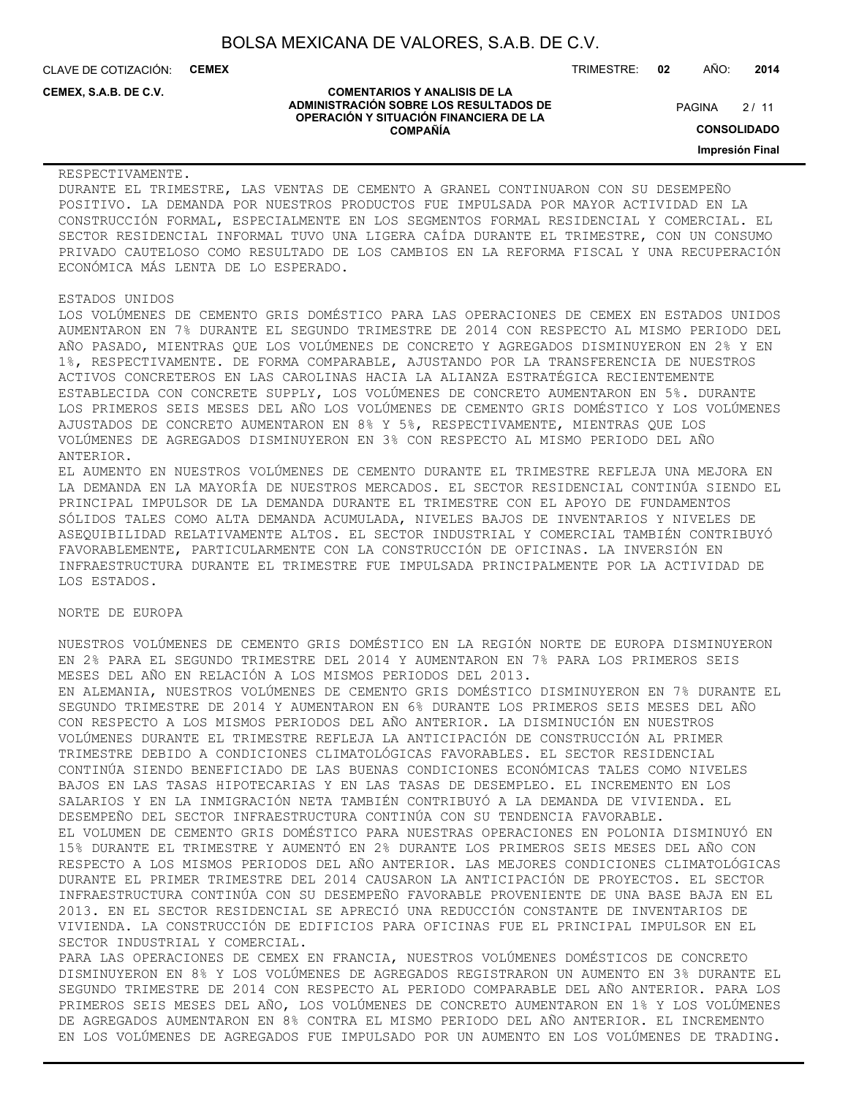CLAVE DE COTIZACIÓN: **CEMEX** TRIMESTRE: **02** AÑO: **2014**

**CEMEX, S.A.B. DE C.V.**

#### **COMENTARIOS Y ANALISIS DE LA ADMINISTRACIÓN SOBRE LOS RESULTADOS DE OPERACIÓN Y SITUACIÓN FINANCIERA DE LA COMPAÑÍA**

 $2/11$ **PAGINA** 

**CONSOLIDADO**

**Impresión Final**

RESPECTIVAMENTE.

DURANTE EL TRIMESTRE, LAS VENTAS DE CEMENTO A GRANEL CONTINUARON CON SU DESEMPEÑO POSITIVO. LA DEMANDA POR NUESTROS PRODUCTOS FUE IMPULSADA POR MAYOR ACTIVIDAD EN LA CONSTRUCCIÓN FORMAL, ESPECIALMENTE EN LOS SEGMENTOS FORMAL RESIDENCIAL Y COMERCIAL. EL SECTOR RESIDENCIAL INFORMAL TUVO UNA LIGERA CAÍDA DURANTE EL TRIMESTRE, CON UN CONSUMO PRIVADO CAUTELOSO COMO RESULTADO DE LOS CAMBIOS EN LA REFORMA FISCAL Y UNA RECUPERACIÓN ECONÓMICA MÁS LENTA DE LO ESPERADO.

#### ESTADOS UNIDOS

LOS VOLÚMENES DE CEMENTO GRIS DOMÉSTICO PARA LAS OPERACIONES DE CEMEX EN ESTADOS UNIDOS AUMENTARON EN 7% DURANTE EL SEGUNDO TRIMESTRE DE 2014 CON RESPECTO AL MISMO PERIODO DEL AÑO PASADO, MIENTRAS QUE LOS VOLÚMENES DE CONCRETO Y AGREGADOS DISMINUYERON EN 2% Y EN 1%, RESPECTIVAMENTE. DE FORMA COMPARABLE, AJUSTANDO POR LA TRANSFERENCIA DE NUESTROS ACTIVOS CONCRETEROS EN LAS CAROLINAS HACIA LA ALIANZA ESTRATÉGICA RECIENTEMENTE ESTABLECIDA CON CONCRETE SUPPLY, LOS VOLÚMENES DE CONCRETO AUMENTARON EN 5%. DURANTE LOS PRIMEROS SEIS MESES DEL AÑO LOS VOLÚMENES DE CEMENTO GRIS DOMÉSTICO Y LOS VOLÚMENES AJUSTADOS DE CONCRETO AUMENTARON EN 8% Y 5%, RESPECTIVAMENTE, MIENTRAS QUE LOS VOLÚMENES DE AGREGADOS DISMINUYERON EN 3% CON RESPECTO AL MISMO PERIODO DEL AÑO ANTERIOR.

EL AUMENTO EN NUESTROS VOLÚMENES DE CEMENTO DURANTE EL TRIMESTRE REFLEJA UNA MEJORA EN LA DEMANDA EN LA MAYORÍA DE NUESTROS MERCADOS. EL SECTOR RESIDENCIAL CONTINÚA SIENDO EL PRINCIPAL IMPULSOR DE LA DEMANDA DURANTE EL TRIMESTRE CON EL APOYO DE FUNDAMENTOS SÓLIDOS TALES COMO ALTA DEMANDA ACUMULADA, NIVELES BAJOS DE INVENTARIOS Y NIVELES DE ASEQUIBILIDAD RELATIVAMENTE ALTOS. EL SECTOR INDUSTRIAL Y COMERCIAL TAMBIÉN CONTRIBUYÓ FAVORABLEMENTE, PARTICULARMENTE CON LA CONSTRUCCIÓN DE OFICINAS. LA INVERSIÓN EN INFRAESTRUCTURA DURANTE EL TRIMESTRE FUE IMPULSADA PRINCIPALMENTE POR LA ACTIVIDAD DE LOS ESTADOS.

#### NORTE DE EUROPA

NUESTROS VOLÚMENES DE CEMENTO GRIS DOMÉSTICO EN LA REGIÓN NORTE DE EUROPA DISMINUYERON EN 2% PARA EL SEGUNDO TRIMESTRE DEL 2014 Y AUMENTARON EN 7% PARA LOS PRIMEROS SEIS MESES DEL AÑO EN RELACIÓN A LOS MISMOS PERIODOS DEL 2013. EN ALEMANIA, NUESTROS VOLÚMENES DE CEMENTO GRIS DOMÉSTICO DISMINUYERON EN 7% DURANTE EL SEGUNDO TRIMESTRE DE 2014 Y AUMENTARON EN 6% DURANTE LOS PRIMEROS SEIS MESES DEL AÑO CON RESPECTO A LOS MISMOS PERIODOS DEL AÑO ANTERIOR. LA DISMINUCIÓN EN NUESTROS VOLÚMENES DURANTE EL TRIMESTRE REFLEJA LA ANTICIPACIÓN DE CONSTRUCCIÓN AL PRIMER TRIMESTRE DEBIDO A CONDICIONES CLIMATOLÓGICAS FAVORABLES. EL SECTOR RESIDENCIAL CONTINÚA SIENDO BENEFICIADO DE LAS BUENAS CONDICIONES ECONÓMICAS TALES COMO NIVELES BAJOS EN LAS TASAS HIPOTECARIAS Y EN LAS TASAS DE DESEMPLEO. EL INCREMENTO EN LOS SALARIOS Y EN LA INMIGRACIÓN NETA TAMBIÉN CONTRIBUYÓ A LA DEMANDA DE VIVIENDA. EL DESEMPEÑO DEL SECTOR INFRAESTRUCTURA CONTINÚA CON SU TENDENCIA FAVORABLE. EL VOLUMEN DE CEMENTO GRIS DOMÉSTICO PARA NUESTRAS OPERACIONES EN POLONIA DISMINUYÓ EN 15% DURANTE EL TRIMESTRE Y AUMENTÓ EN 2% DURANTE LOS PRIMEROS SEIS MESES DEL AÑO CON RESPECTO A LOS MISMOS PERIODOS DEL AÑO ANTERIOR. LAS MEJORES CONDICIONES CLIMATOLÓGICAS DURANTE EL PRIMER TRIMESTRE DEL 2014 CAUSARON LA ANTICIPACIÓN DE PROYECTOS. EL SECTOR INFRAESTRUCTURA CONTINÚA CON SU DESEMPEÑO FAVORABLE PROVENIENTE DE UNA BASE BAJA EN EL 2013. EN EL SECTOR RESIDENCIAL SE APRECIÓ UNA REDUCCIÓN CONSTANTE DE INVENTARIOS DE VIVIENDA. LA CONSTRUCCIÓN DE EDIFICIOS PARA OFICINAS FUE EL PRINCIPAL IMPULSOR EN EL SECTOR INDUSTRIAL Y COMERCIAL.

PARA LAS OPERACIONES DE CEMEX EN FRANCIA, NUESTROS VOLÚMENES DOMÉSTICOS DE CONCRETO DISMINUYERON EN 8% Y LOS VOLÚMENES DE AGREGADOS REGISTRARON UN AUMENTO EN 3% DURANTE EL SEGUNDO TRIMESTRE DE 2014 CON RESPECTO AL PERIODO COMPARABLE DEL AÑO ANTERIOR. PARA LOS PRIMEROS SEIS MESES DEL AÑO, LOS VOLÚMENES DE CONCRETO AUMENTARON EN 1% Y LOS VOLÚMENES DE AGREGADOS AUMENTARON EN 8% CONTRA EL MISMO PERIODO DEL AÑO ANTERIOR. EL INCREMENTO EN LOS VOLÚMENES DE AGREGADOS FUE IMPULSADO POR UN AUMENTO EN LOS VOLÚMENES DE TRADING.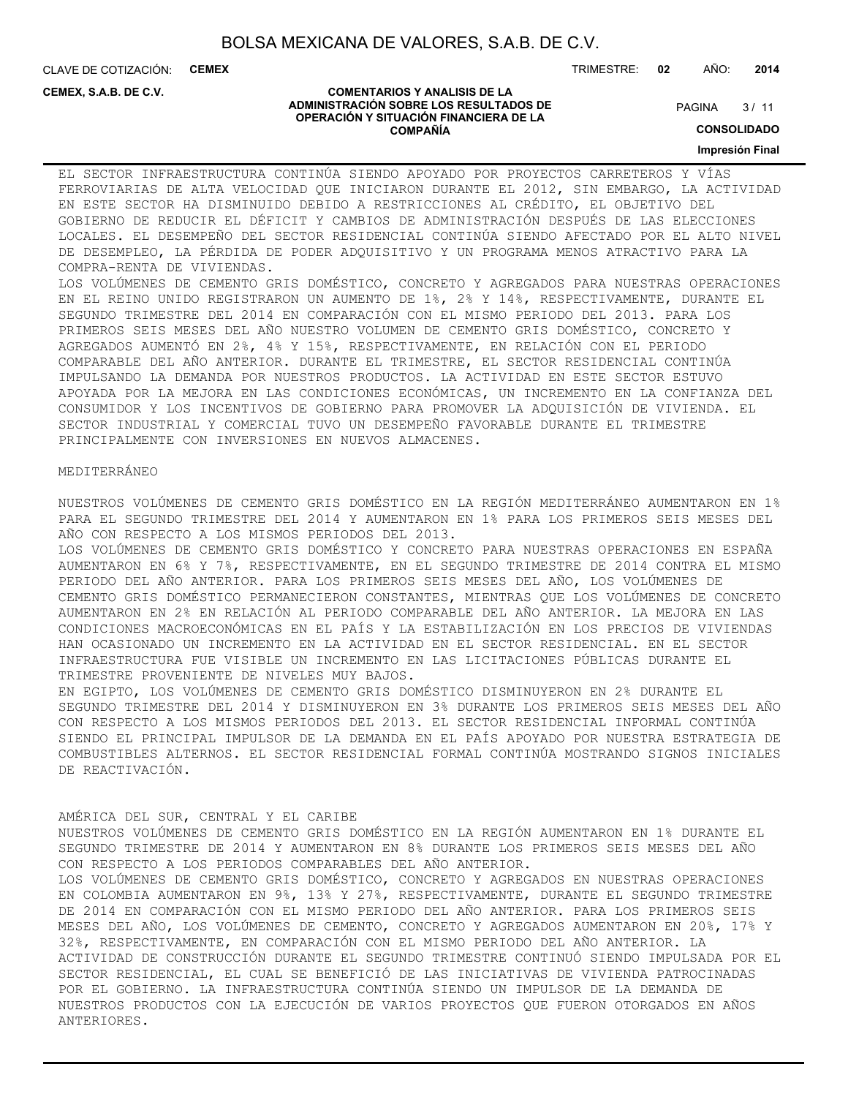**COMENTARIOS Y ANALISIS DE LA ADMINISTRACIÓN SOBRE LOS RESULTADOS DE OPERACIÓN Y SITUACIÓN FINANCIERA DE LA COMPAÑÍA**

CLAVE DE COTIZACIÓN: **CEMEX**

**CEMEX, S.A.B. DE C.V.**

#### TRIMESTRE: **02** AÑO: **2014**

 $3/11$ **PAGINA** 

**CONSOLIDADO**

#### **Impresión Final**

EL SECTOR INFRAESTRUCTURA CONTINÚA SIENDO APOYADO POR PROYECTOS CARRETEROS Y VÍAS FERROVIARIAS DE ALTA VELOCIDAD QUE INICIARON DURANTE EL 2012, SIN EMBARGO, LA ACTIVIDAD EN ESTE SECTOR HA DISMINUIDO DEBIDO A RESTRICCIONES AL CRÉDITO, EL OBJETIVO DEL GOBIERNO DE REDUCIR EL DÉFICIT Y CAMBIOS DE ADMINISTRACIÓN DESPUÉS DE LAS ELECCIONES LOCALES. EL DESEMPEÑO DEL SECTOR RESIDENCIAL CONTINÚA SIENDO AFECTADO POR EL ALTO NIVEL DE DESEMPLEO, LA PÉRDIDA DE PODER ADQUISITIVO Y UN PROGRAMA MENOS ATRACTIVO PARA LA COMPRA-RENTA DE VIVIENDAS.

LOS VOLÚMENES DE CEMENTO GRIS DOMÉSTICO, CONCRETO Y AGREGADOS PARA NUESTRAS OPERACIONES EN EL REINO UNIDO REGISTRARON UN AUMENTO DE 1%, 2% Y 14%, RESPECTIVAMENTE, DURANTE EL SEGUNDO TRIMESTRE DEL 2014 EN COMPARACIÓN CON EL MISMO PERIODO DEL 2013. PARA LOS PRIMEROS SEIS MESES DEL AÑO NUESTRO VOLUMEN DE CEMENTO GRIS DOMÉSTICO, CONCRETO Y AGREGADOS AUMENTÓ EN 2%, 4% Y 15%, RESPECTIVAMENTE, EN RELACIÓN CON EL PERIODO COMPARABLE DEL AÑO ANTERIOR. DURANTE EL TRIMESTRE, EL SECTOR RESIDENCIAL CONTINÚA IMPULSANDO LA DEMANDA POR NUESTROS PRODUCTOS. LA ACTIVIDAD EN ESTE SECTOR ESTUVO APOYADA POR LA MEJORA EN LAS CONDICIONES ECONÓMICAS, UN INCREMENTO EN LA CONFIANZA DEL CONSUMIDOR Y LOS INCENTIVOS DE GOBIERNO PARA PROMOVER LA ADQUISICIÓN DE VIVIENDA. EL SECTOR INDUSTRIAL Y COMERCIAL TUVO UN DESEMPEÑO FAVORABLE DURANTE EL TRIMESTRE PRINCIPALMENTE CON INVERSIONES EN NUEVOS ALMACENES.

#### MEDITERRÁNEO

NUESTROS VOLÚMENES DE CEMENTO GRIS DOMÉSTICO EN LA REGIÓN MEDITERRÁNEO AUMENTARON EN 1% PARA EL SEGUNDO TRIMESTRE DEL 2014 Y AUMENTARON EN 1% PARA LOS PRIMEROS SEIS MESES DEL AÑO CON RESPECTO A LOS MISMOS PERIODOS DEL 2013.

LOS VOLÚMENES DE CEMENTO GRIS DOMÉSTICO Y CONCRETO PARA NUESTRAS OPERACIONES EN ESPAÑA AUMENTARON EN 6% Y 7%, RESPECTIVAMENTE, EN EL SEGUNDO TRIMESTRE DE 2014 CONTRA EL MISMO PERIODO DEL AÑO ANTERIOR. PARA LOS PRIMEROS SEIS MESES DEL AÑO, LOS VOLÚMENES DE CEMENTO GRIS DOMÉSTICO PERMANECIERON CONSTANTES, MIENTRAS QUE LOS VOLÚMENES DE CONCRETO AUMENTARON EN 2% EN RELACIÓN AL PERIODO COMPARABLE DEL AÑO ANTERIOR. LA MEJORA EN LAS CONDICIONES MACROECONÓMICAS EN EL PAÍS Y LA ESTABILIZACIÓN EN LOS PRECIOS DE VIVIENDAS HAN OCASIONADO UN INCREMENTO EN LA ACTIVIDAD EN EL SECTOR RESIDENCIAL. EN EL SECTOR INFRAESTRUCTURA FUE VISIBLE UN INCREMENTO EN LAS LICITACIONES PÚBLICAS DURANTE EL TRIMESTRE PROVENIENTE DE NIVELES MUY BAJOS.

EN EGIPTO, LOS VOLÚMENES DE CEMENTO GRIS DOMÉSTICO DISMINUYERON EN 2% DURANTE EL SEGUNDO TRIMESTRE DEL 2014 Y DISMINUYERON EN 3% DURANTE LOS PRIMEROS SEIS MESES DEL AÑO CON RESPECTO A LOS MISMOS PERIODOS DEL 2013. EL SECTOR RESIDENCIAL INFORMAL CONTINÚA SIENDO EL PRINCIPAL IMPULSOR DE LA DEMANDA EN EL PAÍS APOYADO POR NUESTRA ESTRATEGIA DE COMBUSTIBLES ALTERNOS. EL SECTOR RESIDENCIAL FORMAL CONTINÚA MOSTRANDO SIGNOS INICIALES DE REACTIVACIÓN.

### AMÉRICA DEL SUR, CENTRAL Y EL CARIBE

NUESTROS VOLÚMENES DE CEMENTO GRIS DOMÉSTICO EN LA REGIÓN AUMENTARON EN 1% DURANTE EL SEGUNDO TRIMESTRE DE 2014 Y AUMENTARON EN 8% DURANTE LOS PRIMEROS SEIS MESES DEL AÑO CON RESPECTO A LOS PERIODOS COMPARABLES DEL AÑO ANTERIOR. LOS VOLÚMENES DE CEMENTO GRIS DOMÉSTICO, CONCRETO Y AGREGADOS EN NUESTRAS OPERACIONES EN COLOMBIA AUMENTARON EN 9%, 13% Y 27%, RESPECTIVAMENTE, DURANTE EL SEGUNDO TRIMESTRE DE 2014 EN COMPARACIÓN CON EL MISMO PERIODO DEL AÑO ANTERIOR. PARA LOS PRIMEROS SEIS MESES DEL AÑO, LOS VOLÚMENES DE CEMENTO, CONCRETO Y AGREGADOS AUMENTARON EN 20%, 17% Y 32%, RESPECTIVAMENTE, EN COMPARACIÓN CON EL MISMO PERIODO DEL AÑO ANTERIOR. LA ACTIVIDAD DE CONSTRUCCIÓN DURANTE EL SEGUNDO TRIMESTRE CONTINUÓ SIENDO IMPULSADA POR EL SECTOR RESIDENCIAL, EL CUAL SE BENEFICIÓ DE LAS INICIATIVAS DE VIVIENDA PATROCINADAS POR EL GOBIERNO. LA INFRAESTRUCTURA CONTINÚA SIENDO UN IMPULSOR DE LA DEMANDA DE NUESTROS PRODUCTOS CON LA EJECUCIÓN DE VARIOS PROYECTOS QUE FUERON OTORGADOS EN AÑOS ANTERIORES.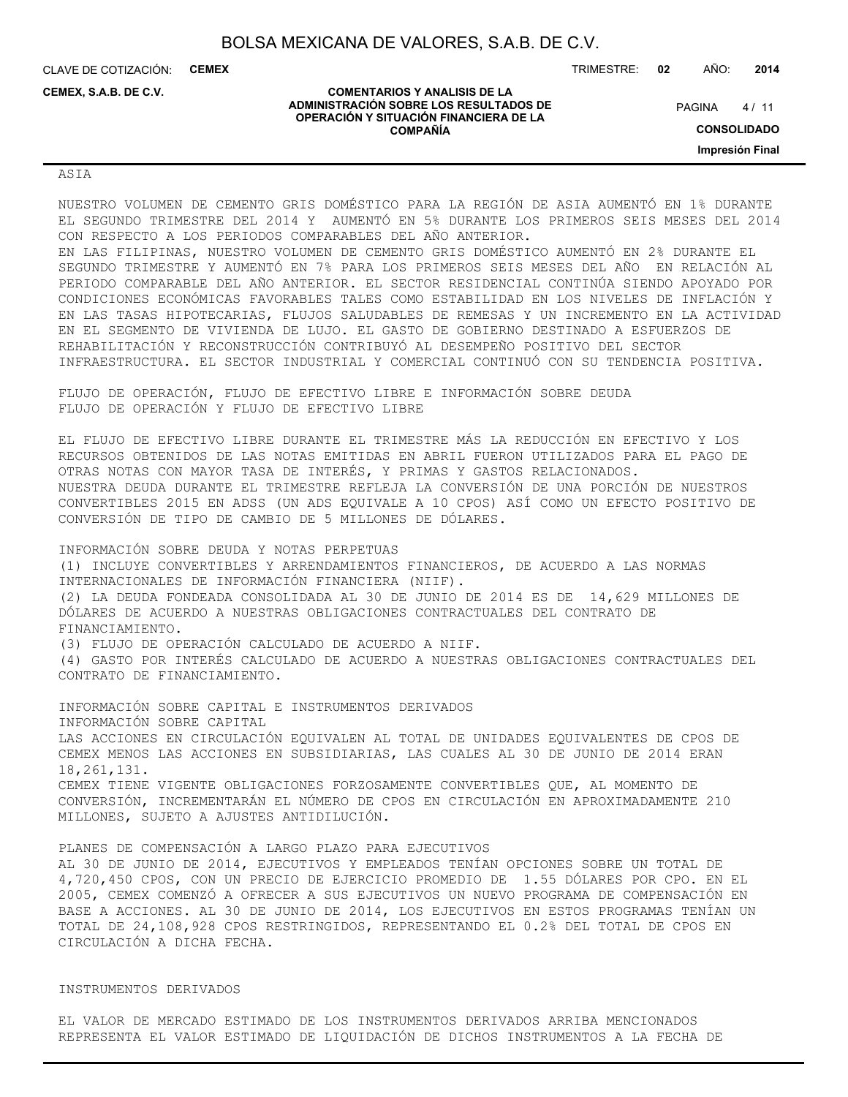**COMENTARIOS Y ANALISIS DE LA ADMINISTRACIÓN SOBRE LOS RESULTADOS DE OPERACIÓN Y SITUACIÓN FINANCIERA DE LA COMPAÑÍA**

CLAVE DE COTIZACIÓN: **CEMEX**

**CEMEX, S.A.B. DE C.V.**

TRIMESTRE: **02** AÑO: **2014**

 $4/11$ **PAGINA** 

**CONSOLIDADO**

**Impresión Final**

#### ASIA

NUESTRO VOLUMEN DE CEMENTO GRIS DOMÉSTICO PARA LA REGIÓN DE ASIA AUMENTÓ EN 1% DURANTE EL SEGUNDO TRIMESTRE DEL 2014 Y AUMENTÓ EN 5% DURANTE LOS PRIMEROS SEIS MESES DEL 2014 CON RESPECTO A LOS PERIODOS COMPARABLES DEL AÑO ANTERIOR. EN LAS FILIPINAS, NUESTRO VOLUMEN DE CEMENTO GRIS DOMÉSTICO AUMENTÓ EN 2% DURANTE EL

SEGUNDO TRIMESTRE Y AUMENTÓ EN 7% PARA LOS PRIMEROS SEIS MESES DEL AÑO EN RELACIÓN AL PERIODO COMPARABLE DEL AÑO ANTERIOR. EL SECTOR RESIDENCIAL CONTINÚA SIENDO APOYADO POR CONDICIONES ECONÓMICAS FAVORABLES TALES COMO ESTABILIDAD EN LOS NIVELES DE INFLACIÓN Y EN LAS TASAS HIPOTECARIAS, FLUJOS SALUDABLES DE REMESAS Y UN INCREMENTO EN LA ACTIVIDAD EN EL SEGMENTO DE VIVIENDA DE LUJO. EL GASTO DE GOBIERNO DESTINADO A ESFUERZOS DE REHABILITACIÓN Y RECONSTRUCCIÓN CONTRIBUYÓ AL DESEMPEÑO POSITIVO DEL SECTOR INFRAESTRUCTURA. EL SECTOR INDUSTRIAL Y COMERCIAL CONTINUÓ CON SU TENDENCIA POSITIVA.

FLUJO DE OPERACIÓN, FLUJO DE EFECTIVO LIBRE E INFORMACIÓN SOBRE DEUDA FLUJO DE OPERACIÓN Y FLUJO DE EFECTIVO LIBRE

EL FLUJO DE EFECTIVO LIBRE DURANTE EL TRIMESTRE MÁS LA REDUCCIÓN EN EFECTIVO Y LOS RECURSOS OBTENIDOS DE LAS NOTAS EMITIDAS EN ABRIL FUERON UTILIZADOS PARA EL PAGO DE OTRAS NOTAS CON MAYOR TASA DE INTERÉS, Y PRIMAS Y GASTOS RELACIONADOS. NUESTRA DEUDA DURANTE EL TRIMESTRE REFLEJA LA CONVERSIÓN DE UNA PORCIÓN DE NUESTROS CONVERTIBLES 2015 EN ADSS (UN ADS EQUIVALE A 10 CPOS) ASÍ COMO UN EFECTO POSITIVO DE CONVERSIÓN DE TIPO DE CAMBIO DE 5 MILLONES DE DÓLARES.

INFORMACIÓN SOBRE DEUDA Y NOTAS PERPETUAS (1) INCLUYE CONVERTIBLES Y ARRENDAMIENTOS FINANCIEROS, DE ACUERDO A LAS NORMAS INTERNACIONALES DE INFORMACIÓN FINANCIERA (NIIF). (2) LA DEUDA FONDEADA CONSOLIDADA AL 30 DE JUNIO DE 2014 ES DE 14,629 MILLONES DE DÓLARES DE ACUERDO A NUESTRAS OBLIGACIONES CONTRACTUALES DEL CONTRATO DE FINANCIAMIENTO. (3) FLUJO DE OPERACIÓN CALCULADO DE ACUERDO A NIIF. (4) GASTO POR INTERÉS CALCULADO DE ACUERDO A NUESTRAS OBLIGACIONES CONTRACTUALES DEL CONTRATO DE FINANCIAMIENTO.

INFORMACIÓN SOBRE CAPITAL E INSTRUMENTOS DERIVADOS INFORMACIÓN SOBRE CAPITAL LAS ACCIONES EN CIRCULACIÓN EQUIVALEN AL TOTAL DE UNIDADES EQUIVALENTES DE CPOS DE CEMEX MENOS LAS ACCIONES EN SUBSIDIARIAS, LAS CUALES AL 30 DE JUNIO DE 2014 ERAN 18,261,131. CEMEX TIENE VIGENTE OBLIGACIONES FORZOSAMENTE CONVERTIBLES QUE, AL MOMENTO DE CONVERSIÓN, INCREMENTARÁN EL NÚMERO DE CPOS EN CIRCULACIÓN EN APROXIMADAMENTE 210 MILLONES, SUJETO A AJUSTES ANTIDILUCIÓN.

PLANES DE COMPENSACIÓN A LARGO PLAZO PARA EJECUTIVOS AL 30 DE JUNIO DE 2014, EJECUTIVOS Y EMPLEADOS TENÍAN OPCIONES SOBRE UN TOTAL DE 4,720,450 CPOS, CON UN PRECIO DE EJERCICIO PROMEDIO DE 1.55 DÓLARES POR CPO. EN EL 2005, CEMEX COMENZÓ A OFRECER A SUS EJECUTIVOS UN NUEVO PROGRAMA DE COMPENSACIÓN EN BASE A ACCIONES. AL 30 DE JUNIO DE 2014, LOS EJECUTIVOS EN ESTOS PROGRAMAS TENÍAN UN TOTAL DE 24,108,928 CPOS RESTRINGIDOS, REPRESENTANDO EL 0.2% DEL TOTAL DE CPOS EN CIRCULACIÓN A DICHA FECHA.

#### INSTRUMENTOS DERIVADOS

EL VALOR DE MERCADO ESTIMADO DE LOS INSTRUMENTOS DERIVADOS ARRIBA MENCIONADOS REPRESENTA EL VALOR ESTIMADO DE LIQUIDACIÓN DE DICHOS INSTRUMENTOS A LA FECHA DE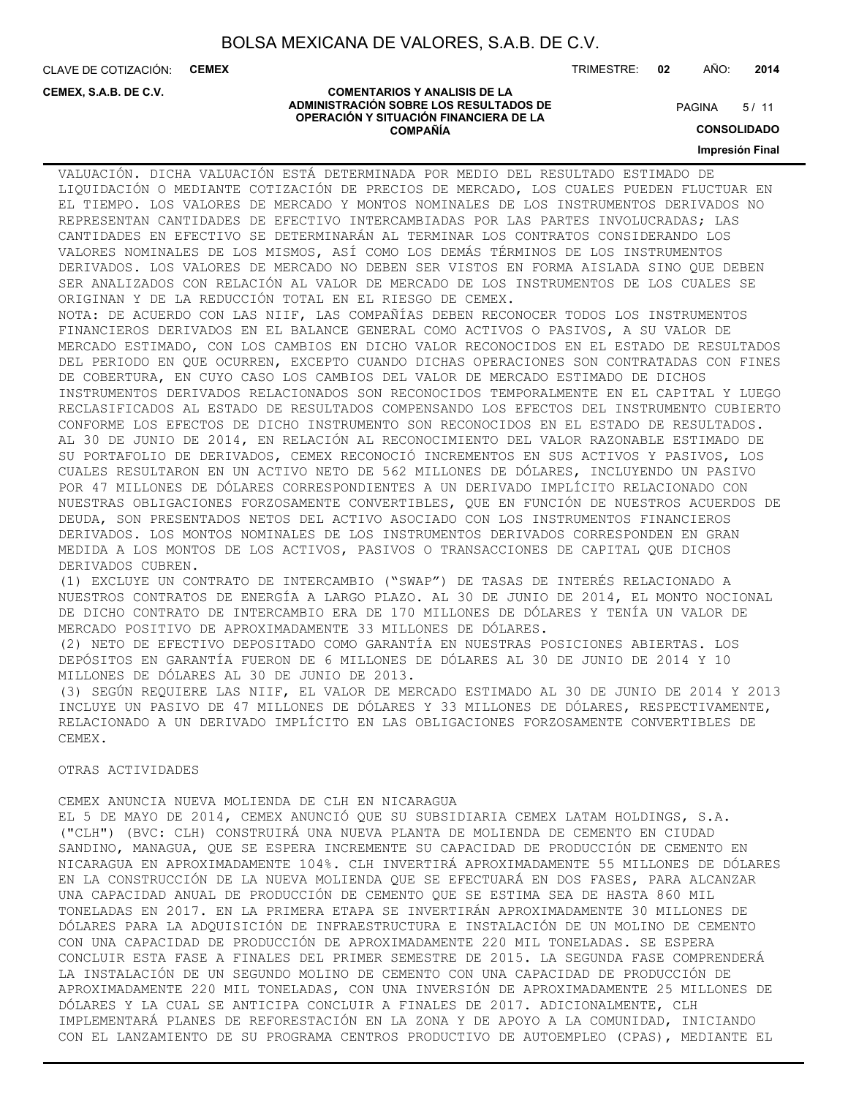CLAVE DE COTIZACIÓN: **CEMEX**

**CEMEX, S.A.B. DE C.V.**

TRIMESTRE: **02** AÑO: **2014**

#### **COMENTARIOS Y ANALISIS DE LA ADMINISTRACIÓN SOBRE LOS RESULTADOS DE OPERACIÓN Y SITUACIÓN FINANCIERA DE LA COMPAÑÍA**

 $5/11$ **PAGINA** 

**CONSOLIDADO**

**Impresión Final**

VALUACIÓN. DICHA VALUACIÓN ESTÁ DETERMINADA POR MEDIO DEL RESULTADO ESTIMADO DE LIQUIDACIÓN O MEDIANTE COTIZACIÓN DE PRECIOS DE MERCADO, LOS CUALES PUEDEN FLUCTUAR EN EL TIEMPO. LOS VALORES DE MERCADO Y MONTOS NOMINALES DE LOS INSTRUMENTOS DERIVADOS NO REPRESENTAN CANTIDADES DE EFECTIVO INTERCAMBIADAS POR LAS PARTES INVOLUCRADAS; LAS CANTIDADES EN EFECTIVO SE DETERMINARÁN AL TERMINAR LOS CONTRATOS CONSIDERANDO LOS VALORES NOMINALES DE LOS MISMOS, ASÍ COMO LOS DEMÁS TÉRMINOS DE LOS INSTRUMENTOS DERIVADOS. LOS VALORES DE MERCADO NO DEBEN SER VISTOS EN FORMA AISLADA SINO QUE DEBEN SER ANALIZADOS CON RELACIÓN AL VALOR DE MERCADO DE LOS INSTRUMENTOS DE LOS CUALES SE ORIGINAN Y DE LA REDUCCIÓN TOTAL EN EL RIESGO DE CEMEX. NOTA: DE ACUERDO CON LAS NIIF, LAS COMPAÑÍAS DEBEN RECONOCER TODOS LOS INSTRUMENTOS FINANCIEROS DERIVADOS EN EL BALANCE GENERAL COMO ACTIVOS O PASIVOS, A SU VALOR DE MERCADO ESTIMADO, CON LOS CAMBIOS EN DICHO VALOR RECONOCIDOS EN EL ESTADO DE RESULTADOS DEL PERIODO EN QUE OCURREN, EXCEPTO CUANDO DICHAS OPERACIONES SON CONTRATADAS CON FINES DE COBERTURA, EN CUYO CASO LOS CAMBIOS DEL VALOR DE MERCADO ESTIMADO DE DICHOS INSTRUMENTOS DERIVADOS RELACIONADOS SON RECONOCIDOS TEMPORALMENTE EN EL CAPITAL Y LUEGO RECLASIFICADOS AL ESTADO DE RESULTADOS COMPENSANDO LOS EFECTOS DEL INSTRUMENTO CUBIERTO CONFORME LOS EFECTOS DE DICHO INSTRUMENTO SON RECONOCIDOS EN EL ESTADO DE RESULTADOS. AL 30 DE JUNIO DE 2014, EN RELACIÓN AL RECONOCIMIENTO DEL VALOR RAZONABLE ESTIMADO DE SU PORTAFOLIO DE DERIVADOS, CEMEX RECONOCIÓ INCREMENTOS EN SUS ACTIVOS Y PASIVOS, LOS CUALES RESULTARON EN UN ACTIVO NETO DE 562 MILLONES DE DÓLARES, INCLUYENDO UN PASIVO POR 47 MILLONES DE DÓLARES CORRESPONDIENTES A UN DERIVADO IMPLÍCITO RELACIONADO CON NUESTRAS OBLIGACIONES FORZOSAMENTE CONVERTIBLES, QUE EN FUNCIÓN DE NUESTROS ACUERDOS DE DEUDA, SON PRESENTADOS NETOS DEL ACTIVO ASOCIADO CON LOS INSTRUMENTOS FINANCIEROS DERIVADOS. LOS MONTOS NOMINALES DE LOS INSTRUMENTOS DERIVADOS CORRESPONDEN EN GRAN MEDIDA A LOS MONTOS DE LOS ACTIVOS, PASIVOS O TRANSACCIONES DE CAPITAL QUE DICHOS DERIVADOS CUBREN. (1) EXCLUYE UN CONTRATO DE INTERCAMBIO ("SWAP") DE TASAS DE INTERÉS RELACIONADO A NUESTROS CONTRATOS DE ENERGÍA A LARGO PLAZO. AL 30 DE JUNIO DE 2014, EL MONTO NOCIONAL DE DICHO CONTRATO DE INTERCAMBIO ERA DE 170 MILLONES DE DÓLARES Y TENÍA UN VALOR DE MERCADO POSITIVO DE APROXIMADAMENTE 33 MILLONES DE DÓLARES. (2) NETO DE EFECTIVO DEPOSITADO COMO GARANTÍA EN NUESTRAS POSICIONES ABIERTAS. LOS DEPÓSITOS EN GARANTÍA FUERON DE 6 MILLONES DE DÓLARES AL 30 DE JUNIO DE 2014 Y 10 MILLONES DE DÓLARES AL 30 DE JUNIO DE 2013. (3) SEGÚN REQUIERE LAS NIIF, EL VALOR DE MERCADO ESTIMADO AL 30 DE JUNIO DE 2014 Y 2013 INCLUYE UN PASIVO DE 47 MILLONES DE DÓLARES Y 33 MILLONES DE DÓLARES, RESPECTIVAMENTE, RELACIONADO A UN DERIVADO IMPLÍCITO EN LAS OBLIGACIONES FORZOSAMENTE CONVERTIBLES DE

### OTRAS ACTIVIDADES

CEMEX.

CEMEX ANUNCIA NUEVA MOLIENDA DE CLH EN NICARAGUA

EL 5 DE MAYO DE 2014, CEMEX ANUNCIÓ QUE SU SUBSIDIARIA CEMEX LATAM HOLDINGS, S.A. ("CLH") (BVC: CLH) CONSTRUIRÁ UNA NUEVA PLANTA DE MOLIENDA DE CEMENTO EN CIUDAD SANDINO, MANAGUA, QUE SE ESPERA INCREMENTE SU CAPACIDAD DE PRODUCCIÓN DE CEMENTO EN NICARAGUA EN APROXIMADAMENTE 104%. CLH INVERTIRÁ APROXIMADAMENTE 55 MILLONES DE DÓLARES EN LA CONSTRUCCIÓN DE LA NUEVA MOLIENDA QUE SE EFECTUARÁ EN DOS FASES, PARA ALCANZAR UNA CAPACIDAD ANUAL DE PRODUCCIÓN DE CEMENTO QUE SE ESTIMA SEA DE HASTA 860 MIL TONELADAS EN 2017. EN LA PRIMERA ETAPA SE INVERTIRÁN APROXIMADAMENTE 30 MILLONES DE DÓLARES PARA LA ADQUISICIÓN DE INFRAESTRUCTURA E INSTALACIÓN DE UN MOLINO DE CEMENTO CON UNA CAPACIDAD DE PRODUCCIÓN DE APROXIMADAMENTE 220 MIL TONELADAS. SE ESPERA CONCLUIR ESTA FASE A FINALES DEL PRIMER SEMESTRE DE 2015. LA SEGUNDA FASE COMPRENDERÁ LA INSTALACIÓN DE UN SEGUNDO MOLINO DE CEMENTO CON UNA CAPACIDAD DE PRODUCCIÓN DE APROXIMADAMENTE 220 MIL TONELADAS, CON UNA INVERSIÓN DE APROXIMADAMENTE 25 MILLONES DE DÓLARES Y LA CUAL SE ANTICIPA CONCLUIR A FINALES DE 2017. ADICIONALMENTE, CLH IMPLEMENTARÁ PLANES DE REFORESTACIÓN EN LA ZONA Y DE APOYO A LA COMUNIDAD, INICIANDO CON EL LANZAMIENTO DE SU PROGRAMA CENTROS PRODUCTIVO DE AUTOEMPLEO (CPAS), MEDIANTE EL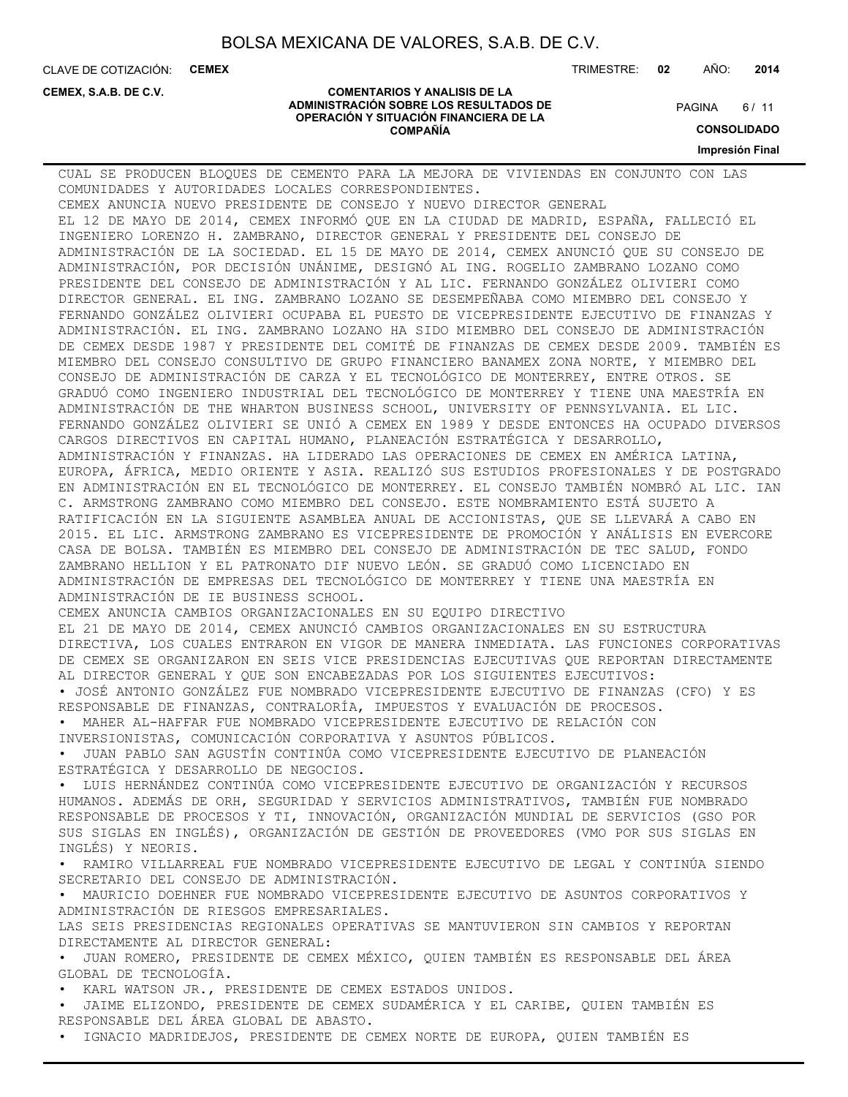**COMENTARIOS Y ANALISIS DE LA ADMINISTRACIÓN SOBRE LOS RESULTADOS DE OPERACIÓN Y SITUACIÓN FINANCIERA DE LA COMPAÑÍA**

CLAVE DE COTIZACIÓN: **CEMEX**

**CEMEX, S.A.B. DE C.V.**

TRIMESTRE: **02** AÑO: **2014**

 $6/11$ **PAGINA** 

**CONSOLIDADO**

**Impresión Final**

CUAL SE PRODUCEN BLOQUES DE CEMENTO PARA LA MEJORA DE VIVIENDAS EN CONJUNTO CON LAS COMUNIDADES Y AUTORIDADES LOCALES CORRESPONDIENTES. CEMEX ANUNCIA NUEVO PRESIDENTE DE CONSEJO Y NUEVO DIRECTOR GENERAL EL 12 DE MAYO DE 2014, CEMEX INFORMÓ QUE EN LA CIUDAD DE MADRID, ESPAÑA, FALLECIÓ EL INGENIERO LORENZO H. ZAMBRANO, DIRECTOR GENERAL Y PRESIDENTE DEL CONSEJO DE ADMINISTRACIÓN DE LA SOCIEDAD. EL 15 DE MAYO DE 2014, CEMEX ANUNCIÓ QUE SU CONSEJO DE ADMINISTRACIÓN, POR DECISIÓN UNÁNIME, DESIGNÓ AL ING. ROGELIO ZAMBRANO LOZANO COMO PRESIDENTE DEL CONSEJO DE ADMINISTRACIÓN Y AL LIC. FERNANDO GONZÁLEZ OLIVIERI COMO DIRECTOR GENERAL. EL ING. ZAMBRANO LOZANO SE DESEMPEÑABA COMO MIEMBRO DEL CONSEJO Y FERNANDO GONZÁLEZ OLIVIERI OCUPABA EL PUESTO DE VICEPRESIDENTE EJECUTIVO DE FINANZAS Y ADMINISTRACIÓN. EL ING. ZAMBRANO LOZANO HA SIDO MIEMBRO DEL CONSEJO DE ADMINISTRACIÓN DE CEMEX DESDE 1987 Y PRESIDENTE DEL COMITÉ DE FINANZAS DE CEMEX DESDE 2009. TAMBIÉN ES MIEMBRO DEL CONSEJO CONSULTIVO DE GRUPO FINANCIERO BANAMEX ZONA NORTE, Y MIEMBRO DEL CONSEJO DE ADMINISTRACIÓN DE CARZA Y EL TECNOLÓGICO DE MONTERREY, ENTRE OTROS. SE GRADUÓ COMO INGENIERO INDUSTRIAL DEL TECNOLÓGICO DE MONTERREY Y TIENE UNA MAESTRÍA EN ADMINISTRACIÓN DE THE WHARTON BUSINESS SCHOOL, UNIVERSITY OF PENNSYLVANIA. EL LIC. FERNANDO GONZÁLEZ OLIVIERI SE UNIÓ A CEMEX EN 1989 Y DESDE ENTONCES HA OCUPADO DIVERSOS CARGOS DIRECTIVOS EN CAPITAL HUMANO, PLANEACIÓN ESTRATÉGICA Y DESARROLLO, ADMINISTRACIÓN Y FINANZAS. HA LIDERADO LAS OPERACIONES DE CEMEX EN AMÉRICA LATINA, EUROPA, ÁFRICA, MEDIO ORIENTE Y ASIA. REALIZÓ SUS ESTUDIOS PROFESIONALES Y DE POSTGRADO EN ADMINISTRACIÓN EN EL TECNOLÓGICO DE MONTERREY. EL CONSEJO TAMBIÉN NOMBRÓ AL LIC. IAN C. ARMSTRONG ZAMBRANO COMO MIEMBRO DEL CONSEJO. ESTE NOMBRAMIENTO ESTÁ SUJETO A RATIFICACIÓN EN LA SIGUIENTE ASAMBLEA ANUAL DE ACCIONISTAS, QUE SE LLEVARÁ A CABO EN 2015. EL LIC. ARMSTRONG ZAMBRANO ES VICEPRESIDENTE DE PROMOCIÓN Y ANÁLISIS EN EVERCORE CASA DE BOLSA. TAMBIÉN ES MIEMBRO DEL CONSEJO DE ADMINISTRACIÓN DE TEC SALUD, FONDO ZAMBRANO HELLION Y EL PATRONATO DIF NUEVO LEÓN. SE GRADUÓ COMO LICENCIADO EN ADMINISTRACIÓN DE EMPRESAS DEL TECNOLÓGICO DE MONTERREY Y TIENE UNA MAESTRÍA EN ADMINISTRACIÓN DE IE BUSINESS SCHOOL. CEMEX ANUNCIA CAMBIOS ORGANIZACIONALES EN SU EQUIPO DIRECTIVO EL 21 DE MAYO DE 2014, CEMEX ANUNCIÓ CAMBIOS ORGANIZACIONALES EN SU ESTRUCTURA DIRECTIVA, LOS CUALES ENTRARON EN VIGOR DE MANERA INMEDIATA. LAS FUNCIONES CORPORATIVAS DE CEMEX SE ORGANIZARON EN SEIS VICE PRESIDENCIAS EJECUTIVAS QUE REPORTAN DIRECTAMENTE AL DIRECTOR GENERAL Y QUE SON ENCABEZADAS POR LOS SIGUIENTES EJECUTIVOS: • JOSÉ ANTONIO GONZÁLEZ FUE NOMBRADO VICEPRESIDENTE EJECUTIVO DE FINANZAS (CFO) Y ES RESPONSABLE DE FINANZAS, CONTRALORÍA, IMPUESTOS Y EVALUACIÓN DE PROCESOS. • MAHER AL-HAFFAR FUE NOMBRADO VICEPRESIDENTE EJECUTIVO DE RELACIÓN CON INVERSIONISTAS, COMUNICACIÓN CORPORATIVA Y ASUNTOS PÚBLICOS. • JUAN PABLO SAN AGUSTÍN CONTINÚA COMO VICEPRESIDENTE EJECUTIVO DE PLANEACIÓN ESTRATÉGICA Y DESARROLLO DE NEGOCIOS. • LUIS HERNÁNDEZ CONTINÚA COMO VICEPRESIDENTE EJECUTIVO DE ORGANIZACIÓN Y RECURSOS HUMANOS. ADEMÁS DE ORH, SEGURIDAD Y SERVICIOS ADMINISTRATIVOS, TAMBIÉN FUE NOMBRADO RESPONSABLE DE PROCESOS Y TI, INNOVACIÓN, ORGANIZACIÓN MUNDIAL DE SERVICIOS (GSO POR SUS SIGLAS EN INGLÉS), ORGANIZACIÓN DE GESTIÓN DE PROVEEDORES (VMO POR SUS SIGLAS EN INGLÉS) Y NEORIS. • RAMIRO VILLARREAL FUE NOMBRADO VICEPRESIDENTE EJECUTIVO DE LEGAL Y CONTINÚA SIENDO SECRETARIO DEL CONSEJO DE ADMINISTRACIÓN. • MAURICIO DOEHNER FUE NOMBRADO VICEPRESIDENTE EJECUTIVO DE ASUNTOS CORPORATIVOS Y ADMINISTRACIÓN DE RIESGOS EMPRESARIALES. LAS SEIS PRESIDENCIAS REGIONALES OPERATIVAS SE MANTUVIERON SIN CAMBIOS Y REPORTAN DIRECTAMENTE AL DIRECTOR GENERAL: • JUAN ROMERO, PRESIDENTE DE CEMEX MÉXICO, QUIEN TAMBIÉN ES RESPONSABLE DEL ÁREA GLOBAL DE TECNOLOGÍA. • KARL WATSON JR., PRESIDENTE DE CEMEX ESTADOS UNIDOS. • JAIME ELIZONDO, PRESIDENTE DE CEMEX SUDAMÉRICA Y EL CARIBE, QUIEN TAMBIÉN ES RESPONSABLE DEL ÁREA GLOBAL DE ABASTO. • IGNACIO MADRIDEJOS, PRESIDENTE DE CEMEX NORTE DE EUROPA, QUIEN TAMBIÉN ES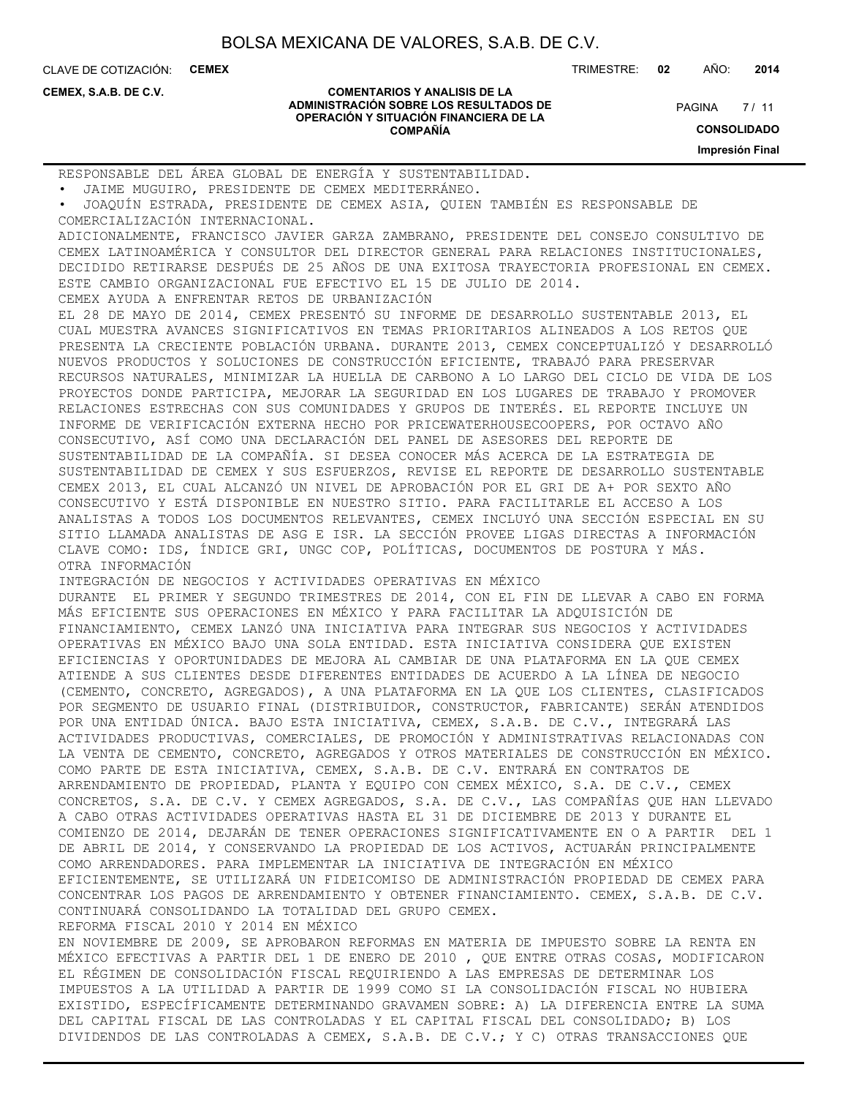CLAVE DE COTIZACIÓN: **CEMEX** TRIMESTRE: **02** AÑO: **2014**

**CEMEX, S.A.B. DE C.V.**

#### **COMENTARIOS Y ANALISIS DE LA ADMINISTRACIÓN SOBRE LOS RESULTADOS DE OPERACIÓN Y SITUACIÓN FINANCIERA DE LA COMPAÑÍA**

 $7/11$ **PAGINA** 

**CONSOLIDADO**

**Impresión Final**

RESPONSABLE DEL ÁREA GLOBAL DE ENERGÍA Y SUSTENTABILIDAD.

• JAIME MUGUIRO, PRESIDENTE DE CEMEX MEDITERRÁNEO.

• JOAQUÍN ESTRADA, PRESIDENTE DE CEMEX ASIA, QUIEN TAMBIÉN ES RESPONSABLE DE COMERCIALIZACIÓN INTERNACIONAL.

ADICIONALMENTE, FRANCISCO JAVIER GARZA ZAMBRANO, PRESIDENTE DEL CONSEJO CONSULTIVO DE CEMEX LATINOAMÉRICA Y CONSULTOR DEL DIRECTOR GENERAL PARA RELACIONES INSTITUCIONALES, DECIDIDO RETIRARSE DESPUÉS DE 25 AÑOS DE UNA EXITOSA TRAYECTORIA PROFESIONAL EN CEMEX. ESTE CAMBIO ORGANIZACIONAL FUE EFECTIVO EL 15 DE JULIO DE 2014.

CEMEX AYUDA A ENFRENTAR RETOS DE URBANIZACIÓN

EL 28 DE MAYO DE 2014, CEMEX PRESENTÓ SU INFORME DE DESARROLLO SUSTENTABLE 2013, EL CUAL MUESTRA AVANCES SIGNIFICATIVOS EN TEMAS PRIORITARIOS ALINEADOS A LOS RETOS QUE PRESENTA LA CRECIENTE POBLACIÓN URBANA. DURANTE 2013, CEMEX CONCEPTUALIZÓ Y DESARROLLÓ NUEVOS PRODUCTOS Y SOLUCIONES DE CONSTRUCCIÓN EFICIENTE, TRABAJÓ PARA PRESERVAR RECURSOS NATURALES, MINIMIZAR LA HUELLA DE CARBONO A LO LARGO DEL CICLO DE VIDA DE LOS PROYECTOS DONDE PARTICIPA, MEJORAR LA SEGURIDAD EN LOS LUGARES DE TRABAJO Y PROMOVER RELACIONES ESTRECHAS CON SUS COMUNIDADES Y GRUPOS DE INTERÉS. EL REPORTE INCLUYE UN INFORME DE VERIFICACIÓN EXTERNA HECHO POR PRICEWATERHOUSECOOPERS, POR OCTAVO AÑO CONSECUTIVO, ASÍ COMO UNA DECLARACIÓN DEL PANEL DE ASESORES DEL REPORTE DE SUSTENTABILIDAD DE LA COMPAÑÍA. SI DESEA CONOCER MÁS ACERCA DE LA ESTRATEGIA DE SUSTENTABILIDAD DE CEMEX Y SUS ESFUERZOS, REVISE EL REPORTE DE DESARROLLO SUSTENTABLE CEMEX 2013, EL CUAL ALCANZÓ UN NIVEL DE APROBACIÓN POR EL GRI DE A+ POR SEXTO AÑO CONSECUTIVO Y ESTÁ DISPONIBLE EN NUESTRO SITIO. PARA FACILITARLE EL ACCESO A LOS ANALISTAS A TODOS LOS DOCUMENTOS RELEVANTES, CEMEX INCLUYÓ UNA SECCIÓN ESPECIAL EN SU SITIO LLAMADA ANALISTAS DE ASG E ISR. LA SECCIÓN PROVEE LIGAS DIRECTAS A INFORMACIÓN CLAVE COMO: IDS, ÍNDICE GRI, UNGC COP, POLÍTICAS, DOCUMENTOS DE POSTURA Y MÁS. OTRA INFORMACIÓN

INTEGRACIÓN DE NEGOCIOS Y ACTIVIDADES OPERATIVAS EN MÉXICO

DURANTE EL PRIMER Y SEGUNDO TRIMESTRES DE 2014, CON EL FIN DE LLEVAR A CABO EN FORMA MÁS EFICIENTE SUS OPERACIONES EN MÉXICO Y PARA FACILITAR LA ADQUISICIÓN DE FINANCIAMIENTO, CEMEX LANZÓ UNA INICIATIVA PARA INTEGRAR SUS NEGOCIOS Y ACTIVIDADES OPERATIVAS EN MÉXICO BAJO UNA SOLA ENTIDAD. ESTA INICIATIVA CONSIDERA QUE EXISTEN EFICIENCIAS Y OPORTUNIDADES DE MEJORA AL CAMBIAR DE UNA PLATAFORMA EN LA QUE CEMEX ATIENDE A SUS CLIENTES DESDE DIFERENTES ENTIDADES DE ACUERDO A LA LÍNEA DE NEGOCIO (CEMENTO, CONCRETO, AGREGADOS), A UNA PLATAFORMA EN LA QUE LOS CLIENTES, CLASIFICADOS POR SEGMENTO DE USUARIO FINAL (DISTRIBUIDOR, CONSTRUCTOR, FABRICANTE) SERÁN ATENDIDOS POR UNA ENTIDAD ÚNICA. BAJO ESTA INICIATIVA, CEMEX, S.A.B. DE C.V., INTEGRARÁ LAS ACTIVIDADES PRODUCTIVAS, COMERCIALES, DE PROMOCIÓN Y ADMINISTRATIVAS RELACIONADAS CON LA VENTA DE CEMENTO, CONCRETO, AGREGADOS Y OTROS MATERIALES DE CONSTRUCCIÓN EN MÉXICO. COMO PARTE DE ESTA INICIATIVA, CEMEX, S.A.B. DE C.V. ENTRARÁ EN CONTRATOS DE ARRENDAMIENTO DE PROPIEDAD, PLANTA Y EQUIPO CON CEMEX MÉXICO, S.A. DE C.V., CEMEX CONCRETOS, S.A. DE C.V. Y CEMEX AGREGADOS, S.A. DE C.V., LAS COMPAÑÍAS QUE HAN LLEVADO A CABO OTRAS ACTIVIDADES OPERATIVAS HASTA EL 31 DE DICIEMBRE DE 2013 Y DURANTE EL COMIENZO DE 2014, DEJARÁN DE TENER OPERACIONES SIGNIFICATIVAMENTE EN O A PARTIR DEL 1 DE ABRIL DE 2014, Y CONSERVANDO LA PROPIEDAD DE LOS ACTIVOS, ACTUARÁN PRINCIPALMENTE COMO ARRENDADORES. PARA IMPLEMENTAR LA INICIATIVA DE INTEGRACIÓN EN MÉXICO EFICIENTEMENTE, SE UTILIZARÁ UN FIDEICOMISO DE ADMINISTRACIÓN PROPIEDAD DE CEMEX PARA CONCENTRAR LOS PAGOS DE ARRENDAMIENTO Y OBTENER FINANCIAMIENTO. CEMEX, S.A.B. DE C.V. CONTINUARÁ CONSOLIDANDO LA TOTALIDAD DEL GRUPO CEMEX. REFORMA FISCAL 2010 Y 2014 EN MÉXICO

EN NOVIEMBRE DE 2009, SE APROBARON REFORMAS EN MATERIA DE IMPUESTO SOBRE LA RENTA EN MÉXICO EFECTIVAS A PARTIR DEL 1 DE ENERO DE 2010 , QUE ENTRE OTRAS COSAS, MODIFICARON EL RÉGIMEN DE CONSOLIDACIÓN FISCAL REQUIRIENDO A LAS EMPRESAS DE DETERMINAR LOS IMPUESTOS A LA UTILIDAD A PARTIR DE 1999 COMO SI LA CONSOLIDACIÓN FISCAL NO HUBIERA EXISTIDO, ESPECÍFICAMENTE DETERMINANDO GRAVAMEN SOBRE: A) LA DIFERENCIA ENTRE LA SUMA DEL CAPITAL FISCAL DE LAS CONTROLADAS Y EL CAPITAL FISCAL DEL CONSOLIDADO; B) LOS DIVIDENDOS DE LAS CONTROLADAS A CEMEX, S.A.B. DE C.V.; Y C) OTRAS TRANSACCIONES QUE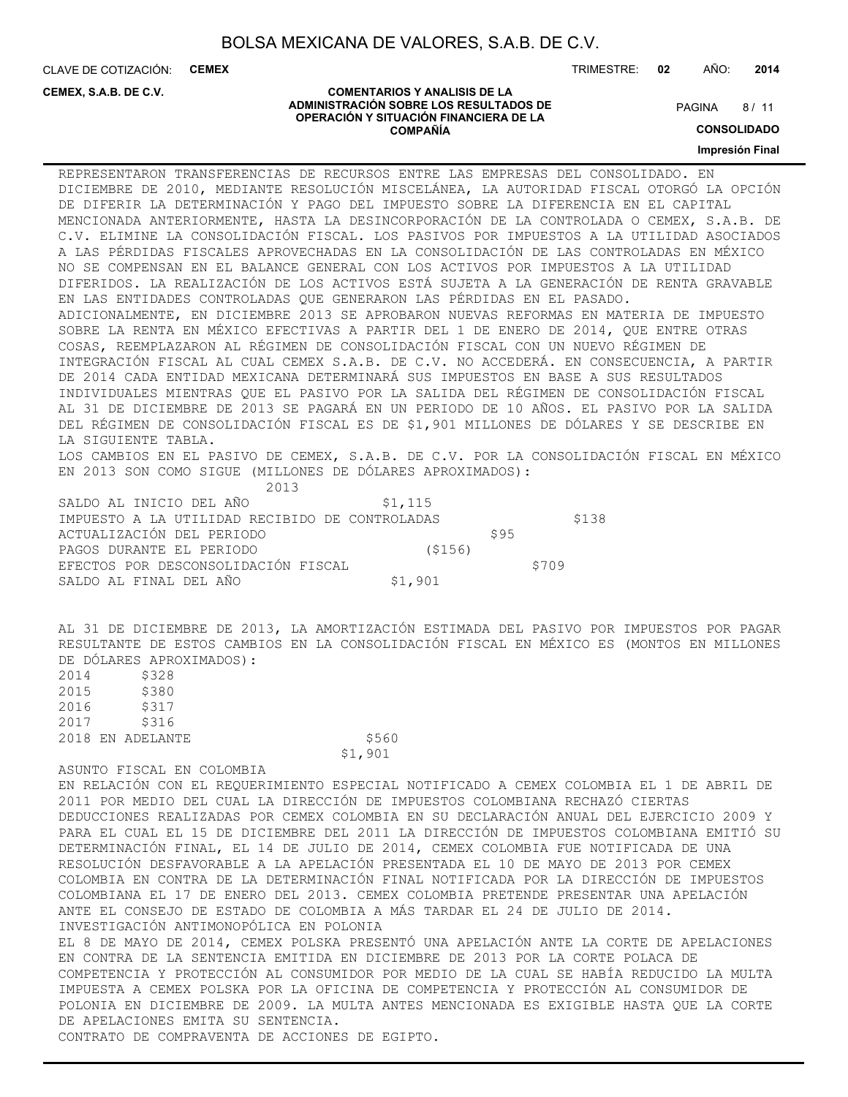**COMENTARIOS Y ANALISIS DE LA ADMINISTRACIÓN SOBRE LOS RESULTADOS DE OPERACIÓN Y SITUACIÓN FINANCIERA DE LA COMPAÑÍA**

CLAVE DE COTIZACIÓN: **CEMEX** TRIMESTRE: **02** AÑO: **2014**

#### **CEMEX, S.A.B. DE C.V.**

 $8/11$ **PAGINA** 

**CONSOLIDADO**

#### **Impresión Final**

REPRESENTARON TRANSFERENCIAS DE RECURSOS ENTRE LAS EMPRESAS DEL CONSOLIDADO. EN DICIEMBRE DE 2010, MEDIANTE RESOLUCIÓN MISCELÁNEA, LA AUTORIDAD FISCAL OTORGÓ LA OPCIÓN DE DIFERIR LA DETERMINACIÓN Y PAGO DEL IMPUESTO SOBRE LA DIFERENCIA EN EL CAPITAL MENCIONADA ANTERIORMENTE, HASTA LA DESINCORPORACIÓN DE LA CONTROLADA O CEMEX, S.A.B. DE C.V. ELIMINE LA CONSOLIDACIÓN FISCAL. LOS PASIVOS POR IMPUESTOS A LA UTILIDAD ASOCIADOS A LAS PÉRDIDAS FISCALES APROVECHADAS EN LA CONSOLIDACIÓN DE LAS CONTROLADAS EN MÉXICO NO SE COMPENSAN EN EL BALANCE GENERAL CON LOS ACTIVOS POR IMPUESTOS A LA UTILIDAD DIFERIDOS. LA REALIZACIÓN DE LOS ACTIVOS ESTÁ SUJETA A LA GENERACIÓN DE RENTA GRAVABLE EN LAS ENTIDADES CONTROLADAS QUE GENERARON LAS PÉRDIDAS EN EL PASADO. ADICIONALMENTE, EN DICIEMBRE 2013 SE APROBARON NUEVAS REFORMAS EN MATERIA DE IMPUESTO SOBRE LA RENTA EN MÉXICO EFECTIVAS A PARTIR DEL 1 DE ENERO DE 2014, QUE ENTRE OTRAS COSAS, REEMPLAZARON AL RÉGIMEN DE CONSOLIDACIÓN FISCAL CON UN NUEVO RÉGIMEN DE INTEGRACIÓN FISCAL AL CUAL CEMEX S.A.B. DE C.V. NO ACCEDERÁ. EN CONSECUENCIA, A PARTIR DE 2014 CADA ENTIDAD MEXICANA DETERMINARÁ SUS IMPUESTOS EN BASE A SUS RESULTADOS INDIVIDUALES MIENTRAS QUE EL PASIVO POR LA SALIDA DEL RÉGIMEN DE CONSOLIDACIÓN FISCAL AL 31 DE DICIEMBRE DE 2013 SE PAGARÁ EN UN PERIODO DE 10 AÑOS. EL PASIVO POR LA SALIDA DEL RÉGIMEN DE CONSOLIDACIÓN FISCAL ES DE \$1,901 MILLONES DE DÓLARES Y SE DESCRIBE EN LA SIGUIENTE TABLA.

LOS CAMBIOS EN EL PASIVO DE CEMEX, S.A.B. DE C.V. POR LA CONSOLIDACIÓN FISCAL EN MÉXICO EN 2013 SON COMO SIGUE (MILLONES DE DÓLARES APROXIMADOS):

2013

| SALDO AL INICIO DEL AÑO                        | \$1,115 |      |       |
|------------------------------------------------|---------|------|-------|
| IMPUESTO A LA UTILIDAD RECIBIDO DE CONTROLADAS |         |      | \$138 |
| ACTUALIZACIÓN DEL PERIODO                      |         | \$95 |       |
| PAGOS DURANTE EL PERIODO                       | (5156)  |      |       |
| EFECTOS POR DESCONSOLIDACIÓN FISCAL            |         |      | \$709 |
| SALDO AL FINAL DEL AÑO                         | \$1,901 |      |       |

AL 31 DE DICIEMBRE DE 2013, LA AMORTIZACIÓN ESTIMADA DEL PASIVO POR IMPUESTOS POR PAGAR RESULTANTE DE ESTOS CAMBIOS EN LA CONSOLIDACIÓN FISCAL EN MÉXICO ES (MONTOS EN MILLONES DE DÓLARES APROXIMADOS):<br>2014 — \$328  $5328$ 

\$1,901

| ムリエコ | りつとい             |             |           |
|------|------------------|-------------|-----------|
| 2015 | \$380            |             |           |
| 2016 | \$317            |             |           |
| 2017 | \$316            |             |           |
|      | 2018 EN ADELANTE |             | \$560     |
|      |                  | $^{\sim}$ 1 | $\bigcap$ |

#### ASUNTO FISCAL EN COLOMBIA

EN RELACIÓN CON EL REQUERIMIENTO ESPECIAL NOTIFICADO A CEMEX COLOMBIA EL 1 DE ABRIL DE 2011 POR MEDIO DEL CUAL LA DIRECCIÓN DE IMPUESTOS COLOMBIANA RECHAZÓ CIERTAS DEDUCCIONES REALIZADAS POR CEMEX COLOMBIA EN SU DECLARACIÓN ANUAL DEL EJERCICIO 2009 Y PARA EL CUAL EL 15 DE DICIEMBRE DEL 2011 LA DIRECCIÓN DE IMPUESTOS COLOMBIANA EMITIÓ SU DETERMINACIÓN FINAL, EL 14 DE JULIO DE 2014, CEMEX COLOMBIA FUE NOTIFICADA DE UNA RESOLUCIÓN DESFAVORABLE A LA APELACIÓN PRESENTADA EL 10 DE MAYO DE 2013 POR CEMEX COLOMBIA EN CONTRA DE LA DETERMINACIÓN FINAL NOTIFICADA POR LA DIRECCIÓN DE IMPUESTOS COLOMBIANA EL 17 DE ENERO DEL 2013. CEMEX COLOMBIA PRETENDE PRESENTAR UNA APELACIÓN ANTE EL CONSEJO DE ESTADO DE COLOMBIA A MÁS TARDAR EL 24 DE JULIO DE 2014. INVESTIGACIÓN ANTIMONOPÓLICA EN POLONIA EL 8 DE MAYO DE 2014, CEMEX POLSKA PRESENTÓ UNA APELACIÓN ANTE LA CORTE DE APELACIONES EN CONTRA DE LA SENTENCIA EMITIDA EN DICIEMBRE DE 2013 POR LA CORTE POLACA DE COMPETENCIA Y PROTECCIÓN AL CONSUMIDOR POR MEDIO DE LA CUAL SE HABÍA REDUCIDO LA MULTA IMPUESTA A CEMEX POLSKA POR LA OFICINA DE COMPETENCIA Y PROTECCIÓN AL CONSUMIDOR DE POLONIA EN DICIEMBRE DE 2009. LA MULTA ANTES MENCIONADA ES EXIGIBLE HASTA QUE LA CORTE

CONTRATO DE COMPRAVENTA DE ACCIONES DE EGIPTO.

DE APELACIONES EMITA SU SENTENCIA.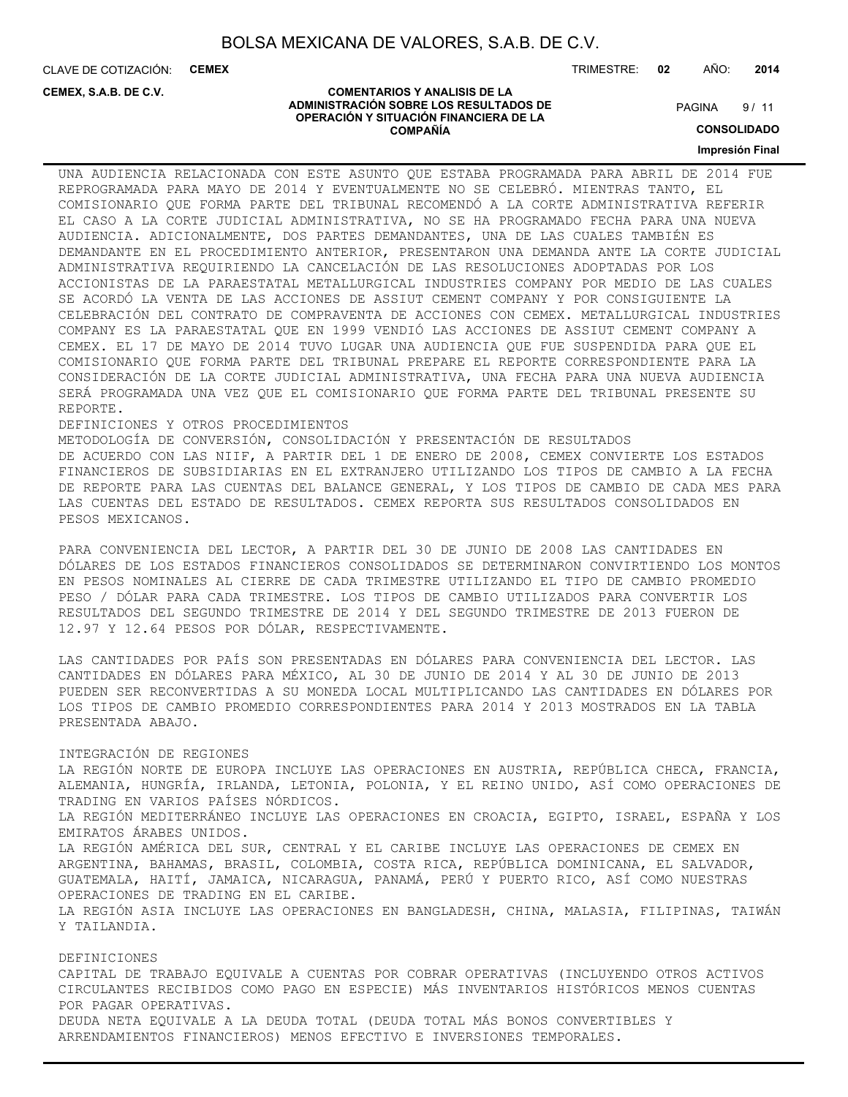CLAVE DE COTIZACIÓN: **CEMEX**

**CEMEX, S.A.B. DE C.V.**

TRIMESTRE: **02** AÑO: **2014**

#### **COMENTARIOS Y ANALISIS DE LA ADMINISTRACIÓN SOBRE LOS RESULTADOS DE OPERACIÓN Y SITUACIÓN FINANCIERA DE LA COMPAÑÍA**

 $9/11$ **PAGINA** 

**CONSOLIDADO**

**Impresión Final**

UNA AUDIENCIA RELACIONADA CON ESTE ASUNTO QUE ESTABA PROGRAMADA PARA ABRIL DE 2014 FUE REPROGRAMADA PARA MAYO DE 2014 Y EVENTUALMENTE NO SE CELEBRÓ. MIENTRAS TANTO, EL COMISIONARIO QUE FORMA PARTE DEL TRIBUNAL RECOMENDÓ A LA CORTE ADMINISTRATIVA REFERIR EL CASO A LA CORTE JUDICIAL ADMINISTRATIVA, NO SE HA PROGRAMADO FECHA PARA UNA NUEVA AUDIENCIA. ADICIONALMENTE, DOS PARTES DEMANDANTES, UNA DE LAS CUALES TAMBIÉN ES DEMANDANTE EN EL PROCEDIMIENTO ANTERIOR, PRESENTARON UNA DEMANDA ANTE LA CORTE JUDICIAL ADMINISTRATIVA REQUIRIENDO LA CANCELACIÓN DE LAS RESOLUCIONES ADOPTADAS POR LOS ACCIONISTAS DE LA PARAESTATAL METALLURGICAL INDUSTRIES COMPANY POR MEDIO DE LAS CUALES SE ACORDÓ LA VENTA DE LAS ACCIONES DE ASSIUT CEMENT COMPANY Y POR CONSIGUIENTE LA CELEBRACIÓN DEL CONTRATO DE COMPRAVENTA DE ACCIONES CON CEMEX. METALLURGICAL INDUSTRIES COMPANY ES LA PARAESTATAL QUE EN 1999 VENDIÓ LAS ACCIONES DE ASSIUT CEMENT COMPANY A CEMEX. EL 17 DE MAYO DE 2014 TUVO LUGAR UNA AUDIENCIA QUE FUE SUSPENDIDA PARA QUE EL COMISIONARIO QUE FORMA PARTE DEL TRIBUNAL PREPARE EL REPORTE CORRESPONDIENTE PARA LA CONSIDERACIÓN DE LA CORTE JUDICIAL ADMINISTRATIVA, UNA FECHA PARA UNA NUEVA AUDIENCIA SERÁ PROGRAMADA UNA VEZ QUE EL COMISIONARIO QUE FORMA PARTE DEL TRIBUNAL PRESENTE SU REPORTE.

#### DEFINICIONES Y OTROS PROCEDIMIENTOS

METODOLOGÍA DE CONVERSIÓN, CONSOLIDACIÓN Y PRESENTACIÓN DE RESULTADOS DE ACUERDO CON LAS NIIF, A PARTIR DEL 1 DE ENERO DE 2008, CEMEX CONVIERTE LOS ESTADOS FINANCIEROS DE SUBSIDIARIAS EN EL EXTRANJERO UTILIZANDO LOS TIPOS DE CAMBIO A LA FECHA DE REPORTE PARA LAS CUENTAS DEL BALANCE GENERAL, Y LOS TIPOS DE CAMBIO DE CADA MES PARA LAS CUENTAS DEL ESTADO DE RESULTADOS. CEMEX REPORTA SUS RESULTADOS CONSOLIDADOS EN PESOS MEXICANOS.

PARA CONVENIENCIA DEL LECTOR, A PARTIR DEL 30 DE JUNIO DE 2008 LAS CANTIDADES EN DÓLARES DE LOS ESTADOS FINANCIEROS CONSOLIDADOS SE DETERMINARON CONVIRTIENDO LOS MONTOS EN PESOS NOMINALES AL CIERRE DE CADA TRIMESTRE UTILIZANDO EL TIPO DE CAMBIO PROMEDIO PESO / DÓLAR PARA CADA TRIMESTRE. LOS TIPOS DE CAMBIO UTILIZADOS PARA CONVERTIR LOS RESULTADOS DEL SEGUNDO TRIMESTRE DE 2014 Y DEL SEGUNDO TRIMESTRE DE 2013 FUERON DE 12.97 Y 12.64 PESOS POR DÓLAR, RESPECTIVAMENTE.

LAS CANTIDADES POR PAÍS SON PRESENTADAS EN DÓLARES PARA CONVENIENCIA DEL LECTOR. LAS CANTIDADES EN DÓLARES PARA MÉXICO, AL 30 DE JUNIO DE 2014 Y AL 30 DE JUNIO DE 2013 PUEDEN SER RECONVERTIDAS A SU MONEDA LOCAL MULTIPLICANDO LAS CANTIDADES EN DÓLARES POR LOS TIPOS DE CAMBIO PROMEDIO CORRESPONDIENTES PARA 2014 Y 2013 MOSTRADOS EN LA TABLA PRESENTADA ABAJO.

#### INTEGRACIÓN DE REGIONES

LA REGIÓN NORTE DE EUROPA INCLUYE LAS OPERACIONES EN AUSTRIA, REPÚBLICA CHECA, FRANCIA, ALEMANIA, HUNGRÍA, IRLANDA, LETONIA, POLONIA, Y EL REINO UNIDO, ASÍ COMO OPERACIONES DE TRADING EN VARIOS PAÍSES NÓRDICOS. LA REGIÓN MEDITERRÁNEO INCLUYE LAS OPERACIONES EN CROACIA, EGIPTO, ISRAEL, ESPAÑA Y LOS EMIRATOS ÁRABES UNIDOS. LA REGIÓN AMÉRICA DEL SUR, CENTRAL Y EL CARIBE INCLUYE LAS OPERACIONES DE CEMEX EN ARGENTINA, BAHAMAS, BRASIL, COLOMBIA, COSTA RICA, REPÚBLICA DOMINICANA, EL SALVADOR, GUATEMALA, HAITÍ, JAMAICA, NICARAGUA, PANAMÁ, PERÚ Y PUERTO RICO, ASÍ COMO NUESTRAS OPERACIONES DE TRADING EN EL CARIBE. LA REGIÓN ASIA INCLUYE LAS OPERACIONES EN BANGLADESH, CHINA, MALASIA, FILIPINAS, TAIWÁN Y TAILANDIA.

#### DEFINICIONES

CAPITAL DE TRABAJO EQUIVALE A CUENTAS POR COBRAR OPERATIVAS (INCLUYENDO OTROS ACTIVOS CIRCULANTES RECIBIDOS COMO PAGO EN ESPECIE) MÁS INVENTARIOS HISTÓRICOS MENOS CUENTAS POR PAGAR OPERATIVAS. DEUDA NETA EQUIVALE A LA DEUDA TOTAL (DEUDA TOTAL MÁS BONOS CONVERTIBLES Y ARRENDAMIENTOS FINANCIEROS) MENOS EFECTIVO E INVERSIONES TEMPORALES.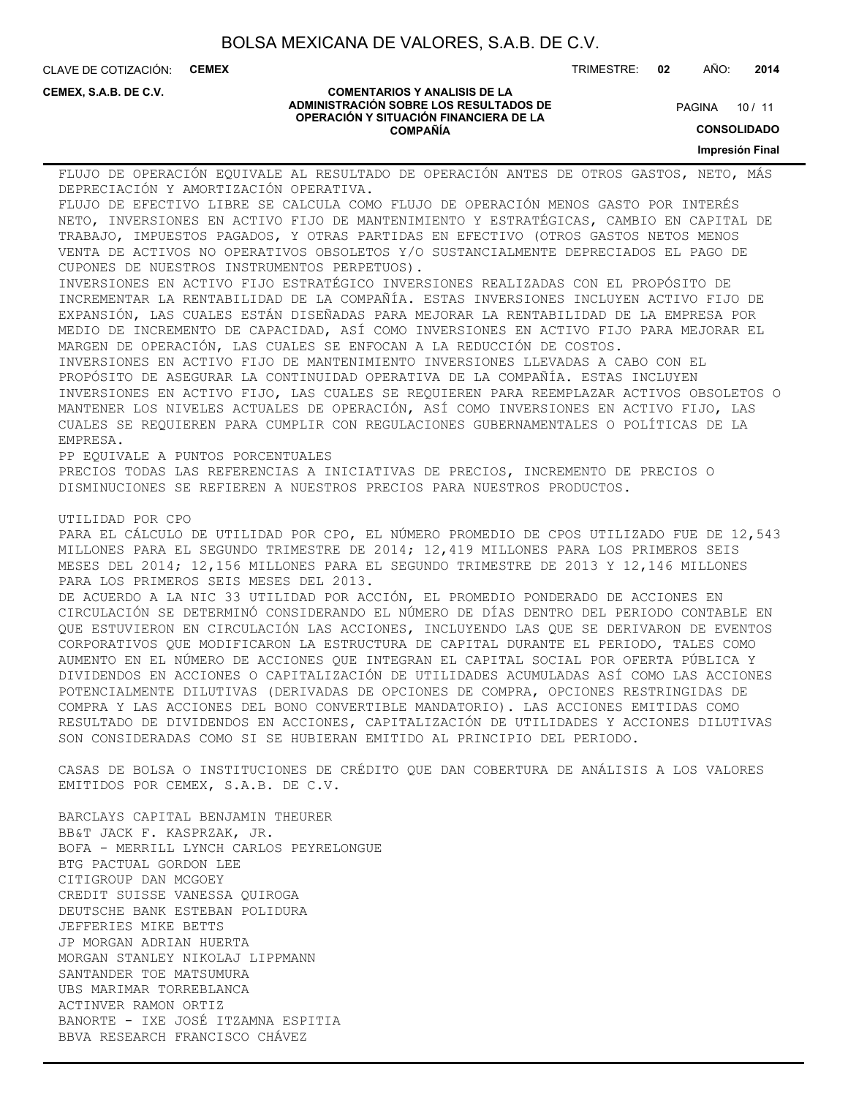CLAVE DE COTIZACIÓN: **CEMEX** TRIMESTRE: **02** AÑO: **2014**

**CEMEX, S.A.B. DE C.V.**

#### **COMENTARIOS Y ANALISIS DE LA ADMINISTRACIÓN SOBRE LOS RESULTADOS DE OPERACIÓN Y SITUACIÓN FINANCIERA DE LA COMPAÑÍA**

PAGINA 10 / 11

**CONSOLIDADO**

**Impresión Final**

FLUJO DE OPERACIÓN EQUIVALE AL RESULTADO DE OPERACIÓN ANTES DE OTROS GASTOS, NETO, MÁS DEPRECIACIÓN Y AMORTIZACIÓN OPERATIVA. FLUJO DE EFECTIVO LIBRE SE CALCULA COMO FLUJO DE OPERACIÓN MENOS GASTO POR INTERÉS NETO, INVERSIONES EN ACTIVO FIJO DE MANTENIMIENTO Y ESTRATÉGICAS, CAMBIO EN CAPITAL DE TRABAJO, IMPUESTOS PAGADOS, Y OTRAS PARTIDAS EN EFECTIVO (OTROS GASTOS NETOS MENOS VENTA DE ACTIVOS NO OPERATIVOS OBSOLETOS Y/O SUSTANCIALMENTE DEPRECIADOS EL PAGO DE CUPONES DE NUESTROS INSTRUMENTOS PERPETUOS). INVERSIONES EN ACTIVO FIJO ESTRATÉGICO INVERSIONES REALIZADAS CON EL PROPÓSITO DE INCREMENTAR LA RENTABILIDAD DE LA COMPAÑÍA. ESTAS INVERSIONES INCLUYEN ACTIVO FIJO DE EXPANSIÓN, LAS CUALES ESTÁN DISEÑADAS PARA MEJORAR LA RENTABILIDAD DE LA EMPRESA POR MEDIO DE INCREMENTO DE CAPACIDAD, ASÍ COMO INVERSIONES EN ACTIVO FIJO PARA MEJORAR EL MARGEN DE OPERACIÓN, LAS CUALES SE ENFOCAN A LA REDUCCIÓN DE COSTOS. INVERSIONES EN ACTIVO FIJO DE MANTENIMIENTO INVERSIONES LLEVADAS A CABO CON EL PROPÓSITO DE ASEGURAR LA CONTINUIDAD OPERATIVA DE LA COMPAÑÍA. ESTAS INCLUYEN INVERSIONES EN ACTIVO FIJO, LAS CUALES SE REQUIEREN PARA REEMPLAZAR ACTIVOS OBSOLETOS O MANTENER LOS NIVELES ACTUALES DE OPERACIÓN, ASÍ COMO INVERSIONES EN ACTIVO FIJO, LAS CUALES SE REQUIEREN PARA CUMPLIR CON REGULACIONES GUBERNAMENTALES O POLÍTICAS DE LA EMPRESA. PP EQUIVALE A PUNTOS PORCENTUALES PRECIOS TODAS LAS REFERENCIAS A INICIATIVAS DE PRECIOS, INCREMENTO DE PRECIOS O DISMINUCIONES SE REFIEREN A NUESTROS PRECIOS PARA NUESTROS PRODUCTOS. UTILIDAD POR CPO PARA EL CÁLCULO DE UTILIDAD POR CPO, EL NÚMERO PROMEDIO DE CPOS UTILIZADO FUE DE 12,543 MILLONES PARA EL SEGUNDO TRIMESTRE DE 2014; 12,419 MILLONES PARA LOS PRIMEROS SEIS MESES DEL 2014; 12,156 MILLONES PARA EL SEGUNDO TRIMESTRE DE 2013 Y 12,146 MILLONES PARA LOS PRIMEROS SEIS MESES DEL 2013. DE ACUERDO A LA NIC 33 UTILIDAD POR ACCIÓN, EL PROMEDIO PONDERADO DE ACCIONES EN CIRCULACIÓN SE DETERMINÓ CONSIDERANDO EL NÚMERO DE DÍAS DENTRO DEL PERIODO CONTABLE EN QUE ESTUVIERON EN CIRCULACIÓN LAS ACCIONES, INCLUYENDO LAS QUE SE DERIVARON DE EVENTOS CORPORATIVOS QUE MODIFICARON LA ESTRUCTURA DE CAPITAL DURANTE EL PERIODO, TALES COMO AUMENTO EN EL NÚMERO DE ACCIONES QUE INTEGRAN EL CAPITAL SOCIAL POR OFERTA PÚBLICA Y DIVIDENDOS EN ACCIONES O CAPITALIZACIÓN DE UTILIDADES ACUMULADAS ASÍ COMO LAS ACCIONES POTENCIALMENTE DILUTIVAS (DERIVADAS DE OPCIONES DE COMPRA, OPCIONES RESTRINGIDAS DE COMPRA Y LAS ACCIONES DEL BONO CONVERTIBLE MANDATORIO). LAS ACCIONES EMITIDAS COMO RESULTADO DE DIVIDENDOS EN ACCIONES, CAPITALIZACIÓN DE UTILIDADES Y ACCIONES DILUTIVAS SON CONSIDERADAS COMO SI SE HUBIERAN EMITIDO AL PRINCIPIO DEL PERIODO. CASAS DE BOLSA O INSTITUCIONES DE CRÉDITO QUE DAN COBERTURA DE ANÁLISIS A LOS VALORES EMITIDOS POR CEMEX, S.A.B. DE C.V.

BARCLAYS CAPITAL BENJAMIN THEURER BB&T JACK F. KASPRZAK, JR. BOFA - MERRILL LYNCH CARLOS PEYRELONGUE BTG PACTUAL GORDON LEE CITIGROUP DAN MCGOEY CREDIT SUISSE VANESSA QUIROGA DEUTSCHE BANK ESTEBAN POLIDURA JEFFERIES MIKE BETTS JP MORGAN ADRIAN HUERTA MORGAN STANLEY NIKOLAJ LIPPMANN SANTANDER TOE MATSUMURA UBS MARIMAR TORREBLANCA ACTINVER RAMON ORTIZ BANORTE - IXE JOSÉ ITZAMNA ESPITIA BBVA RESEARCH FRANCISCO CHÁVEZ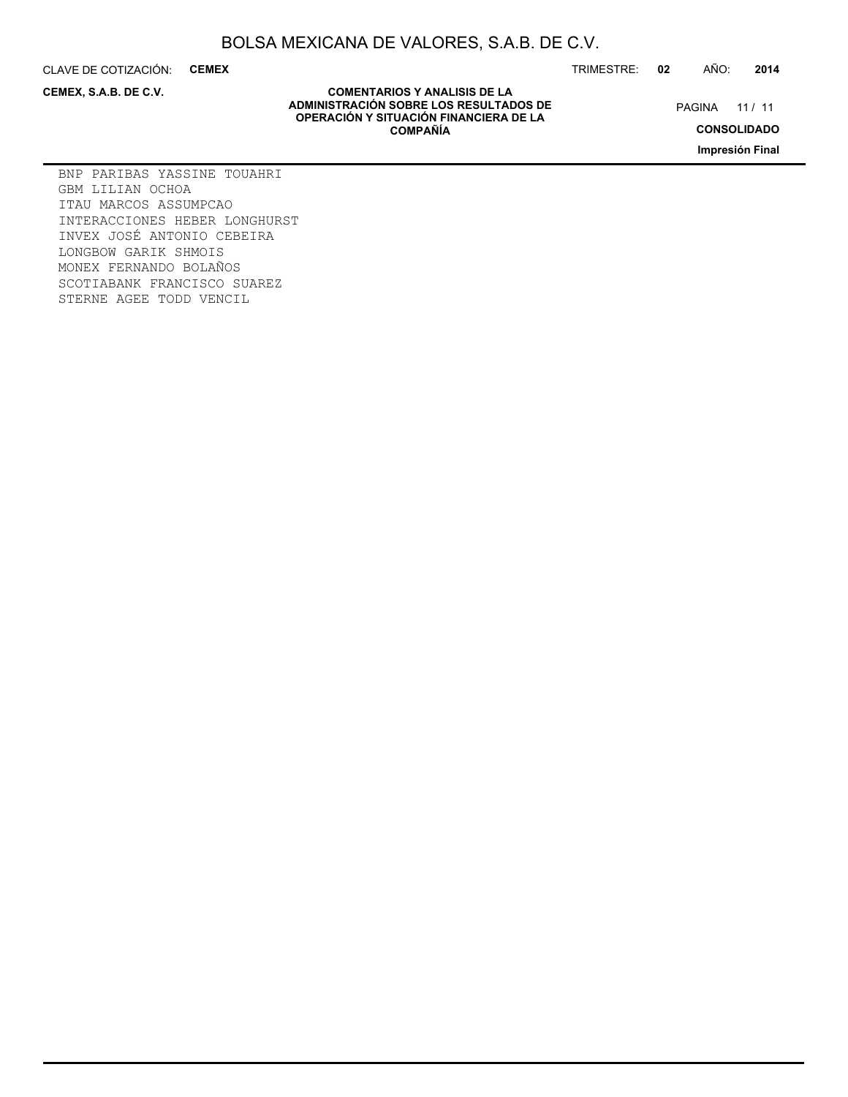CLAVE DE COTIZACIÓN: **CEMEX**

**CEMEX, S.A.B. DE C.V.**

TRIMESTRE: **02** AÑO: **2014**

PAGINA 11 / 11

**CONSOLIDADO**

**Impresión Final**

#### **COMENTARIOS Y ANALISIS DE LA ADMINISTRACIÓN SOBRE LOS RESULTADOS DE OPERACIÓN Y SITUACIÓN FINANCIERA DE LA COMPAÑÍA**

BNP PARIBAS YASSINE TOUAHRI GBM LILIAN OCHOA ITAU MARCOS ASSUMPCAO INTERACCIONES HEBER LONGHURST INVEX JOSÉ ANTONIO CEBEIRA LONGBOW GARIK SHMOIS MONEX FERNANDO BOLAÑOS SCOTIABANK FRANCISCO SUAREZ STERNE AGEE TODD VENCIL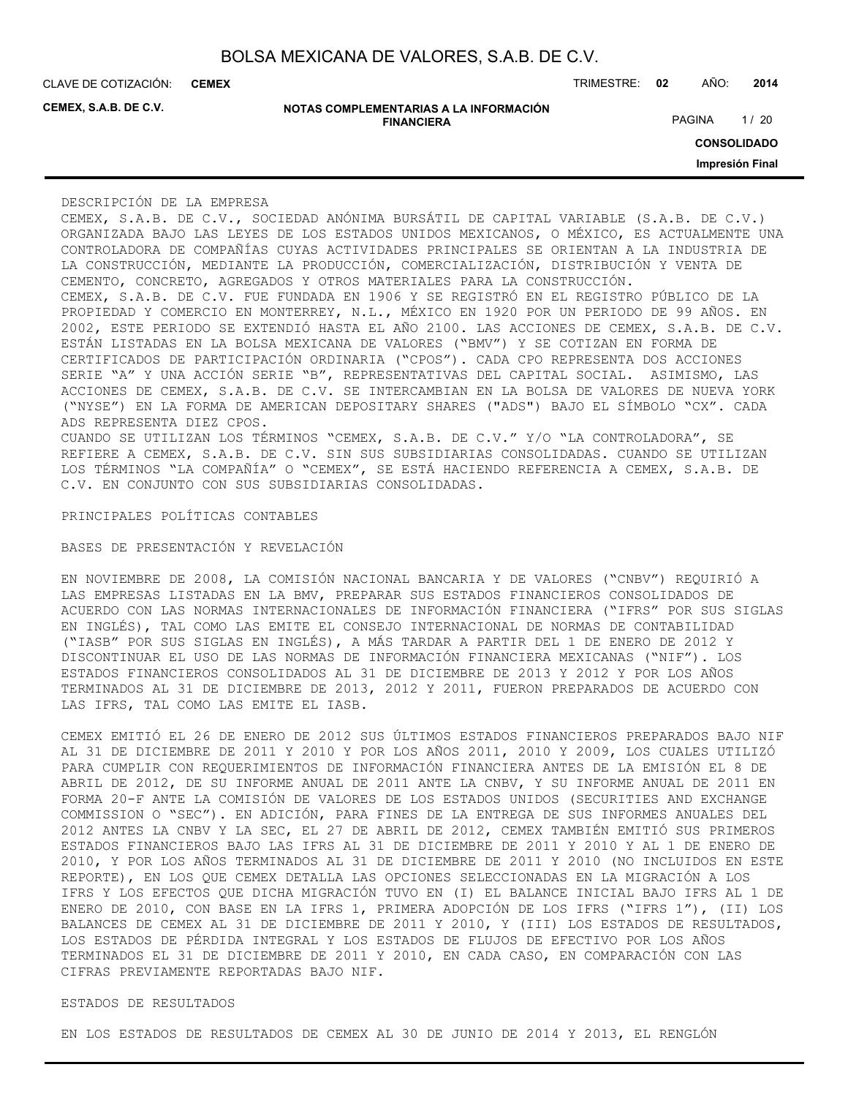**CEMEX**

**CEMEX, S.A.B. DE C.V.**

| NOTAS COMPLEMENTARIAS A LA INFORMACIÓN |
|----------------------------------------|
| <b>FINANCIERA</b>                      |

CLAVE DE COTIZACIÓN: TRIMESTRE: **02** AÑO: **2014**

PAGINA 1/20

**CONSOLIDADO**

**Impresión Final**

#### DESCRIPCIÓN DE LA EMPRESA

CEMEX, S.A.B. DE C.V., SOCIEDAD ANÓNIMA BURSÁTIL DE CAPITAL VARIABLE (S.A.B. DE C.V.) ORGANIZADA BAJO LAS LEYES DE LOS ESTADOS UNIDOS MEXICANOS, O MÉXICO, ES ACTUALMENTE UNA CONTROLADORA DE COMPAÑÍAS CUYAS ACTIVIDADES PRINCIPALES SE ORIENTAN A LA INDUSTRIA DE LA CONSTRUCCIÓN, MEDIANTE LA PRODUCCIÓN, COMERCIALIZACIÓN, DISTRIBUCIÓN Y VENTA DE CEMENTO, CONCRETO, AGREGADOS Y OTROS MATERIALES PARA LA CONSTRUCCIÓN. CEMEX, S.A.B. DE C.V. FUE FUNDADA EN 1906 Y SE REGISTRÓ EN EL REGISTRO PÚBLICO DE LA PROPIEDAD Y COMERCIO EN MONTERREY, N.L., MÉXICO EN 1920 POR UN PERIODO DE 99 AÑOS. EN 2002, ESTE PERIODO SE EXTENDIÓ HASTA EL AÑO 2100. LAS ACCIONES DE CEMEX, S.A.B. DE C.V. ESTÁN LISTADAS EN LA BOLSA MEXICANA DE VALORES ("BMV") Y SE COTIZAN EN FORMA DE CERTIFICADOS DE PARTICIPACIÓN ORDINARIA ("CPOS"). CADA CPO REPRESENTA DOS ACCIONES SERIE "A" Y UNA ACCIÓN SERIE "B", REPRESENTATIVAS DEL CAPITAL SOCIAL. ASIMISMO, LAS ACCIONES DE CEMEX, S.A.B. DE C.V. SE INTERCAMBIAN EN LA BOLSA DE VALORES DE NUEVA YORK ("NYSE") EN LA FORMA DE AMERICAN DEPOSITARY SHARES ("ADS") BAJO EL SÍMBOLO "CX". CADA ADS REPRESENTA DIEZ CPOS.

CUANDO SE UTILIZAN LOS TÉRMINOS "CEMEX, S.A.B. DE C.V." Y/O "LA CONTROLADORA", SE REFIERE A CEMEX, S.A.B. DE C.V. SIN SUS SUBSIDIARIAS CONSOLIDADAS. CUANDO SE UTILIZAN LOS TÉRMINOS "LA COMPAÑÍA" O "CEMEX", SE ESTÁ HACIENDO REFERENCIA A CEMEX, S.A.B. DE C.V. EN CONJUNTO CON SUS SUBSIDIARIAS CONSOLIDADAS.

PRINCIPALES POLÍTICAS CONTABLES

BASES DE PRESENTACIÓN Y REVELACIÓN

EN NOVIEMBRE DE 2008, LA COMISIÓN NACIONAL BANCARIA Y DE VALORES ("CNBV") REQUIRIÓ A LAS EMPRESAS LISTADAS EN LA BMV, PREPARAR SUS ESTADOS FINANCIEROS CONSOLIDADOS DE ACUERDO CON LAS NORMAS INTERNACIONALES DE INFORMACIÓN FINANCIERA ("IFRS" POR SUS SIGLAS EN INGLÉS), TAL COMO LAS EMITE EL CONSEJO INTERNACIONAL DE NORMAS DE CONTABILIDAD ("IASB" POR SUS SIGLAS EN INGLÉS), A MÁS TARDAR A PARTIR DEL 1 DE ENERO DE 2012 Y DISCONTINUAR EL USO DE LAS NORMAS DE INFORMACIÓN FINANCIERA MEXICANAS ("NIF"). LOS ESTADOS FINANCIEROS CONSOLIDADOS AL 31 DE DICIEMBRE DE 2013 Y 2012 Y POR LOS AÑOS TERMINADOS AL 31 DE DICIEMBRE DE 2013, 2012 Y 2011, FUERON PREPARADOS DE ACUERDO CON LAS IFRS, TAL COMO LAS EMITE EL IASB.

CEMEX EMITIÓ EL 26 DE ENERO DE 2012 SUS ÚLTIMOS ESTADOS FINANCIEROS PREPARADOS BAJO NIF AL 31 DE DICIEMBRE DE 2011 Y 2010 Y POR LOS AÑOS 2011, 2010 Y 2009, LOS CUALES UTILIZÓ PARA CUMPLIR CON REQUERIMIENTOS DE INFORMACIÓN FINANCIERA ANTES DE LA EMISIÓN EL 8 DE ABRIL DE 2012, DE SU INFORME ANUAL DE 2011 ANTE LA CNBV, Y SU INFORME ANUAL DE 2011 EN FORMA 20-F ANTE LA COMISIÓN DE VALORES DE LOS ESTADOS UNIDOS (SECURITIES AND EXCHANGE COMMISSION O "SEC"). EN ADICIÓN, PARA FINES DE LA ENTREGA DE SUS INFORMES ANUALES DEL 2012 ANTES LA CNBV Y LA SEC, EL 27 DE ABRIL DE 2012, CEMEX TAMBIÉN EMITIÓ SUS PRIMEROS ESTADOS FINANCIEROS BAJO LAS IFRS AL 31 DE DICIEMBRE DE 2011 Y 2010 Y AL 1 DE ENERO DE 2010, Y POR LOS AÑOS TERMINADOS AL 31 DE DICIEMBRE DE 2011 Y 2010 (NO INCLUIDOS EN ESTE REPORTE), EN LOS QUE CEMEX DETALLA LAS OPCIONES SELECCIONADAS EN LA MIGRACIÓN A LOS IFRS Y LOS EFECTOS QUE DICHA MIGRACIÓN TUVO EN (I) EL BALANCE INICIAL BAJO IFRS AL 1 DE ENERO DE 2010, CON BASE EN LA IFRS 1, PRIMERA ADOPCIÓN DE LOS IFRS ("IFRS 1"), (II) LOS BALANCES DE CEMEX AL 31 DE DICIEMBRE DE 2011 Y 2010, Y (III) LOS ESTADOS DE RESULTADOS, LOS ESTADOS DE PÉRDIDA INTEGRAL Y LOS ESTADOS DE FLUJOS DE EFECTIVO POR LOS AÑOS TERMINADOS EL 31 DE DICIEMBRE DE 2011 Y 2010, EN CADA CASO, EN COMPARACIÓN CON LAS CIFRAS PREVIAMENTE REPORTADAS BAJO NIF.

### ESTADOS DE RESULTADOS

EN LOS ESTADOS DE RESULTADOS DE CEMEX AL 30 DE JUNIO DE 2014 Y 2013, EL RENGLÓN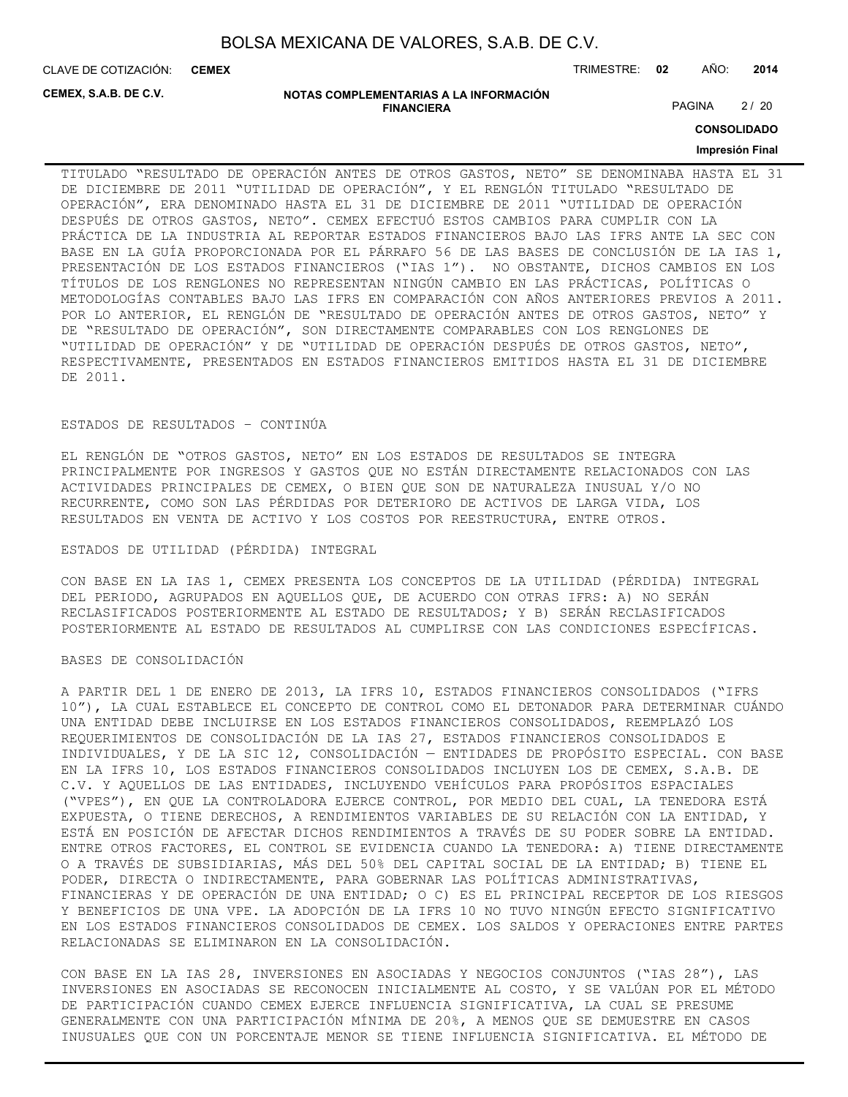CLAVE DE COTIZACIÓN: TRIMESTRE: **02** AÑO: **2014 CEMEX**

**CEMEX, S.A.B. DE C.V.**

#### **NOTAS COMPLEMENTARIAS A LA INFORMACIÓN FINANCIERA**

PAGINA 2/20

**CONSOLIDADO**

#### **Impresión Final**

TITULADO "RESULTADO DE OPERACIÓN ANTES DE OTROS GASTOS, NETO" SE DENOMINABA HASTA EL 31 DE DICIEMBRE DE 2011 "UTILIDAD DE OPERACIÓN", Y EL RENGLÓN TITULADO "RESULTADO DE OPERACIÓN", ERA DENOMINADO HASTA EL 31 DE DICIEMBRE DE 2011 "UTILIDAD DE OPERACIÓN DESPUÉS DE OTROS GASTOS, NETO". CEMEX EFECTUÓ ESTOS CAMBIOS PARA CUMPLIR CON LA PRÁCTICA DE LA INDUSTRIA AL REPORTAR ESTADOS FINANCIEROS BAJO LAS IFRS ANTE LA SEC CON BASE EN LA GUÍA PROPORCIONADA POR EL PÁRRAFO 56 DE LAS BASES DE CONCLUSIÓN DE LA IAS 1, PRESENTACIÓN DE LOS ESTADOS FINANCIEROS ("IAS 1"). NO OBSTANTE, DICHOS CAMBIOS EN LOS TÍTULOS DE LOS RENGLONES NO REPRESENTAN NINGÚN CAMBIO EN LAS PRÁCTICAS, POLÍTICAS O METODOLOGÍAS CONTABLES BAJO LAS IFRS EN COMPARACIÓN CON AÑOS ANTERIORES PREVIOS A 2011. POR LO ANTERIOR, EL RENGLÓN DE "RESULTADO DE OPERACIÓN ANTES DE OTROS GASTOS, NETO" Y DE "RESULTADO DE OPERACIÓN", SON DIRECTAMENTE COMPARABLES CON LOS RENGLONES DE "UTILIDAD DE OPERACIÓN" Y DE "UTILIDAD DE OPERACIÓN DESPUÉS DE OTROS GASTOS, NETO", RESPECTIVAMENTE, PRESENTADOS EN ESTADOS FINANCIEROS EMITIDOS HASTA EL 31 DE DICIEMBRE DE 2011.

#### ESTADOS DE RESULTADOS – CONTINÚA

EL RENGLÓN DE "OTROS GASTOS, NETO" EN LOS ESTADOS DE RESULTADOS SE INTEGRA PRINCIPALMENTE POR INGRESOS Y GASTOS QUE NO ESTÁN DIRECTAMENTE RELACIONADOS CON LAS ACTIVIDADES PRINCIPALES DE CEMEX, O BIEN QUE SON DE NATURALEZA INUSUAL Y/O NO RECURRENTE, COMO SON LAS PÉRDIDAS POR DETERIORO DE ACTIVOS DE LARGA VIDA, LOS RESULTADOS EN VENTA DE ACTIVO Y LOS COSTOS POR REESTRUCTURA, ENTRE OTROS.

#### ESTADOS DE UTILIDAD (PÉRDIDA) INTEGRAL

CON BASE EN LA IAS 1, CEMEX PRESENTA LOS CONCEPTOS DE LA UTILIDAD (PÉRDIDA) INTEGRAL DEL PERIODO, AGRUPADOS EN AQUELLOS QUE, DE ACUERDO CON OTRAS IFRS: A) NO SERÁN RECLASIFICADOS POSTERIORMENTE AL ESTADO DE RESULTADOS; Y B) SERÁN RECLASIFICADOS POSTERIORMENTE AL ESTADO DE RESULTADOS AL CUMPLIRSE CON LAS CONDICIONES ESPECÍFICAS.

#### BASES DE CONSOLIDACIÓN

A PARTIR DEL 1 DE ENERO DE 2013, LA IFRS 10, ESTADOS FINANCIEROS CONSOLIDADOS ("IFRS 10"), LA CUAL ESTABLECE EL CONCEPTO DE CONTROL COMO EL DETONADOR PARA DETERMINAR CUÁNDO UNA ENTIDAD DEBE INCLUIRSE EN LOS ESTADOS FINANCIEROS CONSOLIDADOS, REEMPLAZÓ LOS REQUERIMIENTOS DE CONSOLIDACIÓN DE LA IAS 27, ESTADOS FINANCIEROS CONSOLIDADOS E INDIVIDUALES, Y DE LA SIC 12, CONSOLIDACIÓN — ENTIDADES DE PROPÓSITO ESPECIAL. CON BASE EN LA IFRS 10, LOS ESTADOS FINANCIEROS CONSOLIDADOS INCLUYEN LOS DE CEMEX, S.A.B. DE C.V. Y AQUELLOS DE LAS ENTIDADES, INCLUYENDO VEHÍCULOS PARA PROPÓSITOS ESPACIALES ("VPES"), EN QUE LA CONTROLADORA EJERCE CONTROL, POR MEDIO DEL CUAL, LA TENEDORA ESTÁ EXPUESTA, O TIENE DERECHOS, A RENDIMIENTOS VARIABLES DE SU RELACIÓN CON LA ENTIDAD, Y ESTÁ EN POSICIÓN DE AFECTAR DICHOS RENDIMIENTOS A TRAVÉS DE SU PODER SOBRE LA ENTIDAD. ENTRE OTROS FACTORES, EL CONTROL SE EVIDENCIA CUANDO LA TENEDORA: A) TIENE DIRECTAMENTE O A TRAVÉS DE SUBSIDIARIAS, MÁS DEL 50% DEL CAPITAL SOCIAL DE LA ENTIDAD; B) TIENE EL PODER, DIRECTA O INDIRECTAMENTE, PARA GOBERNAR LAS POLÍTICAS ADMINISTRATIVAS, FINANCIERAS Y DE OPERACIÓN DE UNA ENTIDAD; O C) ES EL PRINCIPAL RECEPTOR DE LOS RIESGOS Y BENEFICIOS DE UNA VPE. LA ADOPCIÓN DE LA IFRS 10 NO TUVO NINGÚN EFECTO SIGNIFICATIVO EN LOS ESTADOS FINANCIEROS CONSOLIDADOS DE CEMEX. LOS SALDOS Y OPERACIONES ENTRE PARTES RELACIONADAS SE ELIMINARON EN LA CONSOLIDACIÓN.

CON BASE EN LA IAS 28, INVERSIONES EN ASOCIADAS Y NEGOCIOS CONJUNTOS ("IAS 28"), LAS INVERSIONES EN ASOCIADAS SE RECONOCEN INICIALMENTE AL COSTO, Y SE VALÚAN POR EL MÉTODO DE PARTICIPACIÓN CUANDO CEMEX EJERCE INFLUENCIA SIGNIFICATIVA, LA CUAL SE PRESUME GENERALMENTE CON UNA PARTICIPACIÓN MÍNIMA DE 20%, A MENOS QUE SE DEMUESTRE EN CASOS INUSUALES QUE CON UN PORCENTAJE MENOR SE TIENE INFLUENCIA SIGNIFICATIVA. EL MÉTODO DE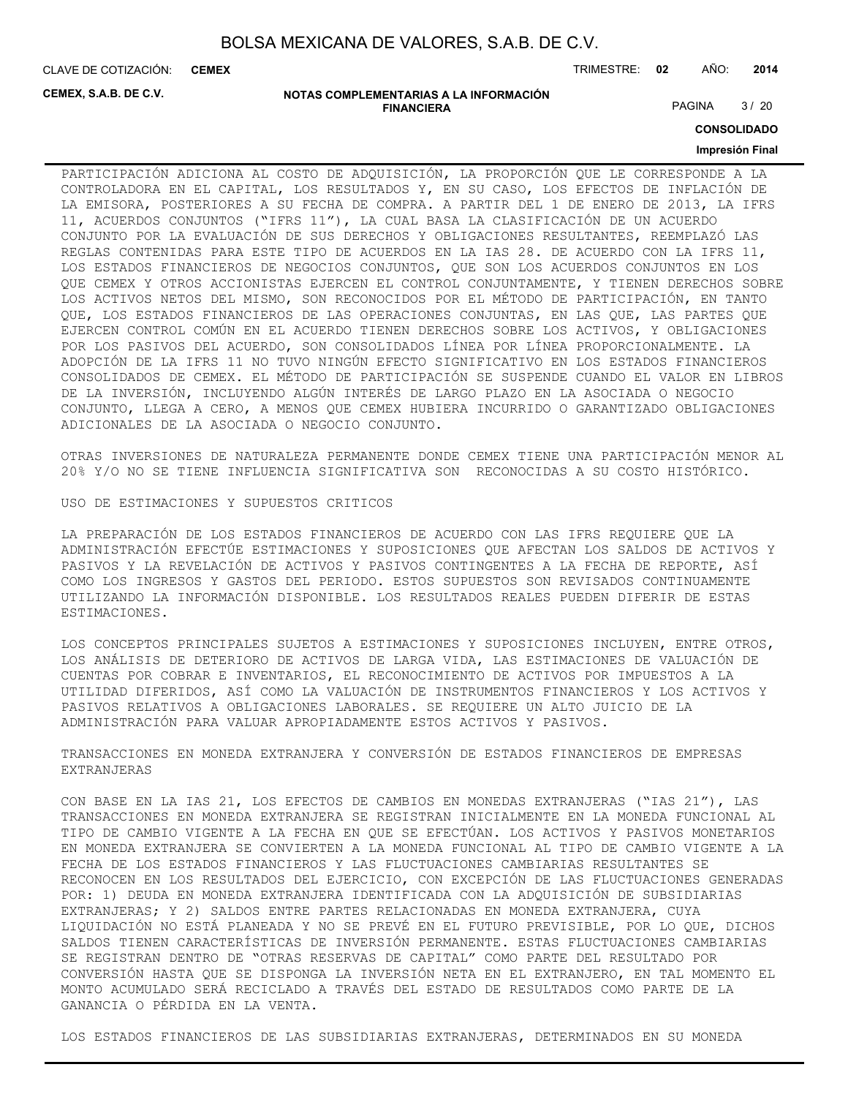CLAVE DE COTIZACIÓN: TRIMESTRE: **02** AÑO: **2014 CEMEX**

**CEMEX, S.A.B. DE C.V.**

#### **NOTAS COMPLEMENTARIAS A LA INFORMACIÓN FINANCIERA**

PAGINA 3/20

**CONSOLIDADO**

#### **Impresión Final**

PARTICIPACIÓN ADICIONA AL COSTO DE ADQUISICIÓN, LA PROPORCIÓN QUE LE CORRESPONDE A LA CONTROLADORA EN EL CAPITAL, LOS RESULTADOS Y, EN SU CASO, LOS EFECTOS DE INFLACIÓN DE LA EMISORA, POSTERIORES A SU FECHA DE COMPRA. A PARTIR DEL 1 DE ENERO DE 2013, LA IFRS 11, ACUERDOS CONJUNTOS ("IFRS 11"), LA CUAL BASA LA CLASIFICACIÓN DE UN ACUERDO CONJUNTO POR LA EVALUACIÓN DE SUS DERECHOS Y OBLIGACIONES RESULTANTES, REEMPLAZÓ LAS REGLAS CONTENIDAS PARA ESTE TIPO DE ACUERDOS EN LA IAS 28. DE ACUERDO CON LA IFRS 11, LOS ESTADOS FINANCIEROS DE NEGOCIOS CONJUNTOS, QUE SON LOS ACUERDOS CONJUNTOS EN LOS QUE CEMEX Y OTROS ACCIONISTAS EJERCEN EL CONTROL CONJUNTAMENTE, Y TIENEN DERECHOS SOBRE LOS ACTIVOS NETOS DEL MISMO, SON RECONOCIDOS POR EL MÉTODO DE PARTICIPACIÓN, EN TANTO QUE, LOS ESTADOS FINANCIEROS DE LAS OPERACIONES CONJUNTAS, EN LAS QUE, LAS PARTES QUE EJERCEN CONTROL COMÚN EN EL ACUERDO TIENEN DERECHOS SOBRE LOS ACTIVOS, Y OBLIGACIONES POR LOS PASIVOS DEL ACUERDO, SON CONSOLIDADOS LÍNEA POR LÍNEA PROPORCIONALMENTE. LA ADOPCIÓN DE LA IFRS 11 NO TUVO NINGÚN EFECTO SIGNIFICATIVO EN LOS ESTADOS FINANCIEROS CONSOLIDADOS DE CEMEX. EL MÉTODO DE PARTICIPACIÓN SE SUSPENDE CUANDO EL VALOR EN LIBROS DE LA INVERSIÓN, INCLUYENDO ALGÚN INTERÉS DE LARGO PLAZO EN LA ASOCIADA O NEGOCIO CONJUNTO, LLEGA A CERO, A MENOS QUE CEMEX HUBIERA INCURRIDO O GARANTIZADO OBLIGACIONES ADICIONALES DE LA ASOCIADA O NEGOCIO CONJUNTO.

OTRAS INVERSIONES DE NATURALEZA PERMANENTE DONDE CEMEX TIENE UNA PARTICIPACIÓN MENOR AL 20% Y/O NO SE TIENE INFLUENCIA SIGNIFICATIVA SON RECONOCIDAS A SU COSTO HISTÓRICO.

USO DE ESTIMACIONES Y SUPUESTOS CRITICOS

LA PREPARACIÓN DE LOS ESTADOS FINANCIEROS DE ACUERDO CON LAS IFRS REQUIERE QUE LA ADMINISTRACIÓN EFECTÚE ESTIMACIONES Y SUPOSICIONES QUE AFECTAN LOS SALDOS DE ACTIVOS Y PASIVOS Y LA REVELACIÓN DE ACTIVOS Y PASIVOS CONTINGENTES A LA FECHA DE REPORTE, ASÍ COMO LOS INGRESOS Y GASTOS DEL PERIODO. ESTOS SUPUESTOS SON REVISADOS CONTINUAMENTE UTILIZANDO LA INFORMACIÓN DISPONIBLE. LOS RESULTADOS REALES PUEDEN DIFERIR DE ESTAS ESTIMACIONES.

LOS CONCEPTOS PRINCIPALES SUJETOS A ESTIMACIONES Y SUPOSICIONES INCLUYEN, ENTRE OTROS, LOS ANÁLISIS DE DETERIORO DE ACTIVOS DE LARGA VIDA, LAS ESTIMACIONES DE VALUACIÓN DE CUENTAS POR COBRAR E INVENTARIOS, EL RECONOCIMIENTO DE ACTIVOS POR IMPUESTOS A LA UTILIDAD DIFERIDOS, ASÍ COMO LA VALUACIÓN DE INSTRUMENTOS FINANCIEROS Y LOS ACTIVOS Y PASIVOS RELATIVOS A OBLIGACIONES LABORALES. SE REQUIERE UN ALTO JUICIO DE LA ADMINISTRACIÓN PARA VALUAR APROPIADAMENTE ESTOS ACTIVOS Y PASIVOS.

TRANSACCIONES EN MONEDA EXTRANJERA Y CONVERSIÓN DE ESTADOS FINANCIEROS DE EMPRESAS EXTRANJERAS

CON BASE EN LA IAS 21, LOS EFECTOS DE CAMBIOS EN MONEDAS EXTRANJERAS ("IAS 21"), LAS TRANSACCIONES EN MONEDA EXTRANJERA SE REGISTRAN INICIALMENTE EN LA MONEDA FUNCIONAL AL TIPO DE CAMBIO VIGENTE A LA FECHA EN QUE SE EFECTÚAN. LOS ACTIVOS Y PASIVOS MONETARIOS EN MONEDA EXTRANJERA SE CONVIERTEN A LA MONEDA FUNCIONAL AL TIPO DE CAMBIO VIGENTE A LA FECHA DE LOS ESTADOS FINANCIEROS Y LAS FLUCTUACIONES CAMBIARIAS RESULTANTES SE RECONOCEN EN LOS RESULTADOS DEL EJERCICIO, CON EXCEPCIÓN DE LAS FLUCTUACIONES GENERADAS POR: 1) DEUDA EN MONEDA EXTRANJERA IDENTIFICADA CON LA ADQUISICIÓN DE SUBSIDIARIAS EXTRANJERAS; Y 2) SALDOS ENTRE PARTES RELACIONADAS EN MONEDA EXTRANJERA, CUYA LIQUIDACIÓN NO ESTÁ PLANEADA Y NO SE PREVÉ EN EL FUTURO PREVISIBLE, POR LO QUE, DICHOS SALDOS TIENEN CARACTERÍSTICAS DE INVERSIÓN PERMANENTE. ESTAS FLUCTUACIONES CAMBIARIAS SE REGISTRAN DENTRO DE "OTRAS RESERVAS DE CAPITAL" COMO PARTE DEL RESULTADO POR CONVERSIÓN HASTA QUE SE DISPONGA LA INVERSIÓN NETA EN EL EXTRANJERO, EN TAL MOMENTO EL MONTO ACUMULADO SERÁ RECICLADO A TRAVÉS DEL ESTADO DE RESULTADOS COMO PARTE DE LA GANANCIA O PÉRDIDA EN LA VENTA.

LOS ESTADOS FINANCIEROS DE LAS SUBSIDIARIAS EXTRANJERAS, DETERMINADOS EN SU MONEDA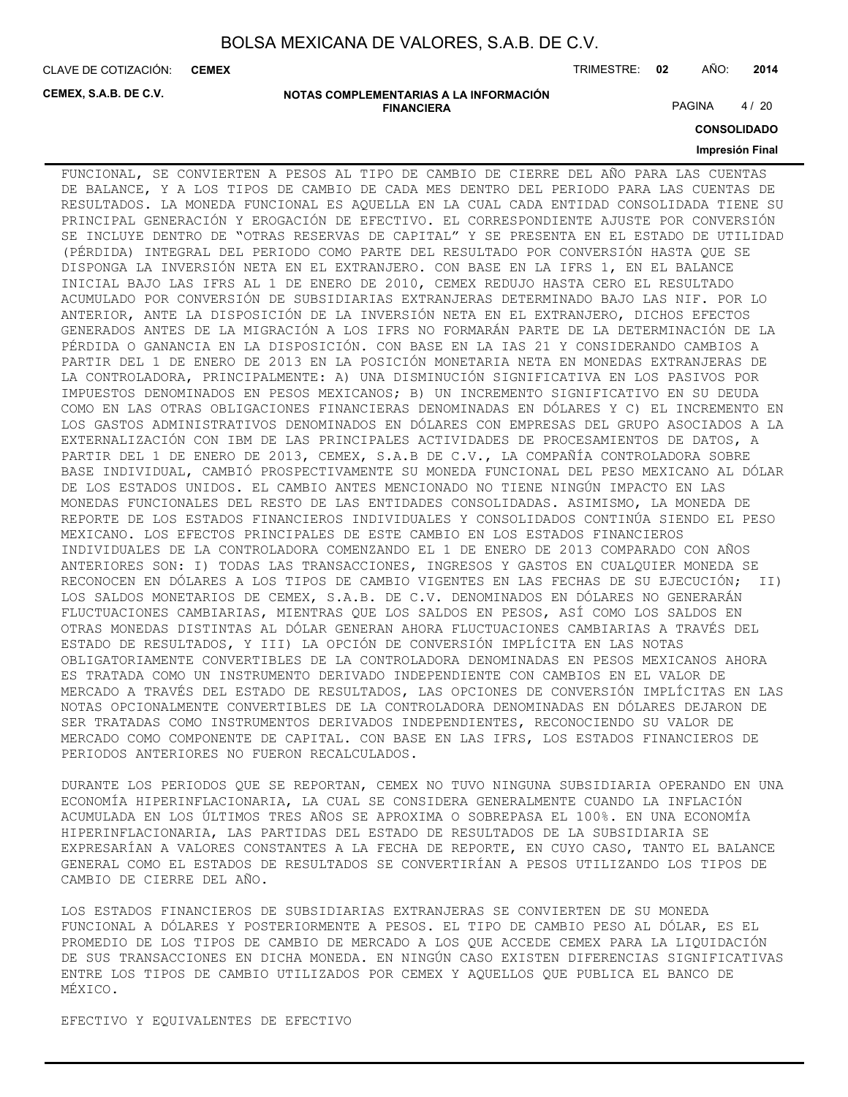**CEMEX**

CLAVE DE COTIZACIÓN: TRIMESTRE: **02** AÑO: **2014**

**CEMEX, S.A.B. DE C.V.**

**NOTAS COMPLEMENTARIAS A LA INFORMACIÓN FINANCIERA**

PAGINA 4/20

**CONSOLIDADO**

#### **Impresión Final**

FUNCIONAL, SE CONVIERTEN A PESOS AL TIPO DE CAMBIO DE CIERRE DEL AÑO PARA LAS CUENTAS DE BALANCE, Y A LOS TIPOS DE CAMBIO DE CADA MES DENTRO DEL PERIODO PARA LAS CUENTAS DE RESULTADOS. LA MONEDA FUNCIONAL ES AQUELLA EN LA CUAL CADA ENTIDAD CONSOLIDADA TIENE SU PRINCIPAL GENERACIÓN Y EROGACIÓN DE EFECTIVO. EL CORRESPONDIENTE AJUSTE POR CONVERSIÓN SE INCLUYE DENTRO DE "OTRAS RESERVAS DE CAPITAL" Y SE PRESENTA EN EL ESTADO DE UTILIDAD (PÉRDIDA) INTEGRAL DEL PERIODO COMO PARTE DEL RESULTADO POR CONVERSIÓN HASTA QUE SE DISPONGA LA INVERSIÓN NETA EN EL EXTRANJERO. CON BASE EN LA IFRS 1, EN EL BALANCE INICIAL BAJO LAS IFRS AL 1 DE ENERO DE 2010, CEMEX REDUJO HASTA CERO EL RESULTADO ACUMULADO POR CONVERSIÓN DE SUBSIDIARIAS EXTRANJERAS DETERMINADO BAJO LAS NIF. POR LO ANTERIOR, ANTE LA DISPOSICIÓN DE LA INVERSIÓN NETA EN EL EXTRANJERO, DICHOS EFECTOS GENERADOS ANTES DE LA MIGRACIÓN A LOS IFRS NO FORMARÁN PARTE DE LA DETERMINACIÓN DE LA PÉRDIDA O GANANCIA EN LA DISPOSICIÓN. CON BASE EN LA IAS 21 Y CONSIDERANDO CAMBIOS A PARTIR DEL 1 DE ENERO DE 2013 EN LA POSICIÓN MONETARIA NETA EN MONEDAS EXTRANJERAS DE LA CONTROLADORA, PRINCIPALMENTE: A) UNA DISMINUCIÓN SIGNIFICATIVA EN LOS PASIVOS POR IMPUESTOS DENOMINADOS EN PESOS MEXICANOS; B) UN INCREMENTO SIGNIFICATIVO EN SU DEUDA COMO EN LAS OTRAS OBLIGACIONES FINANCIERAS DENOMINADAS EN DÓLARES Y C) EL INCREMENTO EN LOS GASTOS ADMINISTRATIVOS DENOMINADOS EN DÓLARES CON EMPRESAS DEL GRUPO ASOCIADOS A LA EXTERNALIZACIÓN CON IBM DE LAS PRINCIPALES ACTIVIDADES DE PROCESAMIENTOS DE DATOS, A PARTIR DEL 1 DE ENERO DE 2013, CEMEX, S.A.B DE C.V., LA COMPAÑÍA CONTROLADORA SOBRE BASE INDIVIDUAL, CAMBIÓ PROSPECTIVAMENTE SU MONEDA FUNCIONAL DEL PESO MEXICANO AL DÓLAR DE LOS ESTADOS UNIDOS. EL CAMBIO ANTES MENCIONADO NO TIENE NINGÚN IMPACTO EN LAS MONEDAS FUNCIONALES DEL RESTO DE LAS ENTIDADES CONSOLIDADAS. ASIMISMO, LA MONEDA DE REPORTE DE LOS ESTADOS FINANCIEROS INDIVIDUALES Y CONSOLIDADOS CONTINÚA SIENDO EL PESO MEXICANO. LOS EFECTOS PRINCIPALES DE ESTE CAMBIO EN LOS ESTADOS FINANCIEROS INDIVIDUALES DE LA CONTROLADORA COMENZANDO EL 1 DE ENERO DE 2013 COMPARADO CON AÑOS ANTERIORES SON: I) TODAS LAS TRANSACCIONES, INGRESOS Y GASTOS EN CUALQUIER MONEDA SE RECONOCEN EN DÓLARES A LOS TIPOS DE CAMBIO VIGENTES EN LAS FECHAS DE SU EJECUCIÓN; II) LOS SALDOS MONETARIOS DE CEMEX, S.A.B. DE C.V. DENOMINADOS EN DÓLARES NO GENERARÁN FLUCTUACIONES CAMBIARIAS, MIENTRAS QUE LOS SALDOS EN PESOS, ASÍ COMO LOS SALDOS EN OTRAS MONEDAS DISTINTAS AL DÓLAR GENERAN AHORA FLUCTUACIONES CAMBIARIAS A TRAVÉS DEL ESTADO DE RESULTADOS, Y III) LA OPCIÓN DE CONVERSIÓN IMPLÍCITA EN LAS NOTAS OBLIGATORIAMENTE CONVERTIBLES DE LA CONTROLADORA DENOMINADAS EN PESOS MEXICANOS AHORA ES TRATADA COMO UN INSTRUMENTO DERIVADO INDEPENDIENTE CON CAMBIOS EN EL VALOR DE MERCADO A TRAVÉS DEL ESTADO DE RESULTADOS, LAS OPCIONES DE CONVERSIÓN IMPLÍCITAS EN LAS NOTAS OPCIONALMENTE CONVERTIBLES DE LA CONTROLADORA DENOMINADAS EN DÓLARES DEJARON DE SER TRATADAS COMO INSTRUMENTOS DERIVADOS INDEPENDIENTES, RECONOCIENDO SU VALOR DE MERCADO COMO COMPONENTE DE CAPITAL. CON BASE EN LAS IFRS, LOS ESTADOS FINANCIEROS DE PERIODOS ANTERIORES NO FUERON RECALCULADOS.

DURANTE LOS PERIODOS QUE SE REPORTAN, CEMEX NO TUVO NINGUNA SUBSIDIARIA OPERANDO EN UNA ECONOMÍA HIPERINFLACIONARIA, LA CUAL SE CONSIDERA GENERALMENTE CUANDO LA INFLACIÓN ACUMULADA EN LOS ÚLTIMOS TRES AÑOS SE APROXIMA O SOBREPASA EL 100%. EN UNA ECONOMÍA HIPERINFLACIONARIA, LAS PARTIDAS DEL ESTADO DE RESULTADOS DE LA SUBSIDIARIA SE EXPRESARÍAN A VALORES CONSTANTES A LA FECHA DE REPORTE, EN CUYO CASO, TANTO EL BALANCE GENERAL COMO EL ESTADOS DE RESULTADOS SE CONVERTIRÍAN A PESOS UTILIZANDO LOS TIPOS DE CAMBIO DE CIERRE DEL AÑO.

LOS ESTADOS FINANCIEROS DE SUBSIDIARIAS EXTRANJERAS SE CONVIERTEN DE SU MONEDA FUNCIONAL A DÓLARES Y POSTERIORMENTE A PESOS. EL TIPO DE CAMBIO PESO AL DÓLAR, ES EL PROMEDIO DE LOS TIPOS DE CAMBIO DE MERCADO A LOS QUE ACCEDE CEMEX PARA LA LIQUIDACIÓN DE SUS TRANSACCIONES EN DICHA MONEDA. EN NINGÚN CASO EXISTEN DIFERENCIAS SIGNIFICATIVAS ENTRE LOS TIPOS DE CAMBIO UTILIZADOS POR CEMEX Y AQUELLOS QUE PUBLICA EL BANCO DE MÉXICO.

EFECTIVO Y EQUIVALENTES DE EFECTIVO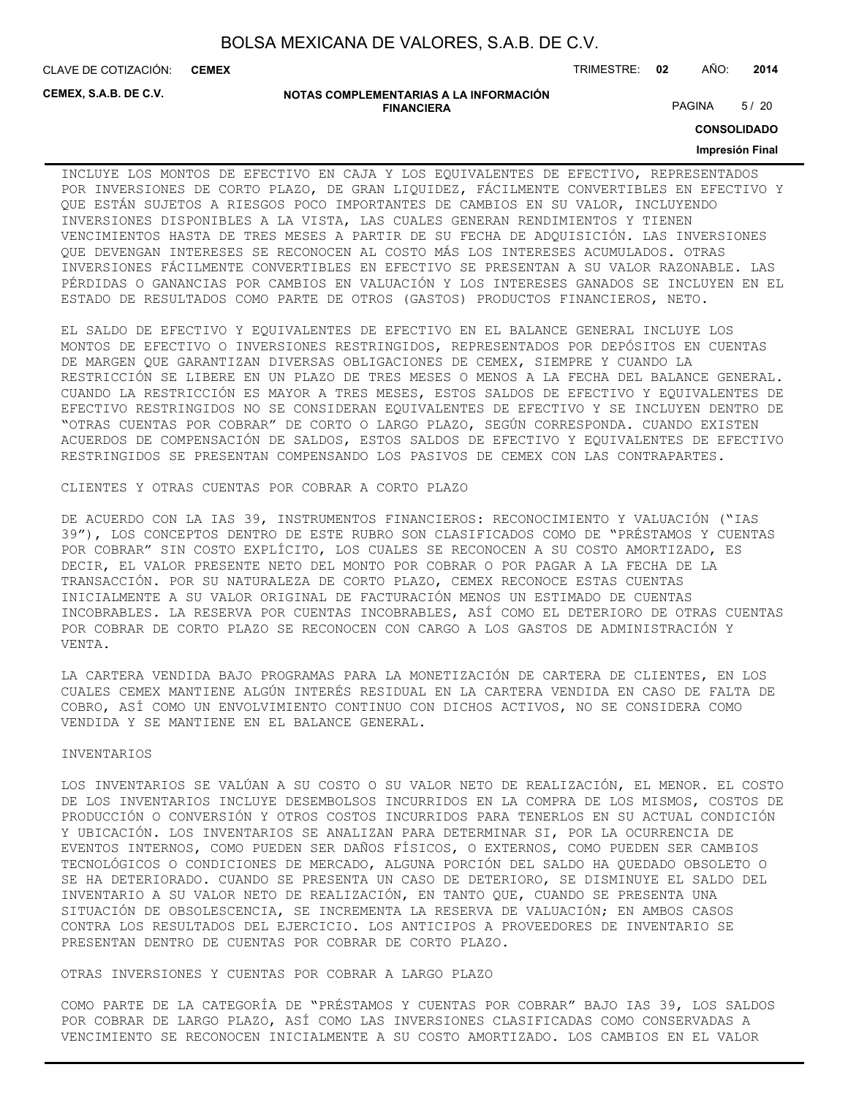CLAVE DE COTIZACIÓN: TRIMESTRE: **02** AÑO: **2014 CEMEX**

**CEMEX, S.A.B. DE C.V.**

#### **NOTAS COMPLEMENTARIAS A LA INFORMACIÓN FINANCIERA**

PAGINA 5/20

**CONSOLIDADO**

#### **Impresión Final**

INCLUYE LOS MONTOS DE EFECTIVO EN CAJA Y LOS EQUIVALENTES DE EFECTIVO, REPRESENTADOS POR INVERSIONES DE CORTO PLAZO, DE GRAN LIQUIDEZ, FÁCILMENTE CONVERTIBLES EN EFECTIVO Y QUE ESTÁN SUJETOS A RIESGOS POCO IMPORTANTES DE CAMBIOS EN SU VALOR, INCLUYENDO INVERSIONES DISPONIBLES A LA VISTA, LAS CUALES GENERAN RENDIMIENTOS Y TIENEN VENCIMIENTOS HASTA DE TRES MESES A PARTIR DE SU FECHA DE ADQUISICIÓN. LAS INVERSIONES QUE DEVENGAN INTERESES SE RECONOCEN AL COSTO MÁS LOS INTERESES ACUMULADOS. OTRAS INVERSIONES FÁCILMENTE CONVERTIBLES EN EFECTIVO SE PRESENTAN A SU VALOR RAZONABLE. LAS PÉRDIDAS O GANANCIAS POR CAMBIOS EN VALUACIÓN Y LOS INTERESES GANADOS SE INCLUYEN EN EL ESTADO DE RESULTADOS COMO PARTE DE OTROS (GASTOS) PRODUCTOS FINANCIEROS, NETO.

EL SALDO DE EFECTIVO Y EQUIVALENTES DE EFECTIVO EN EL BALANCE GENERAL INCLUYE LOS MONTOS DE EFECTIVO O INVERSIONES RESTRINGIDOS, REPRESENTADOS POR DEPÓSITOS EN CUENTAS DE MARGEN QUE GARANTIZAN DIVERSAS OBLIGACIONES DE CEMEX, SIEMPRE Y CUANDO LA RESTRICCIÓN SE LIBERE EN UN PLAZO DE TRES MESES O MENOS A LA FECHA DEL BALANCE GENERAL. CUANDO LA RESTRICCIÓN ES MAYOR A TRES MESES, ESTOS SALDOS DE EFECTIVO Y EQUIVALENTES DE EFECTIVO RESTRINGIDOS NO SE CONSIDERAN EQUIVALENTES DE EFECTIVO Y SE INCLUYEN DENTRO DE "OTRAS CUENTAS POR COBRAR" DE CORTO O LARGO PLAZO, SEGÚN CORRESPONDA. CUANDO EXISTEN ACUERDOS DE COMPENSACIÓN DE SALDOS, ESTOS SALDOS DE EFECTIVO Y EQUIVALENTES DE EFECTIVO RESTRINGIDOS SE PRESENTAN COMPENSANDO LOS PASIVOS DE CEMEX CON LAS CONTRAPARTES.

CLIENTES Y OTRAS CUENTAS POR COBRAR A CORTO PLAZO

DE ACUERDO CON LA IAS 39, INSTRUMENTOS FINANCIEROS: RECONOCIMIENTO Y VALUACIÓN ("IAS 39"), LOS CONCEPTOS DENTRO DE ESTE RUBRO SON CLASIFICADOS COMO DE "PRÉSTAMOS Y CUENTAS POR COBRAR" SIN COSTO EXPLÍCITO, LOS CUALES SE RECONOCEN A SU COSTO AMORTIZADO, ES DECIR, EL VALOR PRESENTE NETO DEL MONTO POR COBRAR O POR PAGAR A LA FECHA DE LA TRANSACCIÓN. POR SU NATURALEZA DE CORTO PLAZO, CEMEX RECONOCE ESTAS CUENTAS INICIALMENTE A SU VALOR ORIGINAL DE FACTURACIÓN MENOS UN ESTIMADO DE CUENTAS INCOBRABLES. LA RESERVA POR CUENTAS INCOBRABLES, ASÍ COMO EL DETERIORO DE OTRAS CUENTAS POR COBRAR DE CORTO PLAZO SE RECONOCEN CON CARGO A LOS GASTOS DE ADMINISTRACIÓN Y VENTA.

LA CARTERA VENDIDA BAJO PROGRAMAS PARA LA MONETIZACIÓN DE CARTERA DE CLIENTES, EN LOS CUALES CEMEX MANTIENE ALGÚN INTERÉS RESIDUAL EN LA CARTERA VENDIDA EN CASO DE FALTA DE COBRO, ASÍ COMO UN ENVOLVIMIENTO CONTINUO CON DICHOS ACTIVOS, NO SE CONSIDERA COMO VENDIDA Y SE MANTIENE EN EL BALANCE GENERAL.

#### INVENTARIOS

LOS INVENTARIOS SE VALÚAN A SU COSTO O SU VALOR NETO DE REALIZACIÓN, EL MENOR. EL COSTO DE LOS INVENTARIOS INCLUYE DESEMBOLSOS INCURRIDOS EN LA COMPRA DE LOS MISMOS, COSTOS DE PRODUCCIÓN O CONVERSIÓN Y OTROS COSTOS INCURRIDOS PARA TENERLOS EN SU ACTUAL CONDICIÓN Y UBICACIÓN. LOS INVENTARIOS SE ANALIZAN PARA DETERMINAR SI, POR LA OCURRENCIA DE EVENTOS INTERNOS, COMO PUEDEN SER DAÑOS FÍSICOS, O EXTERNOS, COMO PUEDEN SER CAMBIOS TECNOLÓGICOS O CONDICIONES DE MERCADO, ALGUNA PORCIÓN DEL SALDO HA QUEDADO OBSOLETO O SE HA DETERIORADO. CUANDO SE PRESENTA UN CASO DE DETERIORO, SE DISMINUYE EL SALDO DEL INVENTARIO A SU VALOR NETO DE REALIZACIÓN, EN TANTO QUE, CUANDO SE PRESENTA UNA SITUACIÓN DE OBSOLESCENCIA, SE INCREMENTA LA RESERVA DE VALUACIÓN; EN AMBOS CASOS CONTRA LOS RESULTADOS DEL EJERCICIO. LOS ANTICIPOS A PROVEEDORES DE INVENTARIO SE PRESENTAN DENTRO DE CUENTAS POR COBRAR DE CORTO PLAZO.

OTRAS INVERSIONES Y CUENTAS POR COBRAR A LARGO PLAZO

COMO PARTE DE LA CATEGORÍA DE "PRÉSTAMOS Y CUENTAS POR COBRAR" BAJO IAS 39, LOS SALDOS POR COBRAR DE LARGO PLAZO, ASÍ COMO LAS INVERSIONES CLASIFICADAS COMO CONSERVADAS A VENCIMIENTO SE RECONOCEN INICIALMENTE A SU COSTO AMORTIZADO. LOS CAMBIOS EN EL VALOR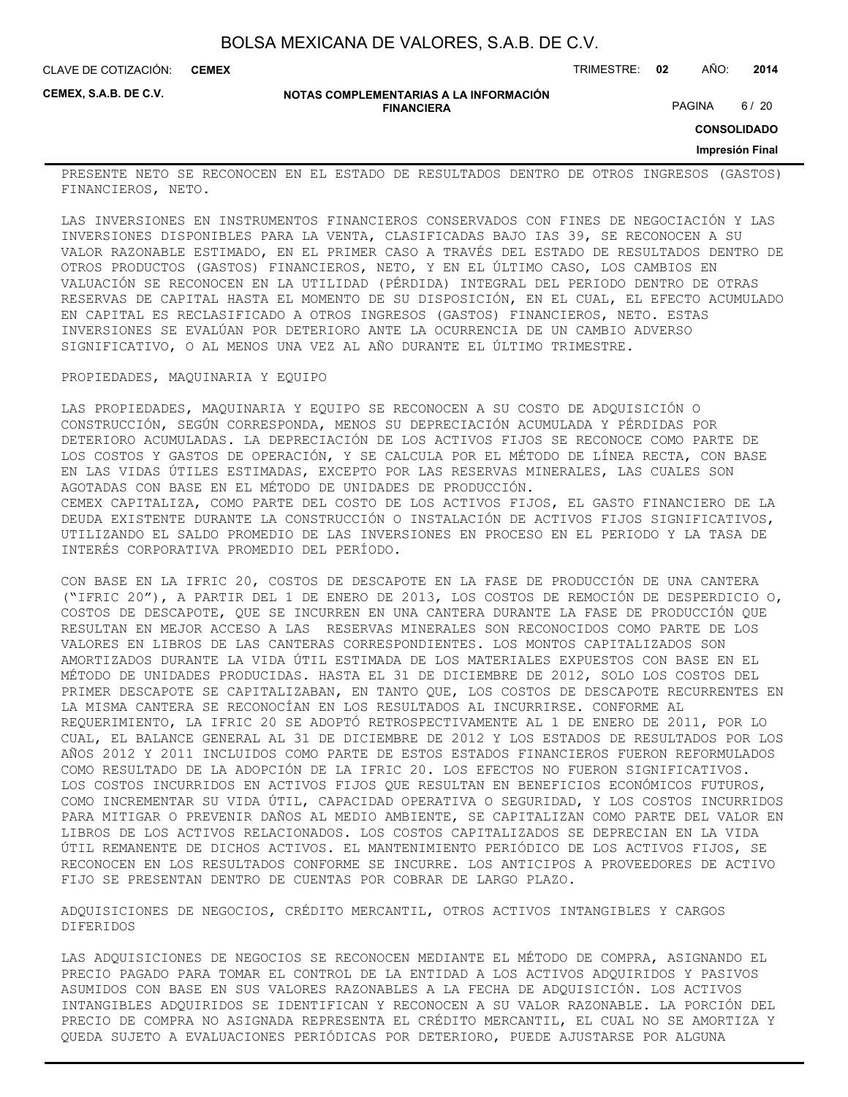CLAVE DE COTIZACIÓN: TRIMESTRE: **02** AÑO: **2014 CEMEX**

**CEMEX, S.A.B. DE C.V.**

#### **NOTAS COMPLEMENTARIAS A LA INFORMACIÓN FINANCIERA**

PAGINA 6 / 20

**CONSOLIDADO**

#### **Impresión Final**

PRESENTE NETO SE RECONOCEN EN EL ESTADO DE RESULTADOS DENTRO DE OTROS INGRESOS (GASTOS) FINANCIEROS, NETO.

LAS INVERSIONES EN INSTRUMENTOS FINANCIEROS CONSERVADOS CON FINES DE NEGOCIACIÓN Y LAS INVERSIONES DISPONIBLES PARA LA VENTA, CLASIFICADAS BAJO IAS 39, SE RECONOCEN A SU VALOR RAZONABLE ESTIMADO, EN EL PRIMER CASO A TRAVÉS DEL ESTADO DE RESULTADOS DENTRO DE OTROS PRODUCTOS (GASTOS) FINANCIEROS, NETO, Y EN EL ÚLTIMO CASO, LOS CAMBIOS EN VALUACIÓN SE RECONOCEN EN LA UTILIDAD (PÉRDIDA) INTEGRAL DEL PERIODO DENTRO DE OTRAS RESERVAS DE CAPITAL HASTA EL MOMENTO DE SU DISPOSICIÓN, EN EL CUAL, EL EFECTO ACUMULADO EN CAPITAL ES RECLASIFICADO A OTROS INGRESOS (GASTOS) FINANCIEROS, NETO. ESTAS INVERSIONES SE EVALÚAN POR DETERIORO ANTE LA OCURRENCIA DE UN CAMBIO ADVERSO SIGNIFICATIVO, O AL MENOS UNA VEZ AL AÑO DURANTE EL ÚLTIMO TRIMESTRE.

#### PROPIEDADES, MAQUINARIA Y EQUIPO

LAS PROPIEDADES, MAQUINARIA Y EQUIPO SE RECONOCEN A SU COSTO DE ADQUISICIÓN O CONSTRUCCIÓN, SEGÚN CORRESPONDA, MENOS SU DEPRECIACIÓN ACUMULADA Y PÉRDIDAS POR DETERIORO ACUMULADAS. LA DEPRECIACIÓN DE LOS ACTIVOS FIJOS SE RECONOCE COMO PARTE DE LOS COSTOS Y GASTOS DE OPERACIÓN, Y SE CALCULA POR EL MÉTODO DE LÍNEA RECTA, CON BASE EN LAS VIDAS ÚTILES ESTIMADAS, EXCEPTO POR LAS RESERVAS MINERALES, LAS CUALES SON AGOTADAS CON BASE EN EL MÉTODO DE UNIDADES DE PRODUCCIÓN. CEMEX CAPITALIZA, COMO PARTE DEL COSTO DE LOS ACTIVOS FIJOS, EL GASTO FINANCIERO DE LA DEUDA EXISTENTE DURANTE LA CONSTRUCCIÓN O INSTALACIÓN DE ACTIVOS FIJOS SIGNIFICATIVOS, UTILIZANDO EL SALDO PROMEDIO DE LAS INVERSIONES EN PROCESO EN EL PERIODO Y LA TASA DE INTERÉS CORPORATIVA PROMEDIO DEL PERÍODO.

CON BASE EN LA IFRIC 20, COSTOS DE DESCAPOTE EN LA FASE DE PRODUCCIÓN DE UNA CANTERA ("IFRIC 20"), A PARTIR DEL 1 DE ENERO DE 2013, LOS COSTOS DE REMOCIÓN DE DESPERDICIO O, COSTOS DE DESCAPOTE, QUE SE INCURREN EN UNA CANTERA DURANTE LA FASE DE PRODUCCIÓN QUE RESULTAN EN MEJOR ACCESO A LAS RESERVAS MINERALES SON RECONOCIDOS COMO PARTE DE LOS VALORES EN LIBROS DE LAS CANTERAS CORRESPONDIENTES. LOS MONTOS CAPITALIZADOS SON AMORTIZADOS DURANTE LA VIDA ÚTIL ESTIMADA DE LOS MATERIALES EXPUESTOS CON BASE EN EL MÉTODO DE UNIDADES PRODUCIDAS. HASTA EL 31 DE DICIEMBRE DE 2012, SOLO LOS COSTOS DEL PRIMER DESCAPOTE SE CAPITALIZABAN, EN TANTO QUE, LOS COSTOS DE DESCAPOTE RECURRENTES EN LA MISMA CANTERA SE RECONOCÍAN EN LOS RESULTADOS AL INCURRIRSE. CONFORME AL REQUERIMIENTO, LA IFRIC 20 SE ADOPTÓ RETROSPECTIVAMENTE AL 1 DE ENERO DE 2011, POR LO CUAL, EL BALANCE GENERAL AL 31 DE DICIEMBRE DE 2012 Y LOS ESTADOS DE RESULTADOS POR LOS AÑOS 2012 Y 2011 INCLUIDOS COMO PARTE DE ESTOS ESTADOS FINANCIEROS FUERON REFORMULADOS COMO RESULTADO DE LA ADOPCIÓN DE LA IFRIC 20. LOS EFECTOS NO FUERON SIGNIFICATIVOS. LOS COSTOS INCURRIDOS EN ACTIVOS FIJOS QUE RESULTAN EN BENEFICIOS ECONÓMICOS FUTUROS, COMO INCREMENTAR SU VIDA ÚTIL, CAPACIDAD OPERATIVA O SEGURIDAD, Y LOS COSTOS INCURRIDOS PARA MITIGAR O PREVENIR DAÑOS AL MEDIO AMBIENTE, SE CAPITALIZAN COMO PARTE DEL VALOR EN LIBROS DE LOS ACTIVOS RELACIONADOS. LOS COSTOS CAPITALIZADOS SE DEPRECIAN EN LA VIDA ÚTIL REMANENTE DE DICHOS ACTIVOS. EL MANTENIMIENTO PERIÓDICO DE LOS ACTIVOS FIJOS, SE RECONOCEN EN LOS RESULTADOS CONFORME SE INCURRE. LOS ANTICIPOS A PROVEEDORES DE ACTIVO FIJO SE PRESENTAN DENTRO DE CUENTAS POR COBRAR DE LARGO PLAZO.

ADQUISICIONES DE NEGOCIOS, CRÉDITO MERCANTIL, OTROS ACTIVOS INTANGIBLES Y CARGOS DIFERIDOS

LAS ADQUISICIONES DE NEGOCIOS SE RECONOCEN MEDIANTE EL MÉTODO DE COMPRA, ASIGNANDO EL PRECIO PAGADO PARA TOMAR EL CONTROL DE LA ENTIDAD A LOS ACTIVOS ADQUIRIDOS Y PASIVOS ASUMIDOS CON BASE EN SUS VALORES RAZONABLES A LA FECHA DE ADQUISICIÓN. LOS ACTIVOS INTANGIBLES ADQUIRIDOS SE IDENTIFICAN Y RECONOCEN A SU VALOR RAZONABLE. LA PORCIÓN DEL PRECIO DE COMPRA NO ASIGNADA REPRESENTA EL CRÉDITO MERCANTIL, EL CUAL NO SE AMORTIZA Y QUEDA SUJETO A EVALUACIONES PERIÓDICAS POR DETERIORO, PUEDE AJUSTARSE POR ALGUNA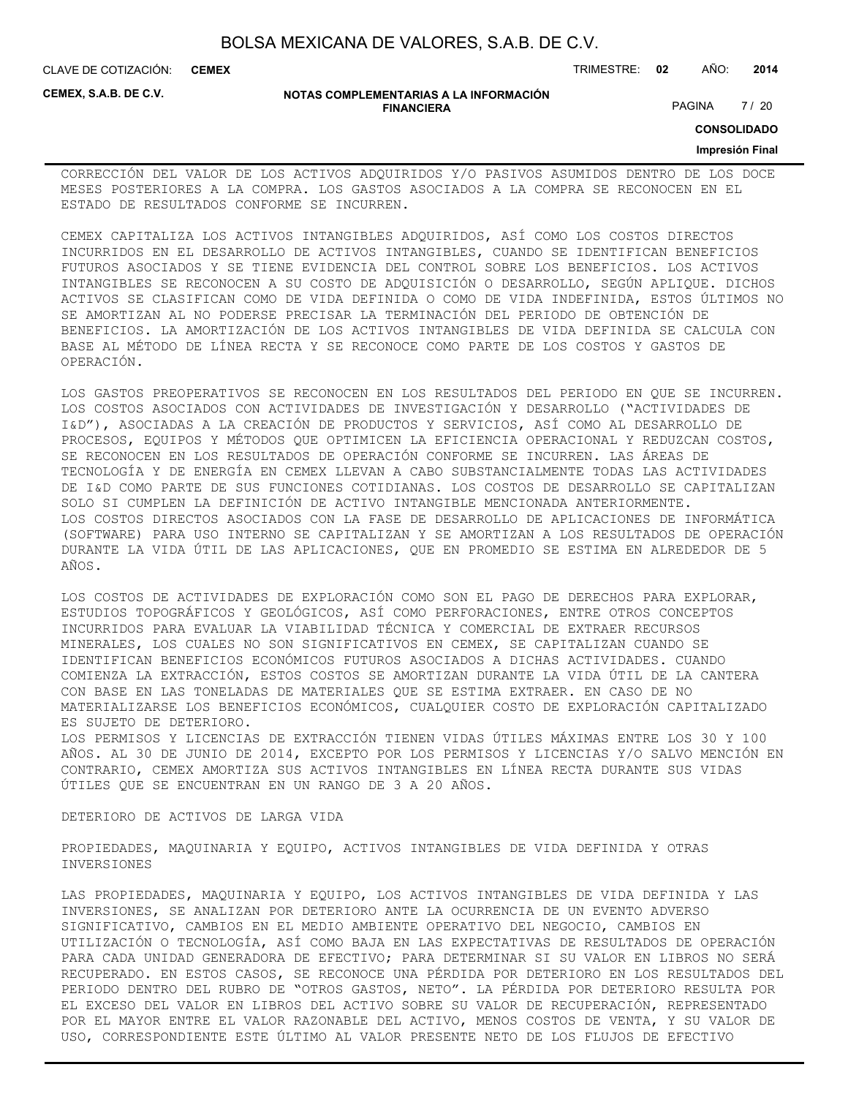| BOLSA MEXICANA DE VALORES, S.A.B. DE C.V. |  |  |
|-------------------------------------------|--|--|
|-------------------------------------------|--|--|

CLAVE DE COTIZACIÓN: TRIMESTRE: **02** AÑO: **2014 CEMEX**

**CEMEX, S.A.B. DE C.V.**

#### **NOTAS COMPLEMENTARIAS A LA INFORMACIÓN FINANCIERA**

PAGINA 7 / 20

**CONSOLIDADO**

#### **Impresión Final**

CORRECCIÓN DEL VALOR DE LOS ACTIVOS ADQUIRIDOS Y/O PASIVOS ASUMIDOS DENTRO DE LOS DOCE MESES POSTERIORES A LA COMPRA. LOS GASTOS ASOCIADOS A LA COMPRA SE RECONOCEN EN EL ESTADO DE RESULTADOS CONFORME SE INCURREN.

CEMEX CAPITALIZA LOS ACTIVOS INTANGIBLES ADQUIRIDOS, ASÍ COMO LOS COSTOS DIRECTOS INCURRIDOS EN EL DESARROLLO DE ACTIVOS INTANGIBLES, CUANDO SE IDENTIFICAN BENEFICIOS FUTUROS ASOCIADOS Y SE TIENE EVIDENCIA DEL CONTROL SOBRE LOS BENEFICIOS. LOS ACTIVOS INTANGIBLES SE RECONOCEN A SU COSTO DE ADQUISICIÓN O DESARROLLO, SEGÚN APLIQUE. DICHOS ACTIVOS SE CLASIFICAN COMO DE VIDA DEFINIDA O COMO DE VIDA INDEFINIDA, ESTOS ÚLTIMOS NO SE AMORTIZAN AL NO PODERSE PRECISAR LA TERMINACIÓN DEL PERIODO DE OBTENCIÓN DE BENEFICIOS. LA AMORTIZACIÓN DE LOS ACTIVOS INTANGIBLES DE VIDA DEFINIDA SE CALCULA CON BASE AL MÉTODO DE LÍNEA RECTA Y SE RECONOCE COMO PARTE DE LOS COSTOS Y GASTOS DE OPERACIÓN.

LOS GASTOS PREOPERATIVOS SE RECONOCEN EN LOS RESULTADOS DEL PERIODO EN QUE SE INCURREN. LOS COSTOS ASOCIADOS CON ACTIVIDADES DE INVESTIGACIÓN Y DESARROLLO ("ACTIVIDADES DE I&D"), ASOCIADAS A LA CREACIÓN DE PRODUCTOS Y SERVICIOS, ASÍ COMO AL DESARROLLO DE PROCESOS, EQUIPOS Y MÉTODOS QUE OPTIMICEN LA EFICIENCIA OPERACIONAL Y REDUZCAN COSTOS, SE RECONOCEN EN LOS RESULTADOS DE OPERACIÓN CONFORME SE INCURREN. LAS ÁREAS DE TECNOLOGÍA Y DE ENERGÍA EN CEMEX LLEVAN A CABO SUBSTANCIALMENTE TODAS LAS ACTIVIDADES DE I&D COMO PARTE DE SUS FUNCIONES COTIDIANAS. LOS COSTOS DE DESARROLLO SE CAPITALIZAN SOLO SI CUMPLEN LA DEFINICIÓN DE ACTIVO INTANGIBLE MENCIONADA ANTERIORMENTE. LOS COSTOS DIRECTOS ASOCIADOS CON LA FASE DE DESARROLLO DE APLICACIONES DE INFORMÁTICA (SOFTWARE) PARA USO INTERNO SE CAPITALIZAN Y SE AMORTIZAN A LOS RESULTADOS DE OPERACIÓN DURANTE LA VIDA ÚTIL DE LAS APLICACIONES, QUE EN PROMEDIO SE ESTIMA EN ALREDEDOR DE 5 AÑOS.

LOS COSTOS DE ACTIVIDADES DE EXPLORACIÓN COMO SON EL PAGO DE DERECHOS PARA EXPLORAR, ESTUDIOS TOPOGRÁFICOS Y GEOLÓGICOS, ASÍ COMO PERFORACIONES, ENTRE OTROS CONCEPTOS INCURRIDOS PARA EVALUAR LA VIABILIDAD TÉCNICA Y COMERCIAL DE EXTRAER RECURSOS MINERALES, LOS CUALES NO SON SIGNIFICATIVOS EN CEMEX, SE CAPITALIZAN CUANDO SE IDENTIFICAN BENEFICIOS ECONÓMICOS FUTUROS ASOCIADOS A DICHAS ACTIVIDADES. CUANDO COMIENZA LA EXTRACCIÓN, ESTOS COSTOS SE AMORTIZAN DURANTE LA VIDA ÚTIL DE LA CANTERA CON BASE EN LAS TONELADAS DE MATERIALES QUE SE ESTIMA EXTRAER. EN CASO DE NO MATERIALIZARSE LOS BENEFICIOS ECONÓMICOS, CUALQUIER COSTO DE EXPLORACIÓN CAPITALIZADO ES SUJETO DE DETERIORO.

LOS PERMISOS Y LICENCIAS DE EXTRACCIÓN TIENEN VIDAS ÚTILES MÁXIMAS ENTRE LOS 30 Y 100 AÑOS. AL 30 DE JUNIO DE 2014, EXCEPTO POR LOS PERMISOS Y LICENCIAS Y/O SALVO MENCIÓN EN CONTRARIO, CEMEX AMORTIZA SUS ACTIVOS INTANGIBLES EN LÍNEA RECTA DURANTE SUS VIDAS ÚTILES QUE SE ENCUENTRAN EN UN RANGO DE 3 A 20 AÑOS.

#### DETERIORO DE ACTIVOS DE LARGA VIDA

PROPIEDADES, MAQUINARIA Y EQUIPO, ACTIVOS INTANGIBLES DE VIDA DEFINIDA Y OTRAS INVERSIONES

LAS PROPIEDADES, MAQUINARIA Y EQUIPO, LOS ACTIVOS INTANGIBLES DE VIDA DEFINIDA Y LAS INVERSIONES, SE ANALIZAN POR DETERIORO ANTE LA OCURRENCIA DE UN EVENTO ADVERSO SIGNIFICATIVO, CAMBIOS EN EL MEDIO AMBIENTE OPERATIVO DEL NEGOCIO, CAMBIOS EN UTILIZACIÓN O TECNOLOGÍA, ASÍ COMO BAJA EN LAS EXPECTATIVAS DE RESULTADOS DE OPERACIÓN PARA CADA UNIDAD GENERADORA DE EFECTIVO; PARA DETERMINAR SI SU VALOR EN LIBROS NO SERÁ RECUPERADO. EN ESTOS CASOS, SE RECONOCE UNA PÉRDIDA POR DETERIORO EN LOS RESULTADOS DEL PERIODO DENTRO DEL RUBRO DE "OTROS GASTOS, NETO". LA PÉRDIDA POR DETERIORO RESULTA POR EL EXCESO DEL VALOR EN LIBROS DEL ACTIVO SOBRE SU VALOR DE RECUPERACIÓN, REPRESENTADO POR EL MAYOR ENTRE EL VALOR RAZONABLE DEL ACTIVO, MENOS COSTOS DE VENTA, Y SU VALOR DE USO, CORRESPONDIENTE ESTE ÚLTIMO AL VALOR PRESENTE NETO DE LOS FLUJOS DE EFECTIVO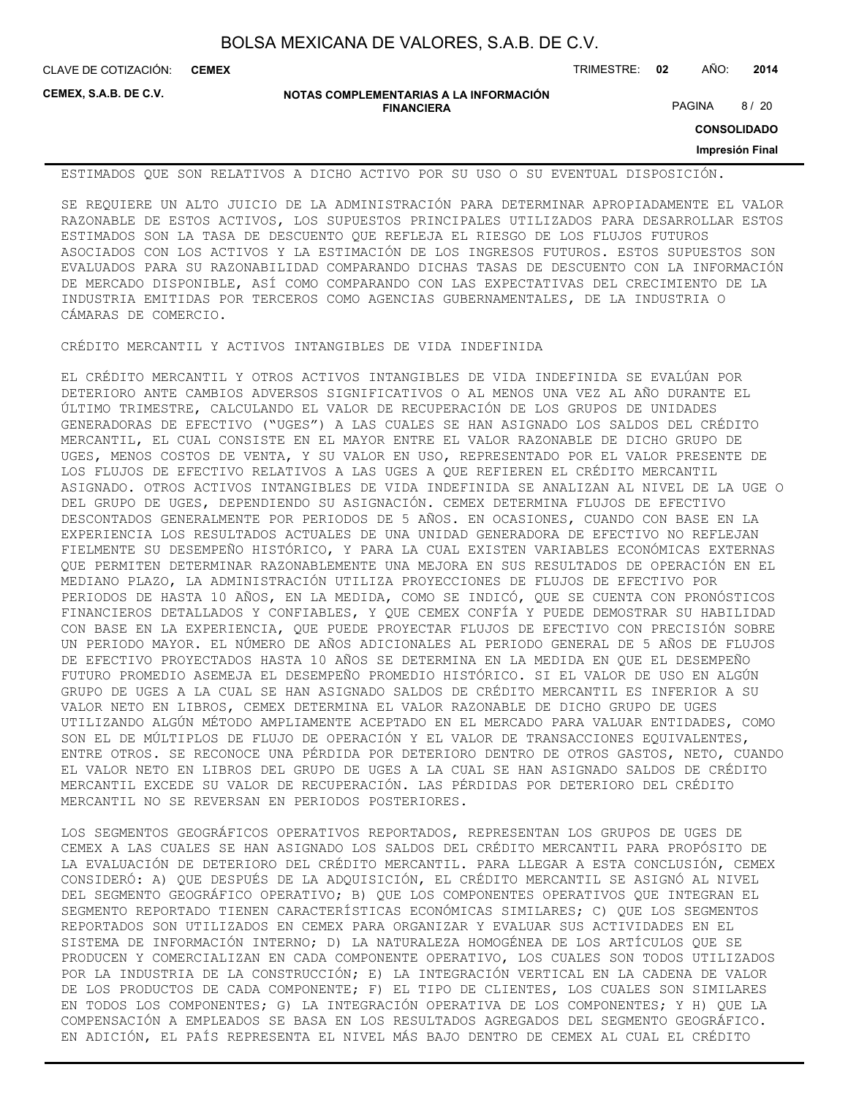**CEMEX**

CLAVE DE COTIZACIÓN: TRIMESTRE: **02** AÑO: **2014**

**CEMEX, S.A.B. DE C.V.**

**NOTAS COMPLEMENTARIAS A LA INFORMACIÓN FINANCIERA**

PAGINA 8 / 20

**CONSOLIDADO**

**Impresión Final**

ESTIMADOS QUE SON RELATIVOS A DICHO ACTIVO POR SU USO O SU EVENTUAL DISPOSICIÓN.

SE REQUIERE UN ALTO JUICIO DE LA ADMINISTRACIÓN PARA DETERMINAR APROPIADAMENTE EL VALOR RAZONABLE DE ESTOS ACTIVOS, LOS SUPUESTOS PRINCIPALES UTILIZADOS PARA DESARROLLAR ESTOS ESTIMADOS SON LA TASA DE DESCUENTO QUE REFLEJA EL RIESGO DE LOS FLUJOS FUTUROS ASOCIADOS CON LOS ACTIVOS Y LA ESTIMACIÓN DE LOS INGRESOS FUTUROS. ESTOS SUPUESTOS SON EVALUADOS PARA SU RAZONABILIDAD COMPARANDO DICHAS TASAS DE DESCUENTO CON LA INFORMACIÓN DE MERCADO DISPONIBLE, ASÍ COMO COMPARANDO CON LAS EXPECTATIVAS DEL CRECIMIENTO DE LA INDUSTRIA EMITIDAS POR TERCEROS COMO AGENCIAS GUBERNAMENTALES, DE LA INDUSTRIA O CÁMARAS DE COMERCIO.

CRÉDITO MERCANTIL Y ACTIVOS INTANGIBLES DE VIDA INDEFINIDA

EL CRÉDITO MERCANTIL Y OTROS ACTIVOS INTANGIBLES DE VIDA INDEFINIDA SE EVALÚAN POR DETERIORO ANTE CAMBIOS ADVERSOS SIGNIFICATIVOS O AL MENOS UNA VEZ AL AÑO DURANTE EL ÚLTIMO TRIMESTRE, CALCULANDO EL VALOR DE RECUPERACIÓN DE LOS GRUPOS DE UNIDADES GENERADORAS DE EFECTIVO ("UGES") A LAS CUALES SE HAN ASIGNADO LOS SALDOS DEL CRÉDITO MERCANTIL, EL CUAL CONSISTE EN EL MAYOR ENTRE EL VALOR RAZONABLE DE DICHO GRUPO DE UGES, MENOS COSTOS DE VENTA, Y SU VALOR EN USO, REPRESENTADO POR EL VALOR PRESENTE DE LOS FLUJOS DE EFECTIVO RELATIVOS A LAS UGES A QUE REFIEREN EL CRÉDITO MERCANTIL ASIGNADO. OTROS ACTIVOS INTANGIBLES DE VIDA INDEFINIDA SE ANALIZAN AL NIVEL DE LA UGE O DEL GRUPO DE UGES, DEPENDIENDO SU ASIGNACIÓN. CEMEX DETERMINA FLUJOS DE EFECTIVO DESCONTADOS GENERALMENTE POR PERIODOS DE 5 AÑOS. EN OCASIONES, CUANDO CON BASE EN LA EXPERIENCIA LOS RESULTADOS ACTUALES DE UNA UNIDAD GENERADORA DE EFECTIVO NO REFLEJAN FIELMENTE SU DESEMPEÑO HISTÓRICO, Y PARA LA CUAL EXISTEN VARIABLES ECONÓMICAS EXTERNAS QUE PERMITEN DETERMINAR RAZONABLEMENTE UNA MEJORA EN SUS RESULTADOS DE OPERACIÓN EN EL MEDIANO PLAZO, LA ADMINISTRACIÓN UTILIZA PROYECCIONES DE FLUJOS DE EFECTIVO POR PERIODOS DE HASTA 10 AÑOS, EN LA MEDIDA, COMO SE INDICÓ, QUE SE CUENTA CON PRONÓSTICOS FINANCIEROS DETALLADOS Y CONFIABLES, Y QUE CEMEX CONFÍA Y PUEDE DEMOSTRAR SU HABILIDAD CON BASE EN LA EXPERIENCIA, QUE PUEDE PROYECTAR FLUJOS DE EFECTIVO CON PRECISIÓN SOBRE UN PERIODO MAYOR. EL NÚMERO DE AÑOS ADICIONALES AL PERIODO GENERAL DE 5 AÑOS DE FLUJOS DE EFECTIVO PROYECTADOS HASTA 10 AÑOS SE DETERMINA EN LA MEDIDA EN QUE EL DESEMPEÑO FUTURO PROMEDIO ASEMEJA EL DESEMPEÑO PROMEDIO HISTÓRICO. SI EL VALOR DE USO EN ALGÚN GRUPO DE UGES A LA CUAL SE HAN ASIGNADO SALDOS DE CRÉDITO MERCANTIL ES INFERIOR A SU VALOR NETO EN LIBROS, CEMEX DETERMINA EL VALOR RAZONABLE DE DICHO GRUPO DE UGES UTILIZANDO ALGÚN MÉTODO AMPLIAMENTE ACEPTADO EN EL MERCADO PARA VALUAR ENTIDADES, COMO SON EL DE MÚLTIPLOS DE FLUJO DE OPERACIÓN Y EL VALOR DE TRANSACCIONES EQUIVALENTES, ENTRE OTROS. SE RECONOCE UNA PÉRDIDA POR DETERIORO DENTRO DE OTROS GASTOS, NETO, CUANDO EL VALOR NETO EN LIBROS DEL GRUPO DE UGES A LA CUAL SE HAN ASIGNADO SALDOS DE CRÉDITO MERCANTIL EXCEDE SU VALOR DE RECUPERACIÓN. LAS PÉRDIDAS POR DETERIORO DEL CRÉDITO MERCANTIL NO SE REVERSAN EN PERIODOS POSTERIORES.

LOS SEGMENTOS GEOGRÁFICOS OPERATIVOS REPORTADOS, REPRESENTAN LOS GRUPOS DE UGES DE CEMEX A LAS CUALES SE HAN ASIGNADO LOS SALDOS DEL CRÉDITO MERCANTIL PARA PROPÓSITO DE LA EVALUACIÓN DE DETERIORO DEL CRÉDITO MERCANTIL. PARA LLEGAR A ESTA CONCLUSIÓN, CEMEX CONSIDERÓ: A) QUE DESPUÉS DE LA ADQUISICIÓN, EL CRÉDITO MERCANTIL SE ASIGNÓ AL NIVEL DEL SEGMENTO GEOGRÁFICO OPERATIVO; B) QUE LOS COMPONENTES OPERATIVOS QUE INTEGRAN EL SEGMENTO REPORTADO TIENEN CARACTERÍSTICAS ECONÓMICAS SIMILARES; C) QUE LOS SEGMENTOS REPORTADOS SON UTILIZADOS EN CEMEX PARA ORGANIZAR Y EVALUAR SUS ACTIVIDADES EN EL SISTEMA DE INFORMACIÓN INTERNO; D) LA NATURALEZA HOMOGÉNEA DE LOS ARTÍCULOS QUE SE PRODUCEN Y COMERCIALIZAN EN CADA COMPONENTE OPERATIVO, LOS CUALES SON TODOS UTILIZADOS POR LA INDUSTRIA DE LA CONSTRUCCIÓN; E) LA INTEGRACIÓN VERTICAL EN LA CADENA DE VALOR DE LOS PRODUCTOS DE CADA COMPONENTE; F) EL TIPO DE CLIENTES, LOS CUALES SON SIMILARES EN TODOS LOS COMPONENTES; G) LA INTEGRACIÓN OPERATIVA DE LOS COMPONENTES; Y H) QUE LA COMPENSACIÓN A EMPLEADOS SE BASA EN LOS RESULTADOS AGREGADOS DEL SEGMENTO GEOGRÁFICO. EN ADICIÓN, EL PAÍS REPRESENTA EL NIVEL MÁS BAJO DENTRO DE CEMEX AL CUAL EL CRÉDITO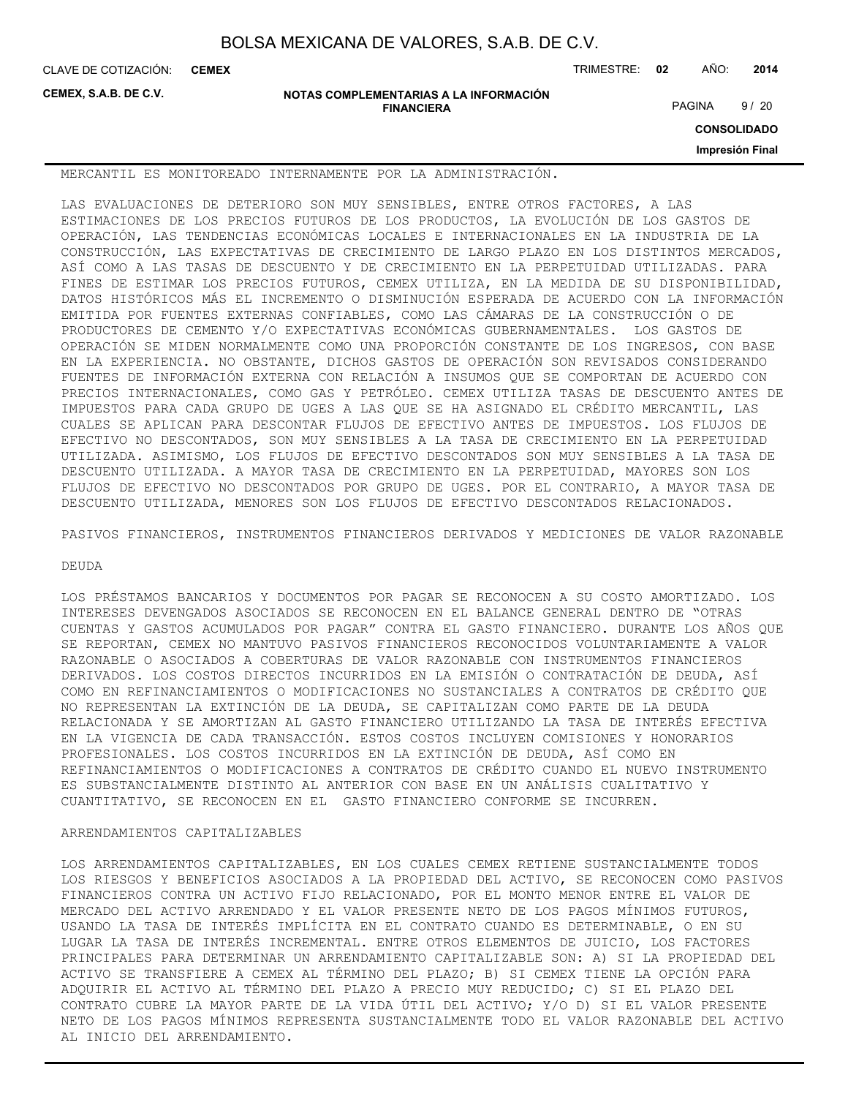**CEMEX**

CLAVE DE COTIZACIÓN: TRIMESTRE: **02** AÑO: **2014**

**CEMEX, S.A.B. DE C.V.**

**NOTAS COMPLEMENTARIAS A LA INFORMACIÓN FINANCIERA**

PAGINA 9/20

**CONSOLIDADO**

**Impresión Final**

MERCANTIL ES MONITOREADO INTERNAMENTE POR LA ADMINISTRACIÓN.

LAS EVALUACIONES DE DETERIORO SON MUY SENSIBLES, ENTRE OTROS FACTORES, A LAS ESTIMACIONES DE LOS PRECIOS FUTUROS DE LOS PRODUCTOS, LA EVOLUCIÓN DE LOS GASTOS DE OPERACIÓN, LAS TENDENCIAS ECONÓMICAS LOCALES E INTERNACIONALES EN LA INDUSTRIA DE LA CONSTRUCCIÓN, LAS EXPECTATIVAS DE CRECIMIENTO DE LARGO PLAZO EN LOS DISTINTOS MERCADOS, ASÍ COMO A LAS TASAS DE DESCUENTO Y DE CRECIMIENTO EN LA PERPETUIDAD UTILIZADAS. PARA FINES DE ESTIMAR LOS PRECIOS FUTUROS, CEMEX UTILIZA, EN LA MEDIDA DE SU DISPONIBILIDAD, DATOS HISTÓRICOS MÁS EL INCREMENTO O DISMINUCIÓN ESPERADA DE ACUERDO CON LA INFORMACIÓN EMITIDA POR FUENTES EXTERNAS CONFIABLES, COMO LAS CÁMARAS DE LA CONSTRUCCIÓN O DE PRODUCTORES DE CEMENTO Y/O EXPECTATIVAS ECONÓMICAS GUBERNAMENTALES. LOS GASTOS DE OPERACIÓN SE MIDEN NORMALMENTE COMO UNA PROPORCIÓN CONSTANTE DE LOS INGRESOS, CON BASE EN LA EXPERIENCIA. NO OBSTANTE, DICHOS GASTOS DE OPERACIÓN SON REVISADOS CONSIDERANDO FUENTES DE INFORMACIÓN EXTERNA CON RELACIÓN A INSUMOS QUE SE COMPORTAN DE ACUERDO CON PRECIOS INTERNACIONALES, COMO GAS Y PETRÓLEO. CEMEX UTILIZA TASAS DE DESCUENTO ANTES DE IMPUESTOS PARA CADA GRUPO DE UGES A LAS QUE SE HA ASIGNADO EL CRÉDITO MERCANTIL, LAS CUALES SE APLICAN PARA DESCONTAR FLUJOS DE EFECTIVO ANTES DE IMPUESTOS. LOS FLUJOS DE EFECTIVO NO DESCONTADOS, SON MUY SENSIBLES A LA TASA DE CRECIMIENTO EN LA PERPETUIDAD UTILIZADA. ASIMISMO, LOS FLUJOS DE EFECTIVO DESCONTADOS SON MUY SENSIBLES A LA TASA DE DESCUENTO UTILIZADA. A MAYOR TASA DE CRECIMIENTO EN LA PERPETUIDAD, MAYORES SON LOS FLUJOS DE EFECTIVO NO DESCONTADOS POR GRUPO DE UGES. POR EL CONTRARIO, A MAYOR TASA DE DESCUENTO UTILIZADA, MENORES SON LOS FLUJOS DE EFECTIVO DESCONTADOS RELACIONADOS.

PASIVOS FINANCIEROS, INSTRUMENTOS FINANCIEROS DERIVADOS Y MEDICIONES DE VALOR RAZONABLE

#### DEUDA

LOS PRÉSTAMOS BANCARIOS Y DOCUMENTOS POR PAGAR SE RECONOCEN A SU COSTO AMORTIZADO. LOS INTERESES DEVENGADOS ASOCIADOS SE RECONOCEN EN EL BALANCE GENERAL DENTRO DE "OTRAS CUENTAS Y GASTOS ACUMULADOS POR PAGAR" CONTRA EL GASTO FINANCIERO. DURANTE LOS AÑOS QUE SE REPORTAN, CEMEX NO MANTUVO PASIVOS FINANCIEROS RECONOCIDOS VOLUNTARIAMENTE A VALOR RAZONABLE O ASOCIADOS A COBERTURAS DE VALOR RAZONABLE CON INSTRUMENTOS FINANCIEROS DERIVADOS. LOS COSTOS DIRECTOS INCURRIDOS EN LA EMISIÓN O CONTRATACIÓN DE DEUDA, ASÍ COMO EN REFINANCIAMIENTOS O MODIFICACIONES NO SUSTANCIALES A CONTRATOS DE CRÉDITO QUE NO REPRESENTAN LA EXTINCIÓN DE LA DEUDA, SE CAPITALIZAN COMO PARTE DE LA DEUDA RELACIONADA Y SE AMORTIZAN AL GASTO FINANCIERO UTILIZANDO LA TASA DE INTERÉS EFECTIVA EN LA VIGENCIA DE CADA TRANSACCIÓN. ESTOS COSTOS INCLUYEN COMISIONES Y HONORARIOS PROFESIONALES. LOS COSTOS INCURRIDOS EN LA EXTINCIÓN DE DEUDA, ASÍ COMO EN REFINANCIAMIENTOS O MODIFICACIONES A CONTRATOS DE CRÉDITO CUANDO EL NUEVO INSTRUMENTO ES SUBSTANCIALMENTE DISTINTO AL ANTERIOR CON BASE EN UN ANÁLISIS CUALITATIVO Y CUANTITATIVO, SE RECONOCEN EN EL GASTO FINANCIERO CONFORME SE INCURREN.

#### ARRENDAMIENTOS CAPITALIZABLES

LOS ARRENDAMIENTOS CAPITALIZABLES, EN LOS CUALES CEMEX RETIENE SUSTANCIALMENTE TODOS LOS RIESGOS Y BENEFICIOS ASOCIADOS A LA PROPIEDAD DEL ACTIVO, SE RECONOCEN COMO PASIVOS FINANCIEROS CONTRA UN ACTIVO FIJO RELACIONADO, POR EL MONTO MENOR ENTRE EL VALOR DE MERCADO DEL ACTIVO ARRENDADO Y EL VALOR PRESENTE NETO DE LOS PAGOS MÍNIMOS FUTUROS, USANDO LA TASA DE INTERÉS IMPLÍCITA EN EL CONTRATO CUANDO ES DETERMINABLE, O EN SU LUGAR LA TASA DE INTERÉS INCREMENTAL. ENTRE OTROS ELEMENTOS DE JUICIO, LOS FACTORES PRINCIPALES PARA DETERMINAR UN ARRENDAMIENTO CAPITALIZABLE SON: A) SI LA PROPIEDAD DEL ACTIVO SE TRANSFIERE A CEMEX AL TÉRMINO DEL PLAZO; B) SI CEMEX TIENE LA OPCIÓN PARA ADQUIRIR EL ACTIVO AL TÉRMINO DEL PLAZO A PRECIO MUY REDUCIDO; C) SI EL PLAZO DEL CONTRATO CUBRE LA MAYOR PARTE DE LA VIDA ÚTIL DEL ACTIVO; Y/O D) SI EL VALOR PRESENTE NETO DE LOS PAGOS MÍNIMOS REPRESENTA SUSTANCIALMENTE TODO EL VALOR RAZONABLE DEL ACTIVO AL INICIO DEL ARRENDAMIENTO.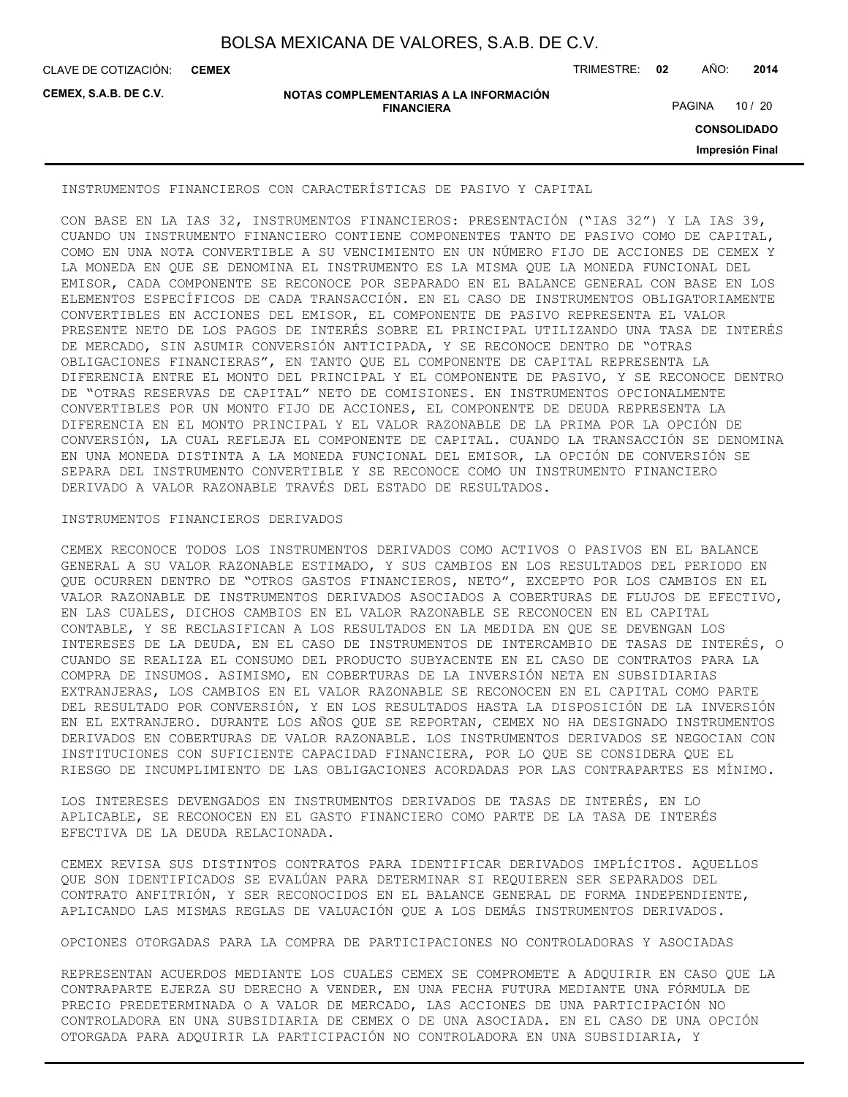CLAVE DE COTIZACIÓN: TRIMESTRE: **02** AÑO: **2014 CEMEX**

**CEMEX, S.A.B. DE C.V.**

#### **NOTAS COMPLEMENTARIAS A LA INFORMACIÓN FINANCIERA**

PAGINA 10 / 20

**CONSOLIDADO**

**Impresión Final**

INSTRUMENTOS FINANCIEROS CON CARACTERÍSTICAS DE PASIVO Y CAPITAL

CON BASE EN LA IAS 32, INSTRUMENTOS FINANCIEROS: PRESENTACIÓN ("IAS 32") Y LA IAS 39, CUANDO UN INSTRUMENTO FINANCIERO CONTIENE COMPONENTES TANTO DE PASIVO COMO DE CAPITAL, COMO EN UNA NOTA CONVERTIBLE A SU VENCIMIENTO EN UN NÚMERO FIJO DE ACCIONES DE CEMEX Y LA MONEDA EN QUE SE DENOMINA EL INSTRUMENTO ES LA MISMA QUE LA MONEDA FUNCIONAL DEL EMISOR, CADA COMPONENTE SE RECONOCE POR SEPARADO EN EL BALANCE GENERAL CON BASE EN LOS ELEMENTOS ESPECÍFICOS DE CADA TRANSACCIÓN. EN EL CASO DE INSTRUMENTOS OBLIGATORIAMENTE CONVERTIBLES EN ACCIONES DEL EMISOR, EL COMPONENTE DE PASIVO REPRESENTA EL VALOR PRESENTE NETO DE LOS PAGOS DE INTERÉS SOBRE EL PRINCIPAL UTILIZANDO UNA TASA DE INTERÉS DE MERCADO, SIN ASUMIR CONVERSIÓN ANTICIPADA, Y SE RECONOCE DENTRO DE "OTRAS OBLIGACIONES FINANCIERAS", EN TANTO QUE EL COMPONENTE DE CAPITAL REPRESENTA LA DIFERENCIA ENTRE EL MONTO DEL PRINCIPAL Y EL COMPONENTE DE PASIVO, Y SE RECONOCE DENTRO DE "OTRAS RESERVAS DE CAPITAL" NETO DE COMISIONES. EN INSTRUMENTOS OPCIONALMENTE CONVERTIBLES POR UN MONTO FIJO DE ACCIONES, EL COMPONENTE DE DEUDA REPRESENTA LA DIFERENCIA EN EL MONTO PRINCIPAL Y EL VALOR RAZONABLE DE LA PRIMA POR LA OPCIÓN DE CONVERSIÓN, LA CUAL REFLEJA EL COMPONENTE DE CAPITAL. CUANDO LA TRANSACCIÓN SE DENOMINA EN UNA MONEDA DISTINTA A LA MONEDA FUNCIONAL DEL EMISOR, LA OPCIÓN DE CONVERSIÓN SE SEPARA DEL INSTRUMENTO CONVERTIBLE Y SE RECONOCE COMO UN INSTRUMENTO FINANCIERO DERIVADO A VALOR RAZONABLE TRAVÉS DEL ESTADO DE RESULTADOS.

#### INSTRUMENTOS FINANCIEROS DERIVADOS

CEMEX RECONOCE TODOS LOS INSTRUMENTOS DERIVADOS COMO ACTIVOS O PASIVOS EN EL BALANCE GENERAL A SU VALOR RAZONABLE ESTIMADO, Y SUS CAMBIOS EN LOS RESULTADOS DEL PERIODO EN QUE OCURREN DENTRO DE "OTROS GASTOS FINANCIEROS, NETO", EXCEPTO POR LOS CAMBIOS EN EL VALOR RAZONABLE DE INSTRUMENTOS DERIVADOS ASOCIADOS A COBERTURAS DE FLUJOS DE EFECTIVO, EN LAS CUALES, DICHOS CAMBIOS EN EL VALOR RAZONABLE SE RECONOCEN EN EL CAPITAL CONTABLE, Y SE RECLASIFICAN A LOS RESULTADOS EN LA MEDIDA EN QUE SE DEVENGAN LOS INTERESES DE LA DEUDA, EN EL CASO DE INSTRUMENTOS DE INTERCAMBIO DE TASAS DE INTERÉS, O CUANDO SE REALIZA EL CONSUMO DEL PRODUCTO SUBYACENTE EN EL CASO DE CONTRATOS PARA LA COMPRA DE INSUMOS. ASIMISMO, EN COBERTURAS DE LA INVERSIÓN NETA EN SUBSIDIARIAS EXTRANJERAS, LOS CAMBIOS EN EL VALOR RAZONABLE SE RECONOCEN EN EL CAPITAL COMO PARTE DEL RESULTADO POR CONVERSIÓN, Y EN LOS RESULTADOS HASTA LA DISPOSICIÓN DE LA INVERSIÓN EN EL EXTRANJERO. DURANTE LOS AÑOS QUE SE REPORTAN, CEMEX NO HA DESIGNADO INSTRUMENTOS DERIVADOS EN COBERTURAS DE VALOR RAZONABLE. LOS INSTRUMENTOS DERIVADOS SE NEGOCIAN CON INSTITUCIONES CON SUFICIENTE CAPACIDAD FINANCIERA, POR LO QUE SE CONSIDERA QUE EL RIESGO DE INCUMPLIMIENTO DE LAS OBLIGACIONES ACORDADAS POR LAS CONTRAPARTES ES MÍNIMO.

LOS INTERESES DEVENGADOS EN INSTRUMENTOS DERIVADOS DE TASAS DE INTERÉS, EN LO APLICABLE, SE RECONOCEN EN EL GASTO FINANCIERO COMO PARTE DE LA TASA DE INTERÉS EFECTIVA DE LA DEUDA RELACIONADA.

CEMEX REVISA SUS DISTINTOS CONTRATOS PARA IDENTIFICAR DERIVADOS IMPLÍCITOS. AQUELLOS QUE SON IDENTIFICADOS SE EVALÚAN PARA DETERMINAR SI REQUIEREN SER SEPARADOS DEL CONTRATO ANFITRIÓN, Y SER RECONOCIDOS EN EL BALANCE GENERAL DE FORMA INDEPENDIENTE, APLICANDO LAS MISMAS REGLAS DE VALUACIÓN QUE A LOS DEMÁS INSTRUMENTOS DERIVADOS.

OPCIONES OTORGADAS PARA LA COMPRA DE PARTICIPACIONES NO CONTROLADORAS Y ASOCIADAS

REPRESENTAN ACUERDOS MEDIANTE LOS CUALES CEMEX SE COMPROMETE A ADQUIRIR EN CASO QUE LA CONTRAPARTE EJERZA SU DERECHO A VENDER, EN UNA FECHA FUTURA MEDIANTE UNA FÓRMULA DE PRECIO PREDETERMINADA O A VALOR DE MERCADO, LAS ACCIONES DE UNA PARTICIPACIÓN NO CONTROLADORA EN UNA SUBSIDIARIA DE CEMEX O DE UNA ASOCIADA. EN EL CASO DE UNA OPCIÓN OTORGADA PARA ADQUIRIR LA PARTICIPACIÓN NO CONTROLADORA EN UNA SUBSIDIARIA, Y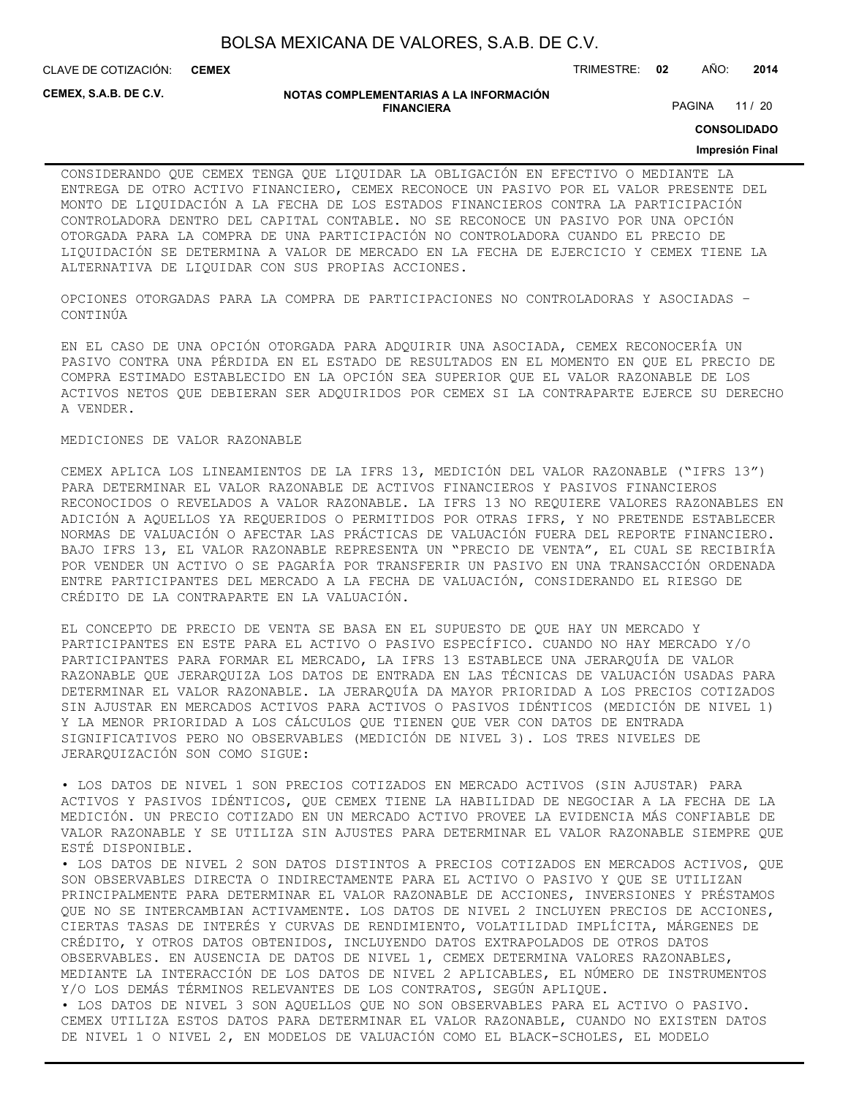CLAVE DE COTIZACIÓN: TRIMESTRE: **02** AÑO: **2014 CEMEX**

**CEMEX, S.A.B. DE C.V.**

#### **NOTAS COMPLEMENTARIAS A LA INFORMACIÓN FINANCIERA**

PAGINA 11 / 20

**CONSOLIDADO**

#### **Impresión Final**

CONSIDERANDO QUE CEMEX TENGA QUE LIQUIDAR LA OBLIGACIÓN EN EFECTIVO O MEDIANTE LA ENTREGA DE OTRO ACTIVO FINANCIERO, CEMEX RECONOCE UN PASIVO POR EL VALOR PRESENTE DEL MONTO DE LIQUIDACIÓN A LA FECHA DE LOS ESTADOS FINANCIEROS CONTRA LA PARTICIPACIÓN CONTROLADORA DENTRO DEL CAPITAL CONTABLE. NO SE RECONOCE UN PASIVO POR UNA OPCIÓN OTORGADA PARA LA COMPRA DE UNA PARTICIPACIÓN NO CONTROLADORA CUANDO EL PRECIO DE LIQUIDACIÓN SE DETERMINA A VALOR DE MERCADO EN LA FECHA DE EJERCICIO Y CEMEX TIENE LA ALTERNATIVA DE LIQUIDAR CON SUS PROPIAS ACCIONES.

OPCIONES OTORGADAS PARA LA COMPRA DE PARTICIPACIONES NO CONTROLADORAS Y ASOCIADAS – CONTINÚA

EN EL CASO DE UNA OPCIÓN OTORGADA PARA ADQUIRIR UNA ASOCIADA, CEMEX RECONOCERÍA UN PASIVO CONTRA UNA PÉRDIDA EN EL ESTADO DE RESULTADOS EN EL MOMENTO EN QUE EL PRECIO DE COMPRA ESTIMADO ESTABLECIDO EN LA OPCIÓN SEA SUPERIOR QUE EL VALOR RAZONABLE DE LOS ACTIVOS NETOS QUE DEBIERAN SER ADQUIRIDOS POR CEMEX SI LA CONTRAPARTE EJERCE SU DERECHO A VENDER.

#### MEDICIONES DE VALOR RAZONABLE

CEMEX APLICA LOS LINEAMIENTOS DE LA IFRS 13, MEDICIÓN DEL VALOR RAZONABLE ("IFRS 13") PARA DETERMINAR EL VALOR RAZONABLE DE ACTIVOS FINANCIEROS Y PASIVOS FINANCIEROS RECONOCIDOS O REVELADOS A VALOR RAZONABLE. LA IFRS 13 NO REQUIERE VALORES RAZONABLES EN ADICIÓN A AQUELLOS YA REQUERIDOS O PERMITIDOS POR OTRAS IFRS, Y NO PRETENDE ESTABLECER NORMAS DE VALUACIÓN O AFECTAR LAS PRÁCTICAS DE VALUACIÓN FUERA DEL REPORTE FINANCIERO. BAJO IFRS 13, EL VALOR RAZONABLE REPRESENTA UN "PRECIO DE VENTA", EL CUAL SE RECIBIRÍA POR VENDER UN ACTIVO O SE PAGARÍA POR TRANSFERIR UN PASIVO EN UNA TRANSACCIÓN ORDENADA ENTRE PARTICIPANTES DEL MERCADO A LA FECHA DE VALUACIÓN, CONSIDERANDO EL RIESGO DE CRÉDITO DE LA CONTRAPARTE EN LA VALUACIÓN.

EL CONCEPTO DE PRECIO DE VENTA SE BASA EN EL SUPUESTO DE QUE HAY UN MERCADO Y PARTICIPANTES EN ESTE PARA EL ACTIVO O PASIVO ESPECÍFICO. CUANDO NO HAY MERCADO Y/O PARTICIPANTES PARA FORMAR EL MERCADO, LA IFRS 13 ESTABLECE UNA JERARQUÍA DE VALOR RAZONABLE QUE JERARQUIZA LOS DATOS DE ENTRADA EN LAS TÉCNICAS DE VALUACIÓN USADAS PARA DETERMINAR EL VALOR RAZONABLE. LA JERARQUÍA DA MAYOR PRIORIDAD A LOS PRECIOS COTIZADOS SIN AJUSTAR EN MERCADOS ACTIVOS PARA ACTIVOS O PASIVOS IDÉNTICOS (MEDICIÓN DE NIVEL 1) Y LA MENOR PRIORIDAD A LOS CÁLCULOS QUE TIENEN QUE VER CON DATOS DE ENTRADA SIGNIFICATIVOS PERO NO OBSERVABLES (MEDICIÓN DE NIVEL 3). LOS TRES NIVELES DE JERARQUIZACIÓN SON COMO SIGUE:

• LOS DATOS DE NIVEL 1 SON PRECIOS COTIZADOS EN MERCADO ACTIVOS (SIN AJUSTAR) PARA ACTIVOS Y PASIVOS IDÉNTICOS, QUE CEMEX TIENE LA HABILIDAD DE NEGOCIAR A LA FECHA DE LA MEDICIÓN. UN PRECIO COTIZADO EN UN MERCADO ACTIVO PROVEE LA EVIDENCIA MÁS CONFIABLE DE VALOR RAZONABLE Y SE UTILIZA SIN AJUSTES PARA DETERMINAR EL VALOR RAZONABLE SIEMPRE QUE ESTÉ DISPONIBLE.

• LOS DATOS DE NIVEL 2 SON DATOS DISTINTOS A PRECIOS COTIZADOS EN MERCADOS ACTIVOS, QUE SON OBSERVABLES DIRECTA O INDIRECTAMENTE PARA EL ACTIVO O PASIVO Y QUE SE UTILIZAN PRINCIPALMENTE PARA DETERMINAR EL VALOR RAZONABLE DE ACCIONES, INVERSIONES Y PRÉSTAMOS QUE NO SE INTERCAMBIAN ACTIVAMENTE. LOS DATOS DE NIVEL 2 INCLUYEN PRECIOS DE ACCIONES, CIERTAS TASAS DE INTERÉS Y CURVAS DE RENDIMIENTO, VOLATILIDAD IMPLÍCITA, MÁRGENES DE CRÉDITO, Y OTROS DATOS OBTENIDOS, INCLUYENDO DATOS EXTRAPOLADOS DE OTROS DATOS OBSERVABLES. EN AUSENCIA DE DATOS DE NIVEL 1, CEMEX DETERMINA VALORES RAZONABLES, MEDIANTE LA INTERACCIÓN DE LOS DATOS DE NIVEL 2 APLICABLES, EL NÚMERO DE INSTRUMENTOS Y/O LOS DEMÁS TÉRMINOS RELEVANTES DE LOS CONTRATOS, SEGÚN APLIQUE.

• LOS DATOS DE NIVEL 3 SON AQUELLOS QUE NO SON OBSERVABLES PARA EL ACTIVO O PASIVO. CEMEX UTILIZA ESTOS DATOS PARA DETERMINAR EL VALOR RAZONABLE, CUANDO NO EXISTEN DATOS DE NIVEL 1 O NIVEL 2, EN MODELOS DE VALUACIÓN COMO EL BLACK-SCHOLES, EL MODELO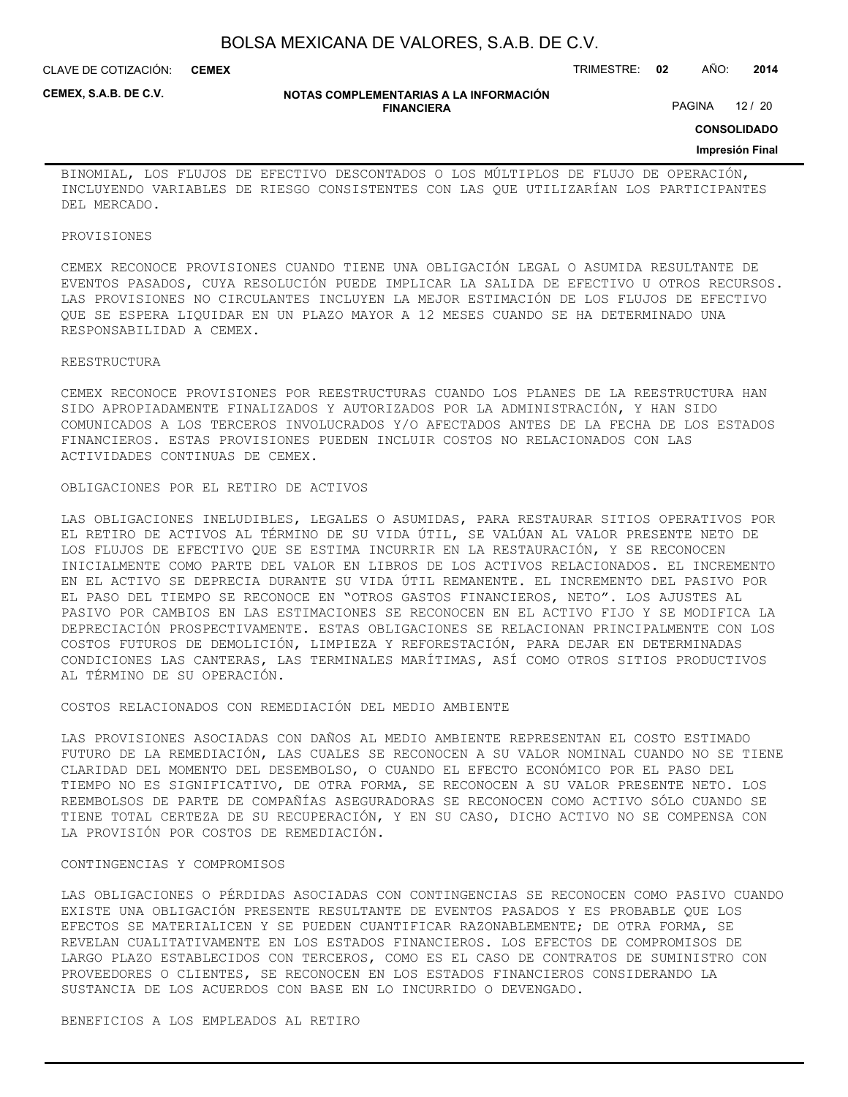CLAVE DE COTIZACIÓN: TRIMESTRE: **02** AÑO: **2014 CEMEX**

**CEMEX, S.A.B. DE C.V.**

#### **NOTAS COMPLEMENTARIAS A LA INFORMACIÓN FINANCIERA**

PAGINA 12 / 20

**CONSOLIDADO**

#### **Impresión Final**

BINOMIAL, LOS FLUJOS DE EFECTIVO DESCONTADOS O LOS MÚLTIPLOS DE FLUJO DE OPERACIÓN, INCLUYENDO VARIABLES DE RIESGO CONSISTENTES CON LAS QUE UTILIZARÍAN LOS PARTICIPANTES DEL MERCADO.

#### PROVISIONES

CEMEX RECONOCE PROVISIONES CUANDO TIENE UNA OBLIGACIÓN LEGAL O ASUMIDA RESULTANTE DE EVENTOS PASADOS, CUYA RESOLUCIÓN PUEDE IMPLICAR LA SALIDA DE EFECTIVO U OTROS RECURSOS. LAS PROVISIONES NO CIRCULANTES INCLUYEN LA MEJOR ESTIMACIÓN DE LOS FLUJOS DE EFECTIVO QUE SE ESPERA LIQUIDAR EN UN PLAZO MAYOR A 12 MESES CUANDO SE HA DETERMINADO UNA RESPONSABILIDAD A CEMEX.

#### REESTRUCTURA

CEMEX RECONOCE PROVISIONES POR REESTRUCTURAS CUANDO LOS PLANES DE LA REESTRUCTURA HAN SIDO APROPIADAMENTE FINALIZADOS Y AUTORIZADOS POR LA ADMINISTRACIÓN, Y HAN SIDO COMUNICADOS A LOS TERCEROS INVOLUCRADOS Y/O AFECTADOS ANTES DE LA FECHA DE LOS ESTADOS FINANCIEROS. ESTAS PROVISIONES PUEDEN INCLUIR COSTOS NO RELACIONADOS CON LAS ACTIVIDADES CONTINUAS DE CEMEX.

#### OBLIGACIONES POR EL RETIRO DE ACTIVOS

LAS OBLIGACIONES INELUDIBLES, LEGALES O ASUMIDAS, PARA RESTAURAR SITIOS OPERATIVOS POR EL RETIRO DE ACTIVOS AL TÉRMINO DE SU VIDA ÚTIL, SE VALÚAN AL VALOR PRESENTE NETO DE LOS FLUJOS DE EFECTIVO QUE SE ESTIMA INCURRIR EN LA RESTAURACIÓN, Y SE RECONOCEN INICIALMENTE COMO PARTE DEL VALOR EN LIBROS DE LOS ACTIVOS RELACIONADOS. EL INCREMENTO EN EL ACTIVO SE DEPRECIA DURANTE SU VIDA ÚTIL REMANENTE. EL INCREMENTO DEL PASIVO POR EL PASO DEL TIEMPO SE RECONOCE EN "OTROS GASTOS FINANCIEROS, NETO". LOS AJUSTES AL PASIVO POR CAMBIOS EN LAS ESTIMACIONES SE RECONOCEN EN EL ACTIVO FIJO Y SE MODIFICA LA DEPRECIACIÓN PROSPECTIVAMENTE. ESTAS OBLIGACIONES SE RELACIONAN PRINCIPALMENTE CON LOS COSTOS FUTUROS DE DEMOLICIÓN, LIMPIEZA Y REFORESTACIÓN, PARA DEJAR EN DETERMINADAS CONDICIONES LAS CANTERAS, LAS TERMINALES MARÍTIMAS, ASÍ COMO OTROS SITIOS PRODUCTIVOS AL TÉRMINO DE SU OPERACIÓN.

#### COSTOS RELACIONADOS CON REMEDIACIÓN DEL MEDIO AMBIENTE

LAS PROVISIONES ASOCIADAS CON DAÑOS AL MEDIO AMBIENTE REPRESENTAN EL COSTO ESTIMADO FUTURO DE LA REMEDIACIÓN, LAS CUALES SE RECONOCEN A SU VALOR NOMINAL CUANDO NO SE TIENE CLARIDAD DEL MOMENTO DEL DESEMBOLSO, O CUANDO EL EFECTO ECONÓMICO POR EL PASO DEL TIEMPO NO ES SIGNIFICATIVO, DE OTRA FORMA, SE RECONOCEN A SU VALOR PRESENTE NETO. LOS REEMBOLSOS DE PARTE DE COMPAÑÍAS ASEGURADORAS SE RECONOCEN COMO ACTIVO SÓLO CUANDO SE TIENE TOTAL CERTEZA DE SU RECUPERACIÓN, Y EN SU CASO, DICHO ACTIVO NO SE COMPENSA CON LA PROVISIÓN POR COSTOS DE REMEDIACIÓN.

#### CONTINGENCIAS Y COMPROMISOS

LAS OBLIGACIONES O PÉRDIDAS ASOCIADAS CON CONTINGENCIAS SE RECONOCEN COMO PASIVO CUANDO EXISTE UNA OBLIGACIÓN PRESENTE RESULTANTE DE EVENTOS PASADOS Y ES PROBABLE QUE LOS EFECTOS SE MATERIALICEN Y SE PUEDEN CUANTIFICAR RAZONABLEMENTE; DE OTRA FORMA, SE REVELAN CUALITATIVAMENTE EN LOS ESTADOS FINANCIEROS. LOS EFECTOS DE COMPROMISOS DE LARGO PLAZO ESTABLECIDOS CON TERCEROS, COMO ES EL CASO DE CONTRATOS DE SUMINISTRO CON PROVEEDORES O CLIENTES, SE RECONOCEN EN LOS ESTADOS FINANCIEROS CONSIDERANDO LA SUSTANCIA DE LOS ACUERDOS CON BASE EN LO INCURRIDO O DEVENGADO.

#### BENEFICIOS A LOS EMPLEADOS AL RETIRO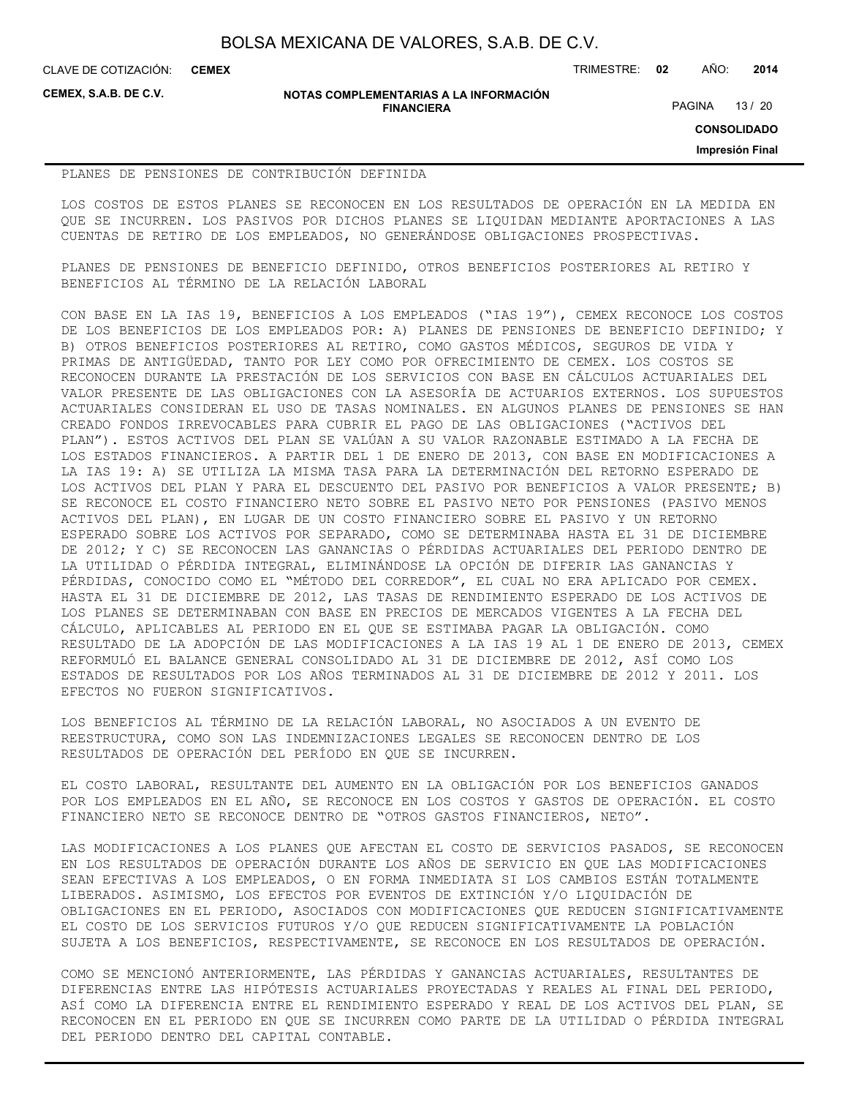**CEMEX**

CLAVE DE COTIZACIÓN: TRIMESTRE: **02** AÑO: **2014**

**CEMEX, S.A.B. DE C.V.**

#### **NOTAS COMPLEMENTARIAS A LA INFORMACIÓN FINANCIERA**

PAGINA 13 / 20

**CONSOLIDADO**

**Impresión Final**

#### PLANES DE PENSIONES DE CONTRIBUCIÓN DEFINIDA

LOS COSTOS DE ESTOS PLANES SE RECONOCEN EN LOS RESULTADOS DE OPERACIÓN EN LA MEDIDA EN QUE SE INCURREN. LOS PASIVOS POR DICHOS PLANES SE LIQUIDAN MEDIANTE APORTACIONES A LAS CUENTAS DE RETIRO DE LOS EMPLEADOS, NO GENERÁNDOSE OBLIGACIONES PROSPECTIVAS.

PLANES DE PENSIONES DE BENEFICIO DEFINIDO, OTROS BENEFICIOS POSTERIORES AL RETIRO Y BENEFICIOS AL TÉRMINO DE LA RELACIÓN LABORAL

CON BASE EN LA IAS 19, BENEFICIOS A LOS EMPLEADOS ("IAS 19"), CEMEX RECONOCE LOS COSTOS DE LOS BENEFICIOS DE LOS EMPLEADOS POR: A) PLANES DE PENSIONES DE BENEFICIO DEFINIDO; Y B) OTROS BENEFICIOS POSTERIORES AL RETIRO, COMO GASTOS MÉDICOS, SEGUROS DE VIDA Y PRIMAS DE ANTIGÜEDAD, TANTO POR LEY COMO POR OFRECIMIENTO DE CEMEX. LOS COSTOS SE RECONOCEN DURANTE LA PRESTACIÓN DE LOS SERVICIOS CON BASE EN CÁLCULOS ACTUARIALES DEL VALOR PRESENTE DE LAS OBLIGACIONES CON LA ASESORÍA DE ACTUARIOS EXTERNOS. LOS SUPUESTOS ACTUARIALES CONSIDERAN EL USO DE TASAS NOMINALES. EN ALGUNOS PLANES DE PENSIONES SE HAN CREADO FONDOS IRREVOCABLES PARA CUBRIR EL PAGO DE LAS OBLIGACIONES ("ACTIVOS DEL PLAN"). ESTOS ACTIVOS DEL PLAN SE VALÚAN A SU VALOR RAZONABLE ESTIMADO A LA FECHA DE LOS ESTADOS FINANCIEROS. A PARTIR DEL 1 DE ENERO DE 2013, CON BASE EN MODIFICACIONES A LA IAS 19: A) SE UTILIZA LA MISMA TASA PARA LA DETERMINACIÓN DEL RETORNO ESPERADO DE LOS ACTIVOS DEL PLAN Y PARA EL DESCUENTO DEL PASIVO POR BENEFICIOS A VALOR PRESENTE; B) SE RECONOCE EL COSTO FINANCIERO NETO SOBRE EL PASIVO NETO POR PENSIONES (PASIVO MENOS ACTIVOS DEL PLAN), EN LUGAR DE UN COSTO FINANCIERO SOBRE EL PASIVO Y UN RETORNO ESPERADO SOBRE LOS ACTIVOS POR SEPARADO, COMO SE DETERMINABA HASTA EL 31 DE DICIEMBRE DE 2012; Y C) SE RECONOCEN LAS GANANCIAS O PÉRDIDAS ACTUARIALES DEL PERIODO DENTRO DE LA UTILIDAD O PÉRDIDA INTEGRAL, ELIMINÁNDOSE LA OPCIÓN DE DIFERIR LAS GANANCIAS Y PÉRDIDAS, CONOCIDO COMO EL "MÉTODO DEL CORREDOR", EL CUAL NO ERA APLICADO POR CEMEX. HASTA EL 31 DE DICIEMBRE DE 2012, LAS TASAS DE RENDIMIENTO ESPERADO DE LOS ACTIVOS DE LOS PLANES SE DETERMINABAN CON BASE EN PRECIOS DE MERCADOS VIGENTES A LA FECHA DEL CÁLCULO, APLICABLES AL PERIODO EN EL QUE SE ESTIMABA PAGAR LA OBLIGACIÓN. COMO RESULTADO DE LA ADOPCIÓN DE LAS MODIFICACIONES A LA IAS 19 AL 1 DE ENERO DE 2013, CEMEX REFORMULÓ EL BALANCE GENERAL CONSOLIDADO AL 31 DE DICIEMBRE DE 2012, ASÍ COMO LOS ESTADOS DE RESULTADOS POR LOS AÑOS TERMINADOS AL 31 DE DICIEMBRE DE 2012 Y 2011. LOS EFECTOS NO FUERON SIGNIFICATIVOS.

LOS BENEFICIOS AL TÉRMINO DE LA RELACIÓN LABORAL, NO ASOCIADOS A UN EVENTO DE REESTRUCTURA, COMO SON LAS INDEMNIZACIONES LEGALES SE RECONOCEN DENTRO DE LOS RESULTADOS DE OPERACIÓN DEL PERÍODO EN QUE SE INCURREN.

EL COSTO LABORAL, RESULTANTE DEL AUMENTO EN LA OBLIGACIÓN POR LOS BENEFICIOS GANADOS POR LOS EMPLEADOS EN EL AÑO, SE RECONOCE EN LOS COSTOS Y GASTOS DE OPERACIÓN. EL COSTO FINANCIERO NETO SE RECONOCE DENTRO DE "OTROS GASTOS FINANCIEROS, NETO".

LAS MODIFICACIONES A LOS PLANES QUE AFECTAN EL COSTO DE SERVICIOS PASADOS, SE RECONOCEN EN LOS RESULTADOS DE OPERACIÓN DURANTE LOS AÑOS DE SERVICIO EN QUE LAS MODIFICACIONES SEAN EFECTIVAS A LOS EMPLEADOS, O EN FORMA INMEDIATA SI LOS CAMBIOS ESTÁN TOTALMENTE LIBERADOS. ASIMISMO, LOS EFECTOS POR EVENTOS DE EXTINCIÓN Y/O LIQUIDACIÓN DE OBLIGACIONES EN EL PERIODO, ASOCIADOS CON MODIFICACIONES QUE REDUCEN SIGNIFICATIVAMENTE EL COSTO DE LOS SERVICIOS FUTUROS Y/O QUE REDUCEN SIGNIFICATIVAMENTE LA POBLACIÓN SUJETA A LOS BENEFICIOS, RESPECTIVAMENTE, SE RECONOCE EN LOS RESULTADOS DE OPERACIÓN.

COMO SE MENCIONÓ ANTERIORMENTE, LAS PÉRDIDAS Y GANANCIAS ACTUARIALES, RESULTANTES DE DIFERENCIAS ENTRE LAS HIPÓTESIS ACTUARIALES PROYECTADAS Y REALES AL FINAL DEL PERIODO, ASÍ COMO LA DIFERENCIA ENTRE EL RENDIMIENTO ESPERADO Y REAL DE LOS ACTIVOS DEL PLAN, SE RECONOCEN EN EL PERIODO EN QUE SE INCURREN COMO PARTE DE LA UTILIDAD O PÉRDIDA INTEGRAL DEL PERIODO DENTRO DEL CAPITAL CONTABLE.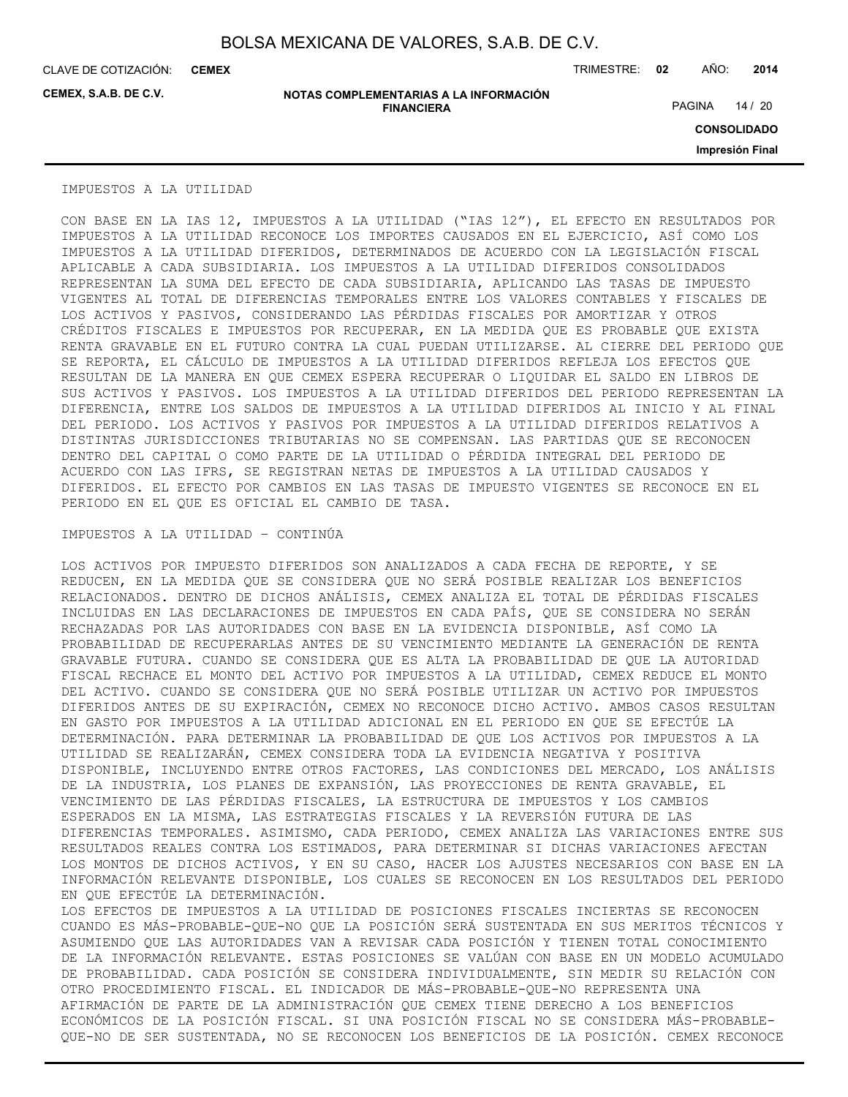CLAVE DE COTIZACIÓN: TRIMESTRE: **02** AÑO: **2014 CEMEX**

**CEMEX, S.A.B. DE C.V.**

**NOTAS COMPLEMENTARIAS A LA INFORMACIÓN FINANCIERA**

PAGINA 14 / 20

**CONSOLIDADO**

**Impresión Final**

#### IMPUESTOS A LA UTILIDAD

CON BASE EN LA IAS 12, IMPUESTOS A LA UTILIDAD ("IAS 12"), EL EFECTO EN RESULTADOS POR IMPUESTOS A LA UTILIDAD RECONOCE LOS IMPORTES CAUSADOS EN EL EJERCICIO, ASÍ COMO LOS IMPUESTOS A LA UTILIDAD DIFERIDOS, DETERMINADOS DE ACUERDO CON LA LEGISLACIÓN FISCAL APLICABLE A CADA SUBSIDIARIA. LOS IMPUESTOS A LA UTILIDAD DIFERIDOS CONSOLIDADOS REPRESENTAN LA SUMA DEL EFECTO DE CADA SUBSIDIARIA, APLICANDO LAS TASAS DE IMPUESTO VIGENTES AL TOTAL DE DIFERENCIAS TEMPORALES ENTRE LOS VALORES CONTABLES Y FISCALES DE LOS ACTIVOS Y PASIVOS, CONSIDERANDO LAS PÉRDIDAS FISCALES POR AMORTIZAR Y OTROS CRÉDITOS FISCALES E IMPUESTOS POR RECUPERAR, EN LA MEDIDA QUE ES PROBABLE QUE EXISTA RENTA GRAVABLE EN EL FUTURO CONTRA LA CUAL PUEDAN UTILIZARSE. AL CIERRE DEL PERIODO QUE SE REPORTA, EL CÁLCULO DE IMPUESTOS A LA UTILIDAD DIFERIDOS REFLEJA LOS EFECTOS QUE RESULTAN DE LA MANERA EN QUE CEMEX ESPERA RECUPERAR O LIQUIDAR EL SALDO EN LIBROS DE SUS ACTIVOS Y PASIVOS. LOS IMPUESTOS A LA UTILIDAD DIFERIDOS DEL PERIODO REPRESENTAN LA DIFERENCIA, ENTRE LOS SALDOS DE IMPUESTOS A LA UTILIDAD DIFERIDOS AL INICIO Y AL FINAL DEL PERIODO. LOS ACTIVOS Y PASIVOS POR IMPUESTOS A LA UTILIDAD DIFERIDOS RELATIVOS A DISTINTAS JURISDICCIONES TRIBUTARIAS NO SE COMPENSAN. LAS PARTIDAS QUE SE RECONOCEN DENTRO DEL CAPITAL O COMO PARTE DE LA UTILIDAD O PÉRDIDA INTEGRAL DEL PERIODO DE ACUERDO CON LAS IFRS, SE REGISTRAN NETAS DE IMPUESTOS A LA UTILIDAD CAUSADOS Y DIFERIDOS. EL EFECTO POR CAMBIOS EN LAS TASAS DE IMPUESTO VIGENTES SE RECONOCE EN EL PERIODO EN EL QUE ES OFICIAL EL CAMBIO DE TASA.

#### IMPUESTOS A LA UTILIDAD – CONTINÚA

LOS ACTIVOS POR IMPUESTO DIFERIDOS SON ANALIZADOS A CADA FECHA DE REPORTE, Y SE REDUCEN, EN LA MEDIDA QUE SE CONSIDERA QUE NO SERÁ POSIBLE REALIZAR LOS BENEFICIOS RELACIONADOS. DENTRO DE DICHOS ANÁLISIS, CEMEX ANALIZA EL TOTAL DE PÉRDIDAS FISCALES INCLUIDAS EN LAS DECLARACIONES DE IMPUESTOS EN CADA PAÍS, QUE SE CONSIDERA NO SERÁN RECHAZADAS POR LAS AUTORIDADES CON BASE EN LA EVIDENCIA DISPONIBLE, ASÍ COMO LA PROBABILIDAD DE RECUPERARLAS ANTES DE SU VENCIMIENTO MEDIANTE LA GENERACIÓN DE RENTA GRAVABLE FUTURA. CUANDO SE CONSIDERA QUE ES ALTA LA PROBABILIDAD DE QUE LA AUTORIDAD FISCAL RECHACE EL MONTO DEL ACTIVO POR IMPUESTOS A LA UTILIDAD, CEMEX REDUCE EL MONTO DEL ACTIVO. CUANDO SE CONSIDERA QUE NO SERÁ POSIBLE UTILIZAR UN ACTIVO POR IMPUESTOS DIFERIDOS ANTES DE SU EXPIRACIÓN, CEMEX NO RECONOCE DICHO ACTIVO. AMBOS CASOS RESULTAN EN GASTO POR IMPUESTOS A LA UTILIDAD ADICIONAL EN EL PERIODO EN QUE SE EFECTÚE LA DETERMINACIÓN. PARA DETERMINAR LA PROBABILIDAD DE QUE LOS ACTIVOS POR IMPUESTOS A LA UTILIDAD SE REALIZARÁN, CEMEX CONSIDERA TODA LA EVIDENCIA NEGATIVA Y POSITIVA DISPONIBLE, INCLUYENDO ENTRE OTROS FACTORES, LAS CONDICIONES DEL MERCADO, LOS ANÁLISIS DE LA INDUSTRIA, LOS PLANES DE EXPANSIÓN, LAS PROYECCIONES DE RENTA GRAVABLE, EL VENCIMIENTO DE LAS PÉRDIDAS FISCALES, LA ESTRUCTURA DE IMPUESTOS Y LOS CAMBIOS ESPERADOS EN LA MISMA, LAS ESTRATEGIAS FISCALES Y LA REVERSIÓN FUTURA DE LAS DIFERENCIAS TEMPORALES. ASIMISMO, CADA PERIODO, CEMEX ANALIZA LAS VARIACIONES ENTRE SUS RESULTADOS REALES CONTRA LOS ESTIMADOS, PARA DETERMINAR SI DICHAS VARIACIONES AFECTAN LOS MONTOS DE DICHOS ACTIVOS, Y EN SU CASO, HACER LOS AJUSTES NECESARIOS CON BASE EN LA INFORMACIÓN RELEVANTE DISPONIBLE, LOS CUALES SE RECONOCEN EN LOS RESULTADOS DEL PERIODO EN QUE EFECTÚE LA DETERMINACIÓN. LOS EFECTOS DE IMPUESTOS A LA UTILIDAD DE POSICIONES FISCALES INCIERTAS SE RECONOCEN

CUANDO ES MÁS-PROBABLE-QUE-NO QUE LA POSICIÓN SERÁ SUSTENTADA EN SUS MERITOS TÉCNICOS Y ASUMIENDO QUE LAS AUTORIDADES VAN A REVISAR CADA POSICIÓN Y TIENEN TOTAL CONOCIMIENTO DE LA INFORMACIÓN RELEVANTE. ESTAS POSICIONES SE VALÚAN CON BASE EN UN MODELO ACUMULADO DE PROBABILIDAD. CADA POSICIÓN SE CONSIDERA INDIVIDUALMENTE, SIN MEDIR SU RELACIÓN CON OTRO PROCEDIMIENTO FISCAL. EL INDICADOR DE MÁS-PROBABLE-QUE-NO REPRESENTA UNA AFIRMACIÓN DE PARTE DE LA ADMINISTRACIÓN QUE CEMEX TIENE DERECHO A LOS BENEFICIOS ECONÓMICOS DE LA POSICIÓN FISCAL. SI UNA POSICIÓN FISCAL NO SE CONSIDERA MÁS-PROBABLE-QUE-NO DE SER SUSTENTADA, NO SE RECONOCEN LOS BENEFICIOS DE LA POSICIÓN. CEMEX RECONOCE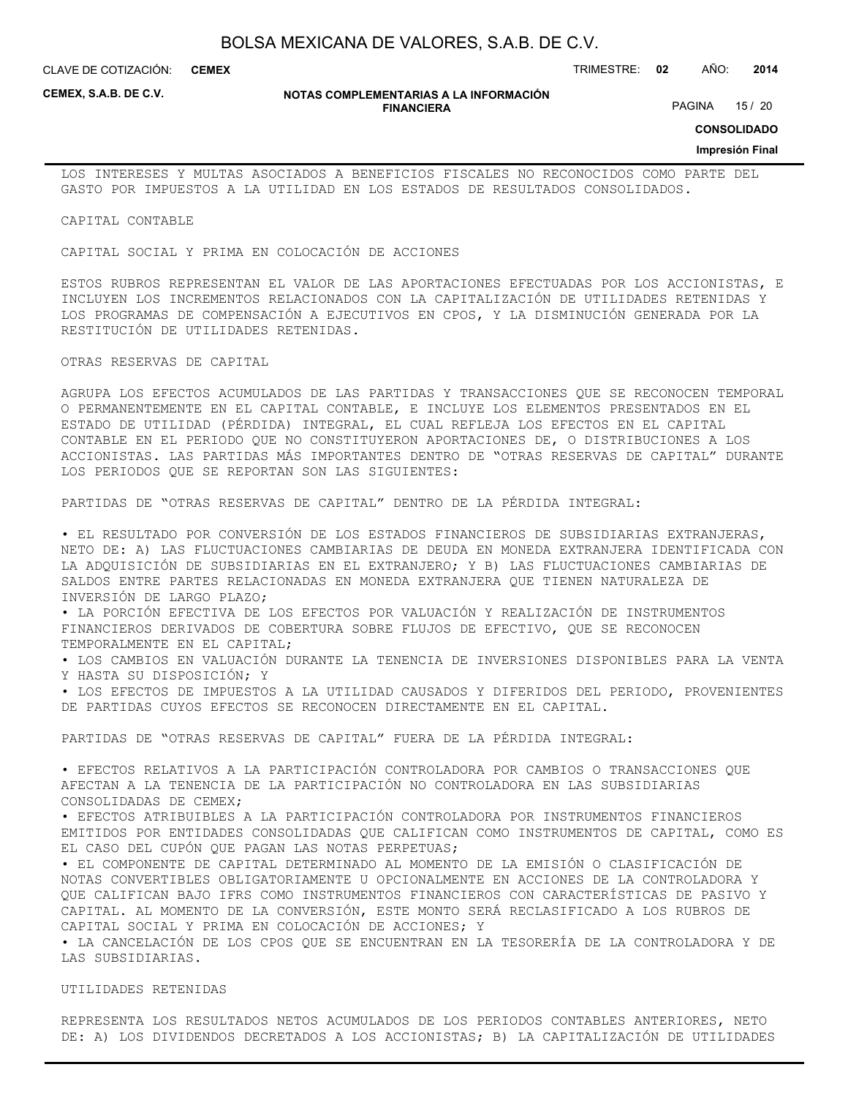CLAVE DE COTIZACIÓN: TRIMESTRE: **02** AÑO: **2014 CEMEX**

**CEMEX, S.A.B. DE C.V.**

#### **NOTAS COMPLEMENTARIAS A LA INFORMACIÓN FINANCIERA**

PAGINA 15 / 20

**CONSOLIDADO**

#### **Impresión Final**

LOS INTERESES Y MULTAS ASOCIADOS A BENEFICIOS FISCALES NO RECONOCIDOS COMO PARTE DEL GASTO POR IMPUESTOS A LA UTILIDAD EN LOS ESTADOS DE RESULTADOS CONSOLIDADOS.

CAPITAL CONTABLE

CAPITAL SOCIAL Y PRIMA EN COLOCACIÓN DE ACCIONES

ESTOS RUBROS REPRESENTAN EL VALOR DE LAS APORTACIONES EFECTUADAS POR LOS ACCIONISTAS, E INCLUYEN LOS INCREMENTOS RELACIONADOS CON LA CAPITALIZACIÓN DE UTILIDADES RETENIDAS Y LOS PROGRAMAS DE COMPENSACIÓN A EJECUTIVOS EN CPOS, Y LA DISMINUCIÓN GENERADA POR LA RESTITUCIÓN DE UTILIDADES RETENIDAS.

OTRAS RESERVAS DE CAPITAL

AGRUPA LOS EFECTOS ACUMULADOS DE LAS PARTIDAS Y TRANSACCIONES QUE SE RECONOCEN TEMPORAL O PERMANENTEMENTE EN EL CAPITAL CONTABLE, E INCLUYE LOS ELEMENTOS PRESENTADOS EN EL ESTADO DE UTILIDAD (PÉRDIDA) INTEGRAL, EL CUAL REFLEJA LOS EFECTOS EN EL CAPITAL CONTABLE EN EL PERIODO QUE NO CONSTITUYERON APORTACIONES DE, O DISTRIBUCIONES A LOS ACCIONISTAS. LAS PARTIDAS MÁS IMPORTANTES DENTRO DE "OTRAS RESERVAS DE CAPITAL" DURANTE LOS PERIODOS QUE SE REPORTAN SON LAS SIGUIENTES:

PARTIDAS DE "OTRAS RESERVAS DE CAPITAL" DENTRO DE LA PÉRDIDA INTEGRAL:

• EL RESULTADO POR CONVERSIÓN DE LOS ESTADOS FINANCIEROS DE SUBSIDIARIAS EXTRANJERAS, NETO DE: A) LAS FLUCTUACIONES CAMBIARIAS DE DEUDA EN MONEDA EXTRANJERA IDENTIFICADA CON LA ADQUISICIÓN DE SUBSIDIARIAS EN EL EXTRANJERO; Y B) LAS FLUCTUACIONES CAMBIARIAS DE SALDOS ENTRE PARTES RELACIONADAS EN MONEDA EXTRANJERA QUE TIENEN NATURALEZA DE INVERSIÓN DE LARGO PLAZO;

• LA PORCIÓN EFECTIVA DE LOS EFECTOS POR VALUACIÓN Y REALIZACIÓN DE INSTRUMENTOS FINANCIEROS DERIVADOS DE COBERTURA SOBRE FLUJOS DE EFECTIVO, QUE SE RECONOCEN TEMPORALMENTE EN EL CAPITAL;

• LOS CAMBIOS EN VALUACIÓN DURANTE LA TENENCIA DE INVERSIONES DISPONIBLES PARA LA VENTA Y HASTA SU DISPOSICIÓN; Y

• LOS EFECTOS DE IMPUESTOS A LA UTILIDAD CAUSADOS Y DIFERIDOS DEL PERIODO, PROVENIENTES DE PARTIDAS CUYOS EFECTOS SE RECONOCEN DIRECTAMENTE EN EL CAPITAL.

PARTIDAS DE "OTRAS RESERVAS DE CAPITAL" FUERA DE LA PÉRDIDA INTEGRAL:

• EFECTOS RELATIVOS A LA PARTICIPACIÓN CONTROLADORA POR CAMBIOS O TRANSACCIONES QUE AFECTAN A LA TENENCIA DE LA PARTICIPACIÓN NO CONTROLADORA EN LAS SUBSIDIARIAS CONSOLIDADAS DE CEMEX;

• EFECTOS ATRIBUIBLES A LA PARTICIPACIÓN CONTROLADORA POR INSTRUMENTOS FINANCIEROS EMITIDOS POR ENTIDADES CONSOLIDADAS QUE CALIFICAN COMO INSTRUMENTOS DE CAPITAL, COMO ES EL CASO DEL CUPÓN QUE PAGAN LAS NOTAS PERPETUAS;

• EL COMPONENTE DE CAPITAL DETERMINADO AL MOMENTO DE LA EMISIÓN O CLASIFICACIÓN DE NOTAS CONVERTIBLES OBLIGATORIAMENTE U OPCIONALMENTE EN ACCIONES DE LA CONTROLADORA Y QUE CALIFICAN BAJO IFRS COMO INSTRUMENTOS FINANCIEROS CON CARACTERÍSTICAS DE PASIVO Y CAPITAL. AL MOMENTO DE LA CONVERSIÓN, ESTE MONTO SERÁ RECLASIFICADO A LOS RUBROS DE CAPITAL SOCIAL Y PRIMA EN COLOCACIÓN DE ACCIONES; Y

• LA CANCELACIÓN DE LOS CPOS QUE SE ENCUENTRAN EN LA TESORERÍA DE LA CONTROLADORA Y DE LAS SUBSIDIARIAS.

UTILIDADES RETENIDAS

REPRESENTA LOS RESULTADOS NETOS ACUMULADOS DE LOS PERIODOS CONTABLES ANTERIORES, NETO DE: A) LOS DIVIDENDOS DECRETADOS A LOS ACCIONISTAS; B) LA CAPITALIZACIÓN DE UTILIDADES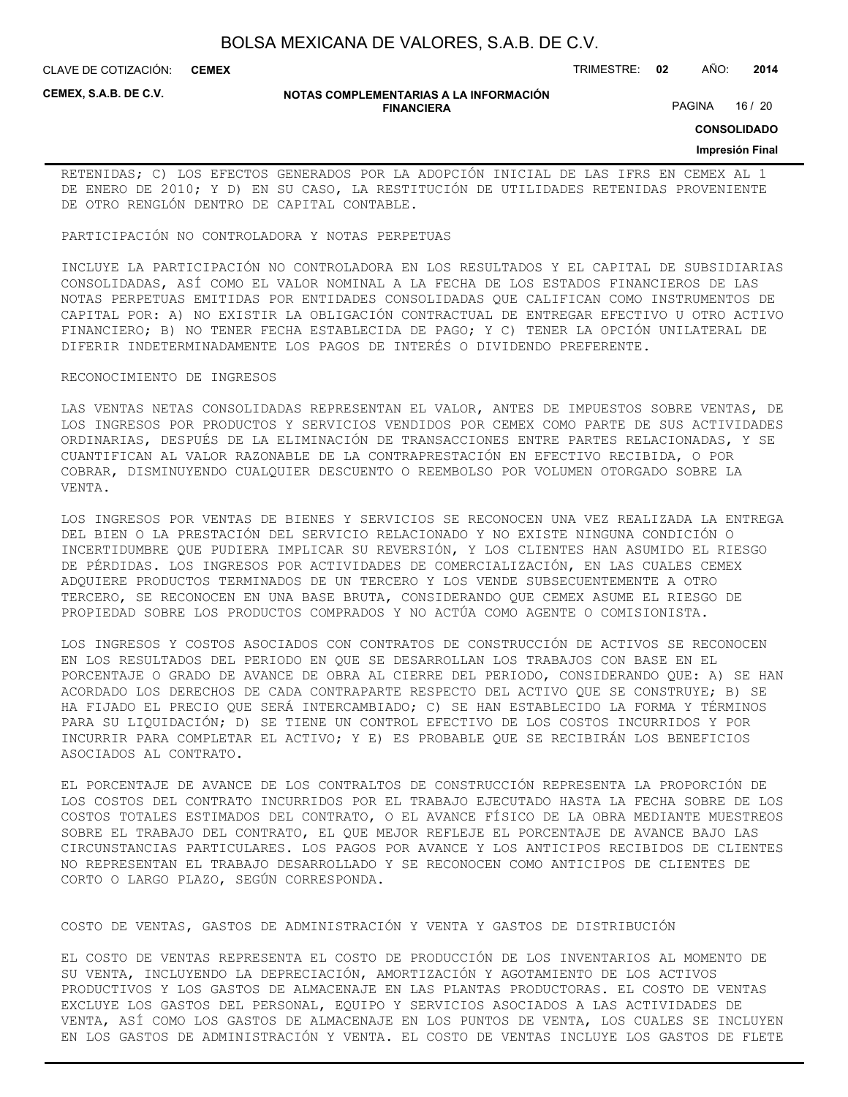CLAVE DE COTIZACIÓN: TRIMESTRE: **02** AÑO: **2014 CEMEX**

**CEMEX, S.A.B. DE C.V.**

#### **NOTAS COMPLEMENTARIAS A LA INFORMACIÓN FINANCIERA**

PAGINA 16 / 20

**CONSOLIDADO**

#### **Impresión Final**

RETENIDAS; C) LOS EFECTOS GENERADOS POR LA ADOPCIÓN INICIAL DE LAS IFRS EN CEMEX AL 1 DE ENERO DE 2010; Y D) EN SU CASO, LA RESTITUCIÓN DE UTILIDADES RETENIDAS PROVENIENTE DE OTRO RENGLÓN DENTRO DE CAPITAL CONTABLE.

#### PARTICIPACIÓN NO CONTROLADORA Y NOTAS PERPETUAS

INCLUYE LA PARTICIPACIÓN NO CONTROLADORA EN LOS RESULTADOS Y EL CAPITAL DE SUBSIDIARIAS CONSOLIDADAS, ASÍ COMO EL VALOR NOMINAL A LA FECHA DE LOS ESTADOS FINANCIEROS DE LAS NOTAS PERPETUAS EMITIDAS POR ENTIDADES CONSOLIDADAS QUE CALIFICAN COMO INSTRUMENTOS DE CAPITAL POR: A) NO EXISTIR LA OBLIGACIÓN CONTRACTUAL DE ENTREGAR EFECTIVO U OTRO ACTIVO FINANCIERO; B) NO TENER FECHA ESTABLECIDA DE PAGO; Y C) TENER LA OPCIÓN UNILATERAL DE DIFERIR INDETERMINADAMENTE LOS PAGOS DE INTERÉS O DIVIDENDO PREFERENTE.

#### RECONOCIMIENTO DE INGRESOS

LAS VENTAS NETAS CONSOLIDADAS REPRESENTAN EL VALOR, ANTES DE IMPUESTOS SOBRE VENTAS, DE LOS INGRESOS POR PRODUCTOS Y SERVICIOS VENDIDOS POR CEMEX COMO PARTE DE SUS ACTIVIDADES ORDINARIAS, DESPUÉS DE LA ELIMINACIÓN DE TRANSACCIONES ENTRE PARTES RELACIONADAS, Y SE CUANTIFICAN AL VALOR RAZONABLE DE LA CONTRAPRESTACIÓN EN EFECTIVO RECIBIDA, O POR COBRAR, DISMINUYENDO CUALQUIER DESCUENTO O REEMBOLSO POR VOLUMEN OTORGADO SOBRE LA VENTA.

LOS INGRESOS POR VENTAS DE BIENES Y SERVICIOS SE RECONOCEN UNA VEZ REALIZADA LA ENTREGA DEL BIEN O LA PRESTACIÓN DEL SERVICIO RELACIONADO Y NO EXISTE NINGUNA CONDICIÓN O INCERTIDUMBRE QUE PUDIERA IMPLICAR SU REVERSIÓN, Y LOS CLIENTES HAN ASUMIDO EL RIESGO DE PÉRDIDAS. LOS INGRESOS POR ACTIVIDADES DE COMERCIALIZACIÓN, EN LAS CUALES CEMEX ADQUIERE PRODUCTOS TERMINADOS DE UN TERCERO Y LOS VENDE SUBSECUENTEMENTE A OTRO TERCERO, SE RECONOCEN EN UNA BASE BRUTA, CONSIDERANDO QUE CEMEX ASUME EL RIESGO DE PROPIEDAD SOBRE LOS PRODUCTOS COMPRADOS Y NO ACTÚA COMO AGENTE O COMISIONISTA.

LOS INGRESOS Y COSTOS ASOCIADOS CON CONTRATOS DE CONSTRUCCIÓN DE ACTIVOS SE RECONOCEN EN LOS RESULTADOS DEL PERIODO EN QUE SE DESARROLLAN LOS TRABAJOS CON BASE EN EL PORCENTAJE O GRADO DE AVANCE DE OBRA AL CIERRE DEL PERIODO, CONSIDERANDO QUE: A) SE HAN ACORDADO LOS DERECHOS DE CADA CONTRAPARTE RESPECTO DEL ACTIVO QUE SE CONSTRUYE; B) SE HA FIJADO EL PRECIO QUE SERÁ INTERCAMBIADO; C) SE HAN ESTABLECIDO LA FORMA Y TÉRMINOS PARA SU LIQUIDACIÓN; D) SE TIENE UN CONTROL EFECTIVO DE LOS COSTOS INCURRIDOS Y POR INCURRIR PARA COMPLETAR EL ACTIVO; Y E) ES PROBABLE QUE SE RECIBIRÁN LOS BENEFICIOS ASOCIADOS AL CONTRATO.

EL PORCENTAJE DE AVANCE DE LOS CONTRALTOS DE CONSTRUCCIÓN REPRESENTA LA PROPORCIÓN DE LOS COSTOS DEL CONTRATO INCURRIDOS POR EL TRABAJO EJECUTADO HASTA LA FECHA SOBRE DE LOS COSTOS TOTALES ESTIMADOS DEL CONTRATO, O EL AVANCE FÍSICO DE LA OBRA MEDIANTE MUESTREOS SOBRE EL TRABAJO DEL CONTRATO, EL QUE MEJOR REFLEJE EL PORCENTAJE DE AVANCE BAJO LAS CIRCUNSTANCIAS PARTICULARES. LOS PAGOS POR AVANCE Y LOS ANTICIPOS RECIBIDOS DE CLIENTES NO REPRESENTAN EL TRABAJO DESARROLLADO Y SE RECONOCEN COMO ANTICIPOS DE CLIENTES DE CORTO O LARGO PLAZO, SEGÚN CORRESPONDA.

#### COSTO DE VENTAS, GASTOS DE ADMINISTRACIÓN Y VENTA Y GASTOS DE DISTRIBUCIÓN

EL COSTO DE VENTAS REPRESENTA EL COSTO DE PRODUCCIÓN DE LOS INVENTARIOS AL MOMENTO DE SU VENTA, INCLUYENDO LA DEPRECIACIÓN, AMORTIZACIÓN Y AGOTAMIENTO DE LOS ACTIVOS PRODUCTIVOS Y LOS GASTOS DE ALMACENAJE EN LAS PLANTAS PRODUCTORAS. EL COSTO DE VENTAS EXCLUYE LOS GASTOS DEL PERSONAL, EQUIPO Y SERVICIOS ASOCIADOS A LAS ACTIVIDADES DE VENTA, ASÍ COMO LOS GASTOS DE ALMACENAJE EN LOS PUNTOS DE VENTA, LOS CUALES SE INCLUYEN EN LOS GASTOS DE ADMINISTRACIÓN Y VENTA. EL COSTO DE VENTAS INCLUYE LOS GASTOS DE FLETE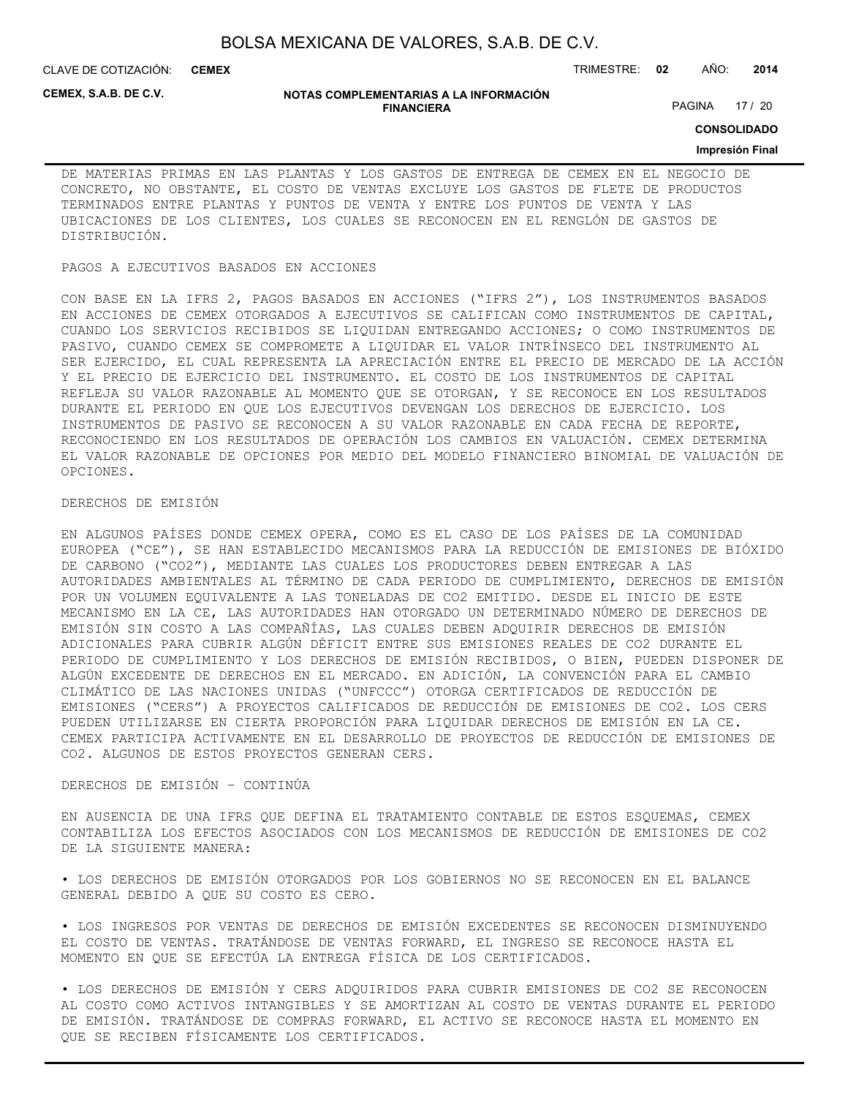CLAVE DE COTIZACIÓN: TRIMESTRE: **02** AÑO: **2014 CEMEX**

**CEMEX, S.A.B. DE C.V.**

#### **NOTAS COMPLEMENTARIAS A LA INFORMACIÓN FINANCIERA**

PAGINA 17 / 20

**CONSOLIDADO**

#### **Impresión Final**

DE MATERIAS PRIMAS EN LAS PLANTAS Y LOS GASTOS DE ENTREGA DE CEMEX EN EL NEGOCIO DE CONCRETO, NO OBSTANTE, EL COSTO DE VENTAS EXCLUYE LOS GASTOS DE FLETE DE PRODUCTOS TERMINADOS ENTRE PLANTAS Y PUNTOS DE VENTA Y ENTRE LOS PUNTOS DE VENTA Y LAS UBICACIONES DE LOS CLIENTES, LOS CUALES SE RECONOCEN EN EL RENGLÓN DE GASTOS DE DISTRIBUCIÓN.

#### PAGOS A EJECUTIVOS BASADOS EN ACCIONES

CON BASE EN LA IFRS 2, PAGOS BASADOS EN ACCIONES ("IFRS 2"), LOS INSTRUMENTOS BASADOS EN ACCIONES DE CEMEX OTORGADOS A EJECUTIVOS SE CALIFICAN COMO INSTRUMENTOS DE CAPITAL, CUANDO LOS SERVICIOS RECIBIDOS SE LIQUIDAN ENTREGANDO ACCIONES; O COMO INSTRUMENTOS DE PASIVO, CUANDO CEMEX SE COMPROMETE A LIQUIDAR EL VALOR INTRÍNSECO DEL INSTRUMENTO AL SER EJERCIDO, EL CUAL REPRESENTA LA APRECIACIÓN ENTRE EL PRECIO DE MERCADO DE LA ACCIÓN Y EL PRECIO DE EJERCICIO DEL INSTRUMENTO. EL COSTO DE LOS INSTRUMENTOS DE CAPITAL REFLEJA SU VALOR RAZONABLE AL MOMENTO QUE SE OTORGAN, Y SE RECONOCE EN LOS RESULTADOS DURANTE EL PERIODO EN QUE LOS EJECUTIVOS DEVENGAN LOS DERECHOS DE EJERCICIO. LOS INSTRUMENTOS DE PASIVO SE RECONOCEN A SU VALOR RAZONABLE EN CADA FECHA DE REPORTE, RECONOCIENDO EN LOS RESULTADOS DE OPERACIÓN LOS CAMBIOS EN VALUACIÓN. CEMEX DETERMINA EL VALOR RAZONABLE DE OPCIONES POR MEDIO DEL MODELO FINANCIERO BINOMIAL DE VALUACIÓN DE OPCIONES.

### DERECHOS DE EMISIÓN

EN ALGUNOS PAÍSES DONDE CEMEX OPERA, COMO ES EL CASO DE LOS PAÍSES DE LA COMUNIDAD EUROPEA ("CE"), SE HAN ESTABLECIDO MECANISMOS PARA LA REDUCCIÓN DE EMISIONES DE BIÓXIDO DE CARBONO ("CO2"), MEDIANTE LAS CUALES LOS PRODUCTORES DEBEN ENTREGAR A LAS AUTORIDADES AMBIENTALES AL TÉRMINO DE CADA PERIODO DE CUMPLIMIENTO, DERECHOS DE EMISIÓN POR UN VOLUMEN EQUIVALENTE A LAS TONELADAS DE CO2 EMITIDO. DESDE EL INICIO DE ESTE MECANISMO EN LA CE, LAS AUTORIDADES HAN OTORGADO UN DETERMINADO NÚMERO DE DERECHOS DE EMISIÓN SIN COSTO A LAS COMPAÑÍAS, LAS CUALES DEBEN ADQUIRIR DERECHOS DE EMISIÓN ADICIONALES PARA CUBRIR ALGÚN DÉFICIT ENTRE SUS EMISIONES REALES DE CO2 DURANTE EL PERIODO DE CUMPLIMIENTO Y LOS DERECHOS DE EMISIÓN RECIBIDOS, O BIEN, PUEDEN DISPONER DE ALGÚN EXCEDENTE DE DERECHOS EN EL MERCADO. EN ADICIÓN, LA CONVENCIÓN PARA EL CAMBIO CLIMÁTICO DE LAS NACIONES UNIDAS ("UNFCCC") OTORGA CERTIFICADOS DE REDUCCIÓN DE EMISIONES ("CERS") A PROYECTOS CALIFICADOS DE REDUCCIÓN DE EMISIONES DE CO2. LOS CERS PUEDEN UTILIZARSE EN CIERTA PROPORCIÓN PARA LIQUIDAR DERECHOS DE EMISIÓN EN LA CE. CEMEX PARTICIPA ACTIVAMENTE EN EL DESARROLLO DE PROYECTOS DE REDUCCIÓN DE EMISIONES DE CO2. ALGUNOS DE ESTOS PROYECTOS GENERAN CERS.

#### DERECHOS DE EMISIÓN – CONTINÚA

EN AUSENCIA DE UNA IFRS QUE DEFINA EL TRATAMIENTO CONTABLE DE ESTOS ESQUEMAS, CEMEX CONTABILIZA LOS EFECTOS ASOCIADOS CON LOS MECANISMOS DE REDUCCIÓN DE EMISIONES DE CO2 DE LA SIGUIENTE MANERA:

• LOS DERECHOS DE EMISIÓN OTORGADOS POR LOS GOBIERNOS NO SE RECONOCEN EN EL BALANCE GENERAL DEBIDO A QUE SU COSTO ES CERO.

• LOS INGRESOS POR VENTAS DE DERECHOS DE EMISIÓN EXCEDENTES SE RECONOCEN DISMINUYENDO EL COSTO DE VENTAS. TRATÁNDOSE DE VENTAS FORWARD, EL INGRESO SE RECONOCE HASTA EL MOMENTO EN QUE SE EFECTÚA LA ENTREGA FÍSICA DE LOS CERTIFICADOS.

• LOS DERECHOS DE EMISIÓN Y CERS ADQUIRIDOS PARA CUBRIR EMISIONES DE CO2 SE RECONOCEN AL COSTO COMO ACTIVOS INTANGIBLES Y SE AMORTIZAN AL COSTO DE VENTAS DURANTE EL PERIODO DE EMISIÓN. TRATÁNDOSE DE COMPRAS FORWARD, EL ACTIVO SE RECONOCE HASTA EL MOMENTO EN QUE SE RECIBEN FÍSICAMENTE LOS CERTIFICADOS.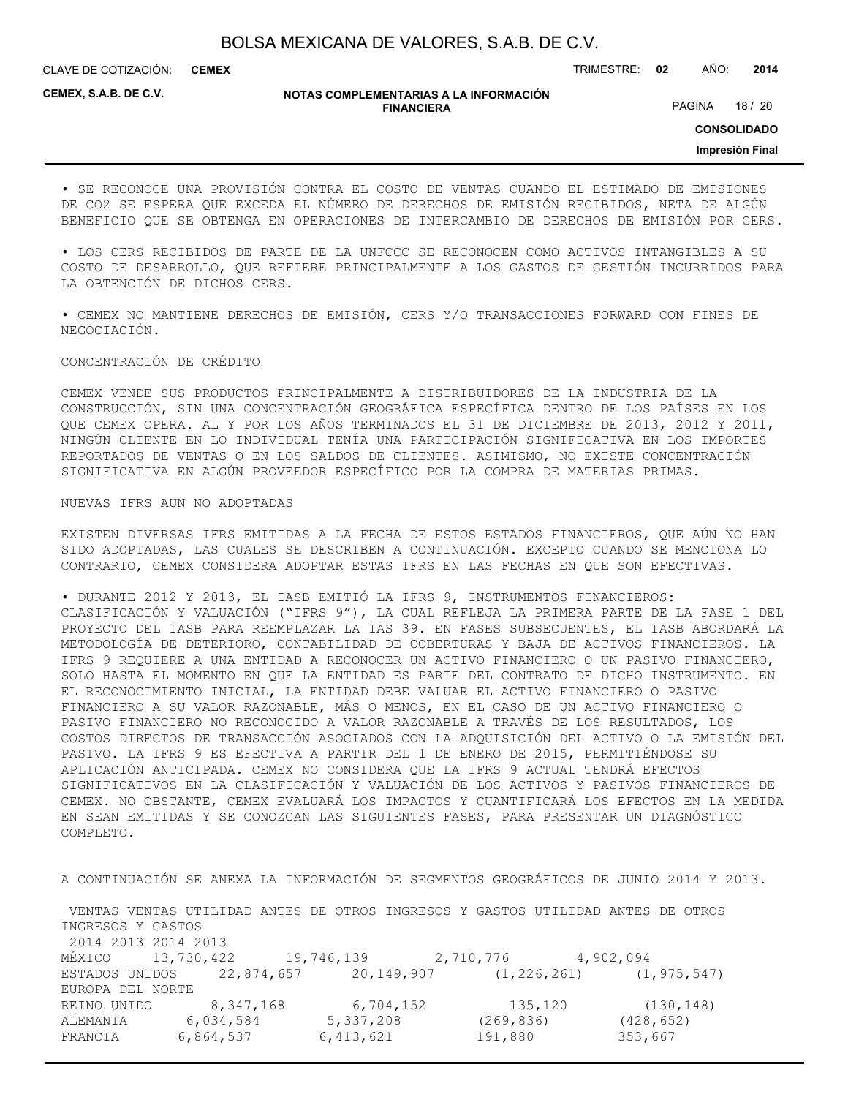CLAVE DE COTIZACIÓN: TRIMESTRE: **02** AÑO: **2014 CEMEX**

**CEMEX, S.A.B. DE C.V.**

#### **NOTAS COMPLEMENTARIAS A LA INFORMACIÓN FINANCIERA**

PAGINA 18 / 20

**CONSOLIDADO**

**Impresión Final**

• SE RECONOCE UNA PROVISIÓN CONTRA EL COSTO DE VENTAS CUANDO EL ESTIMADO DE EMISIONES DE CO2 SE ESPERA QUE EXCEDA EL NÚMERO DE DERECHOS DE EMISIÓN RECIBIDOS, NETA DE ALGÚN BENEFICIO QUE SE OBTENGA EN OPERACIONES DE INTERCAMBIO DE DERECHOS DE EMISIÓN POR CERS.

• LOS CERS RECIBIDOS DE PARTE DE LA UNFCCC SE RECONOCEN COMO ACTIVOS INTANGIBLES A SU COSTO DE DESARROLLO, QUE REFIERE PRINCIPALMENTE A LOS GASTOS DE GESTIÓN INCURRIDOS PARA LA OBTENCIÓN DE DICHOS CERS.

• CEMEX NO MANTIENE DERECHOS DE EMISIÓN, CERS Y/O TRANSACCIONES FORWARD CON FINES DE NEGOCIACIÓN.

#### CONCENTRACIÓN DE CRÉDITO

CEMEX VENDE SUS PRODUCTOS PRINCIPALMENTE A DISTRIBUIDORES DE LA INDUSTRIA DE LA CONSTRUCCIÓN, SIN UNA CONCENTRACIÓN GEOGRÁFICA ESPECÍFICA DENTRO DE LOS PAÍSES EN LOS QUE CEMEX OPERA. AL Y POR LOS AÑOS TERMINADOS EL 31 DE DICIEMBRE DE 2013, 2012 Y 2011, NINGÚN CLIENTE EN LO INDIVIDUAL TENÍA UNA PARTICIPACIÓN SIGNIFICATIVA EN LOS IMPORTES REPORTADOS DE VENTAS O EN LOS SALDOS DE CLIENTES. ASIMISMO, NO EXISTE CONCENTRACIÓN SIGNIFICATIVA EN ALGÚN PROVEEDOR ESPECÍFICO POR LA COMPRA DE MATERIAS PRIMAS.

#### NUEVAS IFRS AUN NO ADOPTADAS

EXISTEN DIVERSAS IFRS EMITIDAS A LA FECHA DE ESTOS ESTADOS FINANCIEROS, QUE AÚN NO HAN SIDO ADOPTADAS, LAS CUALES SE DESCRIBEN A CONTINUACIÓN. EXCEPTO CUANDO SE MENCIONA LO CONTRARIO, CEMEX CONSIDERA ADOPTAR ESTAS IFRS EN LAS FECHAS EN QUE SON EFECTIVAS.

• DURANTE 2012 Y 2013, EL IASB EMITIÓ LA IFRS 9, INSTRUMENTOS FINANCIEROS: CLASIFICACIÓN Y VALUACIÓN ("IFRS 9"), LA CUAL REFLEJA LA PRIMERA PARTE DE LA FASE 1 DEL PROYECTO DEL IASB PARA REEMPLAZAR LA IAS 39. EN FASES SUBSECUENTES, EL IASB ABORDARÁ LA METODOLOGÍA DE DETERIORO, CONTABILIDAD DE COBERTURAS Y BAJA DE ACTIVOS FINANCIEROS. LA IFRS 9 REQUIERE A UNA ENTIDAD A RECONOCER UN ACTIVO FINANCIERO O UN PASIVO FINANCIERO, SOLO HASTA EL MOMENTO EN QUE LA ENTIDAD ES PARTE DEL CONTRATO DE DICHO INSTRUMENTO. EN EL RECONOCIMIENTO INICIAL, LA ENTIDAD DEBE VALUAR EL ACTIVO FINANCIERO O PASIVO FINANCIERO A SU VALOR RAZONABLE, MÁS O MENOS, EN EL CASO DE UN ACTIVO FINANCIERO O PASIVO FINANCIERO NO RECONOCIDO A VALOR RAZONABLE A TRAVÉS DE LOS RESULTADOS, LOS COSTOS DIRECTOS DE TRANSACCIÓN ASOCIADOS CON LA ADQUISICIÓN DEL ACTIVO O LA EMISIÓN DEL PASIVO. LA IFRS 9 ES EFECTIVA A PARTIR DEL 1 DE ENERO DE 2015, PERMITIÉNDOSE SU APLICACIÓN ANTICIPADA. CEMEX NO CONSIDERA QUE LA IFRS 9 ACTUAL TENDRÁ EFECTOS SIGNIFICATIVOS EN LA CLASIFICACIÓN Y VALUACIÓN DE LOS ACTIVOS Y PASIVOS FINANCIEROS DE CEMEX. NO OBSTANTE, CEMEX EVALUARÁ LOS IMPACTOS Y CUANTIFICARÁ LOS EFECTOS EN LA MEDIDA EN SEAN EMITIDAS Y SE CONOZCAN LAS SIGUIENTES FASES, PARA PRESENTAR UN DIAGNÓSTICO COMPLETO.

A CONTINUACIÓN SE ANEXA LA INFORMACIÓN DE SEGMENTOS GEOGRÁFICOS DE JUNIO 2014 Y 2013.

 VENTAS VENTAS UTILIDAD ANTES DE OTROS INGRESOS Y GASTOS UTILIDAD ANTES DE OTROS INGRESOS Y GASTOS 2014 2013 2014 2013 MÉXICO 13,730,422 19,746,139 2,710,776 4,902,094 ESTADOS UNIDOS 22,874,657 20,149,907 (1,226,261) (1,975,547) EUROPA DEL NORTE REINO UNIDO 8,347,168 6,704,152 135,120 (130,148) ALEMANIA 6,034,584 5,337,208 (269,836) (428,652) FRANCIA 6,864,537 6,413,621 191,880 353,667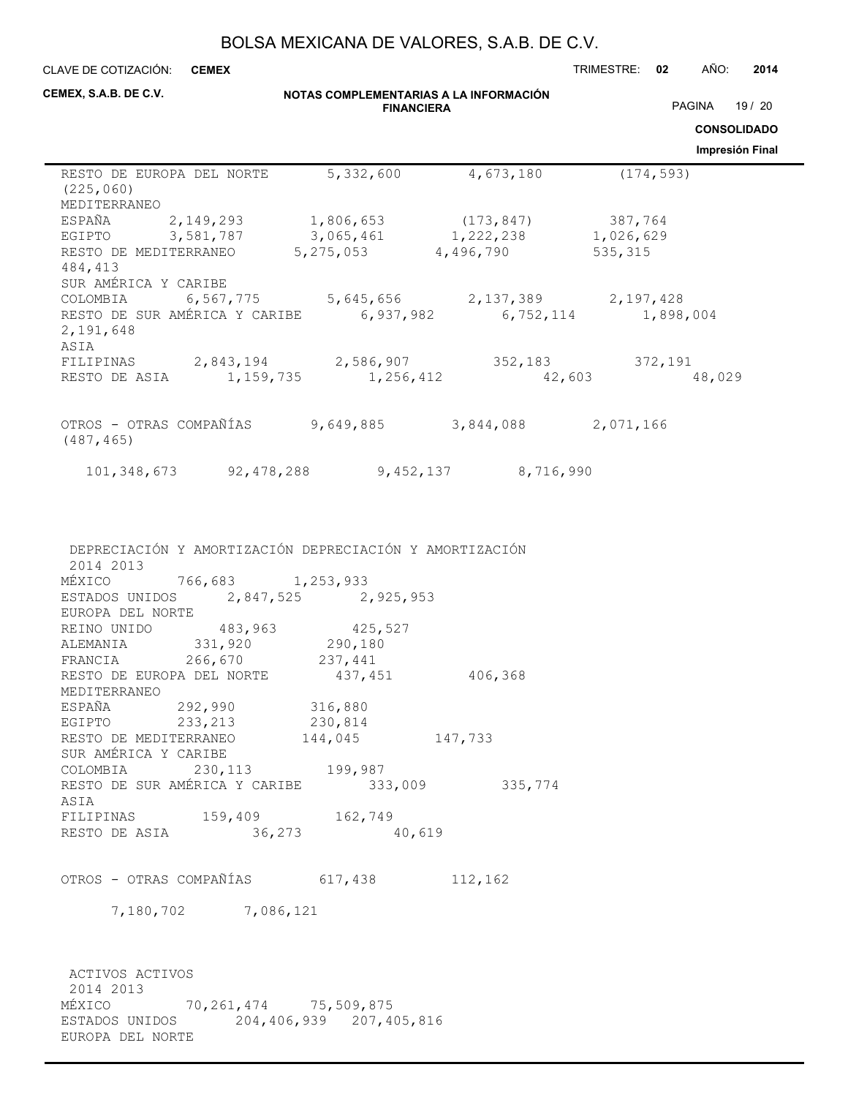**NOTAS COMPLEMENTARIAS A LA INFORMACIÓN FINANCIERA** CLAVE DE COTIZACIÓN: TRIMESTRE: **02** AÑO: **2014 CONSOLIDADO Impresión Final** CLAVE DE COTIZACIÓN: CEMEX **CEMEX, S.A.B. DE C.V.** PAGINA 19 / 20 RESTO DE EUROPA DEL NORTE 5,332,600 4,673,180 (174,593) (225,060) MEDITERRANEO ESPAÑA 2,149,293 1,806,653 (173,847) 387,764 EGIPTO 3,581,787 3,065,461 1,222,238 1,026,629 RESTO DE MEDITERRANEO 5,275,053 4,496,790 535,315 484,413 SUR AMÉRICA Y CARIBE COLOMBIA 6,567,775 5,645,656 2,137,389 2,197,428 RESTO DE SUR AMÉRICA Y CARIBE 6,937,982 6,752,114 1,898,004 2,191,648 ASIA FILIPINAS 2,843,194 2,586,907 352,183 372,191 RESTO DE ASIA 1,159,735 1,256,412 42,603 48,029 OTROS - OTRAS COMPAÑÍAS 9,649,885 3,844,088 2,071,166 (487,465) 101,348,673 92,478,288 9,452,137 8,716,990

 DEPRECIACIÓN Y AMORTIZACIÓN DEPRECIACIÓN Y AMORTIZACIÓN 2014 2013 MÉXICO 766,683 1,253,933 ESTADOS UNIDOS 2,847,525 2,925,953 EUROPA DEL NORTE REINO UNIDO 483,963 425,527<br>ALEMANIA 331,920 290,180 ALEMANIA 331,920 290,180<br>FRANCIA 266,670 237,441 FRANCIA 266,670 237,441 RESTO DE EUROPA DEL NORTE  $437,451$  406,368 MEDITERRANEO ESPAÑA 292,990 316,880 EGIPTO 233,213 230,814 RESTO DE MEDITERRANEO 144,045 147,733 SUR AMÉRICA Y CARIBE COLOMBIA 230,113 199,987<br>RESTO DE SUR AMÉRICA Y CARIBE 333,009 335,774 RESTO DE SUR AMÉRICA Y CARIBE ASIA FILIPINAS 159,409 162,749 RESTO DE ASIA 36,273 40,619

OTROS - OTRAS COMPAÑÍAS 617,438 112,162

7,180,702 7,086,121

 ACTIVOS ACTIVOS 2014 2013 MÉXICO 70,261,474 75,509,875 ESTADOS UNIDOS 204,406,939 207,405,816 EUROPA DEL NORTE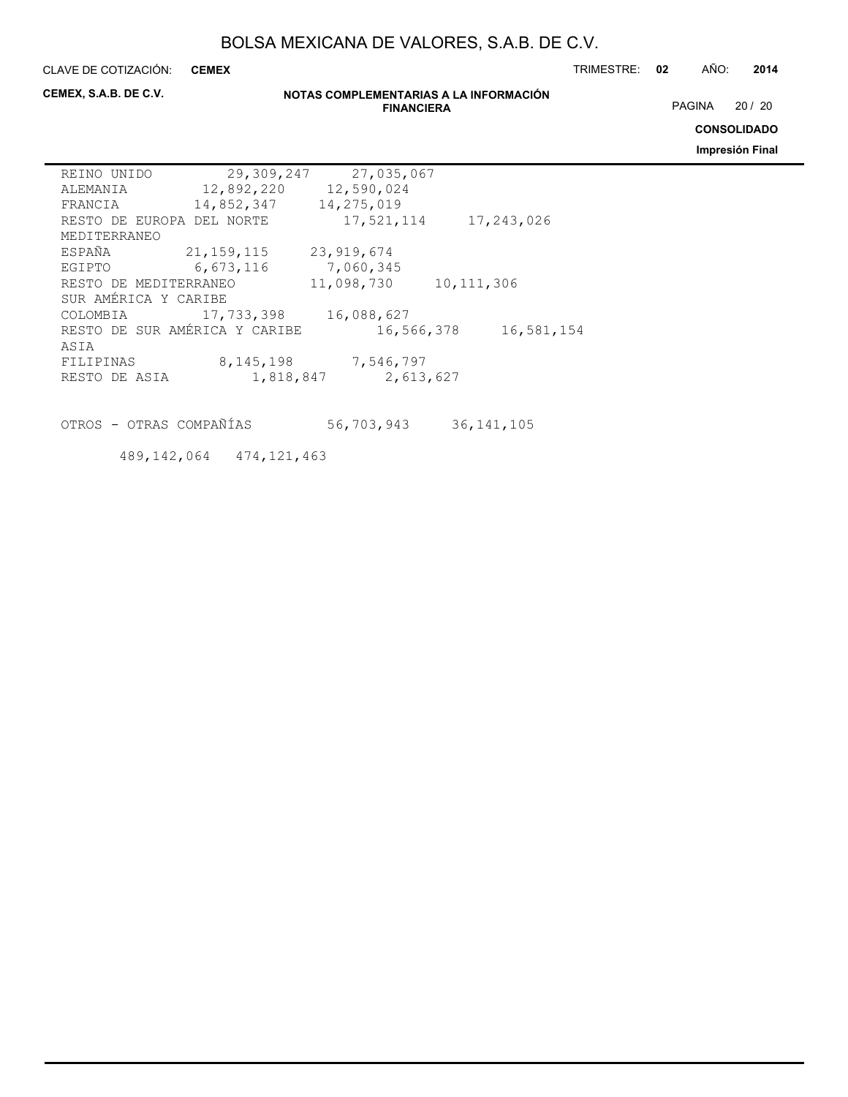**CEMEX**

CLAVE DE COTIZACIÓN: TRIMESTRE: **02** AÑO: **2014**

**CEMEX, S.A.B. DE C.V.**

### **NOTAS COMPLEMENTARIAS A LA INFORMACIÓN FINANCIERA**

PAGINA 20 / 20

**CONSOLIDADO**

**Impresión Final**

| REINO UNIDO                   | 29,309,247 | 27,035,067 |              |            |
|-------------------------------|------------|------------|--------------|------------|
| ALEMANIA                      | 12,892,220 | 12,590,024 |              |            |
| FRANCIA                       | 14,852,347 | 14,275,019 |              |            |
| RESTO DE EUROPA DEL NORTE     |            | 17,521,114 |              | 17,243,026 |
| MEDITERRANEO                  |            |            |              |            |
| ESPAÑA                        | 21,159,115 | 23,919,674 |              |            |
| EGIPTO                        | 6,673,116  | 7,060,345  |              |            |
| RESTO DE MEDITERRANEO         |            | 11,098,730 | 10, 111, 306 |            |
| SUR AMÉRICA Y CARIBE          |            |            |              |            |
| COLOMBIA                      | 17,733,398 | 16,088,627 |              |            |
| RESTO DE SUR AMÉRICA Y CARIBE |            | 16,566,378 |              | 16,581,154 |
| ASIA                          |            |            |              |            |
| FILIPINAS                     | 8,145,198  | 7,546,797  |              |            |
| RESTO DE ASIA                 | 1,818,847  | 2,613,627  |              |            |
|                               |            |            |              |            |

OTROS - OTRAS COMPAÑÍAS 56,703,943 36,141,105

489,142,064 474,121,463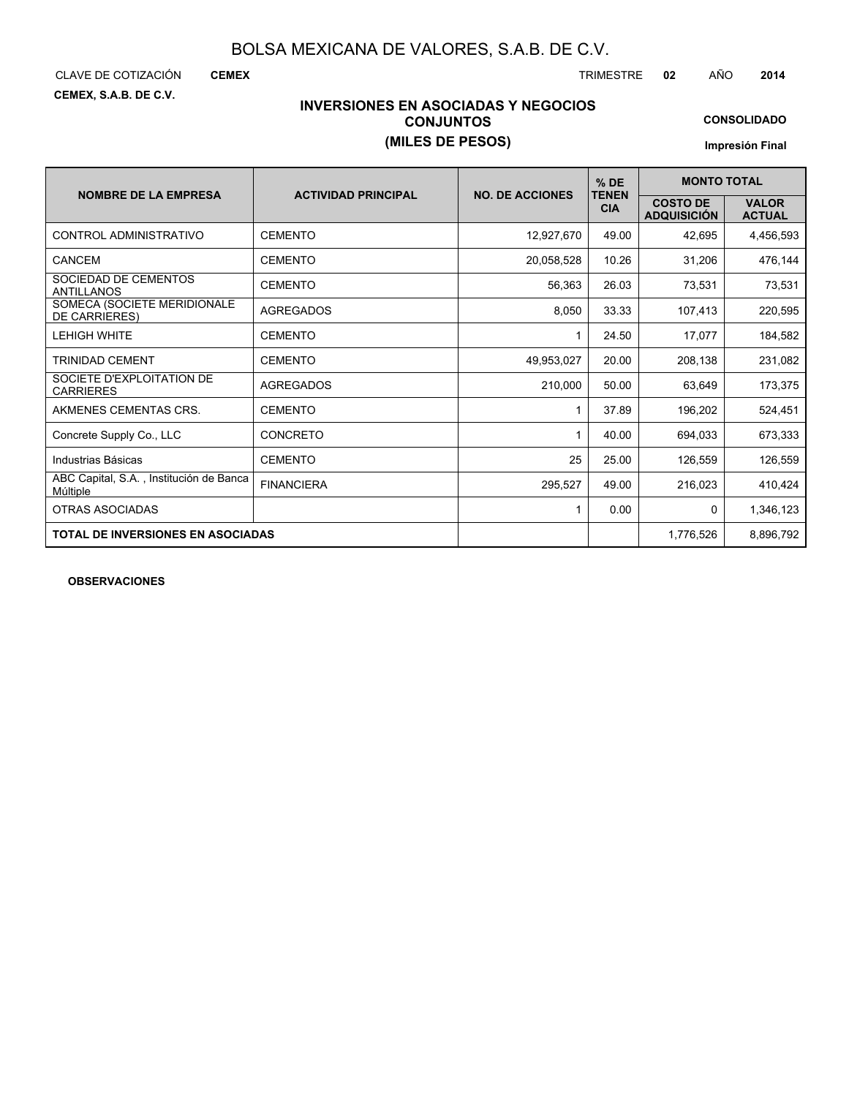CLAVE DE COTIZACIÓN TRIMESTRE **02** AÑO **2014**

**CEMEX**

**CEMEX, S.A.B. DE C.V.**

### **INVERSIONES EN ASOCIADAS Y NEGOCIOS CONJUNTOS (MILES DE PESOS)**

**CONSOLIDADO**

**Impresión Final**

| <b>NOMBRE DE LA EMPRESA</b>                         | <b>ACTIVIDAD PRINCIPAL</b> | <b>NO. DE ACCIONES</b> | $%$ DE                     | <b>MONTO TOTAL</b>                    |                               |  |  |
|-----------------------------------------------------|----------------------------|------------------------|----------------------------|---------------------------------------|-------------------------------|--|--|
|                                                     |                            |                        | <b>TENEN</b><br><b>CIA</b> | <b>COSTO DE</b><br><b>ADQUISICIÓN</b> | <b>VALOR</b><br><b>ACTUAL</b> |  |  |
| CONTROL ADMINISTRATIVO                              | <b>CEMENTO</b>             | 12,927,670             | 49.00                      | 42,695                                | 4,456,593                     |  |  |
| CANCEM                                              | <b>CEMENTO</b>             | 20,058,528             | 10.26                      | 31,206                                | 476,144                       |  |  |
| SOCIEDAD DE CEMENTOS<br><b>ANTILLANOS</b>           | <b>CEMENTO</b>             | 56,363                 | 26.03                      | 73,531                                | 73,531                        |  |  |
| SOMECA (SOCIETE MERIDIONALE<br>DE CARRIERES)        | <b>AGREGADOS</b>           | 8,050                  | 33.33                      | 107,413                               | 220,595                       |  |  |
| <b>LEHIGH WHITE</b>                                 | <b>CEMENTO</b>             | 1                      | 24.50                      | 17,077                                | 184,582                       |  |  |
| <b>TRINIDAD CEMENT</b>                              | <b>CEMENTO</b>             | 49,953,027             | 20.00                      | 208,138                               | 231,082                       |  |  |
| SOCIETE D'EXPLOITATION DE<br><b>CARRIERES</b>       | <b>AGREGADOS</b>           | 210,000                | 50.00                      | 63,649                                | 173,375                       |  |  |
| AKMENES CEMENTAS CRS.                               | <b>CEMENTO</b>             |                        | 37.89                      | 196,202                               | 524,451                       |  |  |
| Concrete Supply Co., LLC                            | <b>CONCRETO</b>            |                        | 40.00                      | 694,033                               | 673,333                       |  |  |
| Industrias Básicas                                  | <b>CEMENTO</b>             | 25                     | 25.00                      | 126,559                               | 126,559                       |  |  |
| ABC Capital, S.A., Institución de Banca<br>Múltiple | <b>FINANCIERA</b>          | 295,527                | 49.00                      | 216,023                               | 410,424                       |  |  |
| OTRAS ASOCIADAS                                     |                            |                        | 0.00                       | $\mathbf{0}$                          | 1,346,123                     |  |  |
| <b>TOTAL DE INVERSIONES EN ASOCIADAS</b>            |                            |                        |                            | 1,776,526                             | 8,896,792                     |  |  |

**OBSERVACIONES**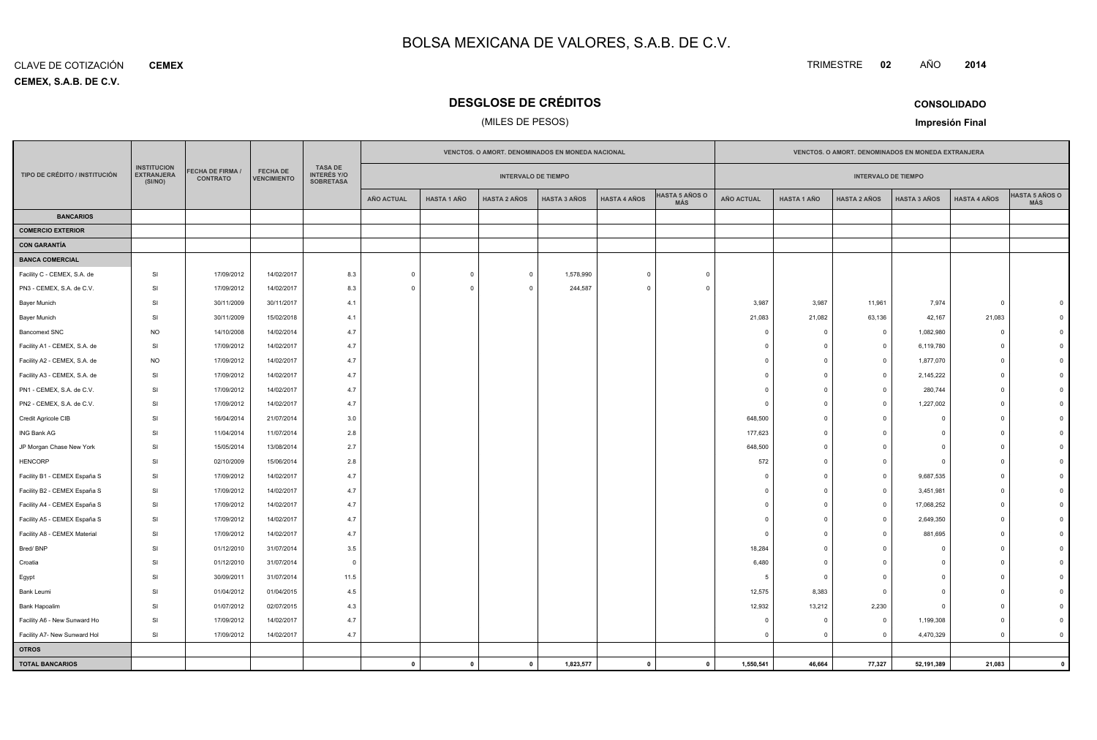**CEMEX, S.A.B. DE C.V.** CLAVE DE COTIZACIÓN**CEMEX**

### **DESGLOSE DE CRÉDITOS**

### (MILES DE PESOS)

| <b>CONSOLIDADO</b> |
|--------------------|

TRIMESTRE **<sup>02</sup>** AÑO

**Impresión Final**

|                               |                                                    |                                     |                                       |                                                          | VENCTOS. O AMORT. DENOMINADOS EN MONEDA NACIONAL |                            |                     |                     |                     | VENCTOS. O AMORT. DENOMINADOS EN MONEDA EXTRANJERA |                   |                    |                            |                     |                     |                              |
|-------------------------------|----------------------------------------------------|-------------------------------------|---------------------------------------|----------------------------------------------------------|--------------------------------------------------|----------------------------|---------------------|---------------------|---------------------|----------------------------------------------------|-------------------|--------------------|----------------------------|---------------------|---------------------|------------------------------|
| TIPO DE CRÉDITO / INSTITUCIÓN | <b>INSTITUCION</b><br><b>EXTRANJERA</b><br>(SI/NO) | FECHA DE FIRMA /<br><b>CONTRATO</b> | <b>FECHA DE</b><br><b>VENCIMIENTO</b> | <b>TASA DE</b><br><b>INTERÉS Y/O</b><br><b>SOBRETASA</b> |                                                  | <b>INTERVALO DE TIEMPO</b> |                     |                     |                     |                                                    |                   |                    | <b>INTERVALO DE TIEMPO</b> |                     |                     |                              |
|                               |                                                    |                                     |                                       |                                                          | <b>AÑO ACTUAL</b>                                | <b>HASTA 1 AÑO</b>         | <b>HASTA 2 AÑOS</b> | <b>HASTA 3 AÑOS</b> | <b>HASTA 4 AÑOS</b> | <b>HASTA 5 AÑOS O</b><br>MÁS                       | <b>AÑO ACTUAL</b> | <b>HASTA 1 AÑO</b> | <b>HASTA 2 AÑOS</b>        | <b>HASTA 3 AÑOS</b> | <b>HASTA 4 AÑOS</b> | <b>HASTA 5 AÑOS O</b><br>MÁS |
| <b>BANCARIOS</b>              |                                                    |                                     |                                       |                                                          |                                                  |                            |                     |                     |                     |                                                    |                   |                    |                            |                     |                     |                              |
| <b>COMERCIO EXTERIOR</b>      |                                                    |                                     |                                       |                                                          |                                                  |                            |                     |                     |                     |                                                    |                   |                    |                            |                     |                     |                              |
| <b>CON GARANTÍA</b>           |                                                    |                                     |                                       |                                                          |                                                  |                            |                     |                     |                     |                                                    |                   |                    |                            |                     |                     |                              |
| <b>BANCA COMERCIAL</b>        |                                                    |                                     |                                       |                                                          |                                                  |                            |                     |                     |                     |                                                    |                   |                    |                            |                     |                     |                              |
| Facility C - CEMEX, S.A. de   | SI                                                 | 17/09/2012                          | 14/02/2017                            | 8.3                                                      | $\mathbf 0$                                      | $\mathbf 0$                | $\overline{0}$      | 1,578,990           | $\mathbf 0$         | $\Omega$                                           |                   |                    |                            |                     |                     |                              |
| PN3 - CEMEX, S.A. de C.V.     | SI                                                 | 17/09/2012                          | 14/02/2017                            | 8.3                                                      | $\Omega$                                         | $\Omega$                   | $\Omega$            | 244,587             | $\Omega$            |                                                    |                   |                    |                            |                     |                     |                              |
| <b>Bayer Munich</b>           | SI                                                 | 30/11/2009                          | 30/11/2017                            | 4.1                                                      |                                                  |                            |                     |                     |                     |                                                    | 3,987             | 3,987              | 11,961                     | 7,974               | $\circ$             |                              |
| Bayer Munich                  | SI                                                 | 30/11/2009                          | 15/02/2018                            | 4.1                                                      |                                                  |                            |                     |                     |                     |                                                    | 21,083            | 21,082             | 63,136                     | 42,167              | 21,083              |                              |
| <b>Bancomext SNC</b>          | <b>NO</b>                                          | 14/10/2008                          | 14/02/2014                            | 4.7                                                      |                                                  |                            |                     |                     |                     |                                                    | $\Omega$          | $^{\circ}$         | $\overline{\mathbf{0}}$    | 1,082,980           | $^{\circ}$          |                              |
| Facility A1 - CEMEX, S.A. de  | SI                                                 | 17/09/2012                          | 14/02/2017                            | 4.7                                                      |                                                  |                            |                     |                     |                     |                                                    |                   | $\mathbf 0$        | $\mathbf 0$                | 6,119,780           | $\overline{0}$      |                              |
| Facility A2 - CEMEX, S.A. de  | <b>NO</b>                                          | 17/09/2012                          | 14/02/2017                            | 4.7                                                      |                                                  |                            |                     |                     |                     |                                                    | $\Omega$          | $\Omega$           | $\mathbf{0}$               | 1,877,070           | $\mathbf{0}$        |                              |
| Facility A3 - CEMEX, S.A. de  | SI                                                 | 17/09/2012                          | 14/02/2017                            | 4.7                                                      |                                                  |                            |                     |                     |                     |                                                    | $\Omega$          | $\circ$            | $\mathbf{0}$               | 2,145,222           | $\mathbf{0}$        |                              |
| PN1 - CEMEX, S.A. de C.V.     | SI                                                 | 17/09/2012                          | 14/02/2017                            | 4.7                                                      |                                                  |                            |                     |                     |                     |                                                    | $\Omega$          | $\overline{0}$     | $\Omega$                   | 280,744             | $\Omega$            |                              |
| PN2 - CEMEX, S.A. de C.V.     | SI                                                 | 17/09/2012                          | 14/02/2017                            | 4.7                                                      |                                                  |                            |                     |                     |                     |                                                    | 0                 | $^{\circ}$         | $\mathbf 0$                | 1,227,002           | $\circ$             |                              |
| Credit Agricole CIB           | SI                                                 | 16/04/2014                          | 21/07/2014                            | 3.0                                                      |                                                  |                            |                     |                     |                     |                                                    | 648,500           | $\overline{0}$     | $\mathbf 0$                | 0                   | $\Omega$            |                              |
| ING Bank AG                   | SI                                                 | 11/04/2014                          | 11/07/2014                            | 2.8                                                      |                                                  |                            |                     |                     |                     |                                                    | 177,623           | $\Omega$           | $\Omega$                   | ŋ                   | $\Omega$            |                              |
| JP Morgan Chase New York      | SI                                                 | 15/05/2014                          | 13/08/2014                            | 2.7                                                      |                                                  |                            |                     |                     |                     |                                                    | 648,500           | $\Omega$           | $\Omega$                   | ŋ                   | $\Omega$            |                              |
| <b>HENCORP</b>                | SI                                                 | 02/10/2009                          | 15/06/2014                            | 2.8                                                      |                                                  |                            |                     |                     |                     |                                                    | 572               | $\circ$            | $\Omega$                   | $\Omega$            | $\Omega$            |                              |
| Facility B1 - CEMEX España S  | SI                                                 | 17/09/2012                          | 14/02/2017                            | 4.7                                                      |                                                  |                            |                     |                     |                     |                                                    | <sup>n</sup>      | $\Omega$           | $\Omega$                   | 9,687,535           | $\sqrt{ }$          |                              |
| Facility B2 - CEMEX España S  | SI                                                 | 17/09/2012                          | 14/02/2017                            | 4.7                                                      |                                                  |                            |                     |                     |                     |                                                    |                   | $\circ$            | $\mathbf 0$                | 3,451,981           | $\Omega$            |                              |
| Facility A4 - CEMEX España S  | SI                                                 | 17/09/2012                          | 14/02/2017                            | 4.7                                                      |                                                  |                            |                     |                     |                     |                                                    | $\Omega$          | $\Omega$           | $\Omega$                   | 17,068,252          | $\Omega$            |                              |
| Facility A5 - CEMEX España S  | SI                                                 | 17/09/2012                          | 14/02/2017                            | 4.7                                                      |                                                  |                            |                     |                     |                     |                                                    | <sup>n</sup>      | $\Omega$           | $\Omega$                   | 2,649,350           | $\mathbf{0}$        |                              |
| Facility A8 - CEMEX Material  | SI                                                 | 17/09/2012                          | 14/02/2017                            | 4.7                                                      |                                                  |                            |                     |                     |                     |                                                    | $\Omega$          | $\circ$            | $\Omega$                   | 881,695             | $\mathbf{0}$        |                              |
| Bred/BNP                      | SI                                                 | 01/12/2010                          | 31/07/2014                            | 3.5                                                      |                                                  |                            |                     |                     |                     |                                                    | 18,284            | $\Omega$           | $\Omega$                   |                     | $\Omega$            |                              |
| Croatia                       | SI                                                 | 01/12/2010                          | 31/07/2014                            | $\overline{0}$                                           |                                                  |                            |                     |                     |                     |                                                    | 6,480             | $\Omega$           | $\Omega$                   |                     | $\Omega$            |                              |
| Egypt                         | SI                                                 | 30/09/2011                          | 31/07/2014                            | 11.5                                                     |                                                  |                            |                     |                     |                     |                                                    | $-5$              | $\overline{0}$     | $\Omega$                   | n                   | $\Omega$            |                              |
| Bank Leumi                    | SI                                                 | 01/04/2012                          | 01/04/2015                            | 4.5                                                      |                                                  |                            |                     |                     |                     |                                                    | 12,575            | 8,383              | $\Omega$                   |                     | $\Omega$            |                              |
| Bank Hapoalim                 | SI                                                 | 01/07/2012                          | 02/07/2015                            | 4.3                                                      |                                                  |                            |                     |                     |                     |                                                    | 12,932            | 13,212             | 2,230                      | $\Omega$            | $\mathbf{0}$        |                              |
| Facility A6 - New Sunward Ho  | SI                                                 | 17/09/2012                          | 14/02/2017                            | 4.7                                                      |                                                  |                            |                     |                     |                     |                                                    | $\Omega$          | $\Omega$           | $\overline{0}$             | 1,199,308           | $\Omega$            |                              |
| Facility A7- New Sunward Hol  | SI                                                 | 17/09/2012                          | 14/02/2017                            | 4.7                                                      |                                                  |                            |                     |                     |                     |                                                    | $\Omega$          | $\circ$            | $\Omega$                   | 4,470,329           | $\circ$             | $\Omega$                     |
| <b>OTROS</b>                  |                                                    |                                     |                                       |                                                          |                                                  |                            |                     |                     |                     |                                                    |                   |                    |                            |                     |                     |                              |
| <b>TOTAL BANCARIOS</b>        |                                                    |                                     |                                       |                                                          | $\mathbf{0}$                                     | $\pmb{0}$                  | $\mathbf 0$         | 1,823,577           | $\mathbf{0}$        | $\mathbf{0}$                                       | 1,550,541         | 46,664             | 77,327                     | 52,191,389          | 21,083              | $\mathbf 0$                  |

**<sup>2014</sup>**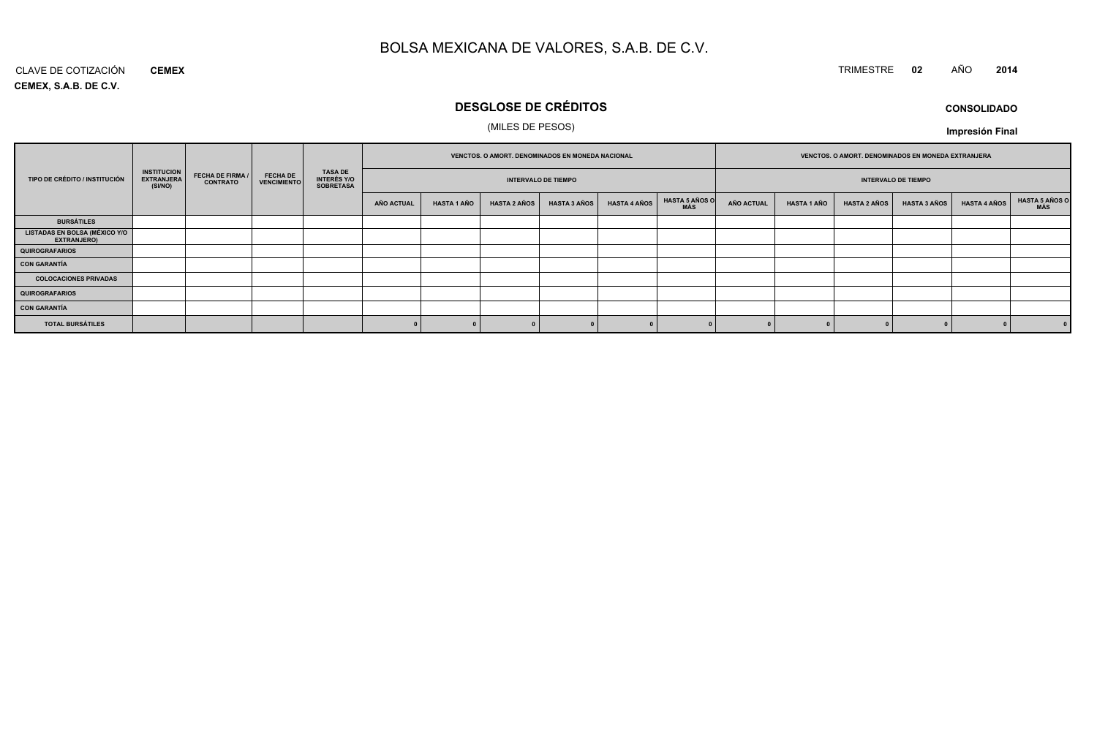#### CLAVE DE COTIZACIÓN TRIMESTRE **<sup>02</sup>** AÑO **<sup>2014</sup> CEMEX**

**CEMEX, S.A.B. DE C.V.**

### **DESGLOSE DE CRÉDITOS**

### (MILES DE PESOS)

| <b>CONSOLIDADO</b> |
|--------------------|
|--------------------|

|                                                            |                                                    |                                            |                         |                                            | VENCTOS. O AMORT. DENOMINADOS EN MONEDA NACIONAL |                            |                     |                     | VENCTOS. O AMORT. DENOMINADOS EN MONEDA EXTRANJERA |                            |                   |                    |                     |                     |                     |                              |
|------------------------------------------------------------|----------------------------------------------------|--------------------------------------------|-------------------------|--------------------------------------------|--------------------------------------------------|----------------------------|---------------------|---------------------|----------------------------------------------------|----------------------------|-------------------|--------------------|---------------------|---------------------|---------------------|------------------------------|
| TIPO DE CRÉDITO / INSTITUCIÓN                              | <b>INSTITUCION</b><br><b>EXTRANJERA</b><br>(SI/NO) | <b>FECHA DE FIRMA /</b><br><b>CONTRATO</b> | FECHA DE<br>VENCIMIENTO | TASA DE<br>INTERÉS Y/O<br><b>SOBRETASA</b> |                                                  | <b>INTERVALO DE TIEMPO</b> |                     |                     |                                                    | <b>INTERVALO DE TIEMPO</b> |                   |                    |                     |                     |                     |                              |
|                                                            |                                                    |                                            |                         |                                            | <b>AÑO ACTUAL</b>                                | <b>HASTA 1 AÑO</b>         | <b>HASTA 2 AÑOS</b> | <b>HASTA 3 AÑOS</b> | <b>HASTA 4 AÑOS</b>                                | HASTA 5 AÑOS O<br>MÁS      | <b>AÑO ACTUAL</b> | <b>HASTA 1 AÑO</b> | <b>HASTA 2 AÑOS</b> | <b>HASTA 3 AÑOS</b> | <b>HASTA 4 AÑOS</b> | <b>HASTA 5 AÑOS O</b><br>MÁS |
| <b>BURSÁTILES</b>                                          |                                                    |                                            |                         |                                            |                                                  |                            |                     |                     |                                                    |                            |                   |                    |                     |                     |                     |                              |
| <b>LISTADAS EN BOLSA (MÉXICO Y/O</b><br><b>EXTRANJERO)</b> |                                                    |                                            |                         |                                            |                                                  |                            |                     |                     |                                                    |                            |                   |                    |                     |                     |                     |                              |
| QUIROGRAFARIOS                                             |                                                    |                                            |                         |                                            |                                                  |                            |                     |                     |                                                    |                            |                   |                    |                     |                     |                     |                              |
| CON GARANTÍA                                               |                                                    |                                            |                         |                                            |                                                  |                            |                     |                     |                                                    |                            |                   |                    |                     |                     |                     |                              |
| <b>COLOCACIONES PRIVADAS</b>                               |                                                    |                                            |                         |                                            |                                                  |                            |                     |                     |                                                    |                            |                   |                    |                     |                     |                     |                              |
| QUIROGRAFARIOS                                             |                                                    |                                            |                         |                                            |                                                  |                            |                     |                     |                                                    |                            |                   |                    |                     |                     |                     |                              |
| CON GARANTÍA                                               |                                                    |                                            |                         |                                            |                                                  |                            |                     |                     |                                                    |                            |                   |                    |                     |                     |                     |                              |
| <b>TOTAL BURSÁTILES</b>                                    |                                                    |                                            |                         |                                            |                                                  |                            |                     |                     |                                                    |                            |                   |                    |                     |                     |                     |                              |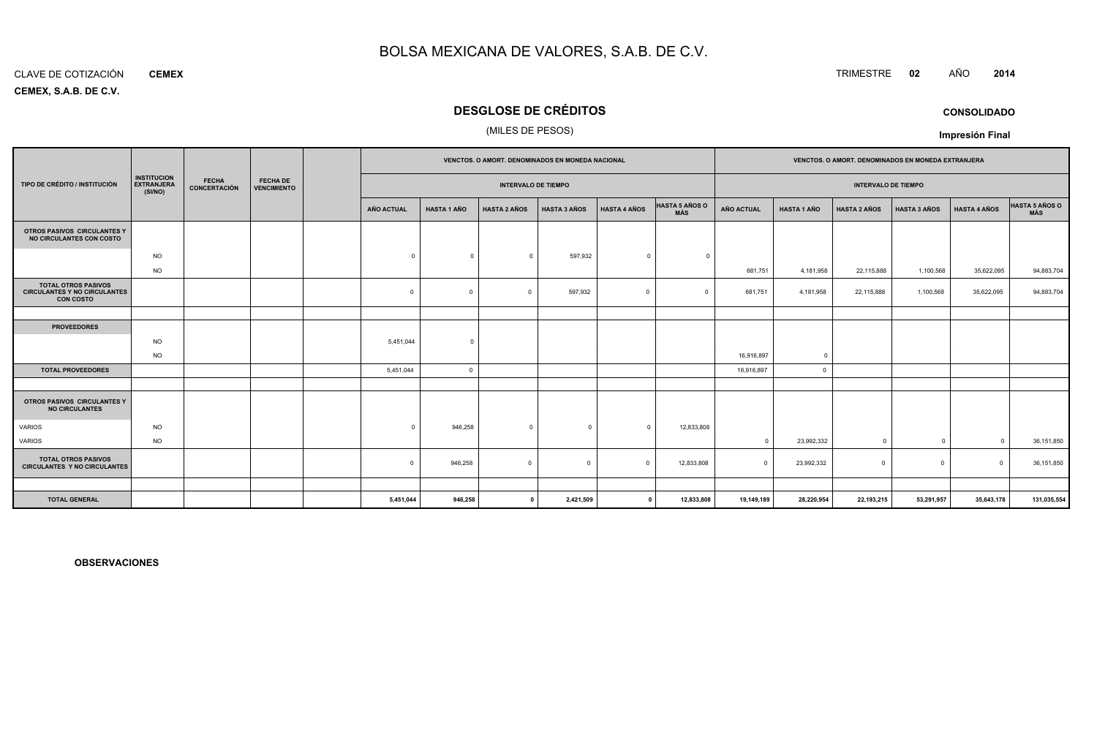#### CLAVE DE COTIZACIÓN**CEMEX**

**CEMEX, S.A.B. DE C.V.**

### **DESGLOSE DE CRÉDITOS**

### (MILES DE PESOS)

|                                                                                       |                                                    |                              | <b>FECHA DE</b><br><b>VENCIMIENTO</b> | VENCTOS. O AMORT. DENOMINADOS EN MONEDA NACIONAL |                    |                            |                     |                     | VENCTOS. O AMORT. DENOMINADOS EN MONEDA EXTRANJERA |                            |                    |                     |                     |                     |                              |
|---------------------------------------------------------------------------------------|----------------------------------------------------|------------------------------|---------------------------------------|--------------------------------------------------|--------------------|----------------------------|---------------------|---------------------|----------------------------------------------------|----------------------------|--------------------|---------------------|---------------------|---------------------|------------------------------|
| TIPO DE CRÉDITO / INSTITUCIÓN                                                         | <b>INSTITUCION</b><br><b>EXTRANJERA</b><br>(SI/NO) | <b>FECHA</b><br>CONCERTACIÓN |                                       |                                                  |                    | <b>INTERVALO DE TIEMPO</b> |                     |                     |                                                    | <b>INTERVALO DE TIEMPO</b> |                    |                     |                     |                     |                              |
|                                                                                       |                                                    |                              |                                       | AÑO ACTUAL                                       | <b>HASTA 1 AÑO</b> | <b>HASTA 2 AÑOS</b>        | <b>HASTA 3 AÑOS</b> | <b>HASTA 4 AÑOS</b> | HASTA 5 AÑOS O<br>MÁS                              | AÑO ACTUAL                 | <b>HASTA 1 AÑO</b> | <b>HASTA 2 AÑOS</b> | <b>HASTA 3 AÑOS</b> | <b>HASTA 4 AÑOS</b> | <b>HASTA 5 AÑOS O</b><br>MÁS |
| OTROS PASIVOS CIRCULANTES Y<br>NO CIRCULANTES CON COSTO                               |                                                    |                              |                                       |                                                  |                    |                            |                     |                     |                                                    |                            |                    |                     |                     |                     |                              |
|                                                                                       | <b>NO</b>                                          |                              |                                       | $\circ$                                          | $\Omega$           | $\overline{0}$             | 597,932             | $\Omega$            | $\Omega$                                           |                            |                    |                     |                     |                     |                              |
|                                                                                       | <b>NO</b>                                          |                              |                                       |                                                  |                    |                            |                     |                     |                                                    | 681,751                    | 4,181,958          | 22,115,888          | 1,100,568           | 35,622,095          | 94,883,704                   |
| <b>TOTAL OTROS PASIVOS</b><br><b>CIRCULANTES Y NO CIRCULANTES</b><br><b>CON COSTO</b> |                                                    |                              |                                       | $\mathbf{0}$                                     | $\Omega$           | $\Omega$                   | 597,932             | $\Omega$            | $\Omega$                                           | 681,751                    | 4,181,958          | 22,115,888          | 1,100,568           | 35,622,095          | 94,883,704                   |
|                                                                                       |                                                    |                              |                                       |                                                  |                    |                            |                     |                     |                                                    |                            |                    |                     |                     |                     |                              |
| <b>PROVEEDORES</b>                                                                    |                                                    |                              |                                       |                                                  |                    |                            |                     |                     |                                                    |                            |                    |                     |                     |                     |                              |
|                                                                                       | <b>NO</b>                                          |                              |                                       | 5,451,044                                        | $\Omega$           |                            |                     |                     |                                                    |                            |                    |                     |                     |                     |                              |
|                                                                                       | <b>NO</b>                                          |                              |                                       |                                                  |                    |                            |                     |                     |                                                    | 16,916,897                 | $\Omega$           |                     |                     |                     |                              |
| <b>TOTAL PROVEEDORES</b>                                                              |                                                    |                              |                                       | 5,451,044                                        | $\overline{0}$     |                            |                     |                     |                                                    | 16,916,897                 | $\mathbf 0$        |                     |                     |                     |                              |
|                                                                                       |                                                    |                              |                                       |                                                  |                    |                            |                     |                     |                                                    |                            |                    |                     |                     |                     |                              |
| <b>OTROS PASIVOS CIRCULANTES Y</b><br><b>NO CIRCULANTES</b>                           |                                                    |                              |                                       |                                                  |                    |                            |                     |                     |                                                    |                            |                    |                     |                     |                     |                              |
| <b>VARIOS</b>                                                                         | <b>NO</b>                                          |                              |                                       | $\Omega$                                         | 946,258            | $\mathbf{0}$               | $\Omega$            | $\Omega$            | 12,833,808                                         |                            |                    |                     |                     |                     |                              |
| <b>VARIOS</b>                                                                         | <b>NO</b>                                          |                              |                                       |                                                  |                    |                            |                     |                     |                                                    | $\Omega$                   | 23,992,332         | $\Omega$            | $\mathbf 0$         |                     | 36,151,850                   |
| <b>TOTAL OTROS PASIVOS</b><br><b>CIRCULANTES Y NO CIRCULANTES</b>                     |                                                    |                              |                                       | $\mathbf{0}$                                     | 946,258            | $\mathbf 0$                | $\Omega$            | $\Omega$            | 12,833,808                                         |                            | 23,992,332         | $\Omega$            | $\mathbf 0$         | $\Omega$            | 36,151,850                   |
|                                                                                       |                                                    |                              |                                       |                                                  |                    |                            |                     |                     |                                                    |                            |                    |                     |                     |                     |                              |
| <b>TOTAL GENERAL</b>                                                                  |                                                    |                              |                                       | 5,451,044                                        | 946,258            | $\mathbf{0}$               | 2,421,509           | $\mathbf{0}$        | 12,833,808                                         | 19,149,189                 | 28,220,954         | 22,193,215          | 53,291,957          | 35,643,178          | 131,035,554                  |

**OBSERVACIONES**

TRIMESTRE **<sup>02</sup>** AÑO **<sup>2014</sup>**

**CONSOLIDADO**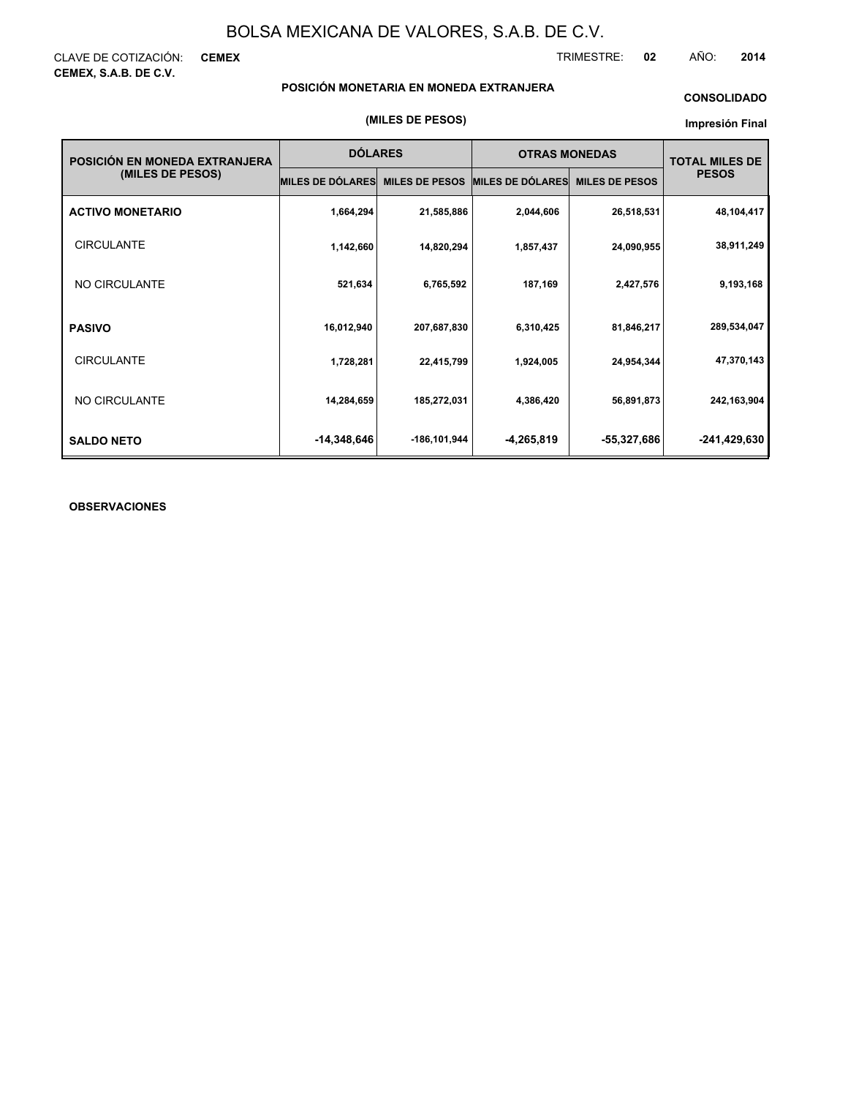CLAVE DE COTIZACIÓN: **CEMEX CEMEX, S.A.B. DE C.V.**

TRIMESTRE: **02** AÑO: **2014**

### **POSICIÓN MONETARIA EN MONEDA EXTRANJERA**

### **CONSOLIDADO**

#### **Impresión Final**

| POSICIÓN EN MONEDA EXTRANJERA | <b>DÓLARES</b>          |                       | <b>OTRAS MONEDAS</b>    |                       | <b>TOTAL MILES DE</b> |  |
|-------------------------------|-------------------------|-----------------------|-------------------------|-----------------------|-----------------------|--|
| (MILES DE PESOS)              | <b>MILES DE DÓLARES</b> | <b>MILES DE PESOS</b> | <b>MILES DE DÓLARES</b> | <b>MILES DE PESOS</b> | <b>PESOS</b>          |  |
| <b>ACTIVO MONETARIO</b>       | 1,664,294               | 21,585,886            | 2,044,606               | 26,518,531            | 48,104,417            |  |
| <b>CIRCULANTE</b>             | 1,142,660               | 14,820,294            | 1,857,437               | 24,090,955            | 38,911,249            |  |
| NO CIRCULANTE                 | 521,634                 | 6,765,592             | 187,169                 | 2,427,576             | 9,193,168             |  |
| <b>PASIVO</b>                 | 16,012,940              | 207,687,830           | 6,310,425               | 81,846,217            | 289,534,047           |  |
| <b>CIRCULANTE</b>             | 1,728,281               | 22,415,799            | 1,924,005               | 24,954,344            | 47,370,143            |  |
| NO CIRCULANTE                 | 14,284,659              | 185,272,031           | 4,386,420               | 56,891,873            | 242,163,904           |  |
| <b>SALDO NETO</b>             | -14,348,646             | -186,101,944          | -4,265,819              | -55,327,686           | -241,429,630          |  |

### **OBSERVACIONES**

#### **(MILES DE PESOS)**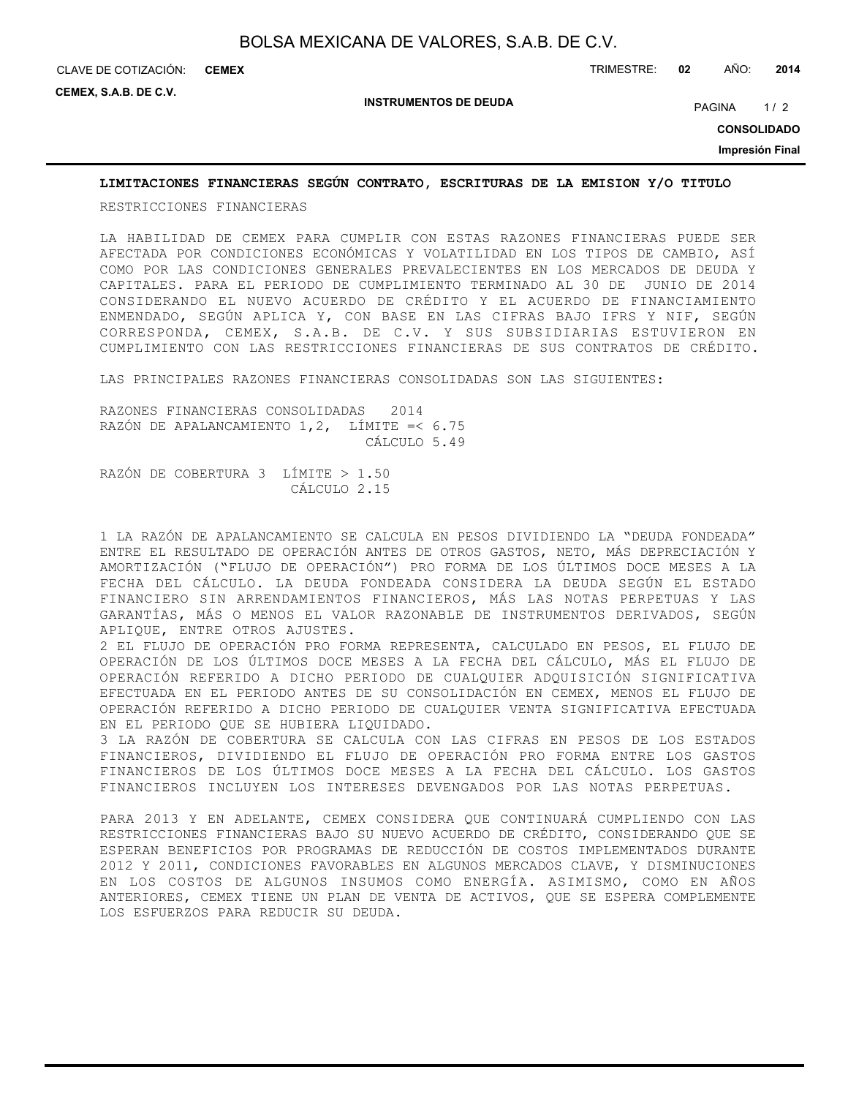**CEMEX**

**CEMEX, S.A.B. DE C.V.**

**INSTRUMENTOS DE DEUDA**

PAGINA 1/2

**CONSOLIDADO**

**Impresión Final**

### **LIMITACIONES FINANCIERAS SEGÚN CONTRATO, ESCRITURAS DE LA EMISION Y/O TITULO**

RESTRICCIONES FINANCIERAS

LA HABILIDAD DE CEMEX PARA CUMPLIR CON ESTAS RAZONES FINANCIERAS PUEDE SER AFECTADA POR CONDICIONES ECONÓMICAS Y VOLATILIDAD EN LOS TIPOS DE CAMBIO, ASÍ COMO POR LAS CONDICIONES GENERALES PREVALECIENTES EN LOS MERCADOS DE DEUDA Y CAPITALES. PARA EL PERIODO DE CUMPLIMIENTO TERMINADO AL 30 DE JUNIO DE 2014 CONSIDERANDO EL NUEVO ACUERDO DE CRÉDITO Y EL ACUERDO DE FINANCIAMIENTO ENMENDADO, SEGÚN APLICA Y, CON BASE EN LAS CIFRAS BAJO IFRS Y NIF, SEGÚN CORRESPONDA, CEMEX, S.A.B. DE C.V. Y SUS SUBSIDIARIAS ESTUVIERON EN CUMPLIMIENTO CON LAS RESTRICCIONES FINANCIERAS DE SUS CONTRATOS DE CRÉDITO.

LAS PRINCIPALES RAZONES FINANCIERAS CONSOLIDADAS SON LAS SIGUIENTES:

RAZONES FINANCIERAS CONSOLIDADAS 2014 RAZÓN DE APALANCAMIENTO 1,2, LÍMITE =< 6.75 CÁLCULO 5.49

RAZÓN DE COBERTURA 3 LÍMITE > 1.50 CÁLCULO 2.15

1 LA RAZÓN DE APALANCAMIENTO SE CALCULA EN PESOS DIVIDIENDO LA "DEUDA FONDEADA" ENTRE EL RESULTADO DE OPERACIÓN ANTES DE OTROS GASTOS, NETO, MÁS DEPRECIACIÓN Y AMORTIZACIÓN ("FLUJO DE OPERACIÓN") PRO FORMA DE LOS ÚLTIMOS DOCE MESES A LA FECHA DEL CÁLCULO. LA DEUDA FONDEADA CONSIDERA LA DEUDA SEGÚN EL ESTADO FINANCIERO SIN ARRENDAMIENTOS FINANCIEROS, MÁS LAS NOTAS PERPETUAS Y LAS GARANTÍAS, MÁS O MENOS EL VALOR RAZONABLE DE INSTRUMENTOS DERIVADOS, SEGÚN APLIQUE, ENTRE OTROS AJUSTES.

2 EL FLUJO DE OPERACIÓN PRO FORMA REPRESENTA, CALCULADO EN PESOS, EL FLUJO DE OPERACIÓN DE LOS ÚLTIMOS DOCE MESES A LA FECHA DEL CÁLCULO, MÁS EL FLUJO DE OPERACIÓN REFERIDO A DICHO PERIODO DE CUALQUIER ADQUISICIÓN SIGNIFICATIVA EFECTUADA EN EL PERIODO ANTES DE SU CONSOLIDACIÓN EN CEMEX, MENOS EL FLUJO DE OPERACIÓN REFERIDO A DICHO PERIODO DE CUALQUIER VENTA SIGNIFICATIVA EFECTUADA EN EL PERIODO QUE SE HUBIERA LIQUIDADO.

3 LA RAZÓN DE COBERTURA SE CALCULA CON LAS CIFRAS EN PESOS DE LOS ESTADOS FINANCIEROS, DIVIDIENDO EL FLUJO DE OPERACIÓN PRO FORMA ENTRE LOS GASTOS FINANCIEROS DE LOS ÚLTIMOS DOCE MESES A LA FECHA DEL CÁLCULO. LOS GASTOS FINANCIEROS INCLUYEN LOS INTERESES DEVENGADOS POR LAS NOTAS PERPETUAS.

PARA 2013 Y EN ADELANTE, CEMEX CONSIDERA QUE CONTINUARÁ CUMPLIENDO CON LAS RESTRICCIONES FINANCIERAS BAJO SU NUEVO ACUERDO DE CRÉDITO, CONSIDERANDO QUE SE ESPERAN BENEFICIOS POR PROGRAMAS DE REDUCCIÓN DE COSTOS IMPLEMENTADOS DURANTE 2012 Y 2011, CONDICIONES FAVORABLES EN ALGUNOS MERCADOS CLAVE, Y DISMINUCIONES EN LOS COSTOS DE ALGUNOS INSUMOS COMO ENERGÍA. ASIMISMO, COMO EN AÑOS ANTERIORES, CEMEX TIENE UN PLAN DE VENTA DE ACTIVOS, QUE SE ESPERA COMPLEMENTE LOS ESFUERZOS PARA REDUCIR SU DEUDA.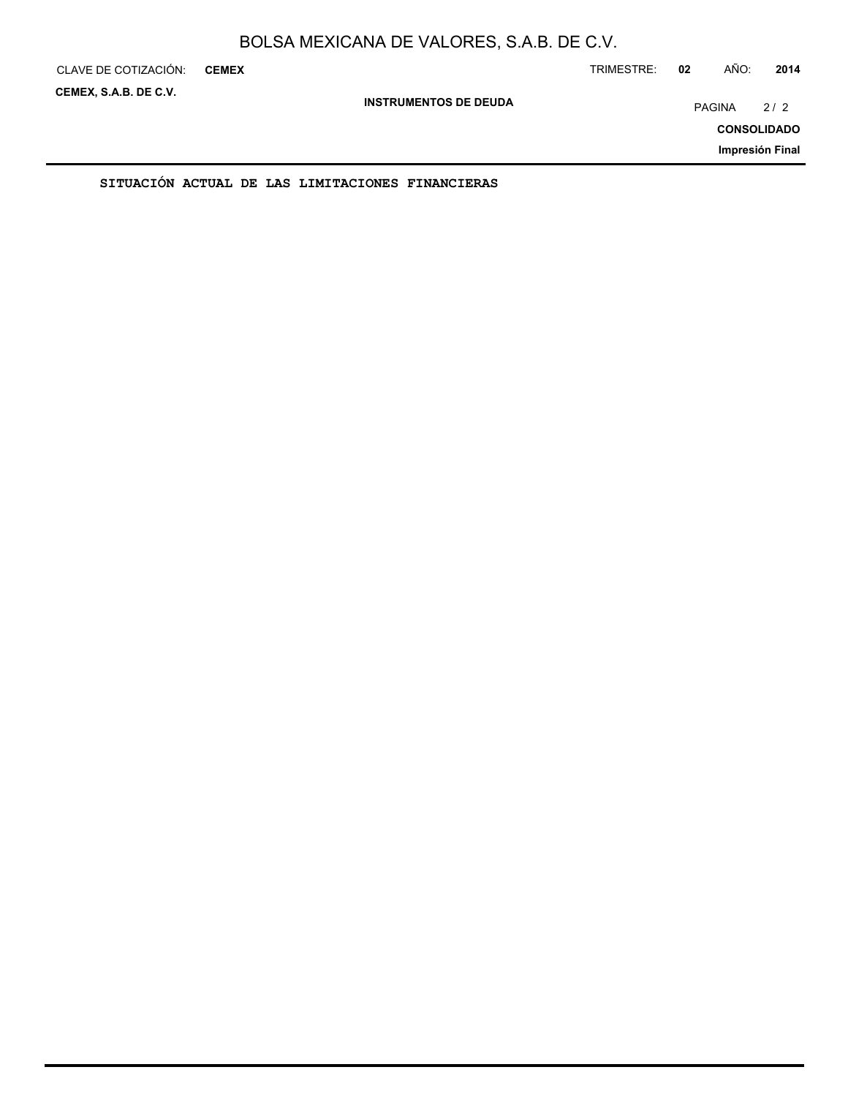| CLAVE DE COTIZACIÓN:  | <b>CEMEX</b> |                              |                                                  |  |  | TRIMESTRE: | 02     | AÑO: | 2014               |
|-----------------------|--------------|------------------------------|--------------------------------------------------|--|--|------------|--------|------|--------------------|
| CEMEX, S.A.B. DE C.V. |              | <b>INSTRUMENTOS DE DEUDA</b> |                                                  |  |  |            | PAGINA |      | 2/2                |
|                       |              |                              |                                                  |  |  |            |        |      | <b>CONSOLIDADO</b> |
|                       |              |                              |                                                  |  |  |            |        |      | Impresión Final    |
|                       |              |                              | SITUACION ACTUAL DE LAS LIMITACIONES FINANCIERAS |  |  |            |        |      |                    |

ON ACTUAL DE LAS LIMITACIONES FINANCIE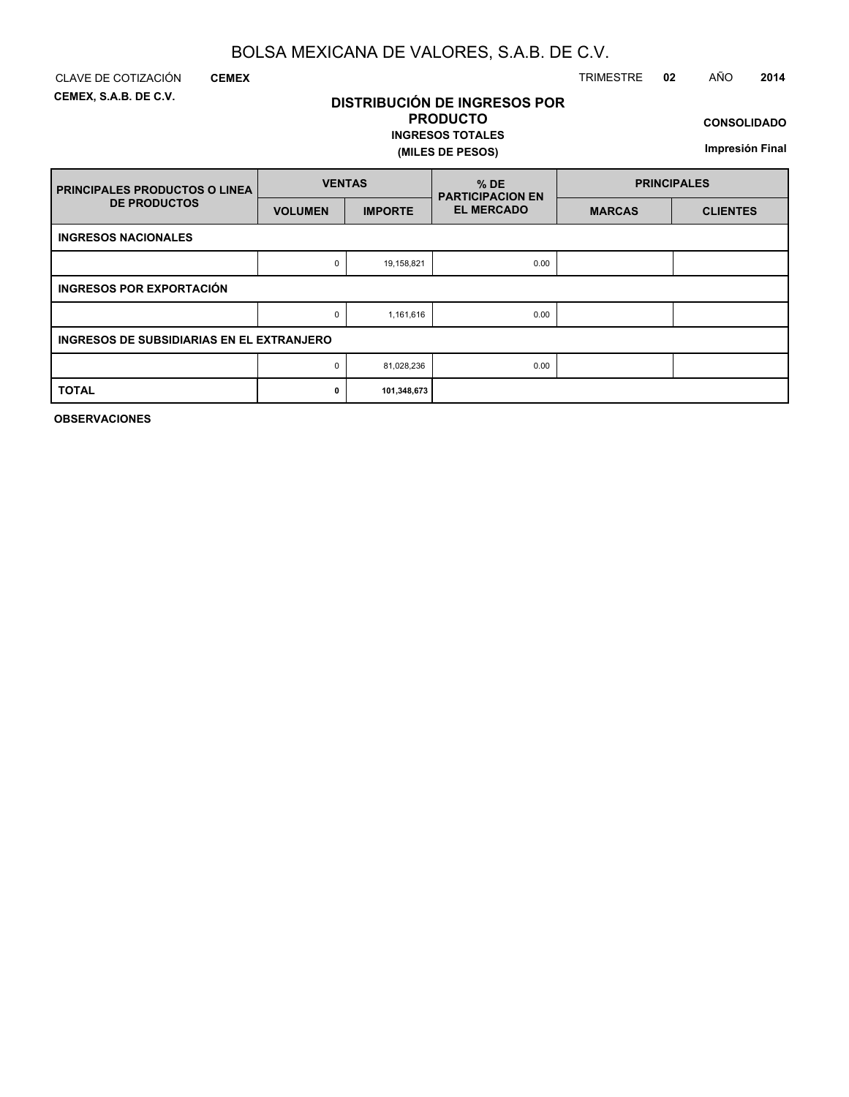**DISTRIBUCIÓN DE INGRESOS POR PRODUCTO**

**INGRESOS TOTALES**

**(MILES DE PESOS)**

**CEMEX, S.A.B. DE C.V.**

### CLAVE DE COTIZACIÓN TRIMESTRE **02** AÑO **2014**

**CONSOLIDADO**

**Impresión Final**

| <b>FRINCIPALES PRODUCTOS O LINEA</b>      | <b>VENTAS</b>  |                | $%$ DE<br><b>PARTICIPACION EN</b> | <b>PRINCIPALES</b> |                 |  |  |  |
|-------------------------------------------|----------------|----------------|-----------------------------------|--------------------|-----------------|--|--|--|
| <b>DE PRODUCTOS</b>                       | <b>VOLUMEN</b> | <b>IMPORTE</b> | <b>EL MERCADO</b>                 | <b>MARCAS</b>      | <b>CLIENTES</b> |  |  |  |
| <b>INGRESOS NACIONALES</b>                |                |                |                                   |                    |                 |  |  |  |
|                                           | 0              | 19,158,821     | 0.00                              |                    |                 |  |  |  |
| <b>INGRESOS POR EXPORTACIÓN</b>           |                |                |                                   |                    |                 |  |  |  |
|                                           | 0              | 1,161,616      | 0.00                              |                    |                 |  |  |  |
| INGRESOS DE SUBSIDIARIAS EN EL EXTRANJERO |                |                |                                   |                    |                 |  |  |  |
|                                           | 0              | 81,028,236     | 0.00                              |                    |                 |  |  |  |
| <b>TOTAL</b>                              | $\mathbf{0}$   | 101,348,673    |                                   |                    |                 |  |  |  |

**OBSERVACIONES**

**CEMEX**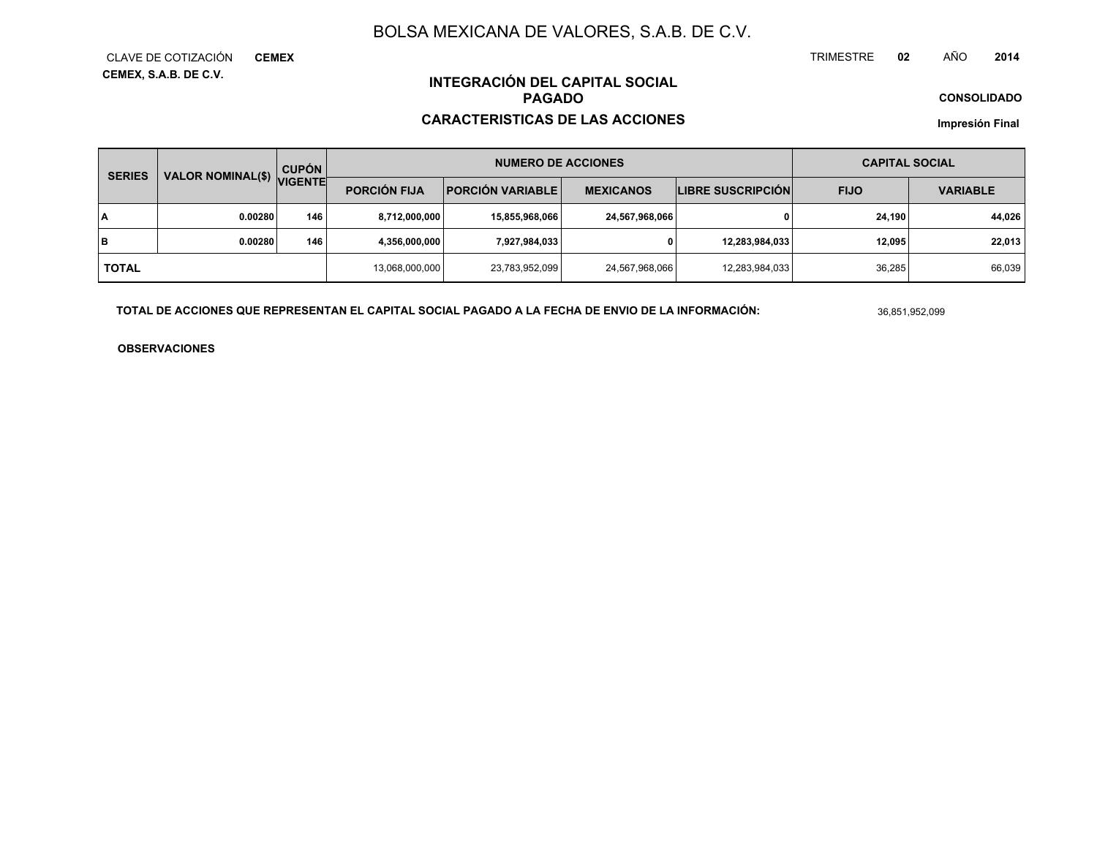TRIMESTRE **<sup>02</sup>** AÑO**<sup>2014</sup>**

**CONSOLIDADO**

**INTEGRACIÓN DEL CAPITAL SOCIALPAGADO**

#### **CARACTERISTICAS DE LAS ACCIONES**

**Impresión Final**

| <b>SERIES</b> | <b>VALOR NOMINAL(\$)</b> | <b>CUPÓN</b><br><b>VIGENTE</b> |                     | <b>NUMERO DE ACCIONES</b> | <b>CAPITAL SOCIAL</b> |                          |             |                 |
|---------------|--------------------------|--------------------------------|---------------------|---------------------------|-----------------------|--------------------------|-------------|-----------------|
|               |                          |                                | <b>PORCIÓN FIJA</b> | <b>PORCIÓN VARIABLE</b>   | <b>MEXICANOS</b>      | <b>LIBRE SUSCRIPCIÓN</b> | <b>FIJO</b> | <b>VARIABLE</b> |
| I٨            | 0.00280                  | 146                            | 8,712,000,000       | 15,855,968,066            | 24,567,968,066        |                          | 24.190      | 44,026          |
| lв            | 0.00280                  | 146                            | 4,356,000,000       | 7,927,984,033             | 0                     | 12,283,984,033           | 12.095      | 22.013          |
| l total       |                          |                                | 13,068,000,000      | 23,783,952,099            | 24,567,968,066        | 12,283,984,033           | 36,285      | 66,039          |

**TOTAL DE ACCIONES QUE REPRESENTAN EL CAPITAL SOCIAL PAGADO A LA FECHA DE ENVIO DE LA INFORMACIÓN:**

36,851,952,099

**OBSERVACIONES**

**CEMEX, S.A.B. DE C.V.** CLAVE DE COTIZACIÓN**CEMEX**